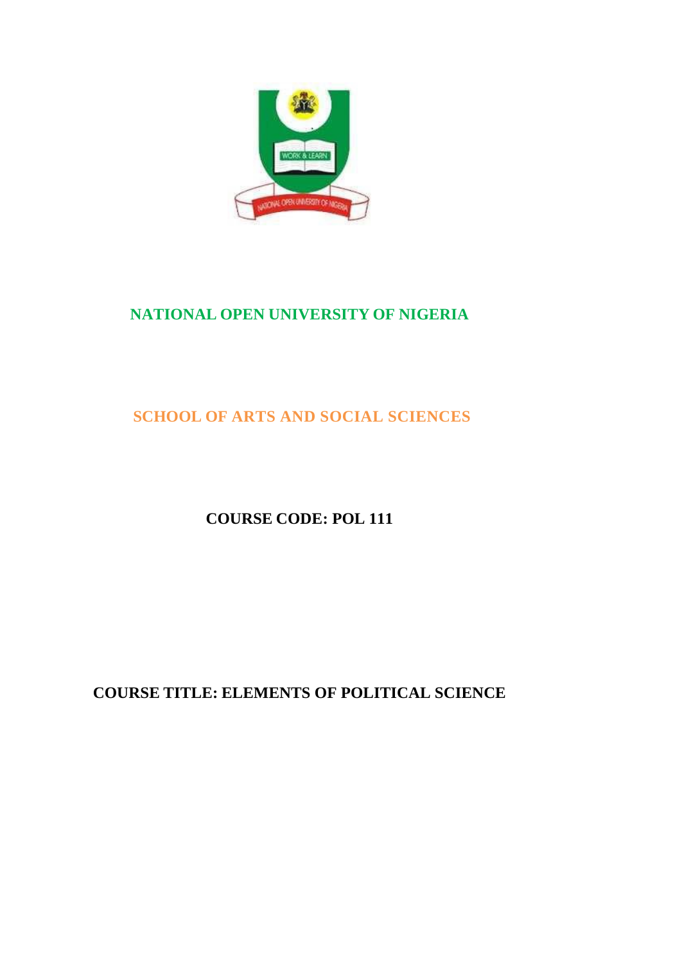

# **NATIONAL OPEN UNIVERSITY OF NIGERIA**

# **SCHOOL OF ARTS AND SOCIAL SCIENCES**

**COURSE CODE: POL 111**

**COURSE TITLE: ELEMENTS OF POLITICAL SCIENCE**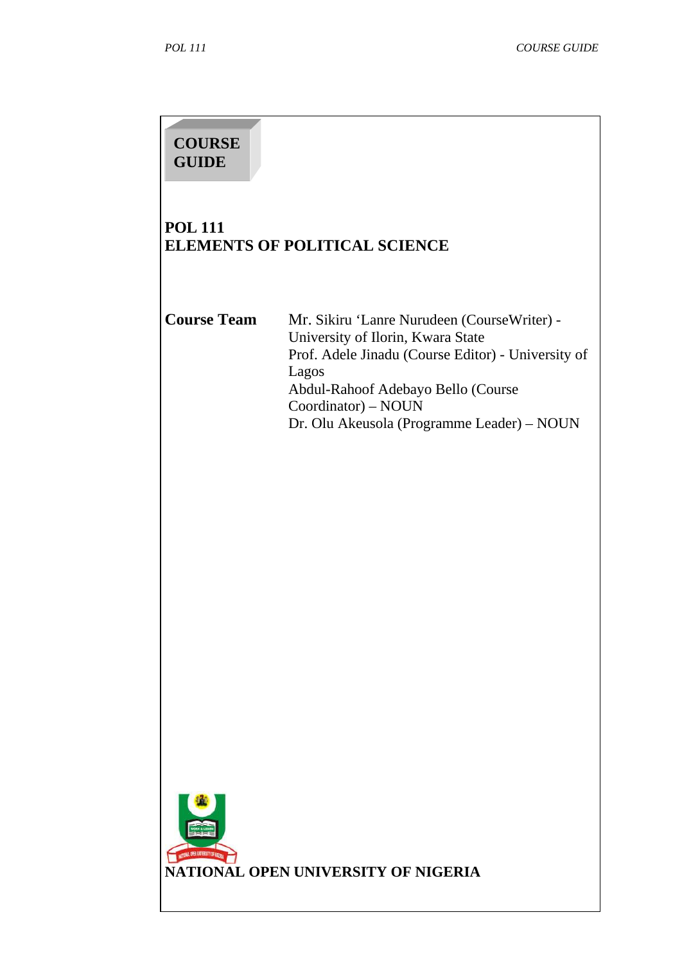# **COURSE GUIDE**

# **POL 111 ELEMENTS OF POLITICAL SCIENCE**

**Course Team** Mr. Sikiru 'Lanre Nurudeen (CourseWriter) - University of Ilorin, Kwara State Prof. Adele Jinadu (Course Editor) - University of Lagos Abdul-Rahoof Adebayo Bello (Course Coordinator) – NOUN Dr. Olu Akeusola (Programme Leader) – NOUN

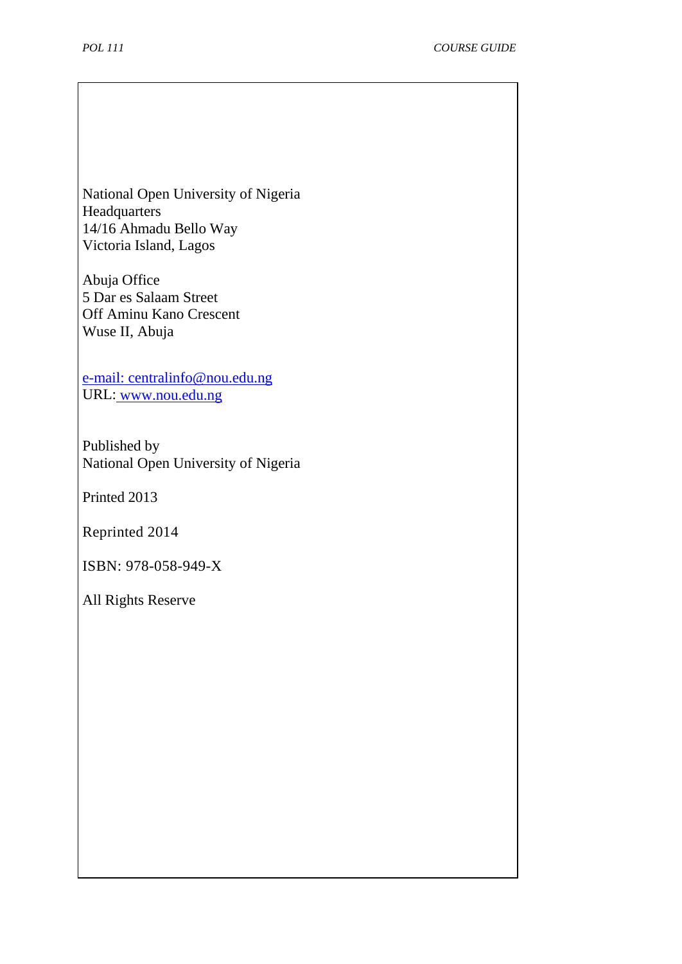National Open University of Nigeria **Headquarters** 14/16 Ahmadu Bello Way Victoria Island, Lagos

Abuja Office 5 Dar es Salaam Street Off Aminu Kano Crescent Wuse II, Abuja

[e-mail:](mailto:centralinfo@nou.edu.ng) centralinfo@nou.edu.ng URL: [www.nou.edu.ng](http://www.nou.edu.ng/)

Published by National Open University of Nigeria

Printed 2013

Reprinted 2014

ISBN: 978-058-949-X

All Rights Reserve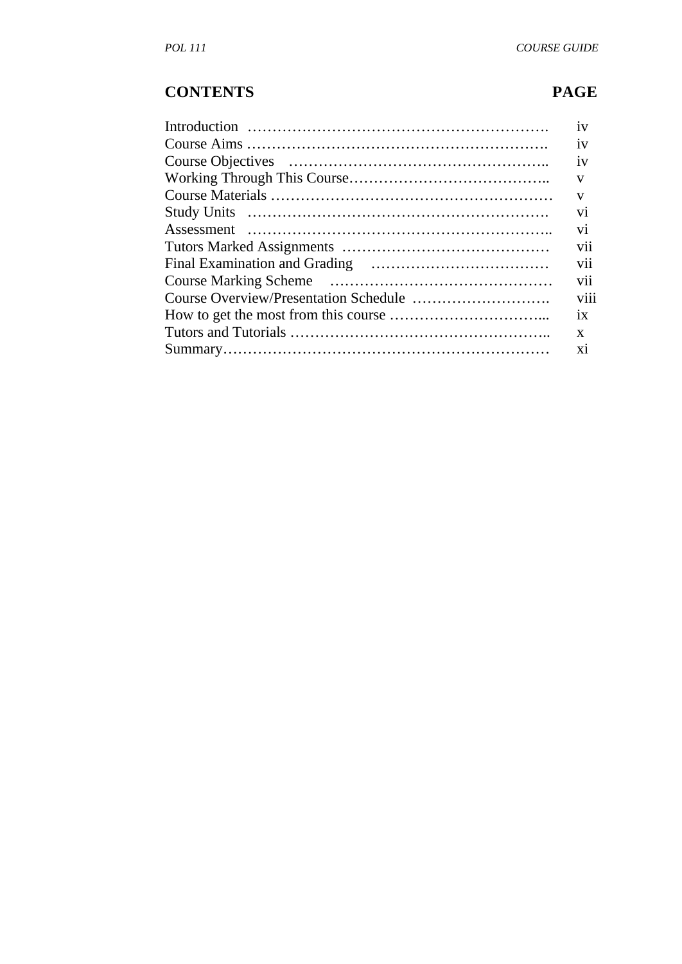# **CONTENTS PAGE**

| 1V             |
|----------------|
| 1V             |
| 1V             |
| $\mathbf{V}$   |
| V              |
| V <sub>i</sub> |
| V <sub>i</sub> |
| vii            |
| <b>V11</b>     |
| V11            |
| viii           |
| 1X             |
| X              |
| X1             |
|                |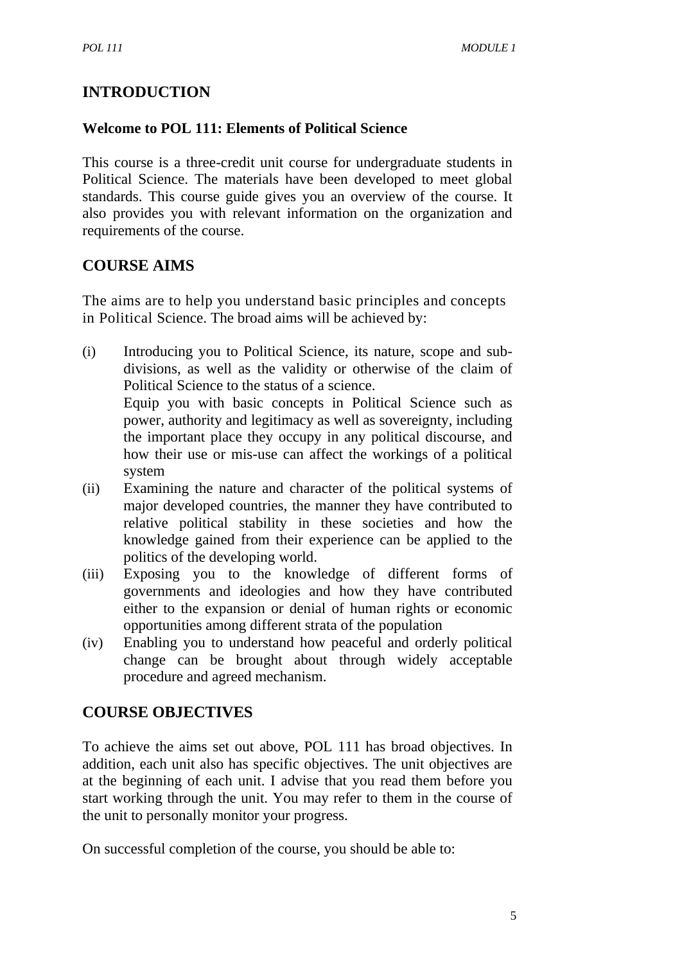# **INTRODUCTION**

#### **Welcome to POL 111: Elements of Political Science**

This course is a three-credit unit course for undergraduate students in Political Science. The materials have been developed to meet global standards. This course guide gives you an overview of the course. It also provides you with relevant information on the organization and requirements of the course.

# **COURSE AIMS**

The aims are to help you understand basic principles and concepts in Political Science. The broad aims will be achieved by:

- (i) Introducing you to Political Science, its nature, scope and subdivisions, as well as the validity or otherwise of the claim of Political Science to the status of a science. Equip you with basic concepts in Political Science such as power, authority and legitimacy as well as sovereignty, including the important place they occupy in any political discourse, and how their use or mis-use can affect the workings of a political system
- (ii) Examining the nature and character of the political systems of major developed countries, the manner they have contributed to relative political stability in these societies and how the knowledge gained from their experience can be applied to the politics of the developing world.
- (iii) Exposing you to the knowledge of different forms of governments and ideologies and how they have contributed either to the expansion or denial of human rights or economic opportunities among different strata of the population
- (iv) Enabling you to understand how peaceful and orderly political change can be brought about through widely acceptable procedure and agreed mechanism.

# **COURSE OBJECTIVES**

To achieve the aims set out above, POL 111 has broad objectives. In addition, each unit also has specific objectives. The unit objectives are at the beginning of each unit. I advise that you read them before you start working through the unit. You may refer to them in the course of the unit to personally monitor your progress.

On successful completion of the course, you should be able to: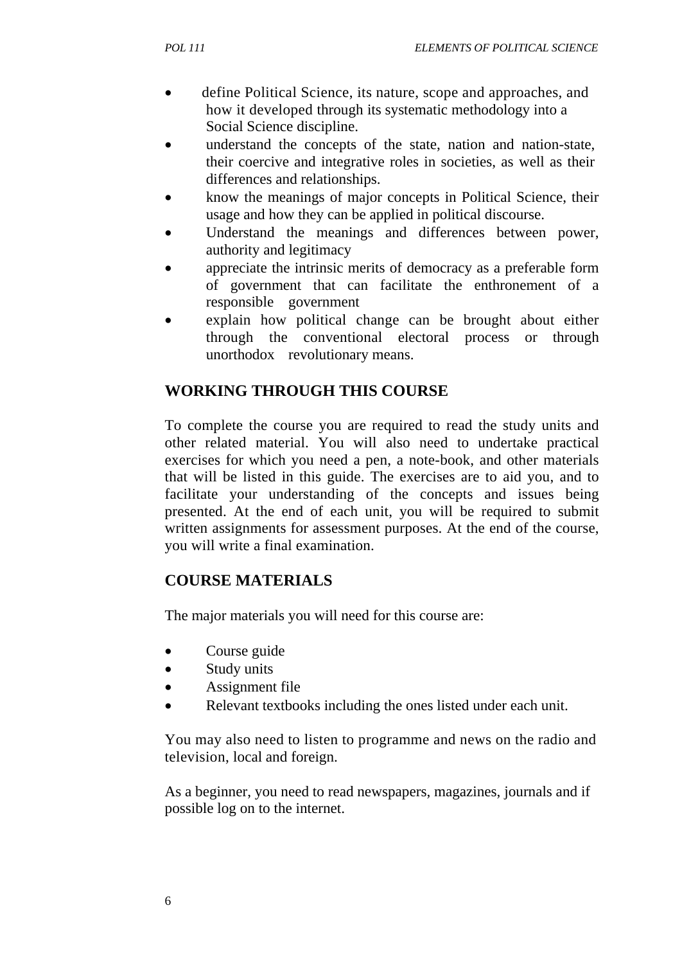- define Political Science, its nature, scope and approaches, and how it developed through its systematic methodology into a Social Science discipline.
- understand the concepts of the state, nation and nation-state, their coercive and integrative roles in societies, as well as their differences and relationships.
- know the meanings of major concepts in Political Science, their usage and how they can be applied in political discourse.
- Understand the meanings and differences between power, authority and legitimacy
- appreciate the intrinsic merits of democracy as a preferable form of government that can facilitate the enthronement of a responsible government
- explain how political change can be brought about either through the conventional electoral process or through unorthodox revolutionary means.

# **WORKING THROUGH THIS COURSE**

To complete the course you are required to read the study units and other related material. You will also need to undertake practical exercises for which you need a pen, a note-book, and other materials that will be listed in this guide. The exercises are to aid you, and to facilitate your understanding of the concepts and issues being presented. At the end of each unit, you will be required to submit written assignments for assessment purposes. At the end of the course, you will write a final examination.

# **COURSE MATERIALS**

The major materials you will need for this course are:

- Course guide
- Study units
- Assignment file
- Relevant textbooks including the ones listed under each unit.

You may also need to listen to programme and news on the radio and television, local and foreign.

As a beginner, you need to read newspapers, magazines, journals and if possible log on to the internet.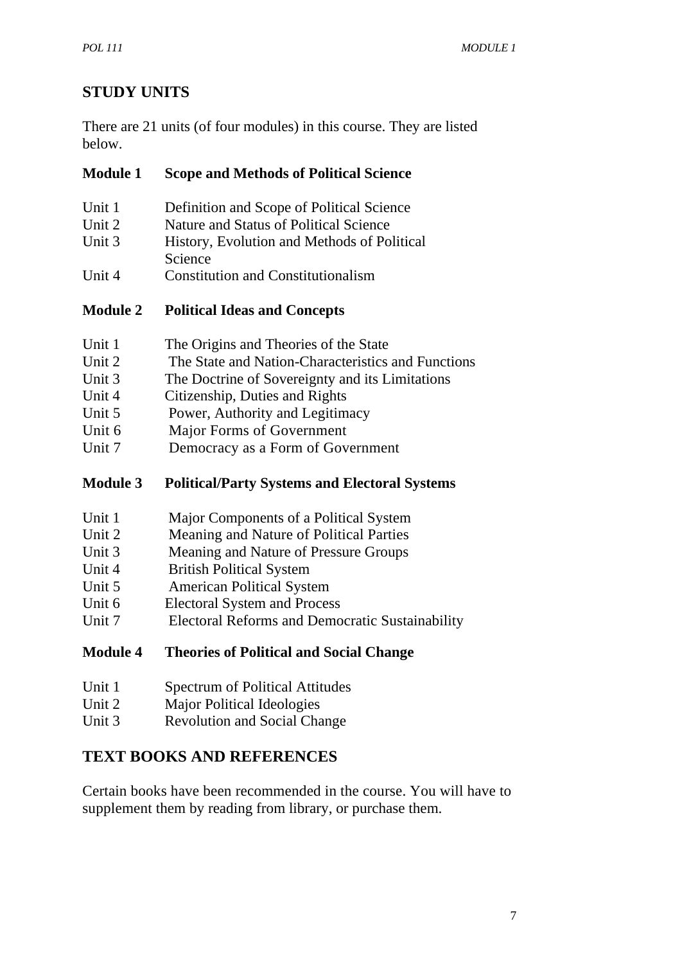# **STUDY UNITS**

There are 21 units (of four modules) in this course. They are listed below.

#### **Module 1 Scope and Methods of Political Science**

- Unit 1 Definition and Scope of Political Science
- Unit 2 Nature and Status of Political Science
- Unit 3 History, Evolution and Methods of Political Science
- Unit 4 Constitution and Constitutionalism

#### **Module 2 Political Ideas and Concepts**

- Unit 1 The Origins and Theories of the State
- Unit 2 The State and Nation-Characteristics and Functions
- Unit 3 The Doctrine of Sovereignty and its Limitations
- Unit 4 Citizenship, Duties and Rights
- Unit 5 Power, Authority and Legitimacy
- Unit 6 Major Forms of Government
- Unit 7 Democracy as a Form of Government

#### **Module 3 Political/Party Systems and Electoral Systems**

- Unit 1 Major Components of a Political System
- Unit 2 Meaning and Nature of Political Parties
- Unit 3 Meaning and Nature of Pressure Groups
- Unit 4 British Political System
- Unit 5 American Political System
- Unit 6 Electoral System and Process
- Unit 7 Electoral Reforms and Democratic Sustainability

#### **Module 4 Theories of Political and Social Change**

- Unit 1 Spectrum of Political Attitudes
- Unit 2 Major Political Ideologies
- Unit 3 Revolution and Social Change

# **TEXT BOOKS AND REFERENCES**

Certain books have been recommended in the course. You will have to supplement them by reading from library, or purchase them.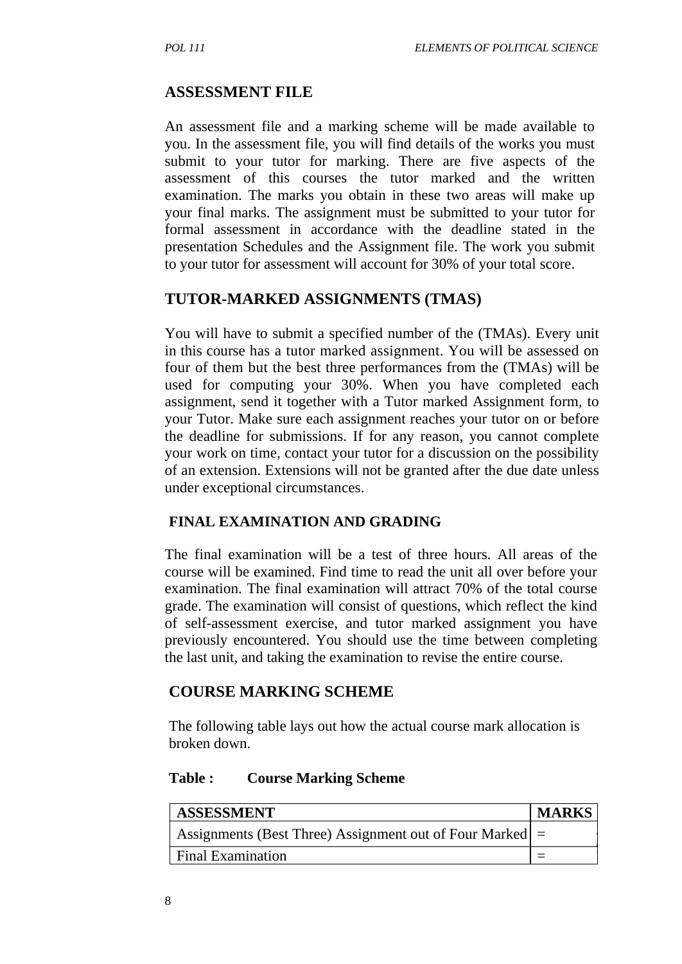#### **ASSESSMENT FILE**

An assessment file and a marking scheme will be made available to you. In the assessment file, you will find details of the works you must submit to your tutor for marking. There are five aspects of the assessment of this courses the tutor marked and the written examination. The marks you obtain in these two areas will make up your final marks. The assignment must be submitted to your tutor for formal assessment in accordance with the deadline stated in the presentation Schedules and the Assignment file. The work you submit to your tutor for assessment will account for 30% of your total score.

#### **TUTOR-MARKED ASSIGNMENTS (TMAS)**

You will have to submit a specified number of the (TMAs). Every unit in this course has a tutor marked assignment. You will be assessed on four of them but the best three performances from the (TMAs) will be used for computing your 30%. When you have completed each assignment, send it together with a Tutor marked Assignment form, to your Tutor. Make sure each assignment reaches your tutor on or before the deadline for submissions. If for any reason, you cannot complete your work on time, contact your tutor for a discussion on the possibility of an extension. Extensions will not be granted after the due date unless under exceptional circumstances.

#### **FINAL EXAMINATION AND GRADING**

The final examination will be a test of three hours. All areas of the course will be examined. Find time to read the unit all over before your examination. The final examination will attract 70% of the total course grade. The examination will consist of questions, which reflect the kind of self-assessment exercise, and tutor marked assignment you have previously encountered. You should use the time between completing the last unit, and taking the examination to revise the entire course.

#### **COURSE MARKING SCHEME**

The following table lays out how the actual course mark allocation is broken down.

#### **Table : Course Marking Scheme**

| <b>ASSESSMENT</b>                                          | <b>MARKS</b> |
|------------------------------------------------------------|--------------|
| Assignments (Best Three) Assignment out of Four Marked $=$ |              |
| <b>Final Examination</b>                                   |              |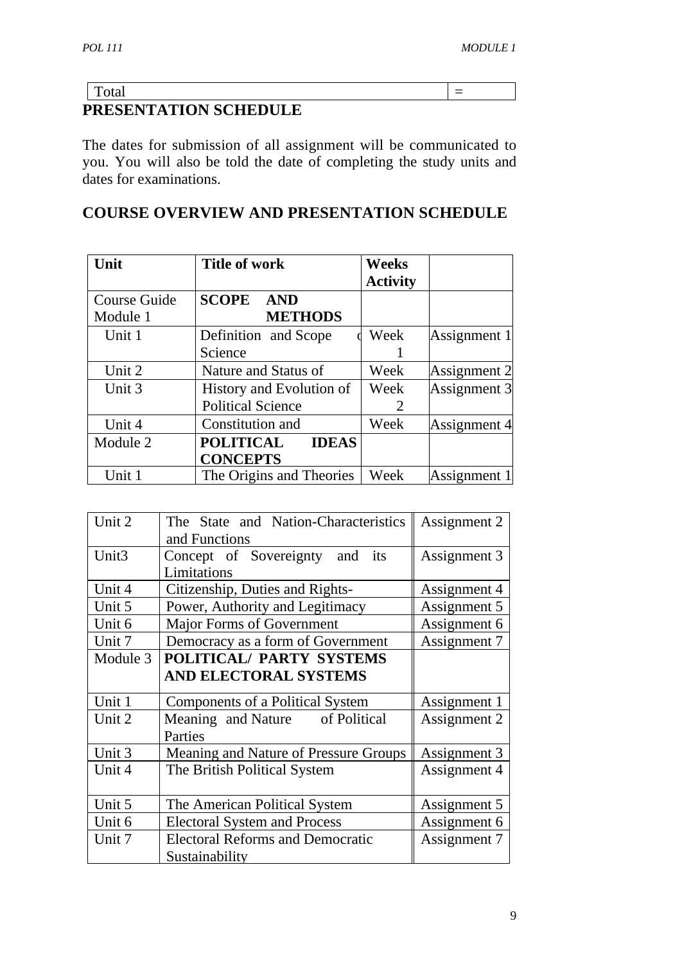|                         | _ |  |  |
|-------------------------|---|--|--|
| DDECENTATION COHEDIII E |   |  |  |

**PRESENTATION SCHEDULE**

The dates for submission of all assignment will be communicated to you. You will also be told the date of completing the study units and dates for examinations.

# **COURSE OVERVIEW AND PRESENTATION SCHEDULE**

| Unit                     | <b>Title of work</b>                                 | <b>Weeks</b><br><b>Activity</b> |              |
|--------------------------|------------------------------------------------------|---------------------------------|--------------|
| Course Guide<br>Module 1 | <b>SCOPE</b><br><b>AND</b><br><b>METHODS</b>         |                                 |              |
| Unit 1                   | Definition and Scope<br>Science                      | Week                            | Assignment 1 |
| Unit 2                   | Nature and Status of                                 | Week                            | Assignment 2 |
| Unit 3                   | History and Evolution of<br><b>Political Science</b> | Week<br>2                       | Assignment 3 |
| Unit 4                   | Constitution and                                     | Week                            | Assignment 4 |
| Module 2                 | <b>POLITICAL</b><br><b>IDEAS</b><br><b>CONCEPTS</b>  |                                 |              |
| Unit 1                   | The Origins and Theories                             | Week                            | Assignment 1 |

| Unit 2            | The State and Nation-Characteristics              | Assignment 2 |  |
|-------------------|---------------------------------------------------|--------------|--|
|                   | and Functions                                     |              |  |
| Unit <sub>3</sub> | Concept of Sovereignty and<br>its                 | Assignment 3 |  |
|                   | Limitations                                       |              |  |
| Unit 4            | Citizenship, Duties and Rights-                   | Assignment 4 |  |
| Unit 5            | Power, Authority and Legitimacy                   | Assignment 5 |  |
| Unit 6            | <b>Major Forms of Government</b><br>Assignment 6  |              |  |
| Unit 7            | Democracy as a form of Government<br>Assignment 7 |              |  |
| Module 3          | POLITICAL/ PARTY SYSTEMS                          |              |  |
|                   | <b>AND ELECTORAL SYSTEMS</b>                      |              |  |
| Unit 1            | Components of a Political System                  | Assignment 1 |  |
| Unit 2            | Meaning and Nature of Political                   | Assignment 2 |  |
|                   | Parties                                           |              |  |
| Unit 3            | Meaning and Nature of Pressure Groups             | Assignment 3 |  |
| Unit 4            | The British Political System                      | Assignment 4 |  |
|                   |                                                   |              |  |
| Unit 5            | The American Political System                     | Assignment 5 |  |
| Unit 6            | <b>Electoral System and Process</b>               | Assignment 6 |  |
| Unit 7            | <b>Electoral Reforms and Democratic</b>           | Assignment 7 |  |
|                   | Sustainability                                    |              |  |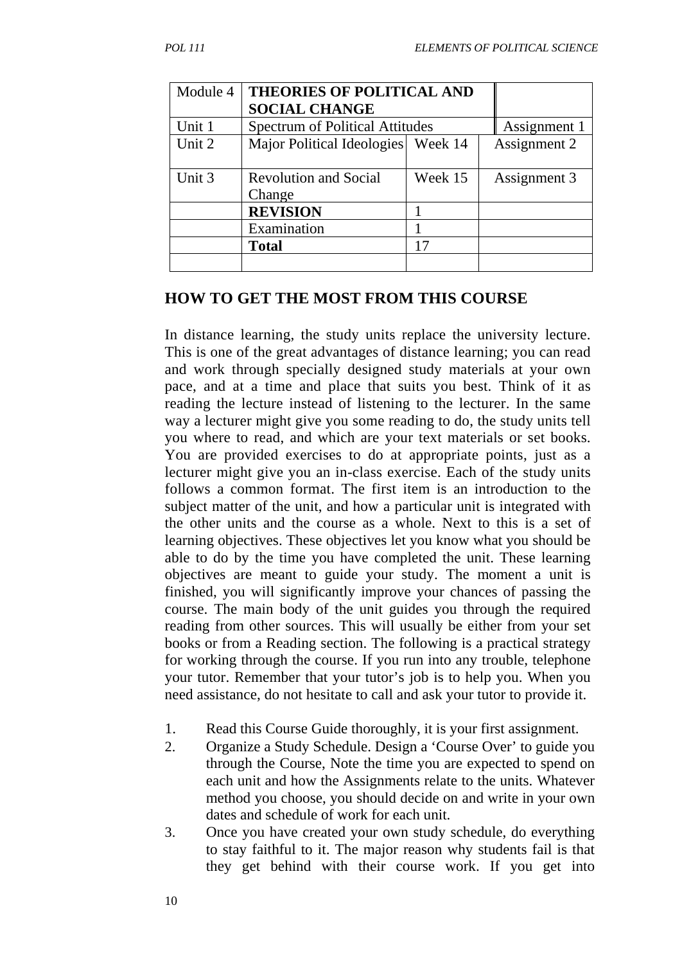| Module 4 | <b>THEORIES OF POLITICAL AND</b>                       |         |              |
|----------|--------------------------------------------------------|---------|--------------|
|          | <b>SOCIAL CHANGE</b>                                   |         |              |
| Unit 1   | Assignment 1<br><b>Spectrum of Political Attitudes</b> |         |              |
| Unit 2   | Week 14<br>Major Political Ideologies                  |         | Assignment 2 |
|          |                                                        |         |              |
| Unit 3   | <b>Revolution and Social</b>                           | Week 15 | Assignment 3 |
|          | Change                                                 |         |              |
|          | <b>REVISION</b>                                        |         |              |
|          | Examination                                            |         |              |
|          | <b>Total</b>                                           | 17      |              |
|          |                                                        |         |              |

#### **HOW TO GET THE MOST FROM THIS COURSE**

In distance learning, the study units replace the university lecture. This is one of the great advantages of distance learning; you can read and work through specially designed study materials at your own pace, and at a time and place that suits you best. Think of it as reading the lecture instead of listening to the lecturer. In the same way a lecturer might give you some reading to do, the study units tell you where to read, and which are your text materials or set books. You are provided exercises to do at appropriate points, just as a lecturer might give you an in-class exercise. Each of the study units follows a common format. The first item is an introduction to the subject matter of the unit, and how a particular unit is integrated with the other units and the course as a whole. Next to this is a set of learning objectives. These objectives let you know what you should be able to do by the time you have completed the unit. These learning objectives are meant to guide your study. The moment a unit is finished, you will significantly improve your chances of passing the course. The main body of the unit guides you through the required reading from other sources. This will usually be either from your set books or from a Reading section. The following is a practical strategy for working through the course. If you run into any trouble, telephone your tutor. Remember that your tutor's job is to help you. When you need assistance, do not hesitate to call and ask your tutor to provide it.

- 1. Read this Course Guide thoroughly, it is your first assignment.
- 2. Organize a Study Schedule. Design a 'Course Over' to guide you through the Course, Note the time you are expected to spend on each unit and how the Assignments relate to the units. Whatever method you choose, you should decide on and write in your own dates and schedule of work for each unit.
- 3. Once you have created your own study schedule, do everything to stay faithful to it. The major reason why students fail is that they get behind with their course work. If you get into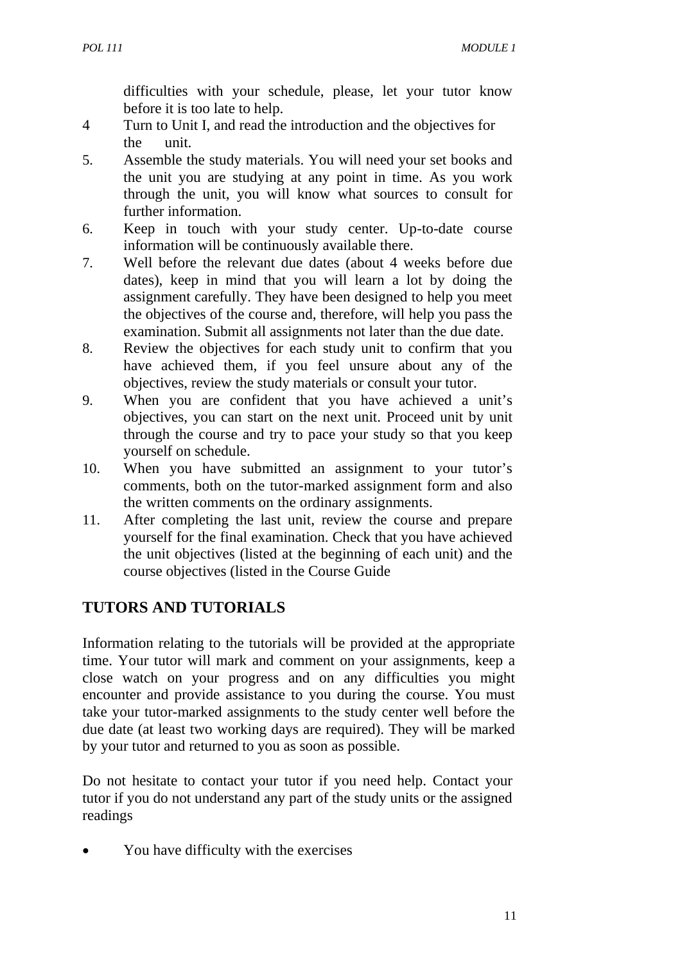difficulties with your schedule, please, let your tutor know before it is too late to help.

- 4 Turn to Unit I, and read the introduction and the objectives for the unit.
- 5. Assemble the study materials. You will need your set books and the unit you are studying at any point in time. As you work through the unit, you will know what sources to consult for further information.
- 6. Keep in touch with your study center. Up-to-date course information will be continuously available there.
- 7. Well before the relevant due dates (about 4 weeks before due dates), keep in mind that you will learn a lot by doing the assignment carefully. They have been designed to help you meet the objectives of the course and, therefore, will help you pass the examination. Submit all assignments not later than the due date.
- 8. Review the objectives for each study unit to confirm that you have achieved them, if you feel unsure about any of the objectives, review the study materials or consult your tutor.
- 9. When you are confident that you have achieved a unit's objectives, you can start on the next unit. Proceed unit by unit through the course and try to pace your study so that you keep yourself on schedule.
- 10. When you have submitted an assignment to your tutor's comments, both on the tutor-marked assignment form and also the written comments on the ordinary assignments.
- 11. After completing the last unit, review the course and prepare yourself for the final examination. Check that you have achieved the unit objectives (listed at the beginning of each unit) and the course objectives (listed in the Course Guide

# **TUTORS AND TUTORIALS**

Information relating to the tutorials will be provided at the appropriate time. Your tutor will mark and comment on your assignments, keep a close watch on your progress and on any difficulties you might encounter and provide assistance to you during the course. You must take your tutor-marked assignments to the study center well before the due date (at least two working days are required). They will be marked by your tutor and returned to you as soon as possible.

Do not hesitate to contact your tutor if you need help. Contact your tutor if you do not understand any part of the study units or the assigned readings

• You have difficulty with the exercises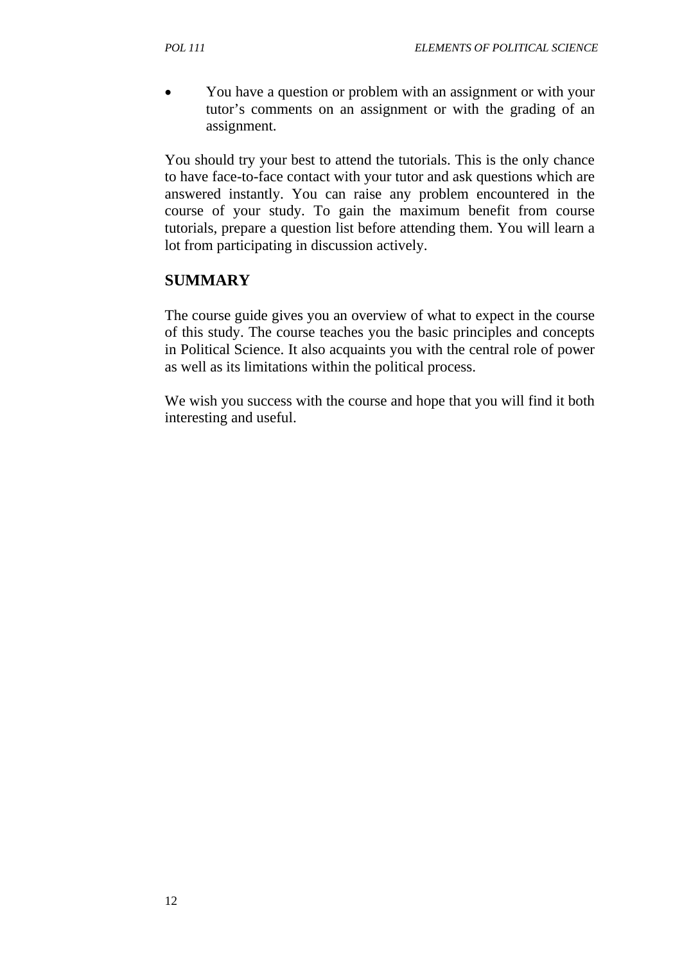• You have a question or problem with an assignment or with your tutor's comments on an assignment or with the grading of an assignment.

You should try your best to attend the tutorials. This is the only chance to have face-to-face contact with your tutor and ask questions which are answered instantly. You can raise any problem encountered in the course of your study. To gain the maximum benefit from course tutorials, prepare a question list before attending them. You will learn a lot from participating in discussion actively.

# **SUMMARY**

The course guide gives you an overview of what to expect in the course of this study. The course teaches you the basic principles and concepts in Political Science. It also acquaints you with the central role of power as well as its limitations within the political process.

We wish you success with the course and hope that you will find it both interesting and useful.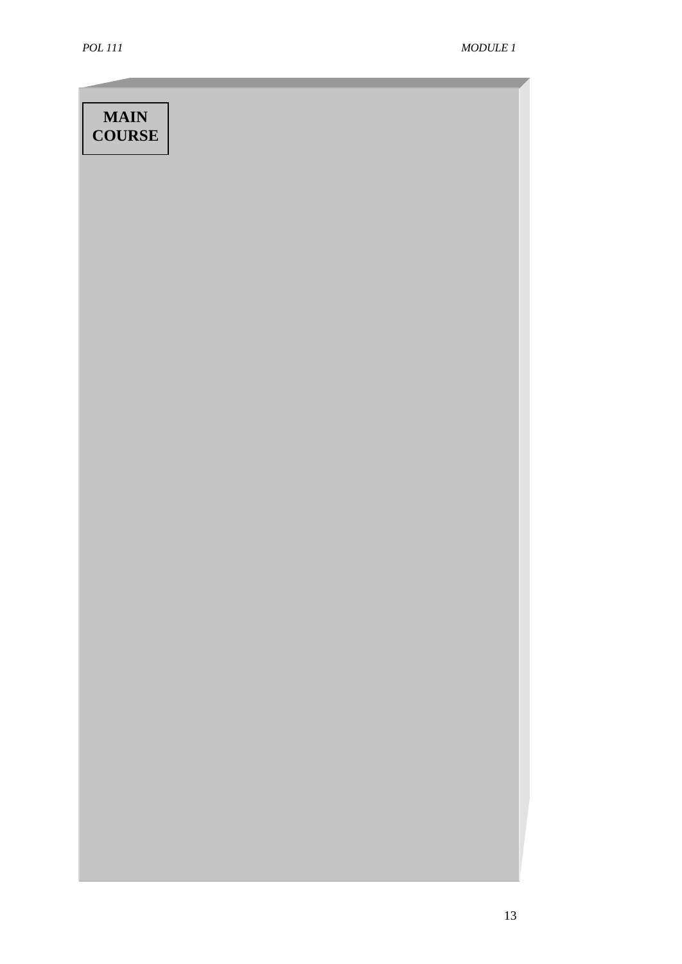# **MAIN COURSE**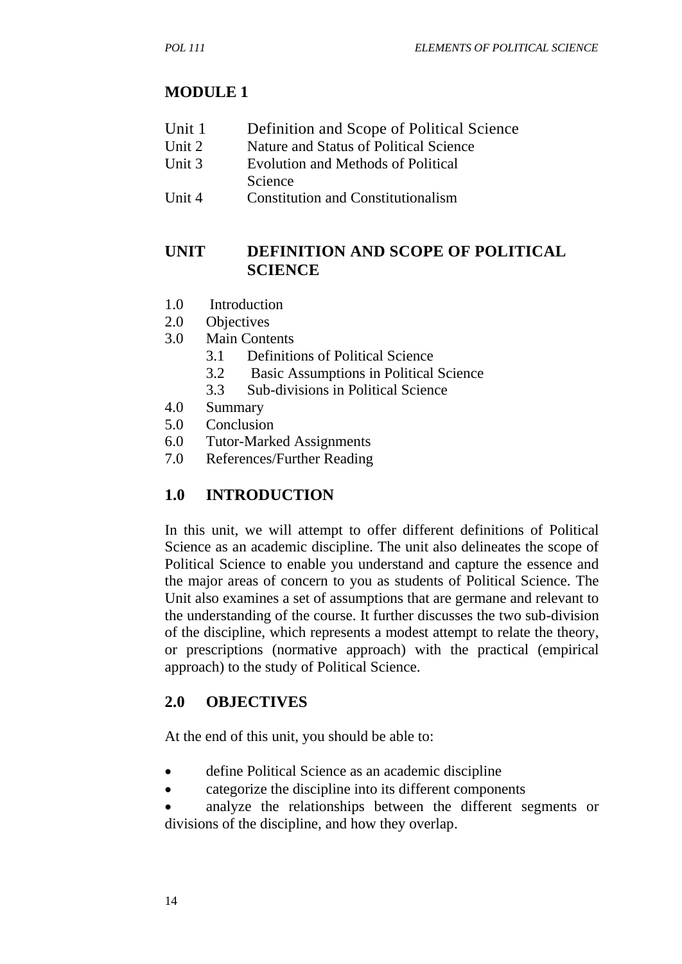# **MODULE 1**

- Unit 1 Definition and Scope of Political Science
- Unit 2 Nature and Status of Political Science
- Unit 3 Evolution and Methods of Political
	- Science
- Unit 4 Constitution and Constitutionalism

# **UNIT DEFINITION AND SCOPE OF POLITICAL SCIENCE**

- 1.0 Introduction
- 2.0 Objectives
- 3.0 Main Contents
	- 3.1 Definitions of Political Science
	- 3.2 Basic Assumptions in Political Science
	- 3.3 Sub-divisions in Political Science
- 4.0 Summary
- 5.0 Conclusion
- 6.0 Tutor-Marked Assignments
- 7.0 References/Further Reading

# **1.0 INTRODUCTION**

In this unit, we will attempt to offer different definitions of Political Science as an academic discipline. The unit also delineates the scope of Political Science to enable you understand and capture the essence and the major areas of concern to you as students of Political Science. The Unit also examines a set of assumptions that are germane and relevant to the understanding of the course. It further discusses the two sub-division of the discipline, which represents a modest attempt to relate the theory, or prescriptions (normative approach) with the practical (empirical approach) to the study of Political Science.

# **2.0 OBJECTIVES**

At the end of this unit, you should be able to:

- define Political Science as an academic discipline
- categorize the discipline into its different components
- analyze the relationships between the different segments or divisions of the discipline, and how they overlap.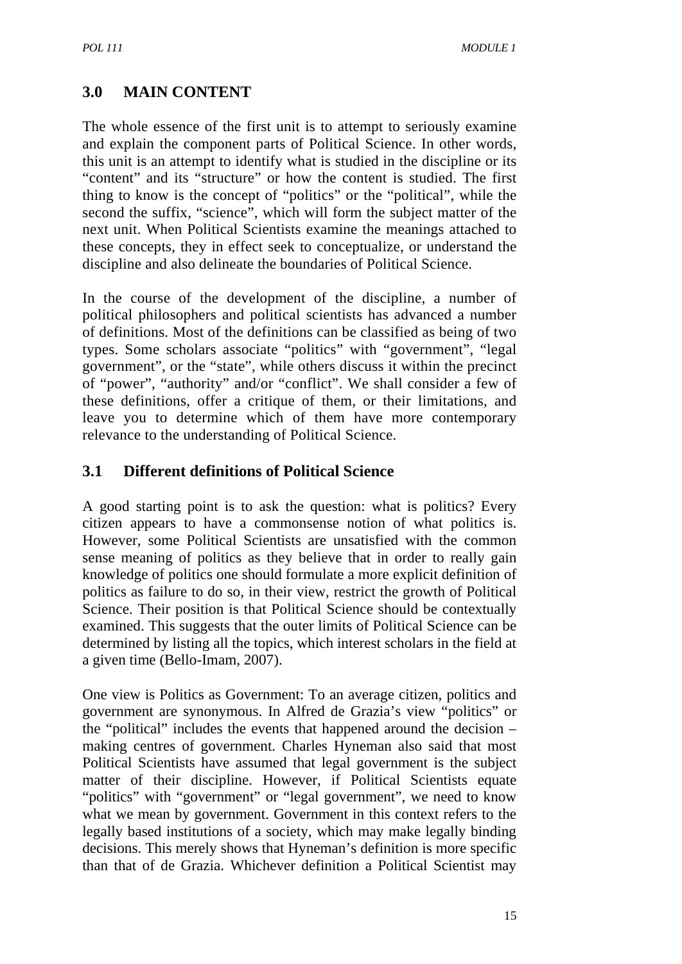# **3.0 MAIN CONTENT**

The whole essence of the first unit is to attempt to seriously examine and explain the component parts of Political Science. In other words, this unit is an attempt to identify what is studied in the discipline or its "content" and its "structure" or how the content is studied. The first thing to know is the concept of "politics" or the "political", while the second the suffix, "science", which will form the subject matter of the next unit. When Political Scientists examine the meanings attached to these concepts, they in effect seek to conceptualize, or understand the discipline and also delineate the boundaries of Political Science.

In the course of the development of the discipline, a number of political philosophers and political scientists has advanced a number of definitions. Most of the definitions can be classified as being of two types. Some scholars associate "politics" with "government", "legal government", or the "state", while others discuss it within the precinct of "power", "authority" and/or "conflict". We shall consider a few of these definitions, offer a critique of them, or their limitations, and leave you to determine which of them have more contemporary relevance to the understanding of Political Science.

# **3.1 Different definitions of Political Science**

A good starting point is to ask the question: what is politics? Every citizen appears to have a commonsense notion of what politics is. However, some Political Scientists are unsatisfied with the common sense meaning of politics as they believe that in order to really gain knowledge of politics one should formulate a more explicit definition of politics as failure to do so, in their view, restrict the growth of Political Science. Their position is that Political Science should be contextually examined. This suggests that the outer limits of Political Science can be determined by listing all the topics, which interest scholars in the field at a given time (Bello-Imam, 2007).

One view is Politics as Government: To an average citizen, politics and government are synonymous. In Alfred de Grazia's view "politics" or the "political" includes the events that happened around the decision – making centres of government. Charles Hyneman also said that most Political Scientists have assumed that legal government is the subject matter of their discipline. However, if Political Scientists equate "politics" with "government" or "legal government", we need to know what we mean by government. Government in this context refers to the legally based institutions of a society, which may make legally binding decisions. This merely shows that Hyneman's definition is more specific than that of de Grazia. Whichever definition a Political Scientist may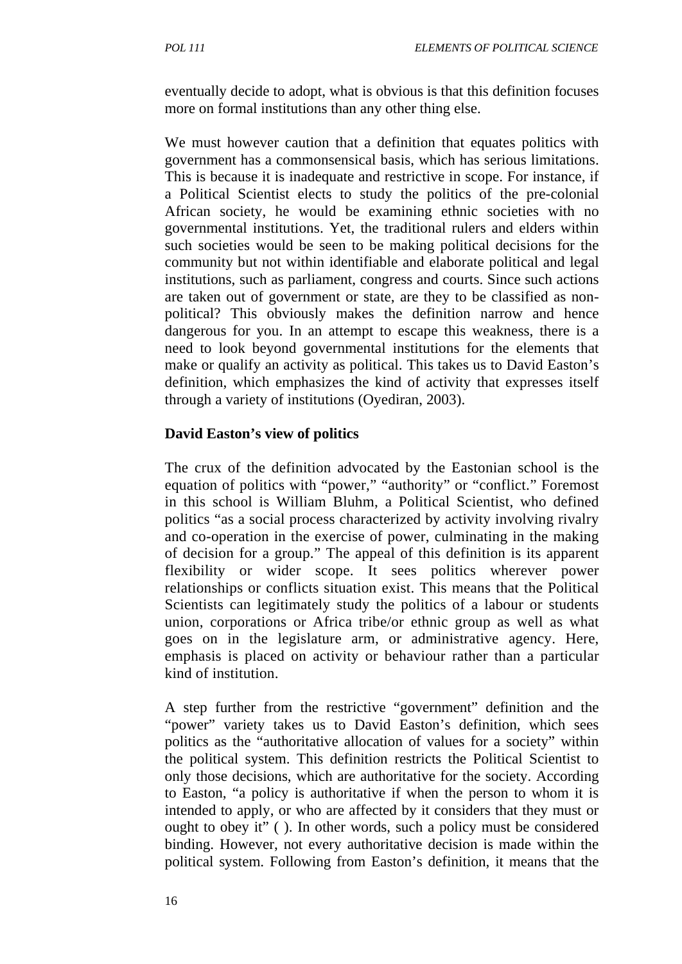eventually decide to adopt, what is obvious is that this definition focuses more on formal institutions than any other thing else.

We must however caution that a definition that equates politics with government has a commonsensical basis, which has serious limitations. This is because it is inadequate and restrictive in scope. For instance, if a Political Scientist elects to study the politics of the pre-colonial African society, he would be examining ethnic societies with no governmental institutions. Yet, the traditional rulers and elders within such societies would be seen to be making political decisions for the community but not within identifiable and elaborate political and legal institutions, such as parliament, congress and courts. Since such actions are taken out of government or state, are they to be classified as nonpolitical? This obviously makes the definition narrow and hence dangerous for you. In an attempt to escape this weakness, there is a need to look beyond governmental institutions for the elements that make or qualify an activity as political. This takes us to David Easton's definition, which emphasizes the kind of activity that expresses itself through a variety of institutions (Oyediran, 2003).

#### **David Easton's view of politics**

The crux of the definition advocated by the Eastonian school is the equation of politics with "power," "authority" or "conflict." Foremost in this school is William Bluhm, a Political Scientist, who defined politics "as a social process characterized by activity involving rivalry and co-operation in the exercise of power, culminating in the making of decision for a group." The appeal of this definition is its apparent flexibility or wider scope. It sees politics wherever power relationships or conflicts situation exist. This means that the Political Scientists can legitimately study the politics of a labour or students union, corporations or Africa tribe/or ethnic group as well as what goes on in the legislature arm, or administrative agency. Here, emphasis is placed on activity or behaviour rather than a particular kind of institution.

A step further from the restrictive "government" definition and the "power" variety takes us to David Easton's definition, which sees politics as the "authoritative allocation of values for a society" within the political system. This definition restricts the Political Scientist to only those decisions, which are authoritative for the society. According to Easton, "a policy is authoritative if when the person to whom it is intended to apply, or who are affected by it considers that they must or ought to obey it" ( ). In other words, such a policy must be considered binding. However, not every authoritative decision is made within the political system. Following from Easton's definition, it means that the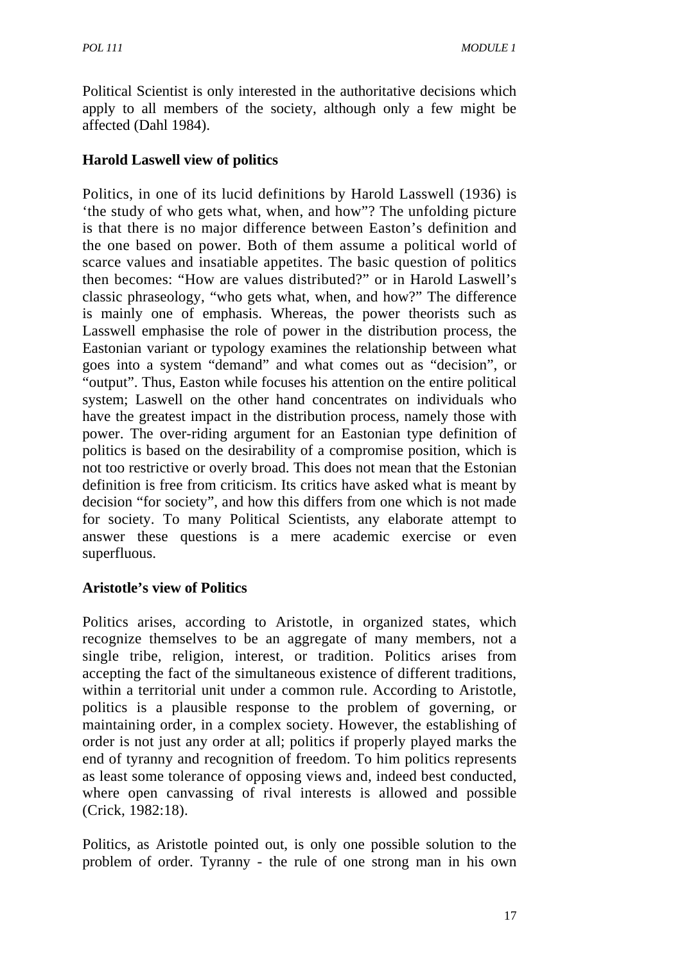Political Scientist is only interested in the authoritative decisions which apply to all members of the society, although only a few might be affected (Dahl 1984).

#### **Harold Laswell view of politics**

Politics, in one of its lucid definitions by Harold Lasswell (1936) is 'the study of who gets what, when, and how"? The unfolding picture is that there is no major difference between Easton's definition and the one based on power. Both of them assume a political world of scarce values and insatiable appetites. The basic question of politics then becomes: "How are values distributed?" or in Harold Laswell's classic phraseology, "who gets what, when, and how?" The difference is mainly one of emphasis. Whereas, the power theorists such as Lasswell emphasise the role of power in the distribution process, the Eastonian variant or typology examines the relationship between what goes into a system "demand" and what comes out as "decision", or "output". Thus, Easton while focuses his attention on the entire political system; Laswell on the other hand concentrates on individuals who have the greatest impact in the distribution process, namely those with power. The over-riding argument for an Eastonian type definition of politics is based on the desirability of a compromise position, which is not too restrictive or overly broad. This does not mean that the Estonian definition is free from criticism. Its critics have asked what is meant by decision "for society", and how this differs from one which is not made for society. To many Political Scientists, any elaborate attempt to answer these questions is a mere academic exercise or even superfluous.

#### **Aristotle's view of Politics**

Politics arises, according to Aristotle, in organized states, which recognize themselves to be an aggregate of many members, not a single tribe, religion, interest, or tradition. Politics arises from accepting the fact of the simultaneous existence of different traditions, within a territorial unit under a common rule. According to Aristotle, politics is a plausible response to the problem of governing, or maintaining order, in a complex society. However, the establishing of order is not just any order at all; politics if properly played marks the end of tyranny and recognition of freedom. To him politics represents as least some tolerance of opposing views and, indeed best conducted, where open canvassing of rival interests is allowed and possible (Crick, 1982:18).

Politics, as Aristotle pointed out, is only one possible solution to the problem of order. Tyranny - the rule of one strong man in his own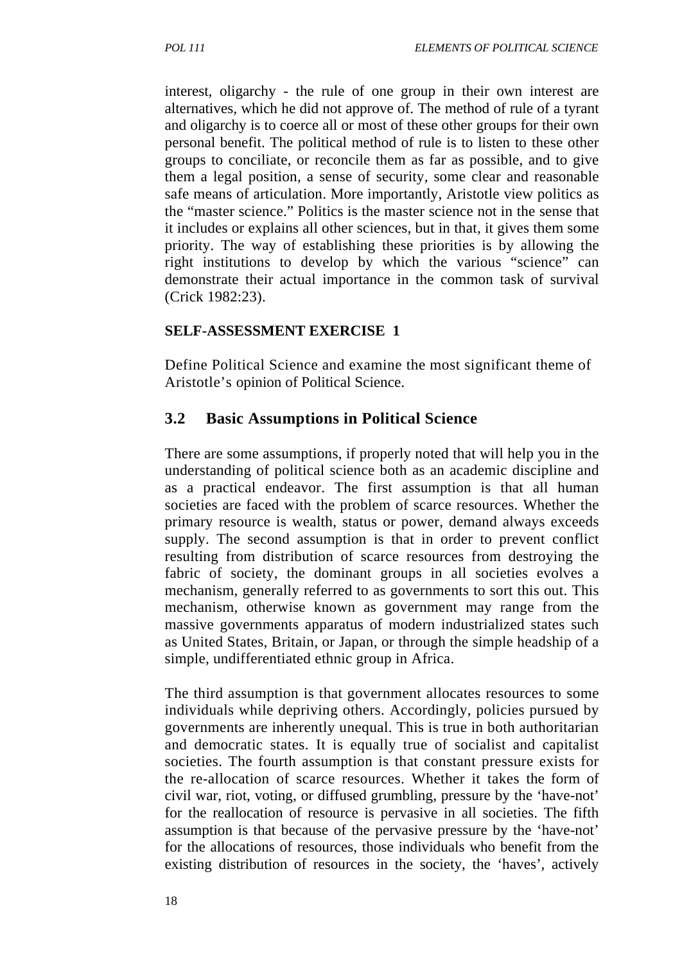interest, oligarchy - the rule of one group in their own interest are alternatives, which he did not approve of. The method of rule of a tyrant and oligarchy is to coerce all or most of these other groups for their own personal benefit. The political method of rule is to listen to these other groups to conciliate, or reconcile them as far as possible, and to give them a legal position, a sense of security, some clear and reasonable safe means of articulation. More importantly, Aristotle view politics as the "master science." Politics is the master science not in the sense that it includes or explains all other sciences, but in that, it gives them some priority. The way of establishing these priorities is by allowing the right institutions to develop by which the various "science" can demonstrate their actual importance in the common task of survival (Crick 1982:23).

#### **SELF-ASSESSMENT EXERCISE 1**

Define Political Science and examine the most significant theme of Aristotle's opinion of Political Science.

#### **3.2 Basic Assumptions in Political Science**

There are some assumptions, if properly noted that will help you in the understanding of political science both as an academic discipline and as a practical endeavor. The first assumption is that all human societies are faced with the problem of scarce resources. Whether the primary resource is wealth, status or power, demand always exceeds supply. The second assumption is that in order to prevent conflict resulting from distribution of scarce resources from destroying the fabric of society, the dominant groups in all societies evolves a mechanism, generally referred to as governments to sort this out. This mechanism, otherwise known as government may range from the massive governments apparatus of modern industrialized states such as United States, Britain, or Japan, or through the simple headship of a simple, undifferentiated ethnic group in Africa.

The third assumption is that government allocates resources to some individuals while depriving others. Accordingly, policies pursued by governments are inherently unequal. This is true in both authoritarian and democratic states. It is equally true of socialist and capitalist societies. The fourth assumption is that constant pressure exists for the re-allocation of scarce resources. Whether it takes the form of civil war, riot, voting, or diffused grumbling, pressure by the 'have-not' for the reallocation of resource is pervasive in all societies. The fifth assumption is that because of the pervasive pressure by the 'have-not' for the allocations of resources, those individuals who benefit from the existing distribution of resources in the society, the 'haves', actively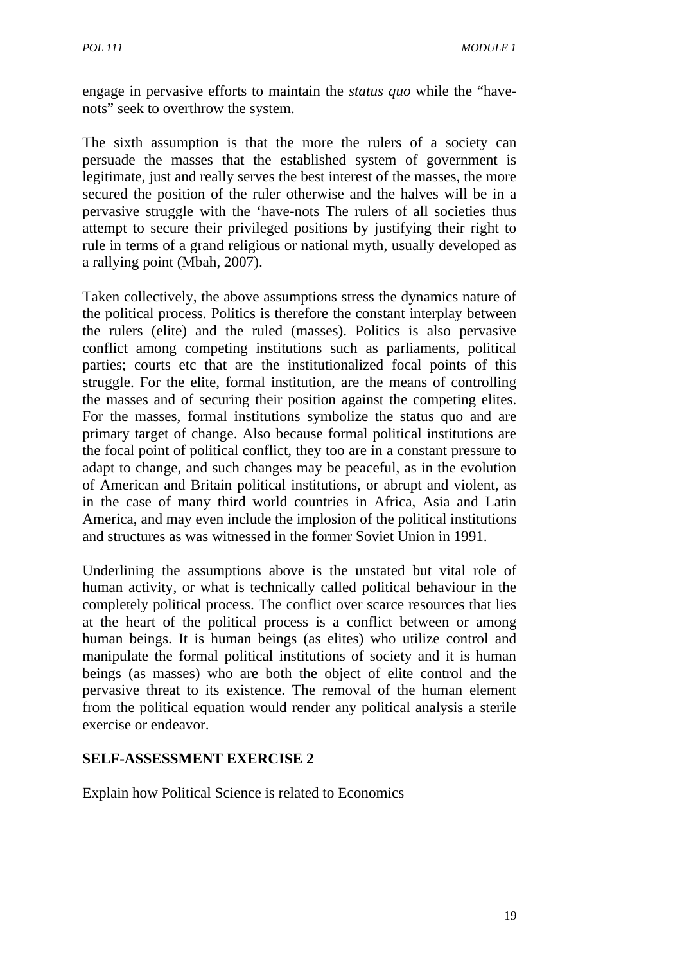engage in pervasive efforts to maintain the *status quo* while the "havenots" seek to overthrow the system.

The sixth assumption is that the more the rulers of a society can persuade the masses that the established system of government is legitimate, just and really serves the best interest of the masses, the more secured the position of the ruler otherwise and the halves will be in a pervasive struggle with the 'have-nots The rulers of all societies thus attempt to secure their privileged positions by justifying their right to rule in terms of a grand religious or national myth, usually developed as a rallying point (Mbah, 2007).

Taken collectively, the above assumptions stress the dynamics nature of the political process. Politics is therefore the constant interplay between the rulers (elite) and the ruled (masses). Politics is also pervasive conflict among competing institutions such as parliaments, political parties; courts etc that are the institutionalized focal points of this struggle. For the elite, formal institution, are the means of controlling the masses and of securing their position against the competing elites. For the masses, formal institutions symbolize the status quo and are primary target of change. Also because formal political institutions are the focal point of political conflict, they too are in a constant pressure to adapt to change, and such changes may be peaceful, as in the evolution of American and Britain political institutions, or abrupt and violent, as in the case of many third world countries in Africa, Asia and Latin America, and may even include the implosion of the political institutions and structures as was witnessed in the former Soviet Union in 1991.

Underlining the assumptions above is the unstated but vital role of human activity, or what is technically called political behaviour in the completely political process. The conflict over scarce resources that lies at the heart of the political process is a conflict between or among human beings. It is human beings (as elites) who utilize control and manipulate the formal political institutions of society and it is human beings (as masses) who are both the object of elite control and the pervasive threat to its existence. The removal of the human element from the political equation would render any political analysis a sterile exercise or endeavor.

#### **SELF-ASSESSMENT EXERCISE 2**

Explain how Political Science is related to Economics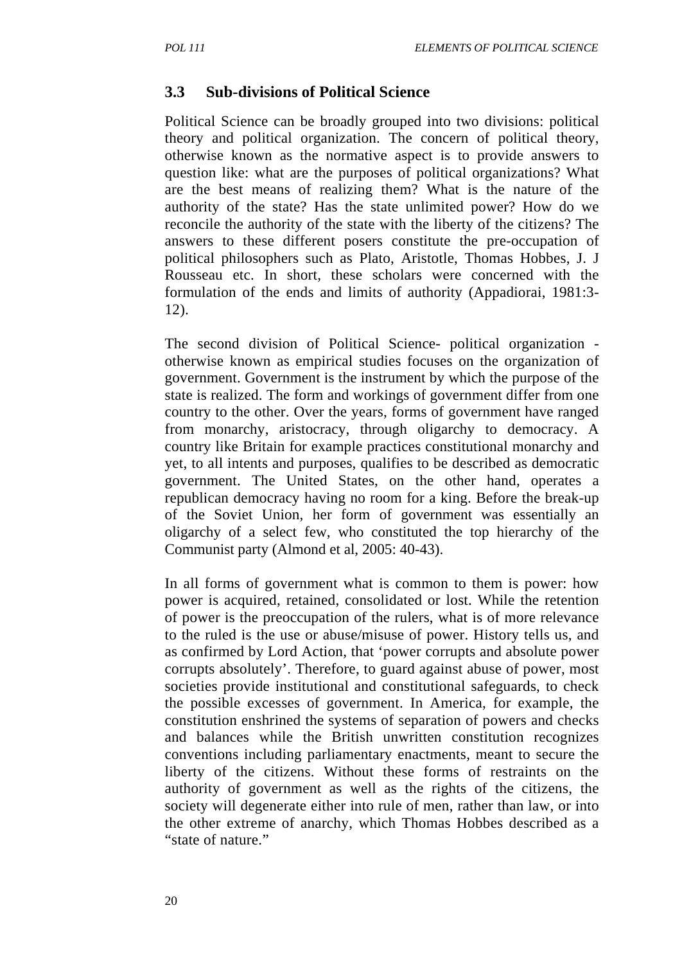#### **3.3 Sub-divisions of Political Science**

Political Science can be broadly grouped into two divisions: political theory and political organization. The concern of political theory, otherwise known as the normative aspect is to provide answers to question like: what are the purposes of political organizations? What are the best means of realizing them? What is the nature of the authority of the state? Has the state unlimited power? How do we reconcile the authority of the state with the liberty of the citizens? The answers to these different posers constitute the pre-occupation of political philosophers such as Plato, Aristotle, Thomas Hobbes, J. J Rousseau etc. In short, these scholars were concerned with the formulation of the ends and limits of authority (Appadiorai, 1981:3- 12).

The second division of Political Science- political organization otherwise known as empirical studies focuses on the organization of government. Government is the instrument by which the purpose of the state is realized. The form and workings of government differ from one country to the other. Over the years, forms of government have ranged from monarchy, aristocracy, through oligarchy to democracy. A country like Britain for example practices constitutional monarchy and yet, to all intents and purposes, qualifies to be described as democratic government. The United States, on the other hand, operates a republican democracy having no room for a king. Before the break-up of the Soviet Union, her form of government was essentially an oligarchy of a select few, who constituted the top hierarchy of the Communist party (Almond et al, 2005: 40-43).

In all forms of government what is common to them is power: how power is acquired, retained, consolidated or lost. While the retention of power is the preoccupation of the rulers, what is of more relevance to the ruled is the use or abuse/misuse of power. History tells us, and as confirmed by Lord Action, that 'power corrupts and absolute power corrupts absolutely'. Therefore, to guard against abuse of power, most societies provide institutional and constitutional safeguards, to check the possible excesses of government. In America, for example, the constitution enshrined the systems of separation of powers and checks and balances while the British unwritten constitution recognizes conventions including parliamentary enactments, meant to secure the liberty of the citizens. Without these forms of restraints on the authority of government as well as the rights of the citizens, the society will degenerate either into rule of men, rather than law, or into the other extreme of anarchy, which Thomas Hobbes described as a "state of nature."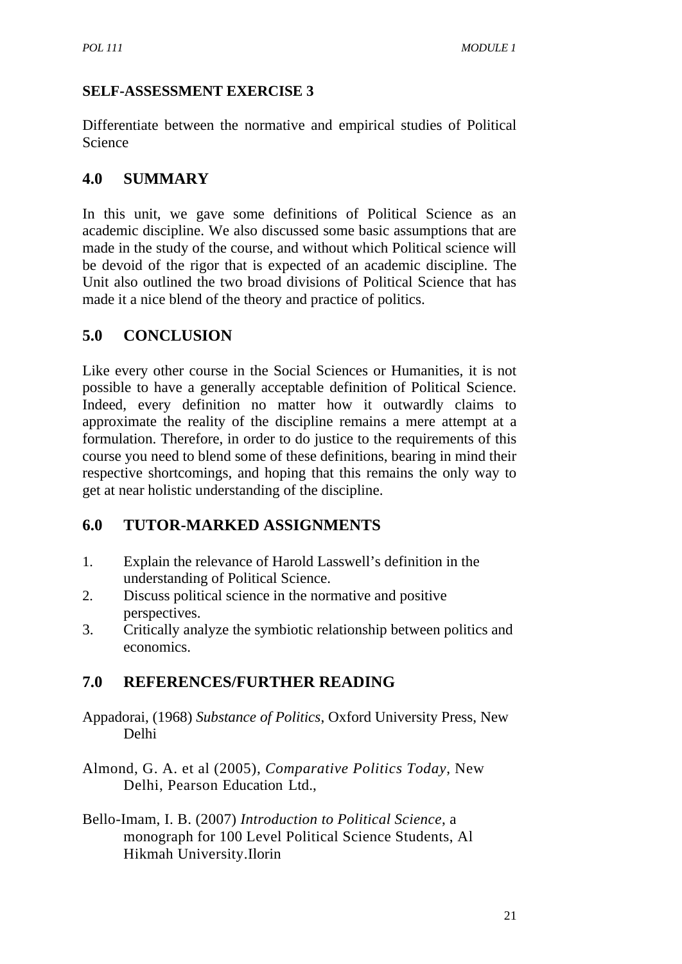#### **SELF-ASSESSMENT EXERCISE 3**

Differentiate between the normative and empirical studies of Political Science

# **4.0 SUMMARY**

In this unit, we gave some definitions of Political Science as an academic discipline. We also discussed some basic assumptions that are made in the study of the course, and without which Political science will be devoid of the rigor that is expected of an academic discipline. The Unit also outlined the two broad divisions of Political Science that has made it a nice blend of the theory and practice of politics.

# **5.0 CONCLUSION**

Like every other course in the Social Sciences or Humanities, it is not possible to have a generally acceptable definition of Political Science. Indeed, every definition no matter how it outwardly claims to approximate the reality of the discipline remains a mere attempt at a formulation. Therefore, in order to do justice to the requirements of this course you need to blend some of these definitions, bearing in mind their respective shortcomings, and hoping that this remains the only way to get at near holistic understanding of the discipline.

# **6.0 TUTOR-MARKED ASSIGNMENTS**

- 1. Explain the relevance of Harold Lasswell's definition in the understanding of Political Science.
- 2. Discuss political science in the normative and positive perspectives.
- 3. Critically analyze the symbiotic relationship between politics and economics.

# **7.0 REFERENCES/FURTHER READING**

- Appadorai, (1968) *Substance of Politics*, Oxford University Press, New Delhi
- Almond, G. A. et al (2005), *Comparative Politics Today*, New Delhi, Pearson Education Ltd.,
- Bello-Imam, I. B. (2007) *Introduction to Political Science*, a monograph for 100 Level Political Science Students, Al Hikmah University.Ilorin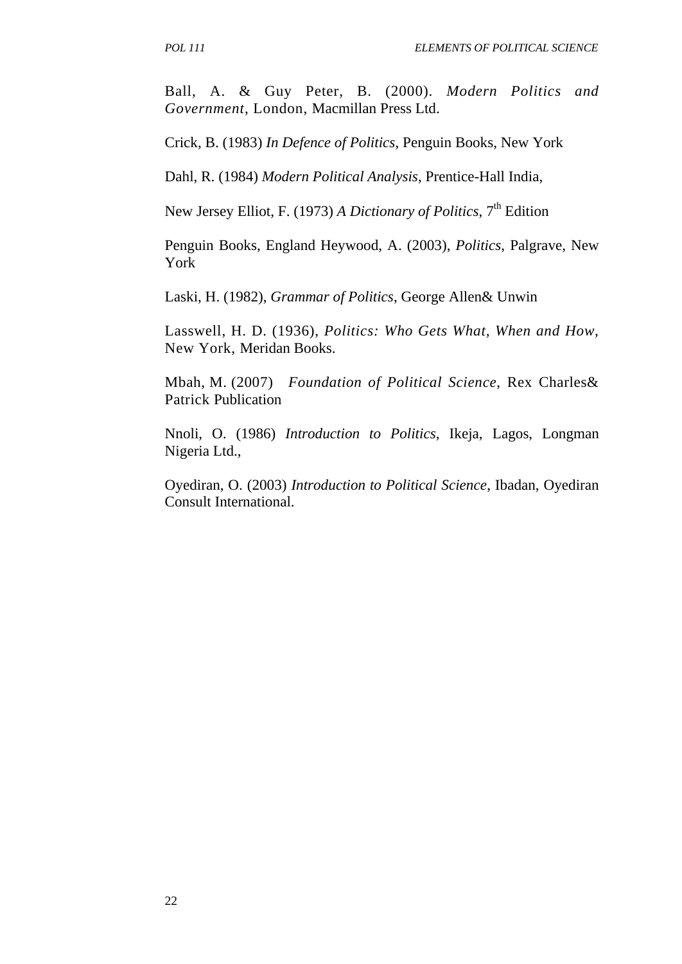Ball, A. & Guy Peter, B. (2000). *Modern Politics and Government*, London, Macmillan Press Ltd.

Crick, B. (1983) *In Defence of Politics*, Penguin Books, New York

Dahl, R. (1984) *Modern Political Analysis*, Prentice-Hall India,

New Jersey Elliot, F. (1973) *A Dictionary of Politics*, 7<sup>th</sup> Edition

Penguin Books, England Heywood, A. (2003), *Politics*, Palgrave, New York

Laski, H. (1982), *Grammar of Politics*, George Allen& Unwin

Lasswell, H. D. (1936), *Politics: Who Gets What, When and How,*  New York, Meridan Books.

Mbah, M. (2007) *Foundation of Political Science*, Rex Charles& Patrick Publication

Nnoli, O. (1986) *Introduction to Politics*, Ikeja, Lagos, Longman Nigeria Ltd.,

Oyediran, O. (2003) *Introduction to Political Science*, Ibadan, Oyediran Consult International.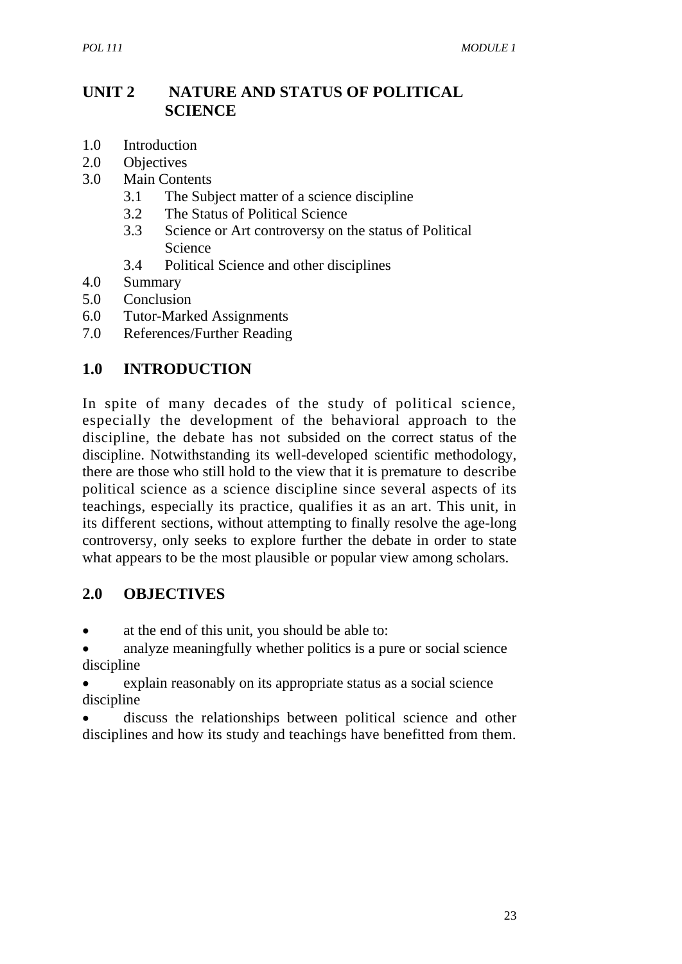# **UNIT 2 NATURE AND STATUS OF POLITICAL SCIENCE**

- 1.0 Introduction
- 2.0 Objectives
- 3.0 Main Contents
	- 3.1 The Subject matter of a science discipline
	- 3.2 The Status of Political Science
	- 3.3 Science or Art controversy on the status of Political Science
	- 3.4 Political Science and other disciplines
- 4.0 Summary
- 5.0 Conclusion
- 6.0 Tutor-Marked Assignments
- 7.0 References/Further Reading

# **1.0 INTRODUCTION**

In spite of many decades of the study of political science, especially the development of the behavioral approach to the discipline, the debate has not subsided on the correct status of the discipline. Notwithstanding its well-developed scientific methodology, there are those who still hold to the view that it is premature to describe political science as a science discipline since several aspects of its teachings, especially its practice, qualifies it as an art. This unit, in its different sections, without attempting to finally resolve the age-long controversy, only seeks to explore further the debate in order to state what appears to be the most plausible or popular view among scholars.

#### **2.0 OBJECTIVES**

- at the end of this unit, you should be able to:
- analyze meaningfully whether politics is a pure or social science discipline
- explain reasonably on its appropriate status as a social science discipline
- discuss the relationships between political science and other disciplines and how its study and teachings have benefitted from them.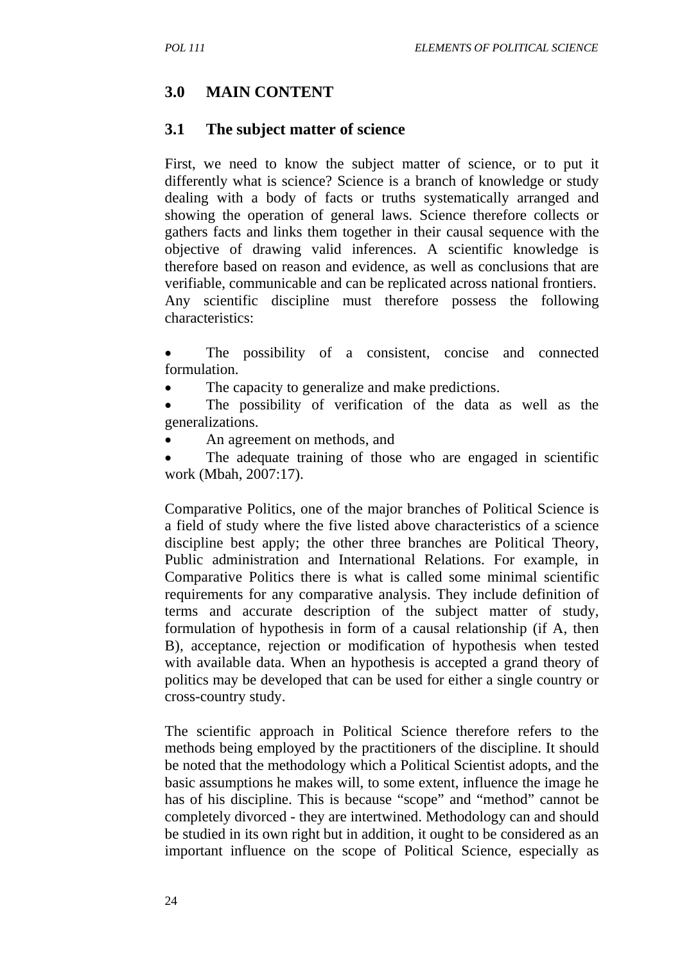#### **3.0 MAIN CONTENT**

#### **3.1 The subject matter of science**

First, we need to know the subject matter of science, or to put it differently what is science? Science is a branch of knowledge or study dealing with a body of facts or truths systematically arranged and showing the operation of general laws. Science therefore collects or gathers facts and links them together in their causal sequence with the objective of drawing valid inferences. A scientific knowledge is therefore based on reason and evidence, as well as conclusions that are verifiable, communicable and can be replicated across national frontiers. Any scientific discipline must therefore possess the following characteristics:

- The possibility of a consistent, concise and connected formulation.
- The capacity to generalize and make predictions.
- The possibility of verification of the data as well as the generalizations.
- An agreement on methods, and
- The adequate training of those who are engaged in scientific work (Mbah, 2007:17).

Comparative Politics, one of the major branches of Political Science is a field of study where the five listed above characteristics of a science discipline best apply; the other three branches are Political Theory, Public administration and International Relations. For example, in Comparative Politics there is what is called some minimal scientific requirements for any comparative analysis. They include definition of terms and accurate description of the subject matter of study, formulation of hypothesis in form of a causal relationship (if A, then B), acceptance, rejection or modification of hypothesis when tested with available data. When an hypothesis is accepted a grand theory of politics may be developed that can be used for either a single country or cross-country study.

The scientific approach in Political Science therefore refers to the methods being employed by the practitioners of the discipline. It should be noted that the methodology which a Political Scientist adopts, and the basic assumptions he makes will, to some extent, influence the image he has of his discipline. This is because "scope" and "method" cannot be completely divorced - they are intertwined. Methodology can and should be studied in its own right but in addition, it ought to be considered as an important influence on the scope of Political Science, especially as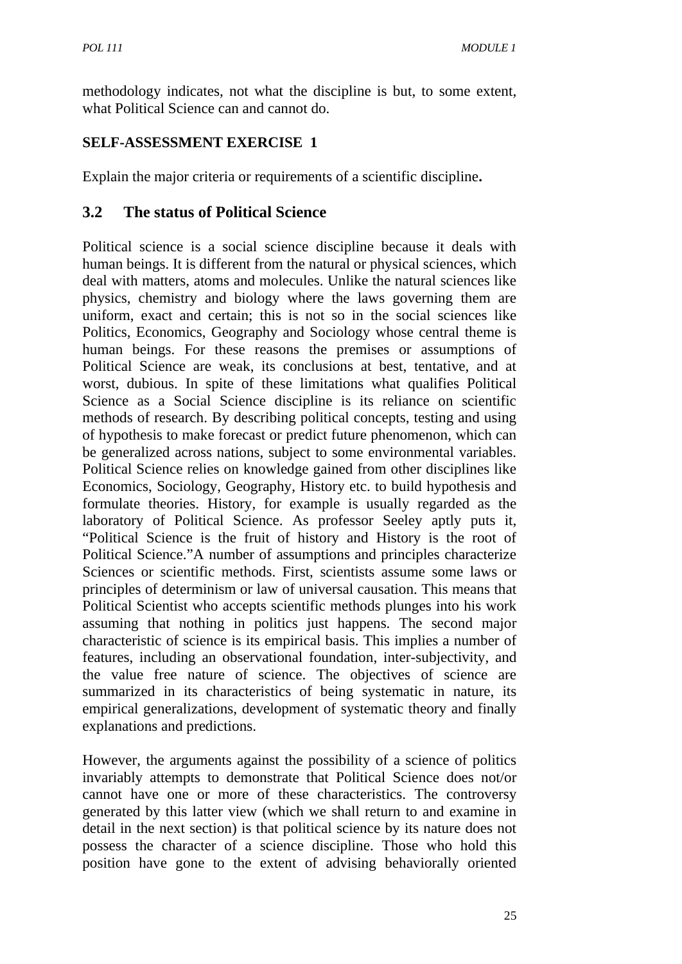methodology indicates, not what the discipline is but, to some extent, what Political Science can and cannot do.

# **SELF-ASSESSMENT EXERCISE 1**

Explain the major criteria or requirements of a scientific discipline**.**

# **3.2 The status of Political Science**

Political science is a social science discipline because it deals with human beings. It is different from the natural or physical sciences, which deal with matters, atoms and molecules. Unlike the natural sciences like physics, chemistry and biology where the laws governing them are uniform, exact and certain; this is not so in the social sciences like Politics, Economics, Geography and Sociology whose central theme is human beings. For these reasons the premises or assumptions of Political Science are weak, its conclusions at best, tentative, and at worst, dubious. In spite of these limitations what qualifies Political Science as a Social Science discipline is its reliance on scientific methods of research. By describing political concepts, testing and using of hypothesis to make forecast or predict future phenomenon, which can be generalized across nations, subject to some environmental variables. Political Science relies on knowledge gained from other disciplines like Economics, Sociology, Geography, History etc. to build hypothesis and formulate theories. History, for example is usually regarded as the laboratory of Political Science. As professor Seeley aptly puts it, "Political Science is the fruit of history and History is the root of Political Science."A number of assumptions and principles characterize Sciences or scientific methods. First, scientists assume some laws or principles of determinism or law of universal causation. This means that Political Scientist who accepts scientific methods plunges into his work assuming that nothing in politics just happens. The second major characteristic of science is its empirical basis. This implies a number of features, including an observational foundation, inter-subjectivity, and the value free nature of science. The objectives of science are summarized in its characteristics of being systematic in nature, its empirical generalizations, development of systematic theory and finally explanations and predictions.

However, the arguments against the possibility of a science of politics invariably attempts to demonstrate that Political Science does not/or cannot have one or more of these characteristics. The controversy generated by this latter view (which we shall return to and examine in detail in the next section) is that political science by its nature does not possess the character of a science discipline. Those who hold this position have gone to the extent of advising behaviorally oriented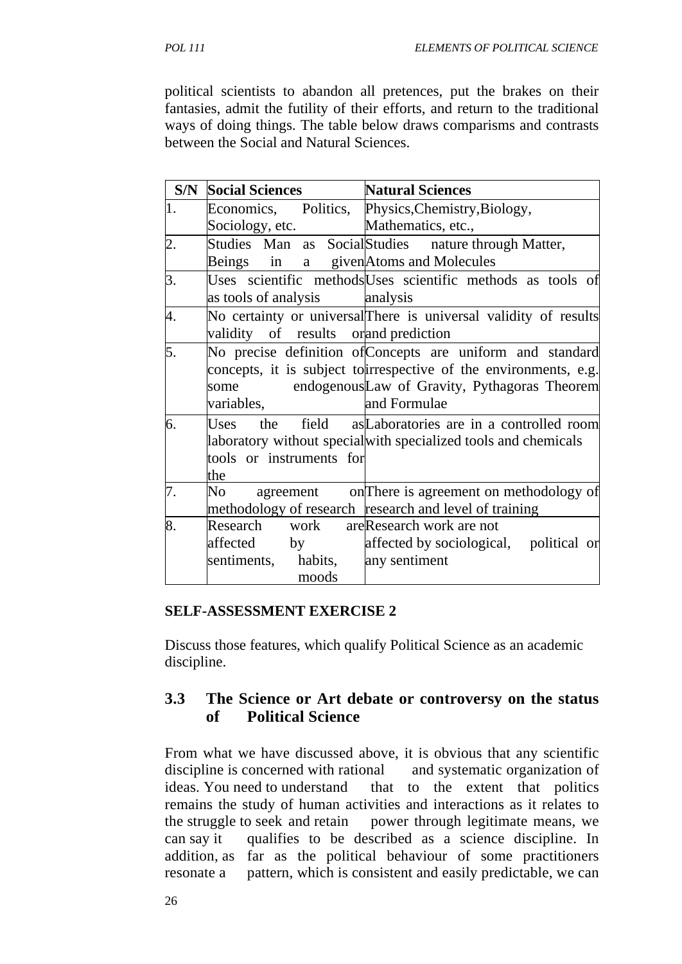political scientists to abandon all pretences, put the brakes on their fantasies, admit the futility of their efforts, and return to the traditional ways of doing things. The table below draws comparisms and contrasts between the Social and Natural Sciences.

| S/N | <b>Social Sciences</b>                                                                 | <b>Natural Sciences</b>                                                                                                                                                                         |
|-----|----------------------------------------------------------------------------------------|-------------------------------------------------------------------------------------------------------------------------------------------------------------------------------------------------|
| 1.  |                                                                                        | Economics, Politics, Physics, Chemistry, Biology,                                                                                                                                               |
|     | Sociology, etc.                                                                        | Mathematics, etc.,                                                                                                                                                                              |
| 2.  | Beings in a given Atoms and Molecules                                                  | Studies Man as SocialStudies nature through Matter,                                                                                                                                             |
| 3.  | as tools of analysis analysis                                                          | Uses scientific methods Uses scientific methods as tools of                                                                                                                                     |
| 4.  | validity of results orand prediction                                                   | No certainty or universal There is universal validity of results                                                                                                                                |
| 5.  | some<br>variables,                                                                     | No precise definition of Concepts are uniform and standard<br>concepts, it is subject to irrespective of the environments, e.g.<br>endogenousLaw of Gravity, Pythagoras Theorem<br>and Formulae |
| 6.  | tools or instruments for<br>the                                                        | Uses the field as Laboratories are in a controlled room<br>laboratory without special with specialized tools and chemicals                                                                      |
| 7.  |                                                                                        | No agreement on There is agreement on methodology of<br>methodology of research research and level of training                                                                                  |
| 8.  | Research work are Research work are not<br>affected by<br>sentiments, habits,<br>moods | affected by sociological, political or<br>any sentiment                                                                                                                                         |

#### **SELF-ASSESSMENT EXERCISE 2**

 Discuss those features, which qualify Political Science as an academic discipline.

#### **3.3 The Science or Art debate or controversy on the status of Political Science**

From what we have discussed above, it is obvious that any scientific discipline is concerned with rational and systematic organization of ideas. You need to understand that to the extent that politics remains the study of human activities and interactions as it relates to the struggle to seek and retain power through legitimate means, we can say it qualifies to be described as a science discipline. In addition, as far as the political behaviour of some practitioners resonate a pattern, which is consistent and easily predictable, we can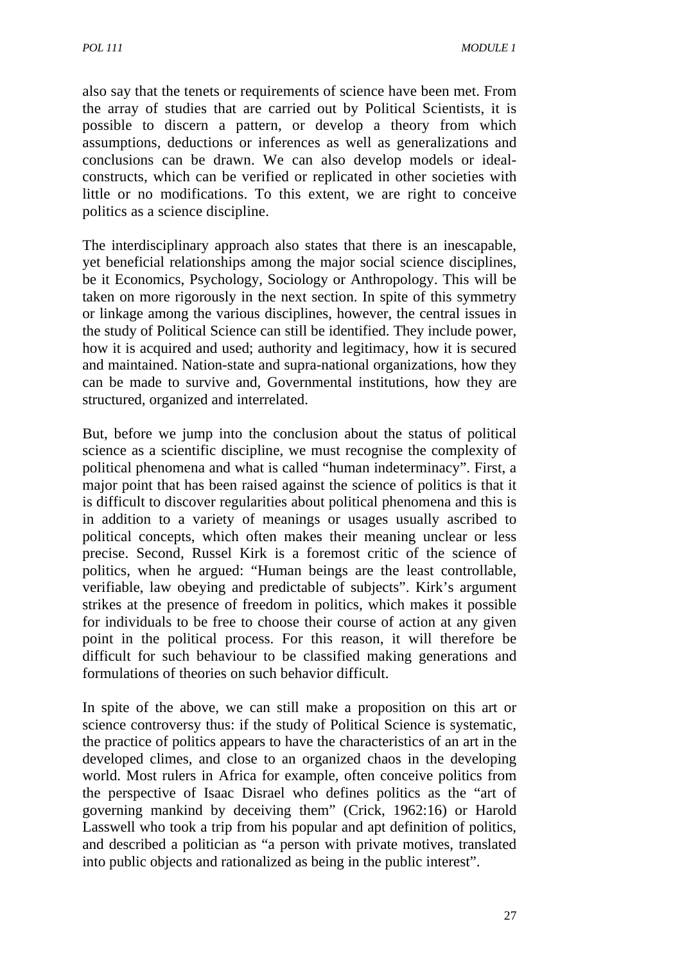also say that the tenets or requirements of science have been met. From the array of studies that are carried out by Political Scientists, it is possible to discern a pattern, or develop a theory from which assumptions, deductions or inferences as well as generalizations and conclusions can be drawn. We can also develop models or idealconstructs, which can be verified or replicated in other societies with little or no modifications. To this extent, we are right to conceive politics as a science discipline.

The interdisciplinary approach also states that there is an inescapable, yet beneficial relationships among the major social science disciplines, be it Economics, Psychology, Sociology or Anthropology. This will be taken on more rigorously in the next section. In spite of this symmetry or linkage among the various disciplines, however, the central issues in the study of Political Science can still be identified. They include power, how it is acquired and used; authority and legitimacy, how it is secured and maintained. Nation-state and supra-national organizations, how they can be made to survive and, Governmental institutions, how they are structured, organized and interrelated.

But, before we jump into the conclusion about the status of political science as a scientific discipline, we must recognise the complexity of political phenomena and what is called "human indeterminacy". First, a major point that has been raised against the science of politics is that it is difficult to discover regularities about political phenomena and this is in addition to a variety of meanings or usages usually ascribed to political concepts, which often makes their meaning unclear or less precise. Second, Russel Kirk is a foremost critic of the science of politics, when he argued: "Human beings are the least controllable, verifiable, law obeying and predictable of subjects". Kirk's argument strikes at the presence of freedom in politics, which makes it possible for individuals to be free to choose their course of action at any given point in the political process. For this reason, it will therefore be difficult for such behaviour to be classified making generations and formulations of theories on such behavior difficult.

In spite of the above, we can still make a proposition on this art or science controversy thus: if the study of Political Science is systematic, the practice of politics appears to have the characteristics of an art in the developed climes, and close to an organized chaos in the developing world. Most rulers in Africa for example, often conceive politics from the perspective of Isaac Disrael who defines politics as the "art of governing mankind by deceiving them" (Crick, 1962:16) or Harold Lasswell who took a trip from his popular and apt definition of politics, and described a politician as "a person with private motives, translated into public objects and rationalized as being in the public interest".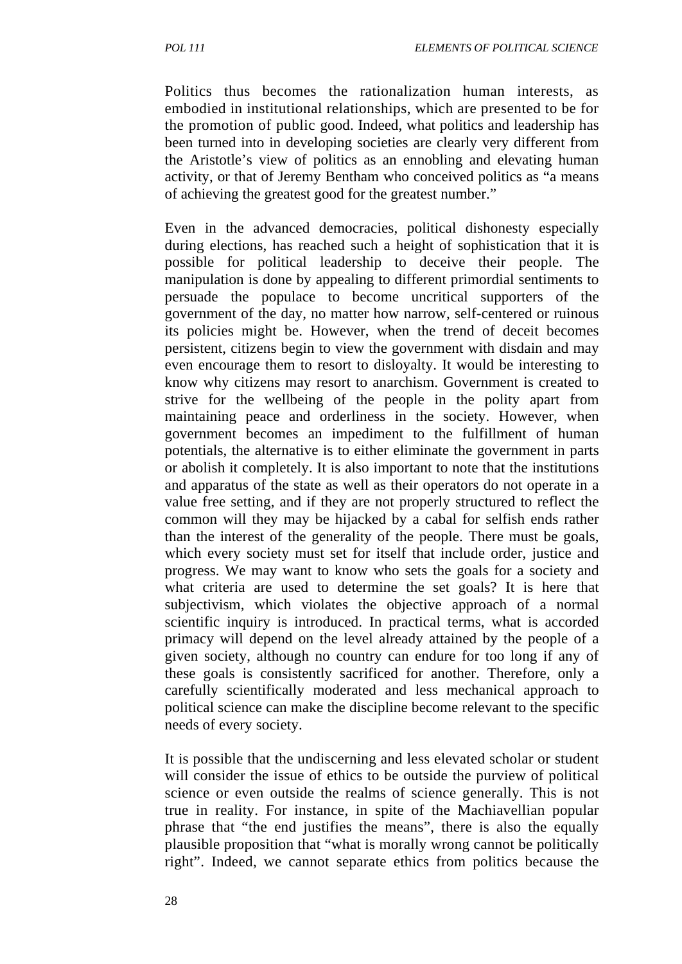Politics thus becomes the rationalization human interests, as embodied in institutional relationships, which are presented to be for the promotion of public good. Indeed, what politics and leadership has been turned into in developing societies are clearly very different from the Aristotle's view of politics as an ennobling and elevating human activity, or that of Jeremy Bentham who conceived politics as "a means of achieving the greatest good for the greatest number."

Even in the advanced democracies, political dishonesty especially during elections, has reached such a height of sophistication that it is possible for political leadership to deceive their people. The manipulation is done by appealing to different primordial sentiments to persuade the populace to become uncritical supporters of the government of the day, no matter how narrow, self-centered or ruinous its policies might be. However, when the trend of deceit becomes persistent, citizens begin to view the government with disdain and may even encourage them to resort to disloyalty. It would be interesting to know why citizens may resort to anarchism. Government is created to strive for the wellbeing of the people in the polity apart from maintaining peace and orderliness in the society. However, when government becomes an impediment to the fulfillment of human potentials, the alternative is to either eliminate the government in parts or abolish it completely. It is also important to note that the institutions and apparatus of the state as well as their operators do not operate in a value free setting, and if they are not properly structured to reflect the common will they may be hijacked by a cabal for selfish ends rather than the interest of the generality of the people. There must be goals, which every society must set for itself that include order, justice and progress. We may want to know who sets the goals for a society and what criteria are used to determine the set goals? It is here that subjectivism, which violates the objective approach of a normal scientific inquiry is introduced. In practical terms, what is accorded primacy will depend on the level already attained by the people of a given society, although no country can endure for too long if any of these goals is consistently sacrificed for another. Therefore, only a carefully scientifically moderated and less mechanical approach to political science can make the discipline become relevant to the specific needs of every society.

It is possible that the undiscerning and less elevated scholar or student will consider the issue of ethics to be outside the purview of political science or even outside the realms of science generally. This is not true in reality. For instance, in spite of the Machiavellian popular phrase that "the end justifies the means", there is also the equally plausible proposition that "what is morally wrong cannot be politically right". Indeed, we cannot separate ethics from politics because the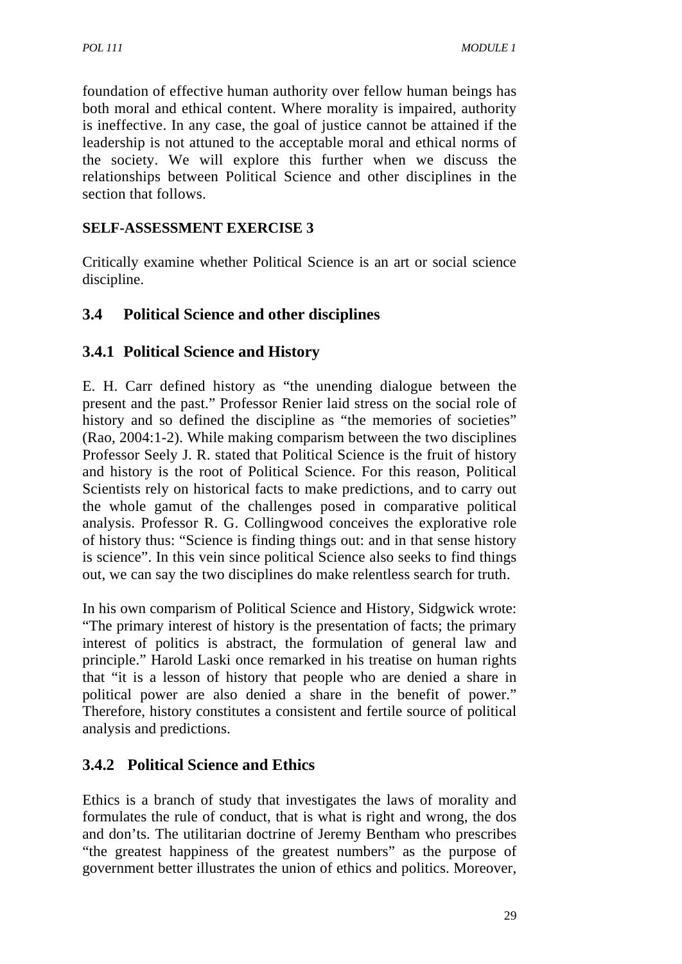foundation of effective human authority over fellow human beings has both moral and ethical content. Where morality is impaired, authority is ineffective. In any case, the goal of justice cannot be attained if the leadership is not attuned to the acceptable moral and ethical norms of the society. We will explore this further when we discuss the relationships between Political Science and other disciplines in the section that follows.

#### **SELF-ASSESSMENT EXERCISE 3**

Critically examine whether Political Science is an art or social science discipline.

# **3.4 Political Science and other disciplines**

# **3.4.1 Political Science and History**

E. H. Carr defined history as "the unending dialogue between the present and the past." Professor Renier laid stress on the social role of history and so defined the discipline as "the memories of societies" (Rao, 2004:1-2). While making comparism between the two disciplines Professor Seely J. R. stated that Political Science is the fruit of history and history is the root of Political Science. For this reason, Political Scientists rely on historical facts to make predictions, and to carry out the whole gamut of the challenges posed in comparative political analysis. Professor R. G. Collingwood conceives the explorative role of history thus: "Science is finding things out: and in that sense history is science". In this vein since political Science also seeks to find things out, we can say the two disciplines do make relentless search for truth.

In his own comparism of Political Science and History, Sidgwick wrote: "The primary interest of history is the presentation of facts; the primary interest of politics is abstract, the formulation of general law and principle." Harold Laski once remarked in his treatise on human rights that "it is a lesson of history that people who are denied a share in political power are also denied a share in the benefit of power." Therefore, history constitutes a consistent and fertile source of political analysis and predictions.

#### **3.4.2 Political Science and Ethics**

Ethics is a branch of study that investigates the laws of morality and formulates the rule of conduct, that is what is right and wrong, the dos and don'ts. The utilitarian doctrine of Jeremy Bentham who prescribes "the greatest happiness of the greatest numbers" as the purpose of government better illustrates the union of ethics and politics. Moreover,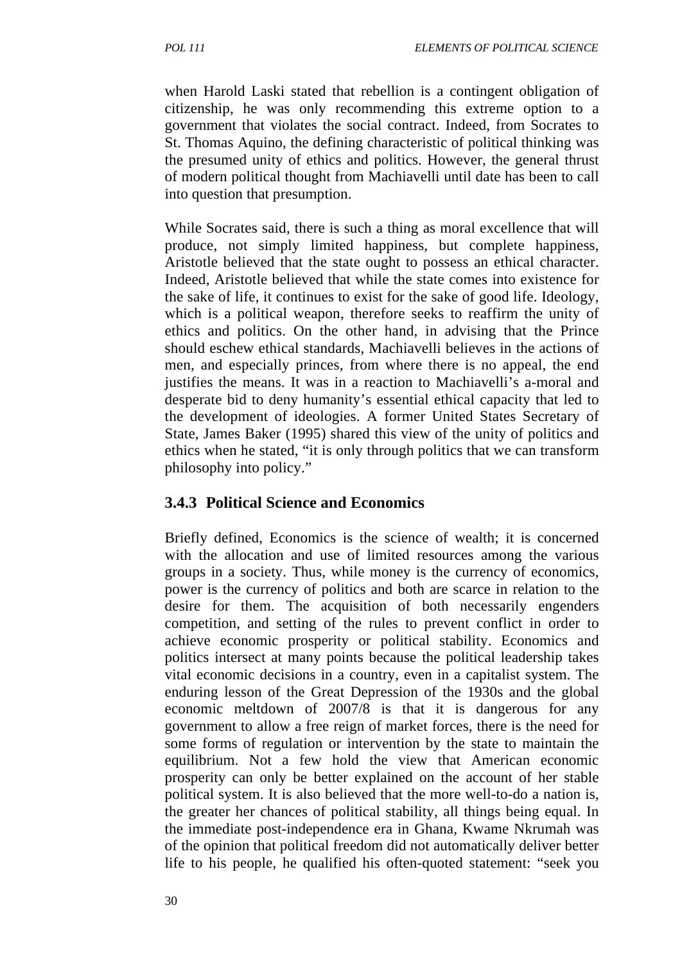when Harold Laski stated that rebellion is a contingent obligation of citizenship, he was only recommending this extreme option to a government that violates the social contract. Indeed, from Socrates to St. Thomas Aquino, the defining characteristic of political thinking was the presumed unity of ethics and politics. However, the general thrust of modern political thought from Machiavelli until date has been to call into question that presumption.

While Socrates said, there is such a thing as moral excellence that will produce, not simply limited happiness, but complete happiness, Aristotle believed that the state ought to possess an ethical character. Indeed, Aristotle believed that while the state comes into existence for the sake of life, it continues to exist for the sake of good life. Ideology, which is a political weapon, therefore seeks to reaffirm the unity of ethics and politics. On the other hand, in advising that the Prince should eschew ethical standards, Machiavelli believes in the actions of men, and especially princes, from where there is no appeal, the end justifies the means. It was in a reaction to Machiavelli's a-moral and desperate bid to deny humanity's essential ethical capacity that led to the development of ideologies. A former United States Secretary of State, James Baker (1995) shared this view of the unity of politics and ethics when he stated, "it is only through politics that we can transform philosophy into policy."

#### **3.4.3 Political Science and Economics**

Briefly defined, Economics is the science of wealth; it is concerned with the allocation and use of limited resources among the various groups in a society. Thus, while money is the currency of economics, power is the currency of politics and both are scarce in relation to the desire for them. The acquisition of both necessarily engenders competition, and setting of the rules to prevent conflict in order to achieve economic prosperity or political stability. Economics and politics intersect at many points because the political leadership takes vital economic decisions in a country, even in a capitalist system. The enduring lesson of the Great Depression of the 1930s and the global economic meltdown of 2007/8 is that it is dangerous for any government to allow a free reign of market forces, there is the need for some forms of regulation or intervention by the state to maintain the equilibrium. Not a few hold the view that American economic prosperity can only be better explained on the account of her stable political system. It is also believed that the more well-to-do a nation is, the greater her chances of political stability, all things being equal. In the immediate post-independence era in Ghana, Kwame Nkrumah was of the opinion that political freedom did not automatically deliver better life to his people, he qualified his often-quoted statement: "seek you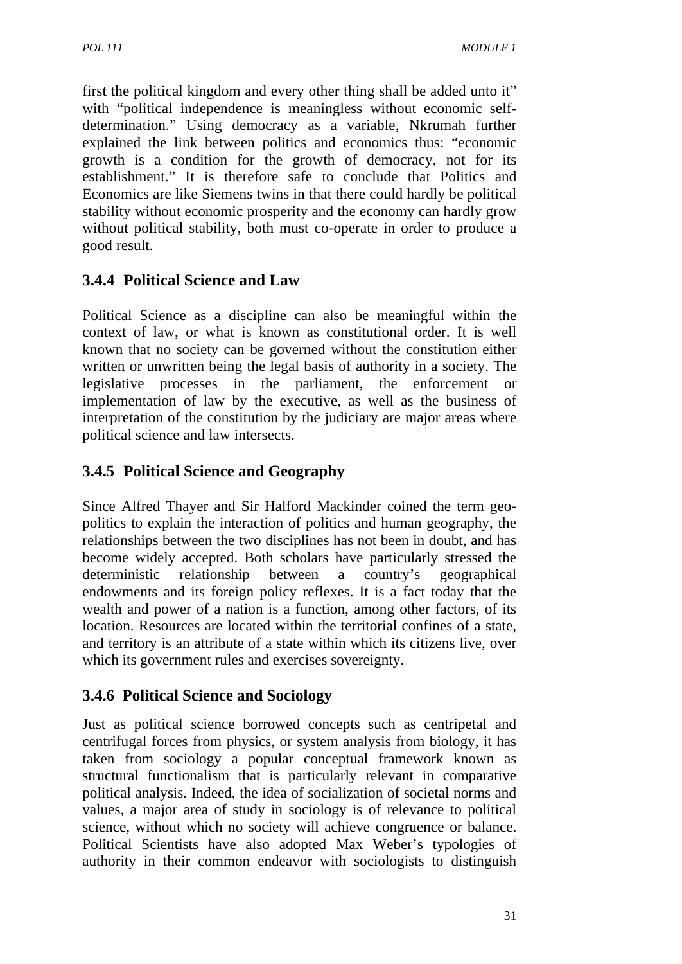first the political kingdom and every other thing shall be added unto it" with "political independence is meaningless without economic selfdetermination." Using democracy as a variable, Nkrumah further explained the link between politics and economics thus: "economic growth is a condition for the growth of democracy, not for its establishment." It is therefore safe to conclude that Politics and Economics are like Siemens twins in that there could hardly be political stability without economic prosperity and the economy can hardly grow without political stability, both must co-operate in order to produce a good result.

# **3.4.4 Political Science and Law**

Political Science as a discipline can also be meaningful within the context of law, or what is known as constitutional order. It is well known that no society can be governed without the constitution either written or unwritten being the legal basis of authority in a society. The legislative processes in the parliament, the enforcement or implementation of law by the executive, as well as the business of interpretation of the constitution by the judiciary are major areas where political science and law intersects.

# **3.4.5 Political Science and Geography**

Since Alfred Thayer and Sir Halford Mackinder coined the term geopolitics to explain the interaction of politics and human geography, the relationships between the two disciplines has not been in doubt, and has become widely accepted. Both scholars have particularly stressed the deterministic relationship between a country's geographical endowments and its foreign policy reflexes. It is a fact today that the wealth and power of a nation is a function, among other factors, of its location. Resources are located within the territorial confines of a state, and territory is an attribute of a state within which its citizens live, over which its government rules and exercises sovereignty.

# **3.4.6 Political Science and Sociology**

Just as political science borrowed concepts such as centripetal and centrifugal forces from physics, or system analysis from biology, it has taken from sociology a popular conceptual framework known as structural functionalism that is particularly relevant in comparative political analysis. Indeed, the idea of socialization of societal norms and values, a major area of study in sociology is of relevance to political science, without which no society will achieve congruence or balance. Political Scientists have also adopted Max Weber's typologies of authority in their common endeavor with sociologists to distinguish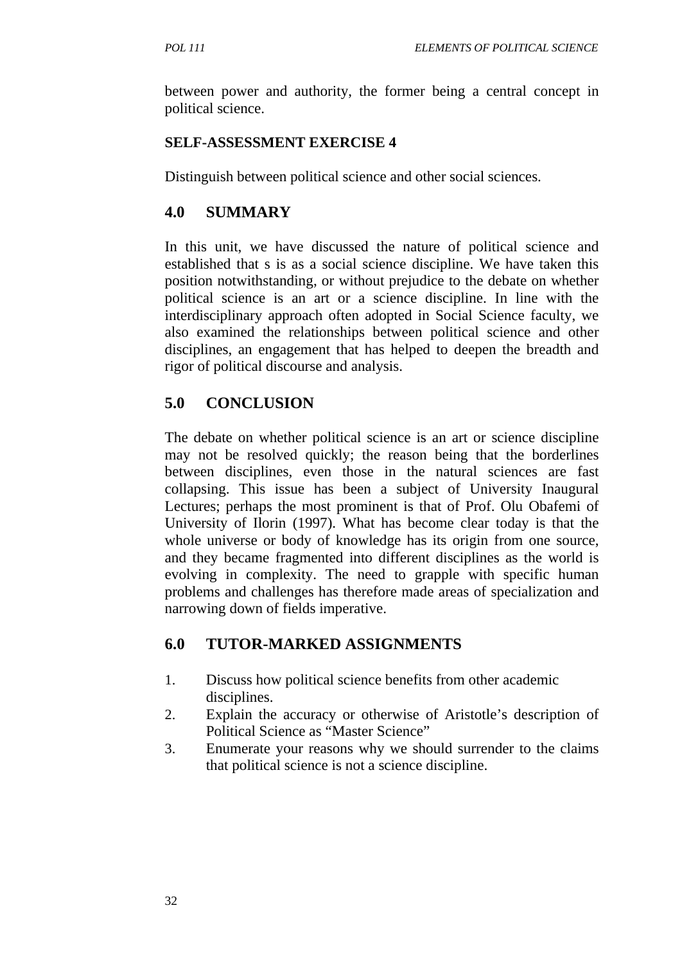between power and authority, the former being a central concept in political science.

#### **SELF-ASSESSMENT EXERCISE 4**

Distinguish between political science and other social sciences.

# **4.0 SUMMARY**

In this unit, we have discussed the nature of political science and established that s is as a social science discipline. We have taken this position notwithstanding, or without prejudice to the debate on whether political science is an art or a science discipline. In line with the interdisciplinary approach often adopted in Social Science faculty, we also examined the relationships between political science and other disciplines, an engagement that has helped to deepen the breadth and rigor of political discourse and analysis.

# **5.0 CONCLUSION**

The debate on whether political science is an art or science discipline may not be resolved quickly; the reason being that the borderlines between disciplines, even those in the natural sciences are fast collapsing. This issue has been a subject of University Inaugural Lectures; perhaps the most prominent is that of Prof. Olu Obafemi of University of Ilorin (1997). What has become clear today is that the whole universe or body of knowledge has its origin from one source, and they became fragmented into different disciplines as the world is evolving in complexity. The need to grapple with specific human problems and challenges has therefore made areas of specialization and narrowing down of fields imperative.

# **6.0 TUTOR-MARKED ASSIGNMENTS**

- 1. Discuss how political science benefits from other academic disciplines.
- 2. Explain the accuracy or otherwise of Aristotle's description of Political Science as "Master Science"
- 3. Enumerate your reasons why we should surrender to the claims that political science is not a science discipline.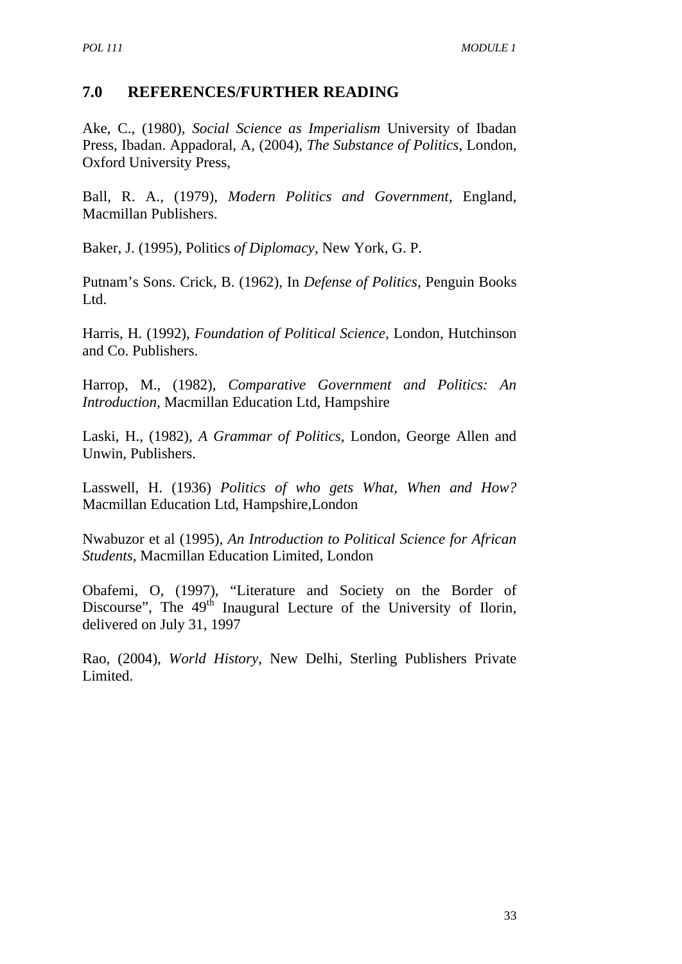#### **7.0 REFERENCES/FURTHER READING**

Ake, C., (1980), *Social Science as Imperialism* University of Ibadan Press, Ibadan. Appadoral, A, (2004), *The Substance of Politics*, London, Oxford University Press,

Ball, R. A., (1979), *Modern Politics and Government,* England, Macmillan Publishers.

Baker, J. (1995), Politics *of Diplomacy*, New York, G. P.

Putnam's Sons. Crick, B. (1962), In *Defense of Politics*, Penguin Books Ltd.

Harris, H. (1992), *Foundation of Political Science*, London, Hutchinson and Co. Publishers.

Harrop, M., (1982), *Comparative Government and Politics: An Introduction,* Macmillan Education Ltd, Hampshire

Laski, H., (1982), *A Grammar of Politics,* London, George Allen and Unwin, Publishers.

Lasswell, H. (1936) *Politics of who gets What, When and How?*  Macmillan Education Ltd, Hampshire,London

Nwabuzor et al (1995), *An Introduction to Political Science for African Students,* Macmillan Education Limited, London

Obafemi, O, (1997), "Literature and Society on the Border of Discourse", The  $49<sup>th</sup>$  Inaugural Lecture of the University of Ilorin, delivered on July 31, 1997

Rao, (2004), *World History,* New Delhi, Sterling Publishers Private Limited.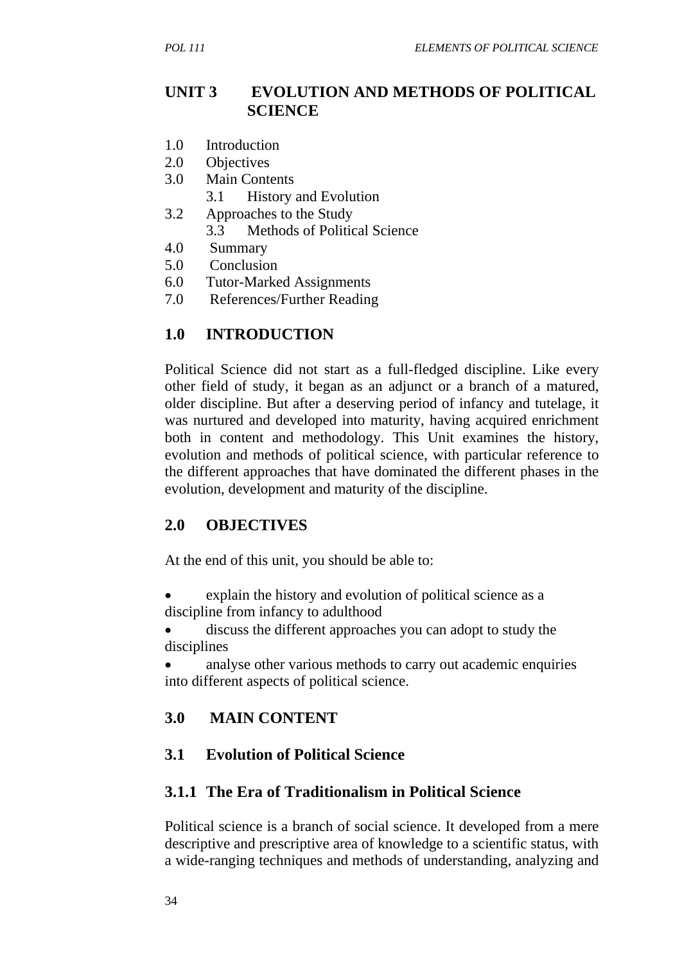#### **UNIT 3 EVOLUTION AND METHODS OF POLITICAL SCIENCE**

- 1.0 Introduction
- 2.0 Objectives
- 3.0 Main Contents
- 3.1 History and Evolution
- 3.2 Approaches to the Study
	- 3.3 Methods of Political Science
- 4.0 Summary
- 5.0 Conclusion
- 6.0 Tutor-Marked Assignments
- 7.0 References/Further Reading

#### **1.0 INTRODUCTION**

Political Science did not start as a full-fledged discipline. Like every other field of study, it began as an adjunct or a branch of a matured, older discipline. But after a deserving period of infancy and tutelage, it was nurtured and developed into maturity, having acquired enrichment both in content and methodology. This Unit examines the history, evolution and methods of political science, with particular reference to the different approaches that have dominated the different phases in the evolution, development and maturity of the discipline.

#### **2.0 OBJECTIVES**

At the end of this unit, you should be able to:

- explain the history and evolution of political science as a discipline from infancy to adulthood
- discuss the different approaches you can adopt to study the disciplines
- analyse other various methods to carry out academic enquiries into different aspects of political science.

#### **3.0 MAIN CONTENT**

#### **3.1 Evolution of Political Science**

#### **3.1.1 The Era of Traditionalism in Political Science**

Political science is a branch of social science. It developed from a mere descriptive and prescriptive area of knowledge to a scientific status, with a wide-ranging techniques and methods of understanding, analyzing and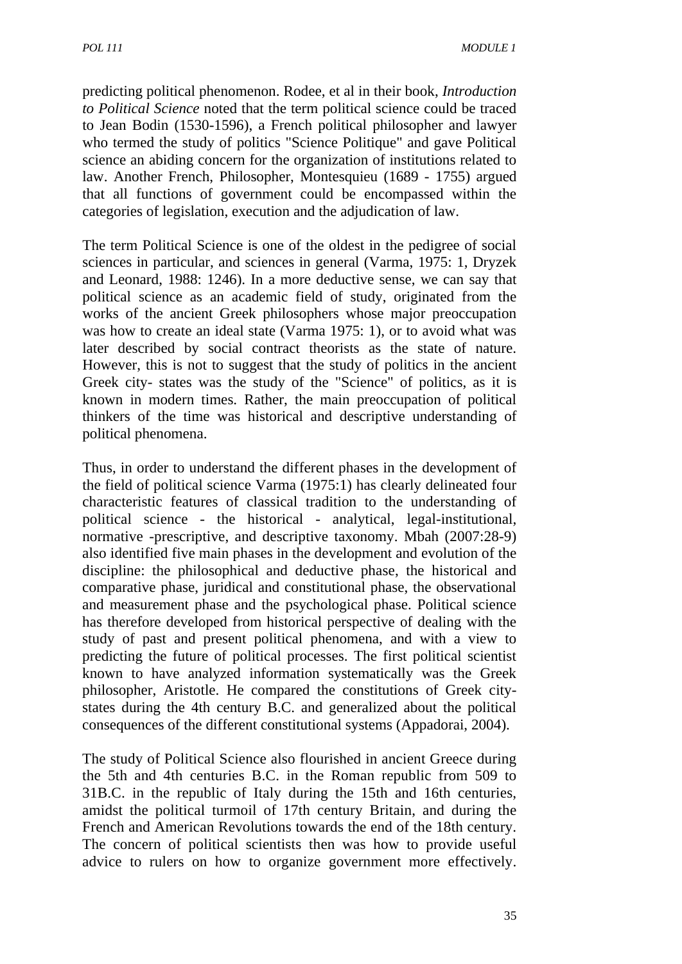predicting political phenomenon. Rodee, et al in their book, *Introduction to Political Science* noted that the term political science could be traced to Jean Bodin (1530-1596), a French political philosopher and lawyer who termed the study of politics "Science Politique" and gave Political science an abiding concern for the organization of institutions related to law. Another French, Philosopher, Montesquieu (1689 - 1755) argued that all functions of government could be encompassed within the categories of legislation, execution and the adjudication of law.

The term Political Science is one of the oldest in the pedigree of social sciences in particular, and sciences in general (Varma, 1975: 1, Dryzek and Leonard, 1988: 1246). In a more deductive sense, we can say that political science as an academic field of study, originated from the works of the ancient Greek philosophers whose major preoccupation was how to create an ideal state (Varma 1975: 1), or to avoid what was later described by social contract theorists as the state of nature. However, this is not to suggest that the study of politics in the ancient Greek city- states was the study of the "Science" of politics, as it is known in modern times. Rather, the main preoccupation of political thinkers of the time was historical and descriptive understanding of political phenomena.

Thus, in order to understand the different phases in the development of the field of political science Varma (1975:1) has clearly delineated four characteristic features of classical tradition to the understanding of political science - the historical - analytical, legal-institutional, normative -prescriptive, and descriptive taxonomy. Mbah (2007:28-9) also identified five main phases in the development and evolution of the discipline: the philosophical and deductive phase, the historical and comparative phase, juridical and constitutional phase, the observational and measurement phase and the psychological phase. Political science has therefore developed from historical perspective of dealing with the study of past and present political phenomena, and with a view to predicting the future of political processes. The first political scientist known to have analyzed information systematically was the Greek philosopher, Aristotle. He compared the constitutions of Greek citystates during the 4th century B.C. and generalized about the political consequences of the different constitutional systems (Appadorai, 2004).

The study of Political Science also flourished in ancient Greece during the 5th and 4th centuries B.C. in the Roman republic from 509 to 31B.C. in the republic of Italy during the 15th and 16th centuries, amidst the political turmoil of 17th century Britain, and during the French and American Revolutions towards the end of the 18th century. The concern of political scientists then was how to provide useful advice to rulers on how to organize government more effectively.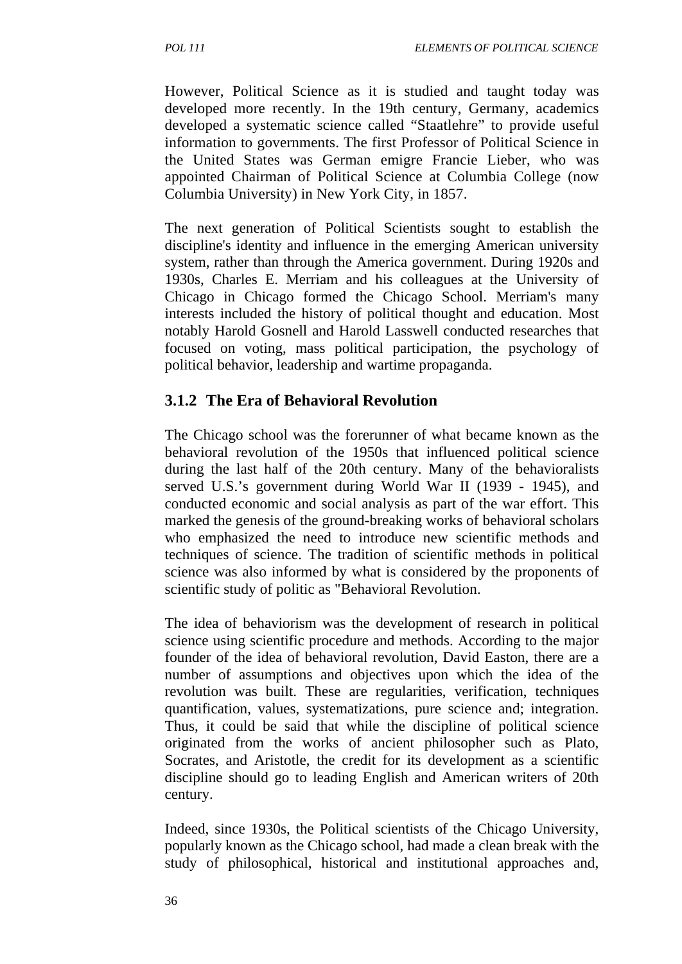However, Political Science as it is studied and taught today was developed more recently. In the 19th century, Germany, academics developed a systematic science called "Staatlehre" to provide useful information to governments. The first Professor of Political Science in the United States was German emigre Francie Lieber, who was appointed Chairman of Political Science at Columbia College (now Columbia University) in New York City, in 1857.

The next generation of Political Scientists sought to establish the discipline's identity and influence in the emerging American university system, rather than through the America government. During 1920s and 1930s, Charles E. Merriam and his colleagues at the University of Chicago in Chicago formed the Chicago School. Merriam's many interests included the history of political thought and education. Most notably Harold Gosnell and Harold Lasswell conducted researches that focused on voting, mass political participation, the psychology of political behavior, leadership and wartime propaganda.

# **3.1.2 The Era of Behavioral Revolution**

The Chicago school was the forerunner of what became known as the behavioral revolution of the 1950s that influenced political science during the last half of the 20th century. Many of the behavioralists served U.S.'s government during World War II (1939 - 1945), and conducted economic and social analysis as part of the war effort. This marked the genesis of the ground-breaking works of behavioral scholars who emphasized the need to introduce new scientific methods and techniques of science. The tradition of scientific methods in political science was also informed by what is considered by the proponents of scientific study of politic as "Behavioral Revolution.

The idea of behaviorism was the development of research in political science using scientific procedure and methods. According to the major founder of the idea of behavioral revolution, David Easton, there are a number of assumptions and objectives upon which the idea of the revolution was built. These are regularities, verification, techniques quantification, values, systematizations, pure science and; integration. Thus, it could be said that while the discipline of political science originated from the works of ancient philosopher such as Plato, Socrates, and Aristotle, the credit for its development as a scientific discipline should go to leading English and American writers of 20th century.

Indeed, since 1930s, the Political scientists of the Chicago University, popularly known as the Chicago school, had made a clean break with the study of philosophical, historical and institutional approaches and,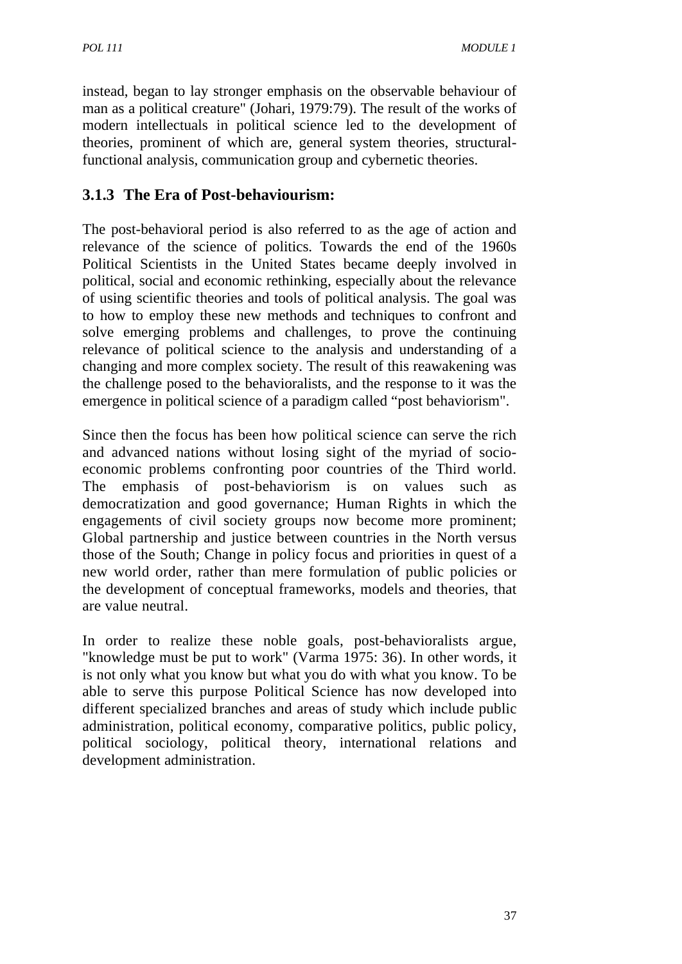instead, began to lay stronger emphasis on the observable behaviour of man as a political creature" (Johari, 1979:79). The result of the works of modern intellectuals in political science led to the development of theories, prominent of which are, general system theories, structuralfunctional analysis, communication group and cybernetic theories.

### **3.1.3 The Era of Post-behaviourism:**

The post-behavioral period is also referred to as the age of action and relevance of the science of politics. Towards the end of the 1960s Political Scientists in the United States became deeply involved in political, social and economic rethinking, especially about the relevance of using scientific theories and tools of political analysis. The goal was to how to employ these new methods and techniques to confront and solve emerging problems and challenges, to prove the continuing relevance of political science to the analysis and understanding of a changing and more complex society. The result of this reawakening was the challenge posed to the behavioralists, and the response to it was the emergence in political science of a paradigm called "post behaviorism".

Since then the focus has been how political science can serve the rich and advanced nations without losing sight of the myriad of socioeconomic problems confronting poor countries of the Third world. The emphasis of post-behaviorism is on values such as democratization and good governance; Human Rights in which the engagements of civil society groups now become more prominent; Global partnership and justice between countries in the North versus those of the South; Change in policy focus and priorities in quest of a new world order, rather than mere formulation of public policies or the development of conceptual frameworks, models and theories, that are value neutral.

In order to realize these noble goals, post-behavioralists argue, "knowledge must be put to work" (Varma 1975: 36). In other words, it is not only what you know but what you do with what you know. To be able to serve this purpose Political Science has now developed into different specialized branches and areas of study which include public administration, political economy, comparative politics, public policy, political sociology, political theory, international relations and development administration.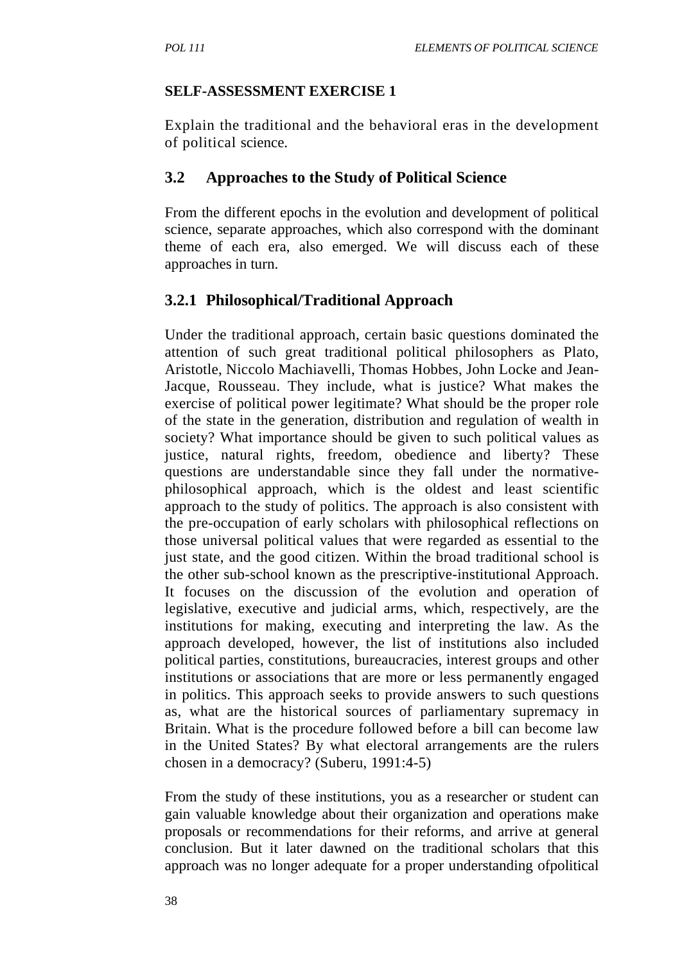#### **SELF-ASSESSMENT EXERCISE 1**

Explain the traditional and the behavioral eras in the development of political science.

### **3.2 Approaches to the Study of Political Science**

From the different epochs in the evolution and development of political science, separate approaches, which also correspond with the dominant theme of each era, also emerged. We will discuss each of these approaches in turn.

### **3.2.1 Philosophical/Traditional Approach**

Under the traditional approach, certain basic questions dominated the attention of such great traditional political philosophers as Plato, Aristotle, Niccolo Machiavelli, Thomas Hobbes, John Locke and Jean-Jacque, Rousseau. They include, what is justice? What makes the exercise of political power legitimate? What should be the proper role of the state in the generation, distribution and regulation of wealth in society? What importance should be given to such political values as justice, natural rights, freedom, obedience and liberty? These questions are understandable since they fall under the normativephilosophical approach, which is the oldest and least scientific approach to the study of politics. The approach is also consistent with the pre-occupation of early scholars with philosophical reflections on those universal political values that were regarded as essential to the just state, and the good citizen. Within the broad traditional school is the other sub-school known as the prescriptive-institutional Approach. It focuses on the discussion of the evolution and operation of legislative, executive and judicial arms, which, respectively, are the institutions for making, executing and interpreting the law. As the approach developed, however, the list of institutions also included political parties, constitutions, bureaucracies, interest groups and other institutions or associations that are more or less permanently engaged in politics. This approach seeks to provide answers to such questions as, what are the historical sources of parliamentary supremacy in Britain. What is the procedure followed before a bill can become law in the United States? By what electoral arrangements are the rulers chosen in a democracy? (Suberu, 1991:4-5)

From the study of these institutions, you as a researcher or student can gain valuable knowledge about their organization and operations make proposals or recommendations for their reforms, and arrive at general conclusion. But it later dawned on the traditional scholars that this approach was no longer adequate for a proper understanding ofpolitical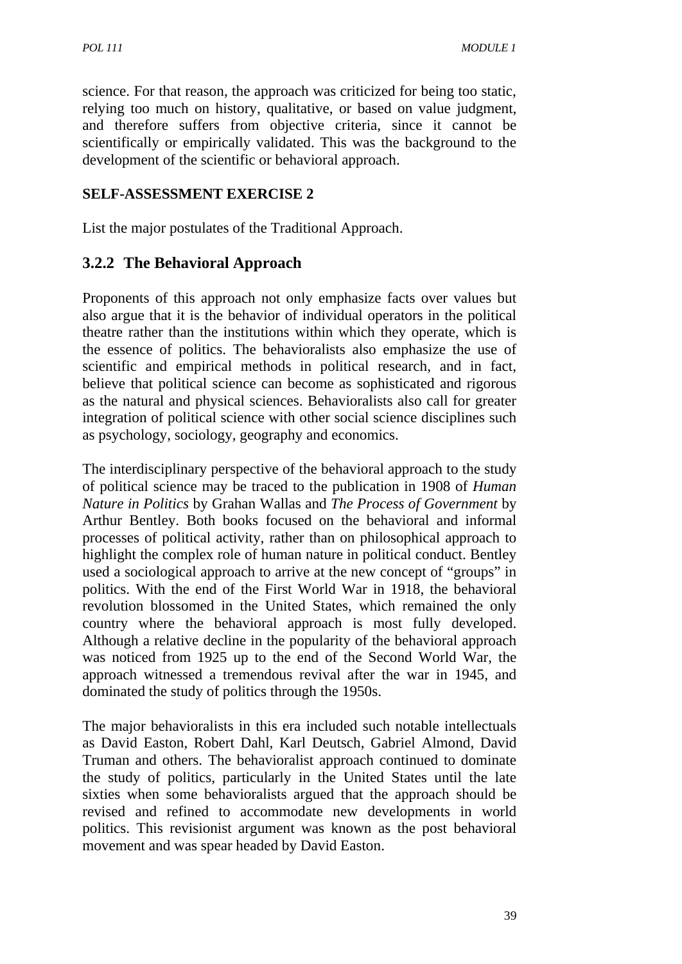science. For that reason, the approach was criticized for being too static, relying too much on history, qualitative, or based on value judgment, and therefore suffers from objective criteria, since it cannot be scientifically or empirically validated. This was the background to the development of the scientific or behavioral approach.

### **SELF-ASSESSMENT EXERCISE 2**

List the major postulates of the Traditional Approach.

### **3.2.2 The Behavioral Approach**

Proponents of this approach not only emphasize facts over values but also argue that it is the behavior of individual operators in the political theatre rather than the institutions within which they operate, which is the essence of politics. The behavioralists also emphasize the use of scientific and empirical methods in political research, and in fact, believe that political science can become as sophisticated and rigorous as the natural and physical sciences. Behavioralists also call for greater integration of political science with other social science disciplines such as psychology, sociology, geography and economics.

The interdisciplinary perspective of the behavioral approach to the study of political science may be traced to the publication in 1908 of *Human Nature in Politics* by Grahan Wallas and *The Process of Government* by Arthur Bentley. Both books focused on the behavioral and informal processes of political activity, rather than on philosophical approach to highlight the complex role of human nature in political conduct. Bentley used a sociological approach to arrive at the new concept of "groups" in politics. With the end of the First World War in 1918, the behavioral revolution blossomed in the United States, which remained the only country where the behavioral approach is most fully developed. Although a relative decline in the popularity of the behavioral approach was noticed from 1925 up to the end of the Second World War, the approach witnessed a tremendous revival after the war in 1945, and dominated the study of politics through the 1950s.

The major behavioralists in this era included such notable intellectuals as David Easton, Robert Dahl, Karl Deutsch, Gabriel Almond, David Truman and others. The behavioralist approach continued to dominate the study of politics, particularly in the United States until the late sixties when some behavioralists argued that the approach should be revised and refined to accommodate new developments in world politics. This revisionist argument was known as the post behavioral movement and was spear headed by David Easton.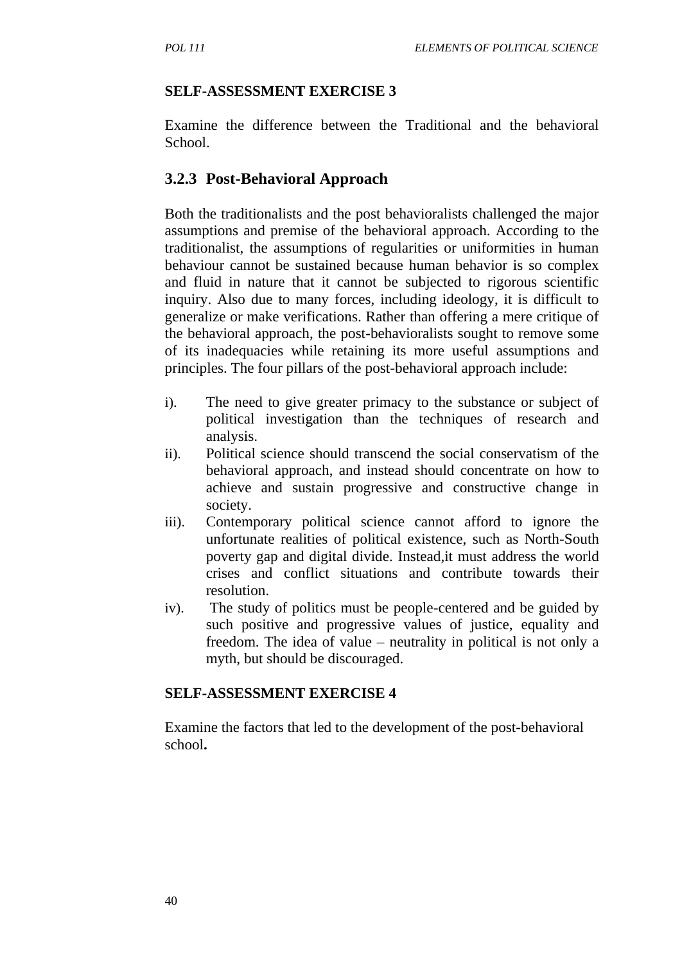#### **SELF-ASSESSMENT EXERCISE 3**

Examine the difference between the Traditional and the behavioral School.

### **3.2.3 Post-Behavioral Approach**

Both the traditionalists and the post behavioralists challenged the major assumptions and premise of the behavioral approach. According to the traditionalist, the assumptions of regularities or uniformities in human behaviour cannot be sustained because human behavior is so complex and fluid in nature that it cannot be subjected to rigorous scientific inquiry. Also due to many forces, including ideology, it is difficult to generalize or make verifications. Rather than offering a mere critique of the behavioral approach, the post-behavioralists sought to remove some of its inadequacies while retaining its more useful assumptions and principles. The four pillars of the post-behavioral approach include:

- i). The need to give greater primacy to the substance or subject of political investigation than the techniques of research and analysis.
- ii). Political science should transcend the social conservatism of the behavioral approach, and instead should concentrate on how to achieve and sustain progressive and constructive change in society.
- iii). Contemporary political science cannot afford to ignore the unfortunate realities of political existence, such as North-South poverty gap and digital divide. Instead,it must address the world crises and conflict situations and contribute towards their resolution.
- iv). The study of politics must be people-centered and be guided by such positive and progressive values of justice, equality and freedom. The idea of value – neutrality in political is not only a myth, but should be discouraged.

#### **SELF-ASSESSMENT EXERCISE 4**

Examine the factors that led to the development of the post-behavioral school**.**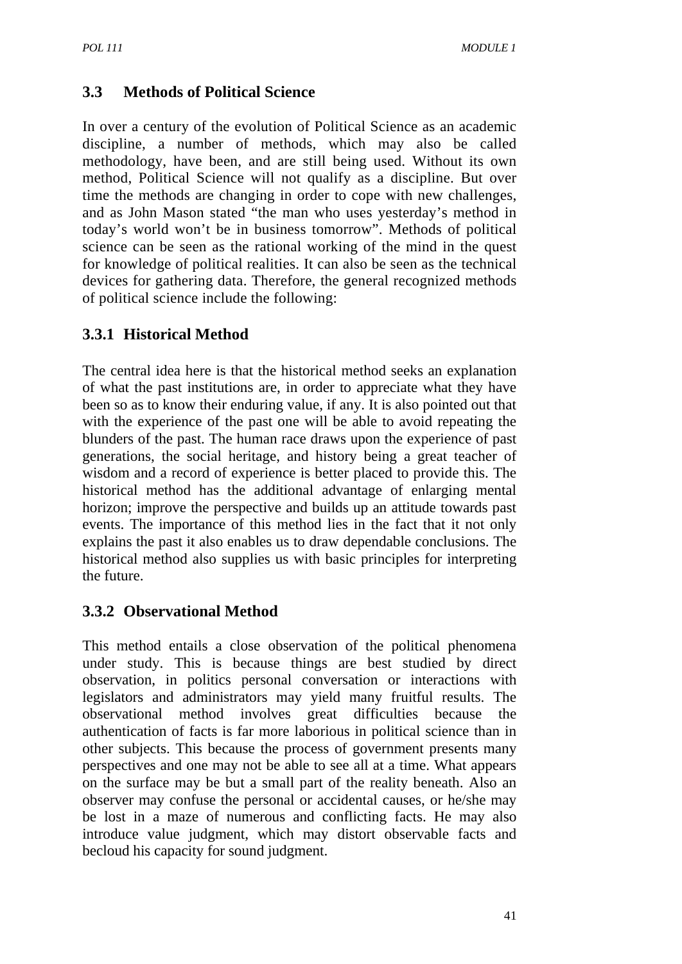# **3.3 Methods of Political Science**

In over a century of the evolution of Political Science as an academic discipline, a number of methods, which may also be called methodology, have been, and are still being used. Without its own method, Political Science will not qualify as a discipline. But over time the methods are changing in order to cope with new challenges, and as John Mason stated "the man who uses yesterday's method in today's world won't be in business tomorrow". Methods of political science can be seen as the rational working of the mind in the quest for knowledge of political realities. It can also be seen as the technical devices for gathering data. Therefore, the general recognized methods of political science include the following:

# **3.3.1 Historical Method**

The central idea here is that the historical method seeks an explanation of what the past institutions are, in order to appreciate what they have been so as to know their enduring value, if any. It is also pointed out that with the experience of the past one will be able to avoid repeating the blunders of the past. The human race draws upon the experience of past generations, the social heritage, and history being a great teacher of wisdom and a record of experience is better placed to provide this. The historical method has the additional advantage of enlarging mental horizon; improve the perspective and builds up an attitude towards past events. The importance of this method lies in the fact that it not only explains the past it also enables us to draw dependable conclusions. The historical method also supplies us with basic principles for interpreting the future.

# **3.3.2 Observational Method**

This method entails a close observation of the political phenomena under study. This is because things are best studied by direct observation, in politics personal conversation or interactions with legislators and administrators may yield many fruitful results. The observational method involves great difficulties because the authentication of facts is far more laborious in political science than in other subjects. This because the process of government presents many perspectives and one may not be able to see all at a time. What appears on the surface may be but a small part of the reality beneath. Also an observer may confuse the personal or accidental causes, or he/she may be lost in a maze of numerous and conflicting facts. He may also introduce value judgment, which may distort observable facts and becloud his capacity for sound judgment.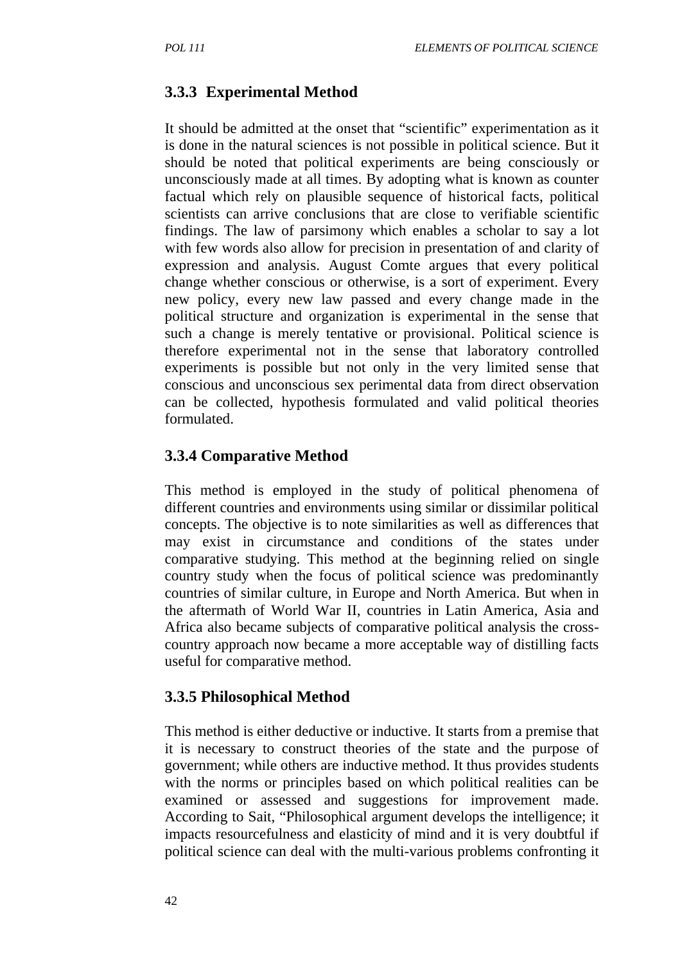# **3.3.3 Experimental Method**

It should be admitted at the onset that "scientific" experimentation as it is done in the natural sciences is not possible in political science. But it should be noted that political experiments are being consciously or unconsciously made at all times. By adopting what is known as counter factual which rely on plausible sequence of historical facts, political scientists can arrive conclusions that are close to verifiable scientific findings. The law of parsimony which enables a scholar to say a lot with few words also allow for precision in presentation of and clarity of expression and analysis. August Comte argues that every political change whether conscious or otherwise, is a sort of experiment. Every new policy, every new law passed and every change made in the political structure and organization is experimental in the sense that such a change is merely tentative or provisional. Political science is therefore experimental not in the sense that laboratory controlled experiments is possible but not only in the very limited sense that conscious and unconscious sex perimental data from direct observation can be collected, hypothesis formulated and valid political theories formulated.

### **3.3.4 Comparative Method**

This method is employed in the study of political phenomena of different countries and environments using similar or dissimilar political concepts. The objective is to note similarities as well as differences that may exist in circumstance and conditions of the states under comparative studying. This method at the beginning relied on single country study when the focus of political science was predominantly countries of similar culture, in Europe and North America. But when in the aftermath of World War II, countries in Latin America, Asia and Africa also became subjects of comparative political analysis the crosscountry approach now became a more acceptable way of distilling facts useful for comparative method.

### **3.3.5 Philosophical Method**

This method is either deductive or inductive. It starts from a premise that it is necessary to construct theories of the state and the purpose of government; while others are inductive method. It thus provides students with the norms or principles based on which political realities can be examined or assessed and suggestions for improvement made. According to Sait, "Philosophical argument develops the intelligence; it impacts resourcefulness and elasticity of mind and it is very doubtful if political science can deal with the multi-various problems confronting it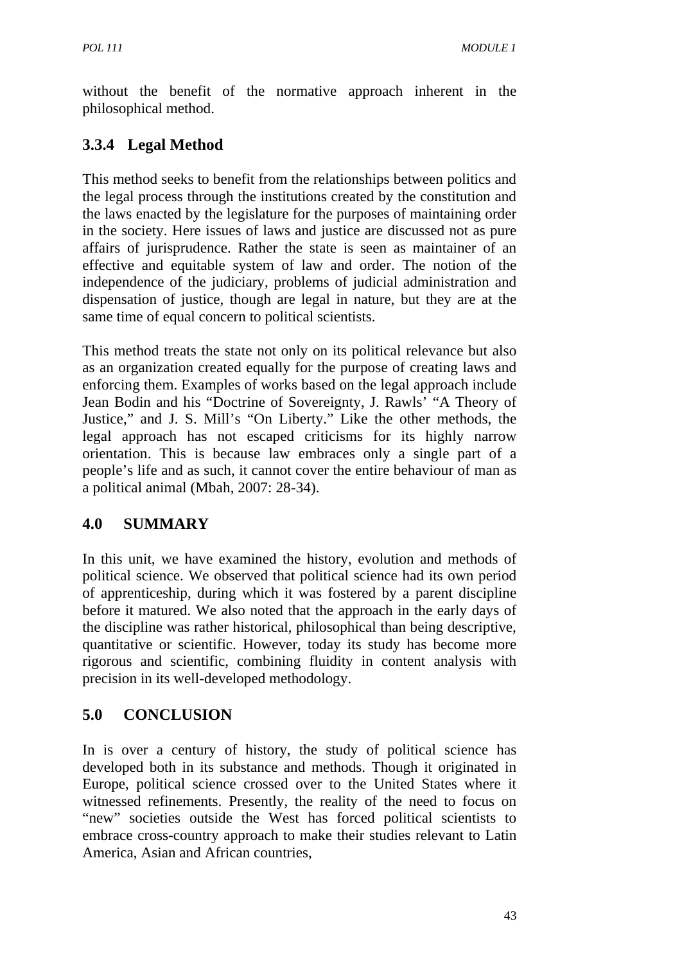without the benefit of the normative approach inherent in the philosophical method.

# **3.3.4 Legal Method**

This method seeks to benefit from the relationships between politics and the legal process through the institutions created by the constitution and the laws enacted by the legislature for the purposes of maintaining order in the society. Here issues of laws and justice are discussed not as pure affairs of jurisprudence. Rather the state is seen as maintainer of an effective and equitable system of law and order. The notion of the independence of the judiciary, problems of judicial administration and dispensation of justice, though are legal in nature, but they are at the same time of equal concern to political scientists.

This method treats the state not only on its political relevance but also as an organization created equally for the purpose of creating laws and enforcing them. Examples of works based on the legal approach include Jean Bodin and his "Doctrine of Sovereignty, J. Rawls' "A Theory of Justice," and J. S. Mill's "On Liberty." Like the other methods, the legal approach has not escaped criticisms for its highly narrow orientation. This is because law embraces only a single part of a people's life and as such, it cannot cover the entire behaviour of man as a political animal (Mbah, 2007: 28-34).

# **4.0 SUMMARY**

In this unit, we have examined the history, evolution and methods of political science. We observed that political science had its own period of apprenticeship, during which it was fostered by a parent discipline before it matured. We also noted that the approach in the early days of the discipline was rather historical, philosophical than being descriptive, quantitative or scientific. However, today its study has become more rigorous and scientific, combining fluidity in content analysis with precision in its well-developed methodology.

# **5.0 CONCLUSION**

In is over a century of history, the study of political science has developed both in its substance and methods. Though it originated in Europe, political science crossed over to the United States where it witnessed refinements. Presently, the reality of the need to focus on "new" societies outside the West has forced political scientists to embrace cross-country approach to make their studies relevant to Latin America, Asian and African countries,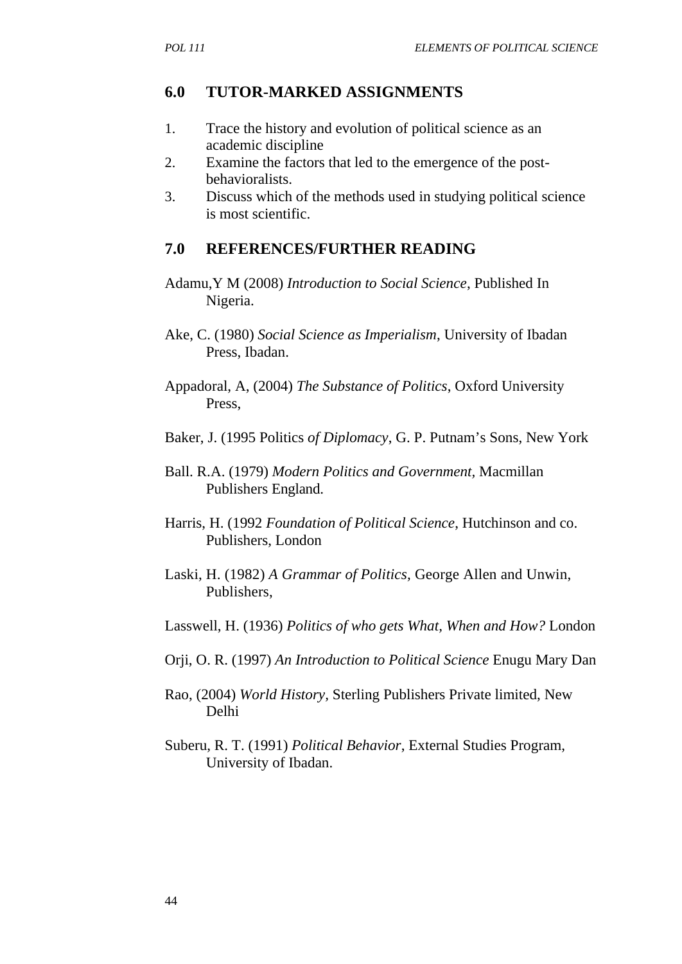### **6.0 TUTOR-MARKED ASSIGNMENTS**

- 1. Trace the history and evolution of political science as an academic discipline
- 2. Examine the factors that led to the emergence of the postbehavioralists.
- 3. Discuss which of the methods used in studying political science is most scientific.

### **7.0 REFERENCES/FURTHER READING**

- Adamu,Y M (2008) *Introduction to Social Science*, Published In Nigeria.
- Ake, C. (1980) *Social Science as Imperialism*, University of Ibadan Press, Ibadan.
- Appadoral, A, (2004) *The Substance of Politics*, Oxford University Press,
- Baker, J. (1995 Politics *of Diplomacy*, G. P. Putnam's Sons, New York
- Ball. R.A. (1979) *Modern Politics and Government,* Macmillan Publishers England.
- Harris, H. (1992 *Foundation of Political Science*, Hutchinson and co. Publishers, London
- Laski, H. (1982) *A Grammar of Politics,* George Allen and Unwin, Publishers,
- Lasswell, H. (1936) *Politics of who gets What, When and How?* London
- Orji, O. R. (1997) *An Introduction to Political Science* Enugu Mary Dan
- Rao, (2004) *World History,* Sterling Publishers Private limited, New Delhi
- Suberu, R. T. (1991) *Political Behavior*, External Studies Program, University of Ibadan.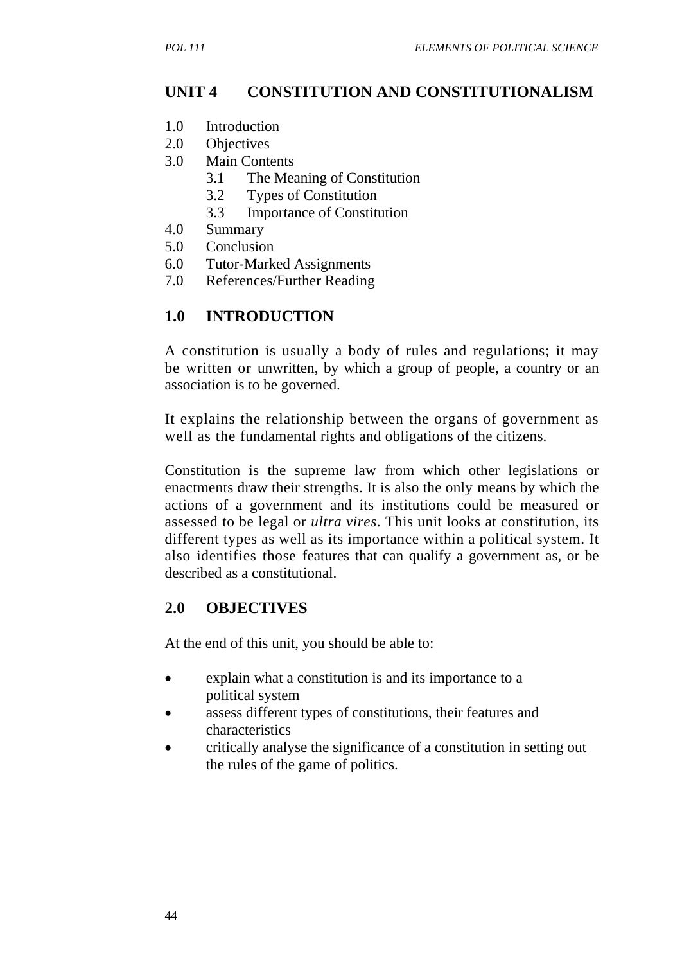# **UNIT 4 CONSTITUTION AND CONSTITUTIONALISM**

- 1.0 Introduction
- 2.0 Objectives
- 3.0 Main Contents
	- 3.1 The Meaning of Constitution
	- 3.2 Types of Constitution
	- 3.3 Importance of Constitution
- 4.0 Summary
- 5.0 Conclusion
- 6.0 Tutor-Marked Assignments
- 7.0 References/Further Reading

# **1.0 INTRODUCTION**

A constitution is usually a body of rules and regulations; it may be written or unwritten, by which a group of people, a country or an association is to be governed.

It explains the relationship between the organs of government as well as the fundamental rights and obligations of the citizens.

Constitution is the supreme law from which other legislations or enactments draw their strengths. It is also the only means by which the actions of a government and its institutions could be measured or assessed to be legal or *ultra vires*. This unit looks at constitution, its different types as well as its importance within a political system. It also identifies those features that can qualify a government as, or be described as a constitutional.

# **2.0 OBJECTIVES**

At the end of this unit, you should be able to:

- explain what a constitution is and its importance to a political system
- assess different types of constitutions, their features and characteristics
- critically analyse the significance of a constitution in setting out the rules of the game of politics.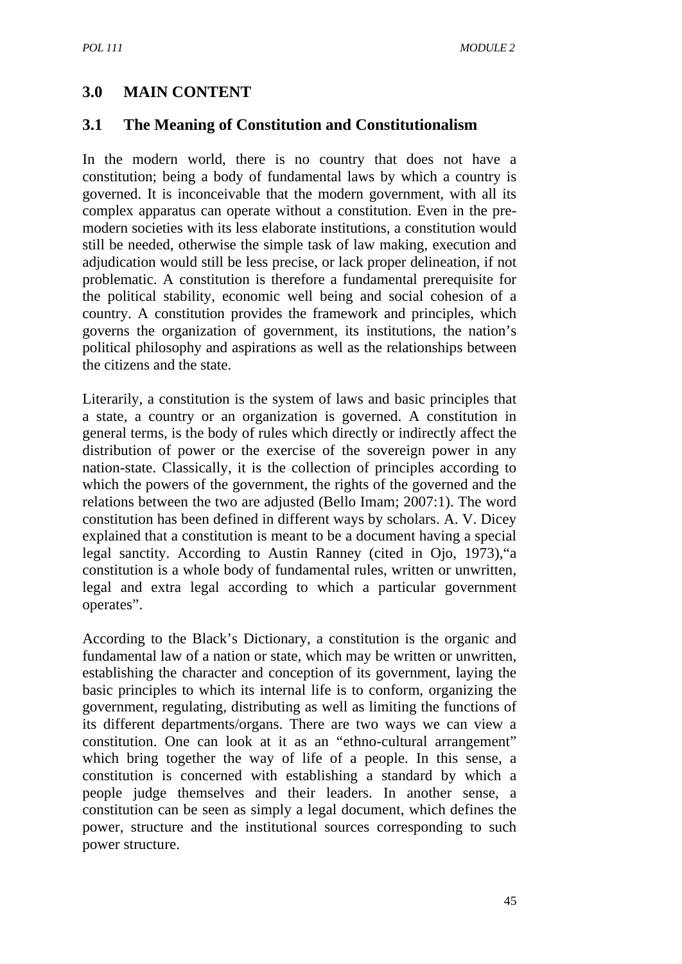### **3.0 MAIN CONTENT**

#### **3.1 The Meaning of Constitution and Constitutionalism**

In the modern world, there is no country that does not have a constitution; being a body of fundamental laws by which a country is governed. It is inconceivable that the modern government, with all its complex apparatus can operate without a constitution. Even in the premodern societies with its less elaborate institutions, a constitution would still be needed, otherwise the simple task of law making, execution and adjudication would still be less precise, or lack proper delineation, if not problematic. A constitution is therefore a fundamental prerequisite for the political stability, economic well being and social cohesion of a country. A constitution provides the framework and principles, which governs the organization of government, its institutions, the nation's political philosophy and aspirations as well as the relationships between the citizens and the state.

Literarily, a constitution is the system of laws and basic principles that a state, a country or an organization is governed. A constitution in general terms, is the body of rules which directly or indirectly affect the distribution of power or the exercise of the sovereign power in any nation-state. Classically, it is the collection of principles according to which the powers of the government, the rights of the governed and the relations between the two are adjusted (Bello Imam; 2007:1). The word constitution has been defined in different ways by scholars. A. V. Dicey explained that a constitution is meant to be a document having a special legal sanctity. According to Austin Ranney (cited in Ojo, 1973),"a constitution is a whole body of fundamental rules, written or unwritten, legal and extra legal according to which a particular government operates".

According to the Black's Dictionary, a constitution is the organic and fundamental law of a nation or state, which may be written or unwritten, establishing the character and conception of its government, laying the basic principles to which its internal life is to conform, organizing the government, regulating, distributing as well as limiting the functions of its different departments/organs. There are two ways we can view a constitution. One can look at it as an "ethno-cultural arrangement" which bring together the way of life of a people. In this sense, a constitution is concerned with establishing a standard by which a people judge themselves and their leaders. In another sense, a constitution can be seen as simply a legal document, which defines the power, structure and the institutional sources corresponding to such power structure.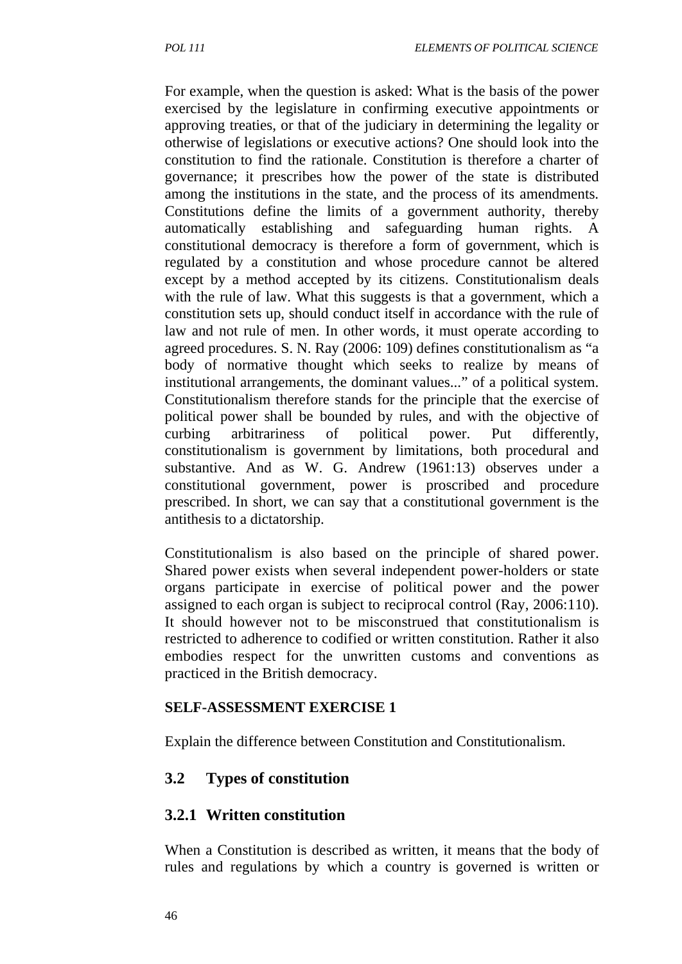For example, when the question is asked: What is the basis of the power exercised by the legislature in confirming executive appointments or approving treaties, or that of the judiciary in determining the legality or otherwise of legislations or executive actions? One should look into the constitution to find the rationale. Constitution is therefore a charter of governance; it prescribes how the power of the state is distributed among the institutions in the state, and the process of its amendments. Constitutions define the limits of a government authority, thereby automatically establishing and safeguarding human rights. A constitutional democracy is therefore a form of government, which is regulated by a constitution and whose procedure cannot be altered except by a method accepted by its citizens. Constitutionalism deals with the rule of law. What this suggests is that a government, which a constitution sets up, should conduct itself in accordance with the rule of law and not rule of men. In other words, it must operate according to agreed procedures. S. N. Ray (2006: 109) defines constitutionalism as "a body of normative thought which seeks to realize by means of institutional arrangements, the dominant values..." of a political system. Constitutionalism therefore stands for the principle that the exercise of political power shall be bounded by rules, and with the objective of curbing arbitrariness of political power. Put differently, constitutionalism is government by limitations, both procedural and substantive. And as W. G. Andrew (1961:13) observes under a constitutional government, power is proscribed and procedure prescribed. In short, we can say that a constitutional government is the antithesis to a dictatorship.

Constitutionalism is also based on the principle of shared power. Shared power exists when several independent power-holders or state organs participate in exercise of political power and the power assigned to each organ is subject to reciprocal control (Ray, 2006:110). It should however not to be misconstrued that constitutionalism is restricted to adherence to codified or written constitution. Rather it also embodies respect for the unwritten customs and conventions as practiced in the British democracy.

#### **SELF-ASSESSMENT EXERCISE 1**

Explain the difference between Constitution and Constitutionalism.

# **3.2 Types of constitution**

### **3.2.1 Written constitution**

When a Constitution is described as written, it means that the body of rules and regulations by which a country is governed is written or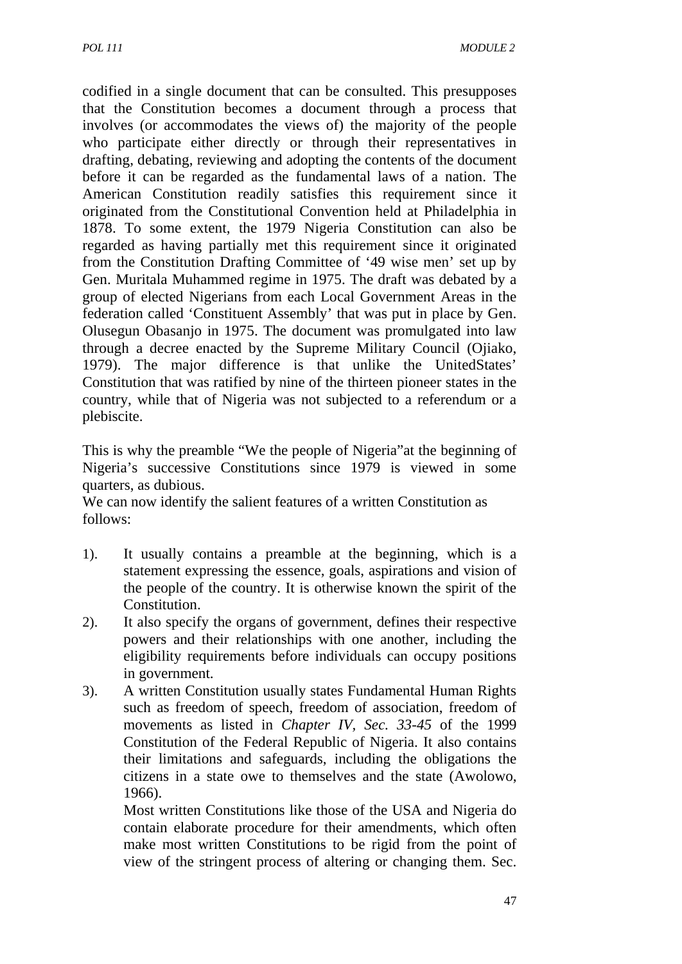codified in a single document that can be consulted. This presupposes that the Constitution becomes a document through a process that involves (or accommodates the views of) the majority of the people who participate either directly or through their representatives in drafting, debating, reviewing and adopting the contents of the document before it can be regarded as the fundamental laws of a nation. The American Constitution readily satisfies this requirement since it originated from the Constitutional Convention held at Philadelphia in 1878. To some extent, the 1979 Nigeria Constitution can also be regarded as having partially met this requirement since it originated from the Constitution Drafting Committee of '49 wise men' set up by Gen. Muritala Muhammed regime in 1975. The draft was debated by a group of elected Nigerians from each Local Government Areas in the federation called 'Constituent Assembly' that was put in place by Gen. Olusegun Obasanjo in 1975. The document was promulgated into law through a decree enacted by the Supreme Military Council (Ojiako, 1979). The major difference is that unlike the UnitedStates' Constitution that was ratified by nine of the thirteen pioneer states in the country, while that of Nigeria was not subjected to a referendum or a plebiscite.

This is why the preamble "We the people of Nigeria"at the beginning of Nigeria's successive Constitutions since 1979 is viewed in some quarters, as dubious.

We can now identify the salient features of a written Constitution as follows:

- 1). It usually contains a preamble at the beginning, which is a statement expressing the essence, goals, aspirations and vision of the people of the country. It is otherwise known the spirit of the Constitution.
- 2). It also specify the organs of government, defines their respective powers and their relationships with one another, including the eligibility requirements before individuals can occupy positions in government.
- 3). A written Constitution usually states Fundamental Human Rights such as freedom of speech, freedom of association, freedom of movements as listed in *Chapter IV, Sec. 33-45* of the 1999 Constitution of the Federal Republic of Nigeria. It also contains their limitations and safeguards, including the obligations the citizens in a state owe to themselves and the state (Awolowo, 1966).

Most written Constitutions like those of the USA and Nigeria do contain elaborate procedure for their amendments, which often make most written Constitutions to be rigid from the point of view of the stringent process of altering or changing them. Sec.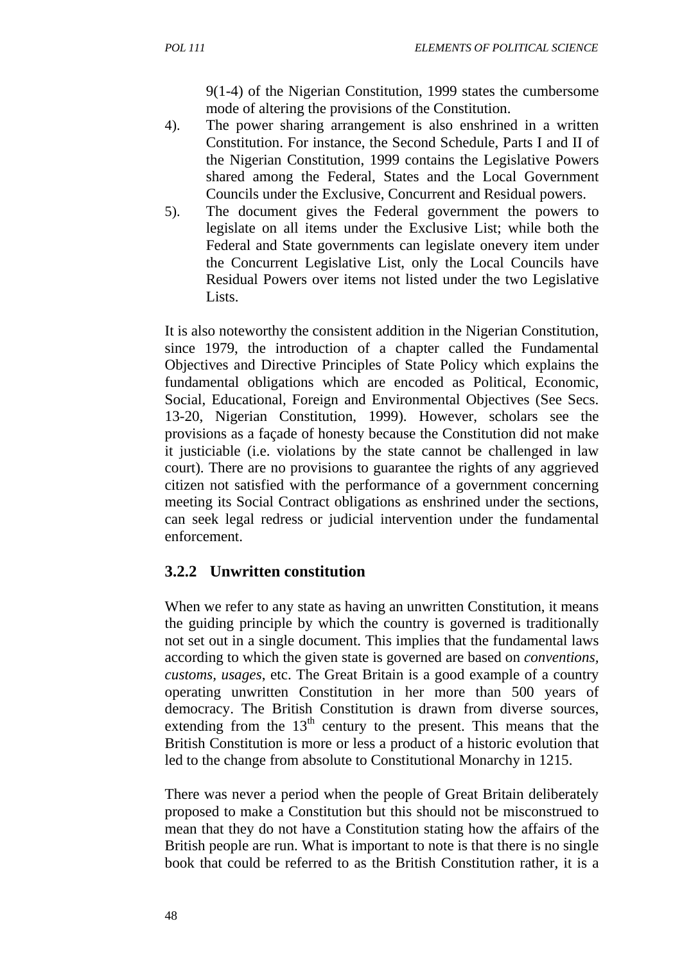9(1-4) of the Nigerian Constitution, 1999 states the cumbersome mode of altering the provisions of the Constitution.

- 4). The power sharing arrangement is also enshrined in a written Constitution. For instance, the Second Schedule, Parts I and II of the Nigerian Constitution, 1999 contains the Legislative Powers shared among the Federal, States and the Local Government Councils under the Exclusive, Concurrent and Residual powers.
- 5). The document gives the Federal government the powers to legislate on all items under the Exclusive List; while both the Federal and State governments can legislate onevery item under the Concurrent Legislative List, only the Local Councils have Residual Powers over items not listed under the two Legislative Lists.

It is also noteworthy the consistent addition in the Nigerian Constitution, since 1979, the introduction of a chapter called the Fundamental Objectives and Directive Principles of State Policy which explains the fundamental obligations which are encoded as Political, Economic, Social, Educational, Foreign and Environmental Objectives (See Secs. 13-20, Nigerian Constitution, 1999). However, scholars see the provisions as a façade of honesty because the Constitution did not make it justiciable (i.e. violations by the state cannot be challenged in law court). There are no provisions to guarantee the rights of any aggrieved citizen not satisfied with the performance of a government concerning meeting its Social Contract obligations as enshrined under the sections, can seek legal redress or judicial intervention under the fundamental enforcement.

# **3.2.2 Unwritten constitution**

When we refer to any state as having an unwritten Constitution, it means the guiding principle by which the country is governed is traditionally not set out in a single document. This implies that the fundamental laws according to which the given state is governed are based on *conventions, customs, usages*, etc. The Great Britain is a good example of a country operating unwritten Constitution in her more than 500 years of democracy. The British Constitution is drawn from diverse sources, extending from the  $13<sup>th</sup>$  century to the present. This means that the British Constitution is more or less a product of a historic evolution that led to the change from absolute to Constitutional Monarchy in 1215.

There was never a period when the people of Great Britain deliberately proposed to make a Constitution but this should not be misconstrued to mean that they do not have a Constitution stating how the affairs of the British people are run. What is important to note is that there is no single book that could be referred to as the British Constitution rather, it is a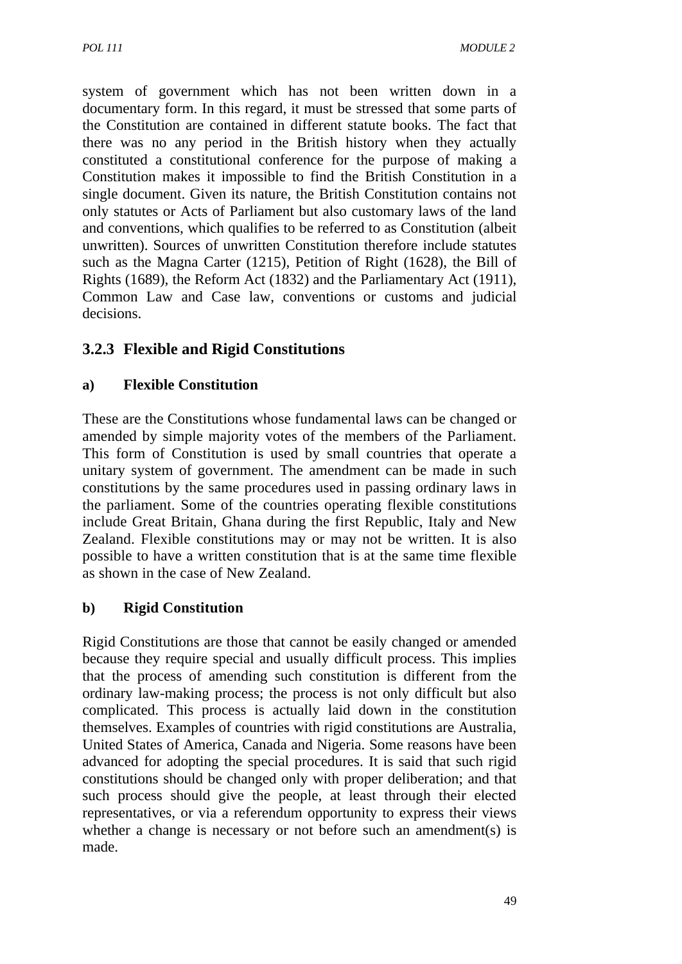system of government which has not been written down in a documentary form. In this regard, it must be stressed that some parts of the Constitution are contained in different statute books. The fact that there was no any period in the British history when they actually constituted a constitutional conference for the purpose of making a Constitution makes it impossible to find the British Constitution in a single document. Given its nature, the British Constitution contains not only statutes or Acts of Parliament but also customary laws of the land and conventions, which qualifies to be referred to as Constitution (albeit unwritten). Sources of unwritten Constitution therefore include statutes such as the Magna Carter (1215), Petition of Right (1628), the Bill of Rights (1689), the Reform Act (1832) and the Parliamentary Act (1911), Common Law and Case law, conventions or customs and judicial decisions.

# **3.2.3 Flexible and Rigid Constitutions**

#### **a) Flexible Constitution**

These are the Constitutions whose fundamental laws can be changed or amended by simple majority votes of the members of the Parliament. This form of Constitution is used by small countries that operate a unitary system of government. The amendment can be made in such constitutions by the same procedures used in passing ordinary laws in the parliament. Some of the countries operating flexible constitutions include Great Britain, Ghana during the first Republic, Italy and New Zealand. Flexible constitutions may or may not be written. It is also possible to have a written constitution that is at the same time flexible as shown in the case of New Zealand.

### **b) Rigid Constitution**

Rigid Constitutions are those that cannot be easily changed or amended because they require special and usually difficult process. This implies that the process of amending such constitution is different from the ordinary law-making process; the process is not only difficult but also complicated. This process is actually laid down in the constitution themselves. Examples of countries with rigid constitutions are Australia, United States of America, Canada and Nigeria. Some reasons have been advanced for adopting the special procedures. It is said that such rigid constitutions should be changed only with proper deliberation; and that such process should give the people, at least through their elected representatives, or via a referendum opportunity to express their views whether a change is necessary or not before such an amendment(s) is made.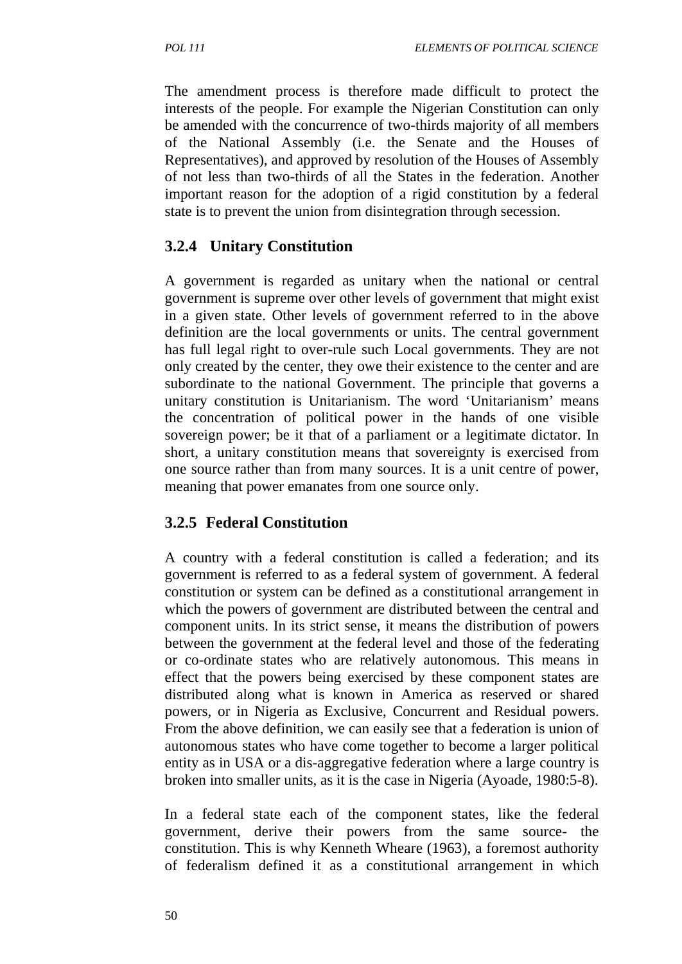The amendment process is therefore made difficult to protect the interests of the people. For example the Nigerian Constitution can only be amended with the concurrence of two-thirds majority of all members of the National Assembly (i.e. the Senate and the Houses of Representatives), and approved by resolution of the Houses of Assembly of not less than two-thirds of all the States in the federation. Another important reason for the adoption of a rigid constitution by a federal state is to prevent the union from disintegration through secession.

### **3.2.4 Unitary Constitution**

A government is regarded as unitary when the national or central government is supreme over other levels of government that might exist in a given state. Other levels of government referred to in the above definition are the local governments or units. The central government has full legal right to over-rule such Local governments. They are not only created by the center, they owe their existence to the center and are subordinate to the national Government. The principle that governs a unitary constitution is Unitarianism. The word 'Unitarianism' means the concentration of political power in the hands of one visible sovereign power; be it that of a parliament or a legitimate dictator. In short, a unitary constitution means that sovereignty is exercised from one source rather than from many sources. It is a unit centre of power, meaning that power emanates from one source only.

# **3.2.5 Federal Constitution**

A country with a federal constitution is called a federation; and its government is referred to as a federal system of government. A federal constitution or system can be defined as a constitutional arrangement in which the powers of government are distributed between the central and component units. In its strict sense, it means the distribution of powers between the government at the federal level and those of the federating or co-ordinate states who are relatively autonomous. This means in effect that the powers being exercised by these component states are distributed along what is known in America as reserved or shared powers, or in Nigeria as Exclusive, Concurrent and Residual powers. From the above definition, we can easily see that a federation is union of autonomous states who have come together to become a larger political entity as in USA or a dis-aggregative federation where a large country is broken into smaller units, as it is the case in Nigeria (Ayoade, 1980:5-8).

In a federal state each of the component states, like the federal government, derive their powers from the same source- the constitution. This is why Kenneth Wheare (1963), a foremost authority of federalism defined it as a constitutional arrangement in which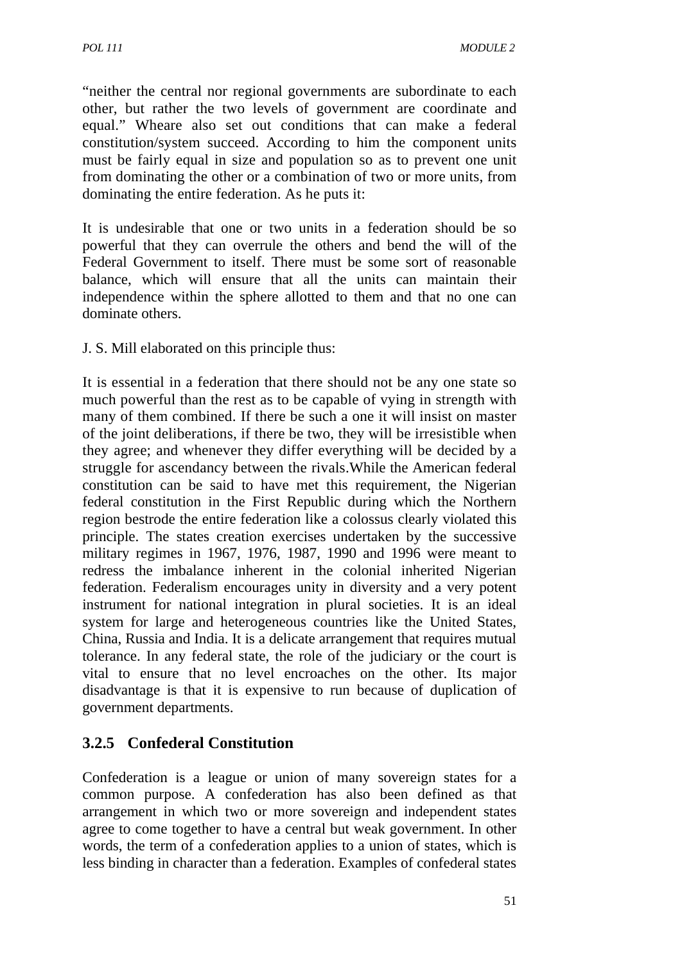"neither the central nor regional governments are subordinate to each other, but rather the two levels of government are coordinate and equal." Wheare also set out conditions that can make a federal constitution/system succeed. According to him the component units must be fairly equal in size and population so as to prevent one unit from dominating the other or a combination of two or more units, from dominating the entire federation. As he puts it:

It is undesirable that one or two units in a federation should be so powerful that they can overrule the others and bend the will of the Federal Government to itself. There must be some sort of reasonable balance, which will ensure that all the units can maintain their independence within the sphere allotted to them and that no one can dominate others.

J. S. Mill elaborated on this principle thus:

It is essential in a federation that there should not be any one state so much powerful than the rest as to be capable of vying in strength with many of them combined. If there be such a one it will insist on master of the joint deliberations, if there be two, they will be irresistible when they agree; and whenever they differ everything will be decided by a struggle for ascendancy between the rivals.While the American federal constitution can be said to have met this requirement, the Nigerian federal constitution in the First Republic during which the Northern region bestrode the entire federation like a colossus clearly violated this principle. The states creation exercises undertaken by the successive military regimes in 1967, 1976, 1987, 1990 and 1996 were meant to redress the imbalance inherent in the colonial inherited Nigerian federation. Federalism encourages unity in diversity and a very potent instrument for national integration in plural societies. It is an ideal system for large and heterogeneous countries like the United States, China, Russia and India. It is a delicate arrangement that requires mutual tolerance. In any federal state, the role of the judiciary or the court is vital to ensure that no level encroaches on the other. Its major disadvantage is that it is expensive to run because of duplication of government departments.

# **3.2.5 Confederal Constitution**

Confederation is a league or union of many sovereign states for a common purpose. A confederation has also been defined as that arrangement in which two or more sovereign and independent states agree to come together to have a central but weak government. In other words, the term of a confederation applies to a union of states, which is less binding in character than a federation. Examples of confederal states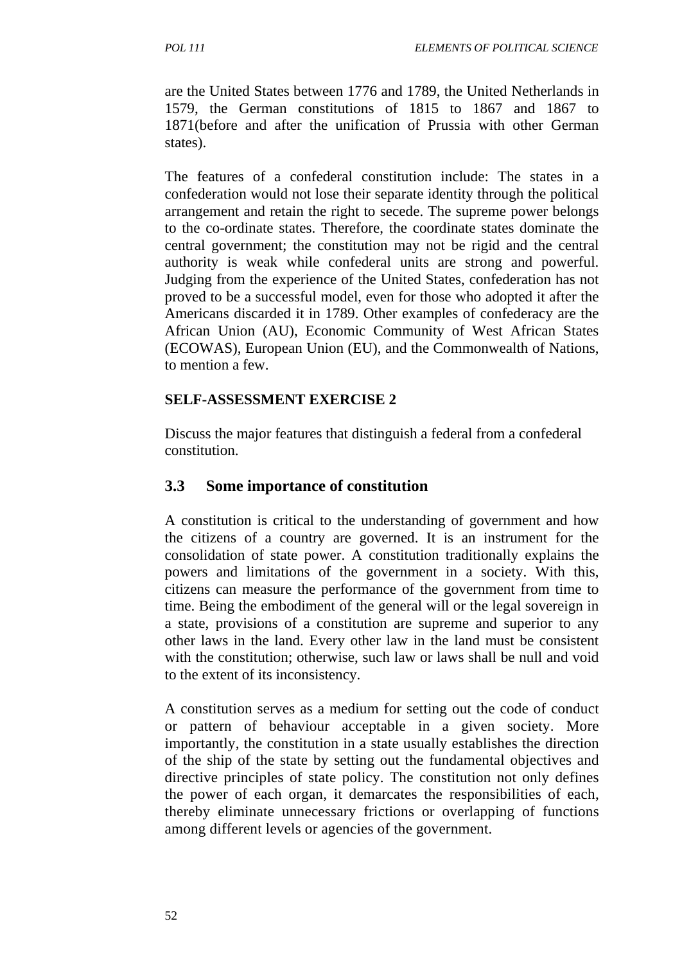are the United States between 1776 and 1789, the United Netherlands in 1579, the German constitutions of 1815 to 1867 and 1867 to 1871(before and after the unification of Prussia with other German states).

The features of a confederal constitution include: The states in a confederation would not lose their separate identity through the political arrangement and retain the right to secede. The supreme power belongs to the co-ordinate states. Therefore, the coordinate states dominate the central government; the constitution may not be rigid and the central authority is weak while confederal units are strong and powerful. Judging from the experience of the United States, confederation has not proved to be a successful model, even for those who adopted it after the Americans discarded it in 1789. Other examples of confederacy are the African Union (AU), Economic Community of West African States (ECOWAS), European Union (EU), and the Commonwealth of Nations, to mention a few.

#### **SELF-ASSESSMENT EXERCISE 2**

Discuss the major features that distinguish a federal from a confederal constitution.

#### **3.3 Some importance of constitution**

A constitution is critical to the understanding of government and how the citizens of a country are governed. It is an instrument for the consolidation of state power. A constitution traditionally explains the powers and limitations of the government in a society. With this, citizens can measure the performance of the government from time to time. Being the embodiment of the general will or the legal sovereign in a state, provisions of a constitution are supreme and superior to any other laws in the land. Every other law in the land must be consistent with the constitution; otherwise, such law or laws shall be null and void to the extent of its inconsistency.

A constitution serves as a medium for setting out the code of conduct or pattern of behaviour acceptable in a given society. More importantly, the constitution in a state usually establishes the direction of the ship of the state by setting out the fundamental objectives and directive principles of state policy. The constitution not only defines the power of each organ, it demarcates the responsibilities of each, thereby eliminate unnecessary frictions or overlapping of functions among different levels or agencies of the government.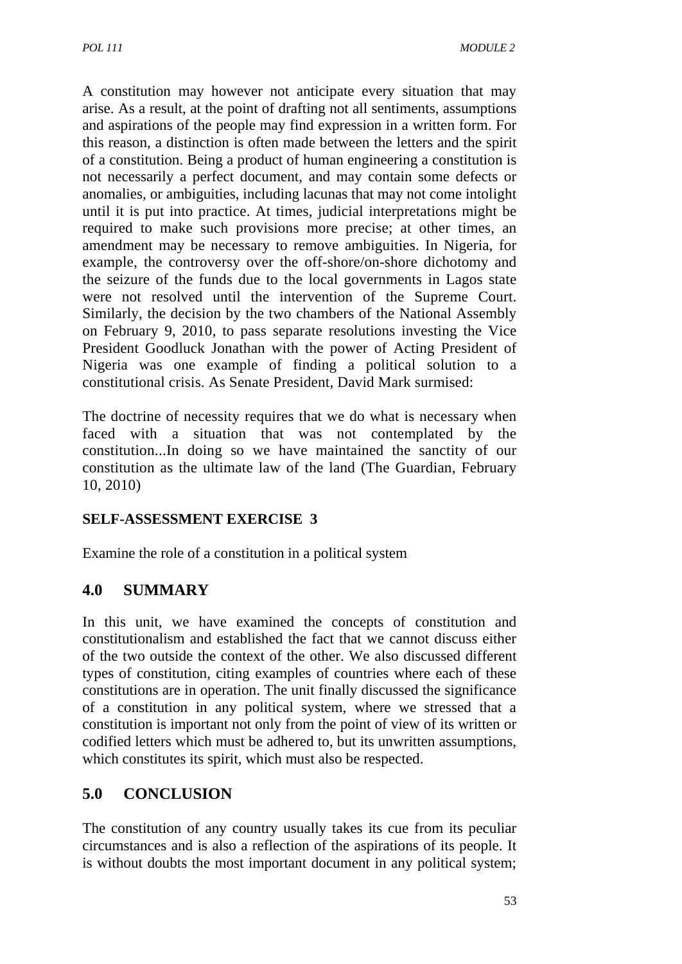A constitution may however not anticipate every situation that may arise. As a result, at the point of drafting not all sentiments, assumptions and aspirations of the people may find expression in a written form. For this reason, a distinction is often made between the letters and the spirit of a constitution. Being a product of human engineering a constitution is not necessarily a perfect document, and may contain some defects or anomalies, or ambiguities, including lacunas that may not come intolight until it is put into practice. At times, judicial interpretations might be required to make such provisions more precise; at other times, an amendment may be necessary to remove ambiguities. In Nigeria, for example, the controversy over the off-shore/on-shore dichotomy and the seizure of the funds due to the local governments in Lagos state were not resolved until the intervention of the Supreme Court. Similarly, the decision by the two chambers of the National Assembly on February 9, 2010, to pass separate resolutions investing the Vice President Goodluck Jonathan with the power of Acting President of Nigeria was one example of finding a political solution to a constitutional crisis. As Senate President, David Mark surmised:

The doctrine of necessity requires that we do what is necessary when faced with a situation that was not contemplated by the constitution...In doing so we have maintained the sanctity of our constitution as the ultimate law of the land (The Guardian, February 10, 2010)

### **SELF-ASSESSMENT EXERCISE 3**

Examine the role of a constitution in a political system

# **4.0 SUMMARY**

In this unit, we have examined the concepts of constitution and constitutionalism and established the fact that we cannot discuss either of the two outside the context of the other. We also discussed different types of constitution, citing examples of countries where each of these constitutions are in operation. The unit finally discussed the significance of a constitution in any political system, where we stressed that a constitution is important not only from the point of view of its written or codified letters which must be adhered to, but its unwritten assumptions, which constitutes its spirit, which must also be respected.

### **5.0 CONCLUSION**

The constitution of any country usually takes its cue from its peculiar circumstances and is also a reflection of the aspirations of its people. It is without doubts the most important document in any political system;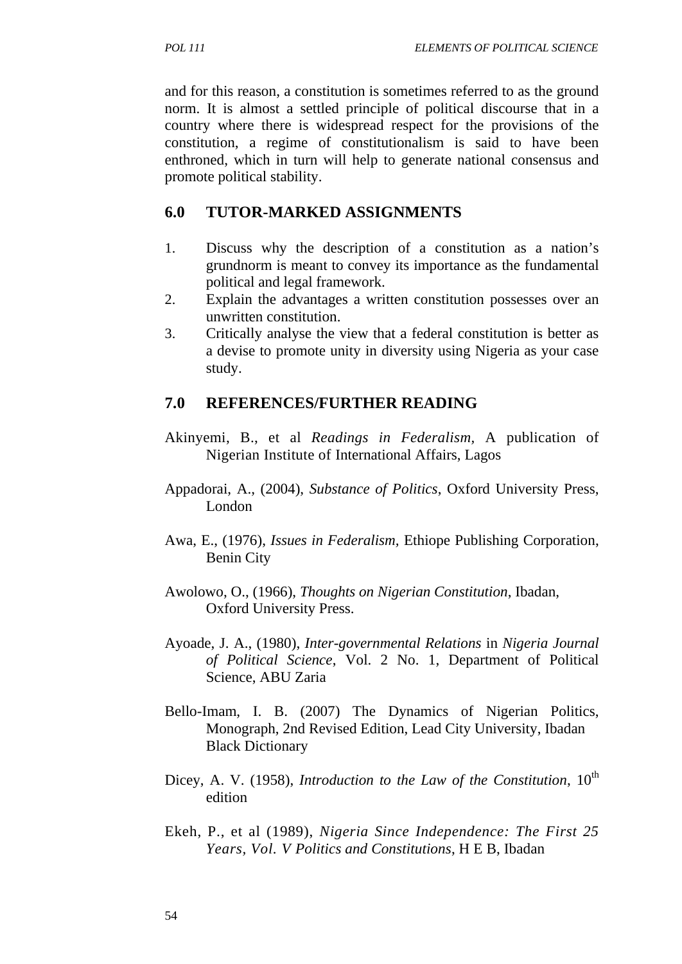and for this reason, a constitution is sometimes referred to as the ground norm. It is almost a settled principle of political discourse that in a country where there is widespread respect for the provisions of the constitution, a regime of constitutionalism is said to have been enthroned, which in turn will help to generate national consensus and promote political stability.

#### **6.0 TUTOR-MARKED ASSIGNMENTS**

- 1. Discuss why the description of a constitution as a nation's grundnorm is meant to convey its importance as the fundamental political and legal framework.
- 2. Explain the advantages a written constitution possesses over an unwritten constitution.
- 3. Critically analyse the view that a federal constitution is better as a devise to promote unity in diversity using Nigeria as your case study.

### **7.0 REFERENCES/FURTHER READING**

- Akinyemi, B., et al *Readings in Federalism,* A publication of Nigerian Institute of International Affairs, Lagos
- Appadorai, A., (2004), *Substance of Politics*, Oxford University Press, London
- Awa, E., (1976), *Issues in Federalism,* Ethiope Publishing Corporation, Benin City
- Awolowo, O., (1966), *Thoughts on Nigerian Constitution*, Ibadan, Oxford University Press.
- Ayoade, J. A., (1980), *Inter-governmental Relations* in *Nigeria Journal of Political Science*, Vol. 2 No. 1, Department of Political Science, ABU Zaria
- Bello-Imam, I. B. (2007) The Dynamics of Nigerian Politics, Monograph, 2nd Revised Edition, Lead City University, Ibadan Black Dictionary
- Dicey, A. V. (1958), *Introduction to the Law of the Constitution*, 10<sup>th</sup> edition
- Ekeh, P., et al (1989), *Nigeria Since Independence: The First 25 Years, Vol. V Politics and Constitutions*, H E B, Ibadan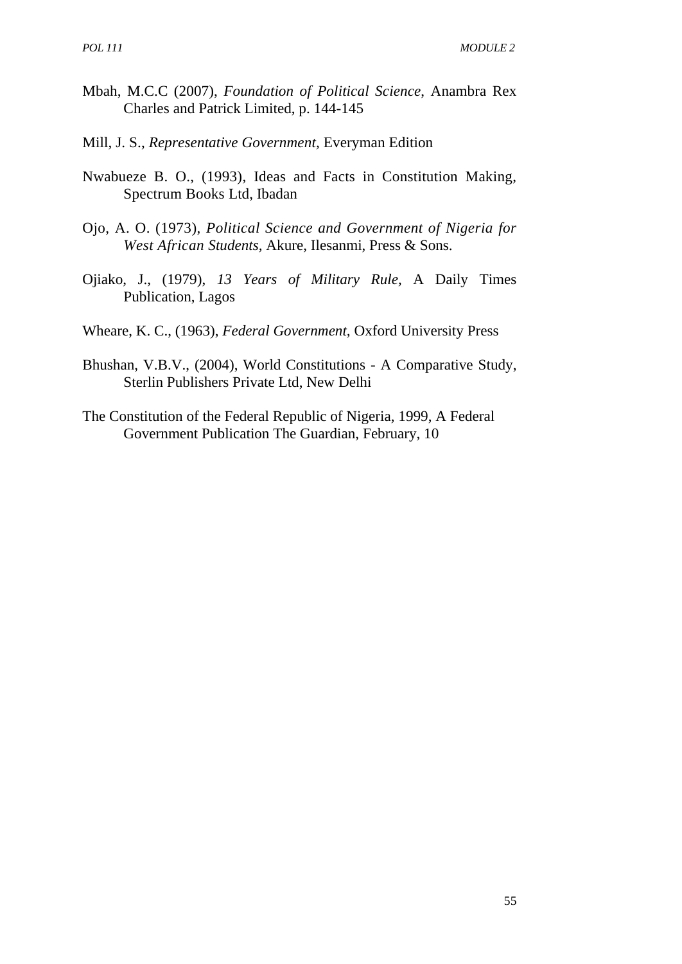- Mbah, M.C.C (2007), *Foundation of Political Science*, Anambra Rex Charles and Patrick Limited, p. 144-145
- Mill, J. S., *Representative Government,* Everyman Edition
- Nwabueze B. O., (1993), Ideas and Facts in Constitution Making, Spectrum Books Ltd, Ibadan
- Ojo, A. O. (1973), *Political Science and Government of Nigeria for West African Students,* Akure, Ilesanmi, Press & Sons.
- Ojiako, J., (1979), *13 Years of Military Rule,* A Daily Times Publication, Lagos
- Wheare, K. C., (1963), *Federal Government,* Oxford University Press
- Bhushan, V.B.V., (2004), World Constitutions A Comparative Study, Sterlin Publishers Private Ltd, New Delhi
- The Constitution of the Federal Republic of Nigeria, 1999, A Federal Government Publication The Guardian, February, 10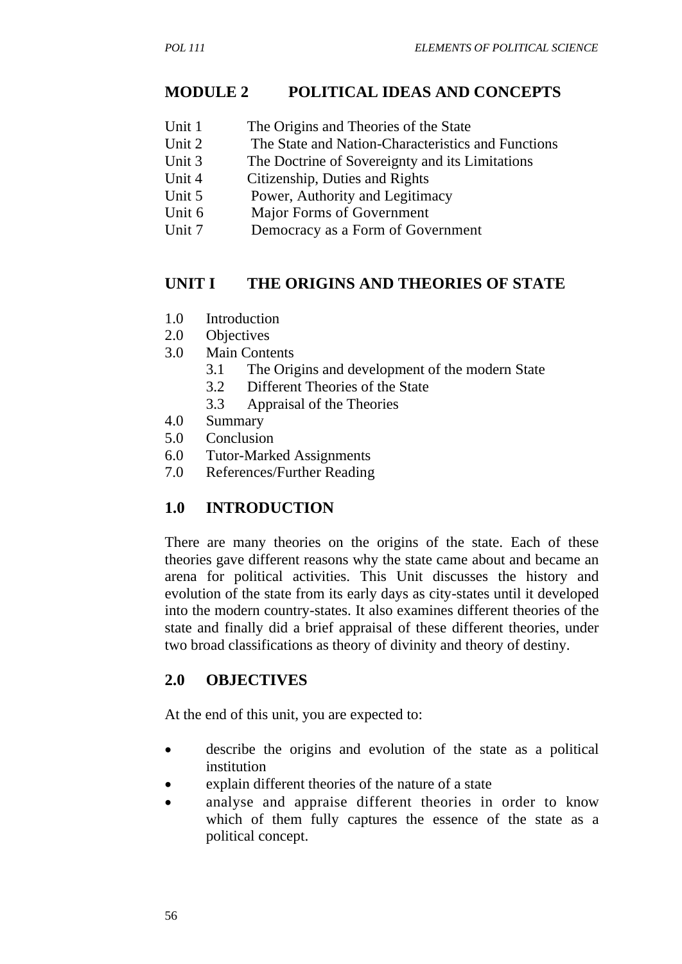### **MODULE 2 POLITICAL IDEAS AND CONCEPTS**

- Unit 1 The Origins and Theories of the State
- Unit 2 The State and Nation-Characteristics and Functions
- Unit 3 The Doctrine of Sovereignty and its Limitations
- Unit 4 Citizenship, Duties and Rights
- Unit 5 Power, Authority and Legitimacy
- Unit 6 Major Forms of Government
- Unit 7 Democracy as a Form of Government

### **UNIT I THE ORIGINS AND THEORIES OF STATE**

- 1.0 Introduction
- 2.0 Objectives
- 3.0 Main Contents
	- 3.1 The Origins and development of the modern State
	- 3.2 Different Theories of the State
	- 3.3 Appraisal of the Theories
- 4.0 Summary
- 5.0 Conclusion
- 6.0 Tutor-Marked Assignments
- 7.0 References/Further Reading

# **1.0 INTRODUCTION**

There are many theories on the origins of the state. Each of these theories gave different reasons why the state came about and became an arena for political activities. This Unit discusses the history and evolution of the state from its early days as city-states until it developed into the modern country-states. It also examines different theories of the state and finally did a brief appraisal of these different theories, under two broad classifications as theory of divinity and theory of destiny.

# **2.0 OBJECTIVES**

At the end of this unit, you are expected to:

- describe the origins and evolution of the state as a political institution
- explain different theories of the nature of a state
- analyse and appraise different theories in order to know which of them fully captures the essence of the state as a political concept.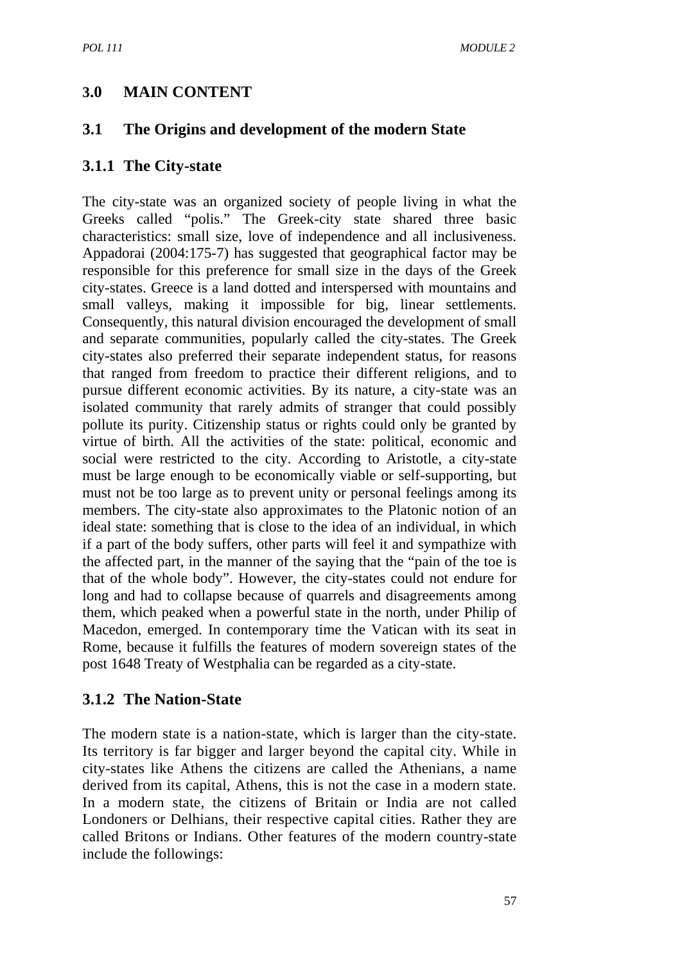# **3.0 MAIN CONTENT**

#### **3.1 The Origins and development of the modern State**

#### **3.1.1 The City-state**

The city-state was an organized society of people living in what the Greeks called "polis." The Greek-city state shared three basic characteristics: small size, love of independence and all inclusiveness. Appadorai (2004:175-7) has suggested that geographical factor may be responsible for this preference for small size in the days of the Greek city-states. Greece is a land dotted and interspersed with mountains and small valleys, making it impossible for big, linear settlements. Consequently, this natural division encouraged the development of small and separate communities, popularly called the city-states. The Greek city-states also preferred their separate independent status, for reasons that ranged from freedom to practice their different religions, and to pursue different economic activities. By its nature, a city-state was an isolated community that rarely admits of stranger that could possibly pollute its purity. Citizenship status or rights could only be granted by virtue of birth. All the activities of the state: political, economic and social were restricted to the city. According to Aristotle, a city-state must be large enough to be economically viable or self-supporting, but must not be too large as to prevent unity or personal feelings among its members. The city-state also approximates to the Platonic notion of an ideal state: something that is close to the idea of an individual, in which if a part of the body suffers, other parts will feel it and sympathize with the affected part, in the manner of the saying that the "pain of the toe is that of the whole body". However, the city-states could not endure for long and had to collapse because of quarrels and disagreements among them, which peaked when a powerful state in the north, under Philip of Macedon, emerged. In contemporary time the Vatican with its seat in Rome, because it fulfills the features of modern sovereign states of the post 1648 Treaty of Westphalia can be regarded as a city-state.

### **3.1.2 The Nation-State**

The modern state is a nation-state, which is larger than the city-state. Its territory is far bigger and larger beyond the capital city. While in city-states like Athens the citizens are called the Athenians, a name derived from its capital, Athens, this is not the case in a modern state. In a modern state, the citizens of Britain or India are not called Londoners or Delhians, their respective capital cities. Rather they are called Britons or Indians. Other features of the modern country-state include the followings: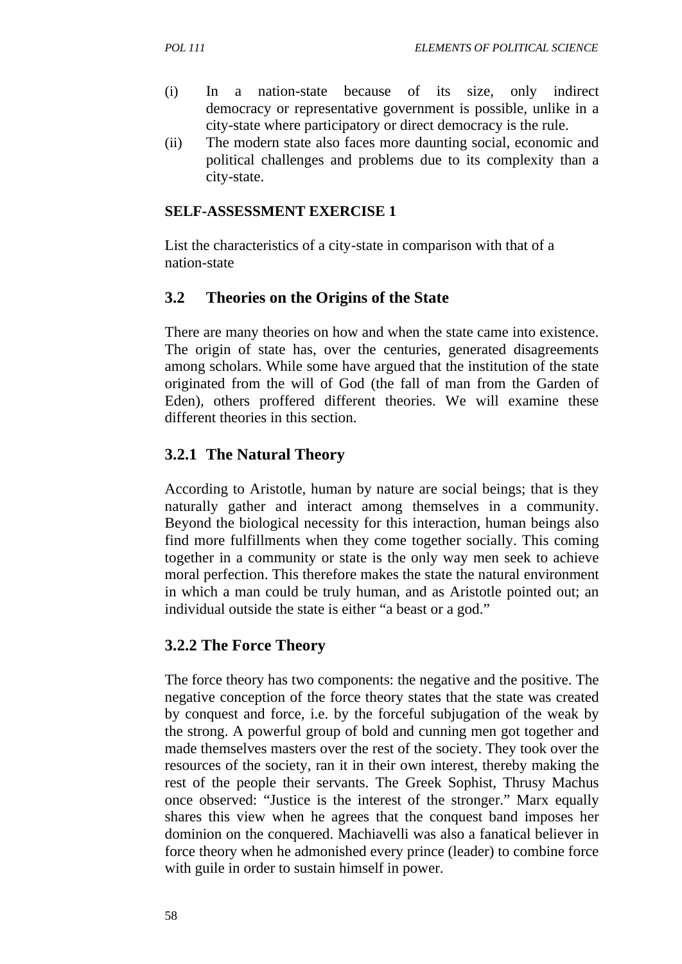- (i) In a nation-state because of its size, only indirect democracy or representative government is possible, unlike in a city-state where participatory or direct democracy is the rule.
- (ii) The modern state also faces more daunting social, economic and political challenges and problems due to its complexity than a city-state.

#### **SELF-ASSESSMENT EXERCISE 1**

List the characteristics of a city-state in comparison with that of a nation-state

#### **3.2 Theories on the Origins of the State**

There are many theories on how and when the state came into existence. The origin of state has, over the centuries, generated disagreements among scholars. While some have argued that the institution of the state originated from the will of God (the fall of man from the Garden of Eden), others proffered different theories. We will examine these different theories in this section.

### **3.2.1 The Natural Theory**

According to Aristotle, human by nature are social beings; that is they naturally gather and interact among themselves in a community. Beyond the biological necessity for this interaction, human beings also find more fulfillments when they come together socially. This coming together in a community or state is the only way men seek to achieve moral perfection. This therefore makes the state the natural environment in which a man could be truly human, and as Aristotle pointed out; an individual outside the state is either "a beast or a god."

#### **3.2.2 The Force Theory**

The force theory has two components: the negative and the positive. The negative conception of the force theory states that the state was created by conquest and force, i.e. by the forceful subjugation of the weak by the strong. A powerful group of bold and cunning men got together and made themselves masters over the rest of the society. They took over the resources of the society, ran it in their own interest, thereby making the rest of the people their servants. The Greek Sophist, Thrusy Machus once observed: "Justice is the interest of the stronger." Marx equally shares this view when he agrees that the conquest band imposes her dominion on the conquered. Machiavelli was also a fanatical believer in force theory when he admonished every prince (leader) to combine force with guile in order to sustain himself in power.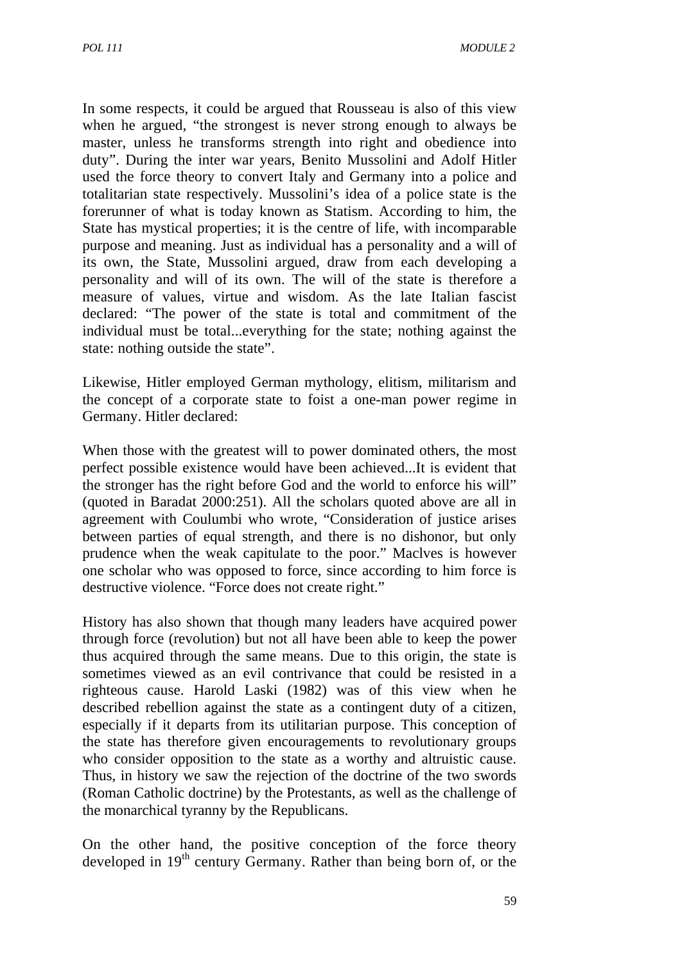In some respects, it could be argued that Rousseau is also of this view when he argued, "the strongest is never strong enough to always be master, unless he transforms strength into right and obedience into duty". During the inter war years, Benito Mussolini and Adolf Hitler used the force theory to convert Italy and Germany into a police and totalitarian state respectively. Mussolini's idea of a police state is the forerunner of what is today known as Statism. According to him, the State has mystical properties; it is the centre of life, with incomparable purpose and meaning. Just as individual has a personality and a will of its own, the State, Mussolini argued, draw from each developing a personality and will of its own. The will of the state is therefore a measure of values, virtue and wisdom. As the late Italian fascist declared: "The power of the state is total and commitment of the individual must be total...everything for the state; nothing against the state: nothing outside the state".

Likewise, Hitler employed German mythology, elitism, militarism and the concept of a corporate state to foist a one-man power regime in Germany. Hitler declared:

When those with the greatest will to power dominated others, the most perfect possible existence would have been achieved...It is evident that the stronger has the right before God and the world to enforce his will" (quoted in Baradat 2000:251). All the scholars quoted above are all in agreement with Coulumbi who wrote, "Consideration of justice arises between parties of equal strength, and there is no dishonor, but only prudence when the weak capitulate to the poor." Maclves is however one scholar who was opposed to force, since according to him force is destructive violence. "Force does not create right."

History has also shown that though many leaders have acquired power through force (revolution) but not all have been able to keep the power thus acquired through the same means. Due to this origin, the state is sometimes viewed as an evil contrivance that could be resisted in a righteous cause. Harold Laski (1982) was of this view when he described rebellion against the state as a contingent duty of a citizen, especially if it departs from its utilitarian purpose. This conception of the state has therefore given encouragements to revolutionary groups who consider opposition to the state as a worthy and altruistic cause. Thus, in history we saw the rejection of the doctrine of the two swords (Roman Catholic doctrine) by the Protestants, as well as the challenge of the monarchical tyranny by the Republicans.

On the other hand, the positive conception of the force theory developed in 19<sup>th</sup> century Germany. Rather than being born of, or the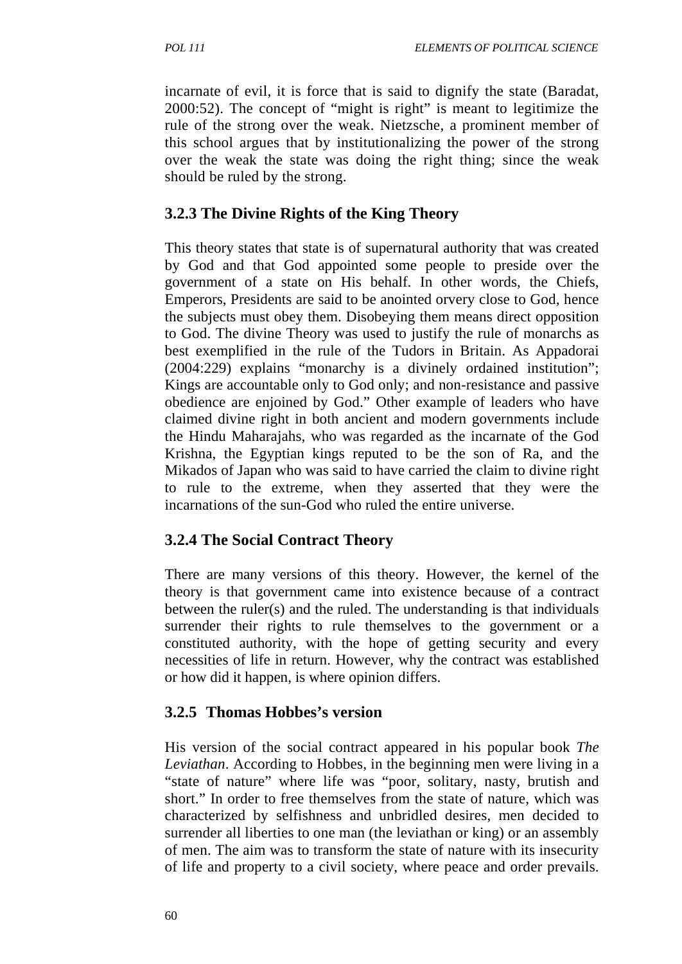incarnate of evil, it is force that is said to dignify the state (Baradat, 2000:52). The concept of "might is right" is meant to legitimize the rule of the strong over the weak. Nietzsche, a prominent member of this school argues that by institutionalizing the power of the strong over the weak the state was doing the right thing; since the weak should be ruled by the strong.

#### **3.2.3 The Divine Rights of the King Theory**

This theory states that state is of supernatural authority that was created by God and that God appointed some people to preside over the government of a state on His behalf. In other words, the Chiefs, Emperors, Presidents are said to be anointed orvery close to God, hence the subjects must obey them. Disobeying them means direct opposition to God. The divine Theory was used to justify the rule of monarchs as best exemplified in the rule of the Tudors in Britain. As Appadorai (2004:229) explains "monarchy is a divinely ordained institution"; Kings are accountable only to God only; and non-resistance and passive obedience are enjoined by God." Other example of leaders who have claimed divine right in both ancient and modern governments include the Hindu Maharajahs, who was regarded as the incarnate of the God Krishna, the Egyptian kings reputed to be the son of Ra, and the Mikados of Japan who was said to have carried the claim to divine right to rule to the extreme, when they asserted that they were the incarnations of the sun-God who ruled the entire universe.

### **3.2.4 The Social Contract Theory**

There are many versions of this theory. However, the kernel of the theory is that government came into existence because of a contract between the ruler(s) and the ruled. The understanding is that individuals surrender their rights to rule themselves to the government or a constituted authority, with the hope of getting security and every necessities of life in return. However, why the contract was established or how did it happen, is where opinion differs.

### **3.2.5 Thomas Hobbes's version**

His version of the social contract appeared in his popular book *The Leviathan*. According to Hobbes, in the beginning men were living in a "state of nature" where life was "poor, solitary, nasty, brutish and short." In order to free themselves from the state of nature, which was characterized by selfishness and unbridled desires, men decided to surrender all liberties to one man (the leviathan or king) or an assembly of men. The aim was to transform the state of nature with its insecurity of life and property to a civil society, where peace and order prevails.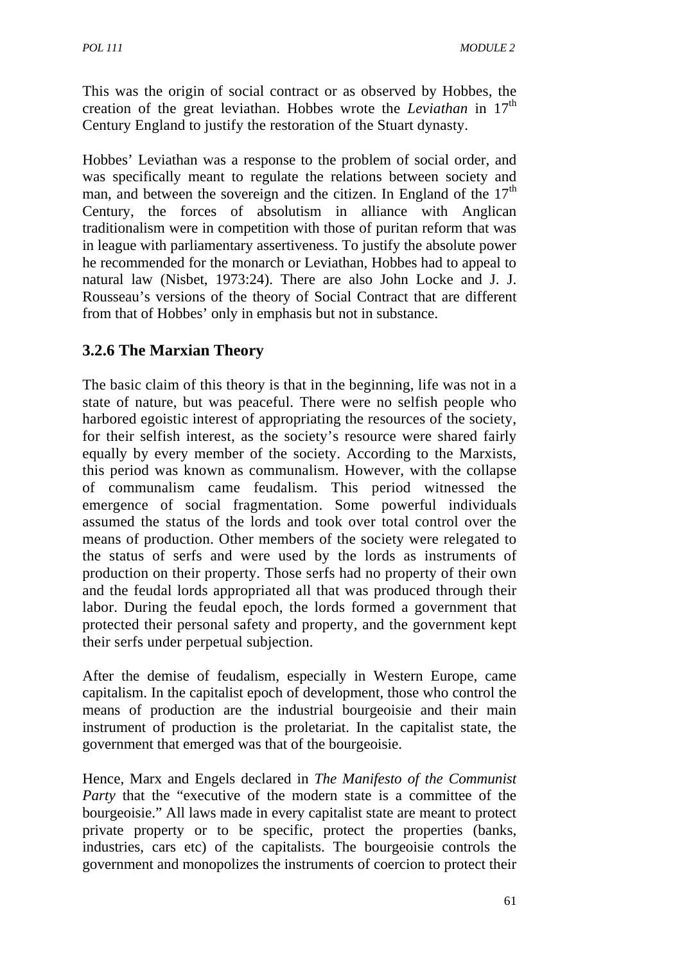This was the origin of social contract or as observed by Hobbes, the creation of the great leviathan. Hobbes wrote the *Leviathan* in 17th Century England to justify the restoration of the Stuart dynasty.

Hobbes' Leviathan was a response to the problem of social order, and was specifically meant to regulate the relations between society and man, and between the sovereign and the citizen. In England of the  $17<sup>th</sup>$ Century, the forces of absolutism in alliance with Anglican traditionalism were in competition with those of puritan reform that was in league with parliamentary assertiveness. To justify the absolute power he recommended for the monarch or Leviathan, Hobbes had to appeal to natural law (Nisbet, 1973:24). There are also John Locke and J. J. Rousseau's versions of the theory of Social Contract that are different from that of Hobbes' only in emphasis but not in substance.

# **3.2.6 The Marxian Theory**

The basic claim of this theory is that in the beginning, life was not in a state of nature, but was peaceful. There were no selfish people who harbored egoistic interest of appropriating the resources of the society, for their selfish interest, as the society's resource were shared fairly equally by every member of the society. According to the Marxists, this period was known as communalism. However, with the collapse of communalism came feudalism. This period witnessed the emergence of social fragmentation. Some powerful individuals assumed the status of the lords and took over total control over the means of production. Other members of the society were relegated to the status of serfs and were used by the lords as instruments of production on their property. Those serfs had no property of their own and the feudal lords appropriated all that was produced through their labor. During the feudal epoch, the lords formed a government that protected their personal safety and property, and the government kept their serfs under perpetual subjection.

After the demise of feudalism, especially in Western Europe, came capitalism. In the capitalist epoch of development, those who control the means of production are the industrial bourgeoisie and their main instrument of production is the proletariat. In the capitalist state, the government that emerged was that of the bourgeoisie.

Hence, Marx and Engels declared in *The Manifesto of the Communist Party* that the "executive of the modern state is a committee of the bourgeoisie." All laws made in every capitalist state are meant to protect private property or to be specific, protect the properties (banks, industries, cars etc) of the capitalists. The bourgeoisie controls the government and monopolizes the instruments of coercion to protect their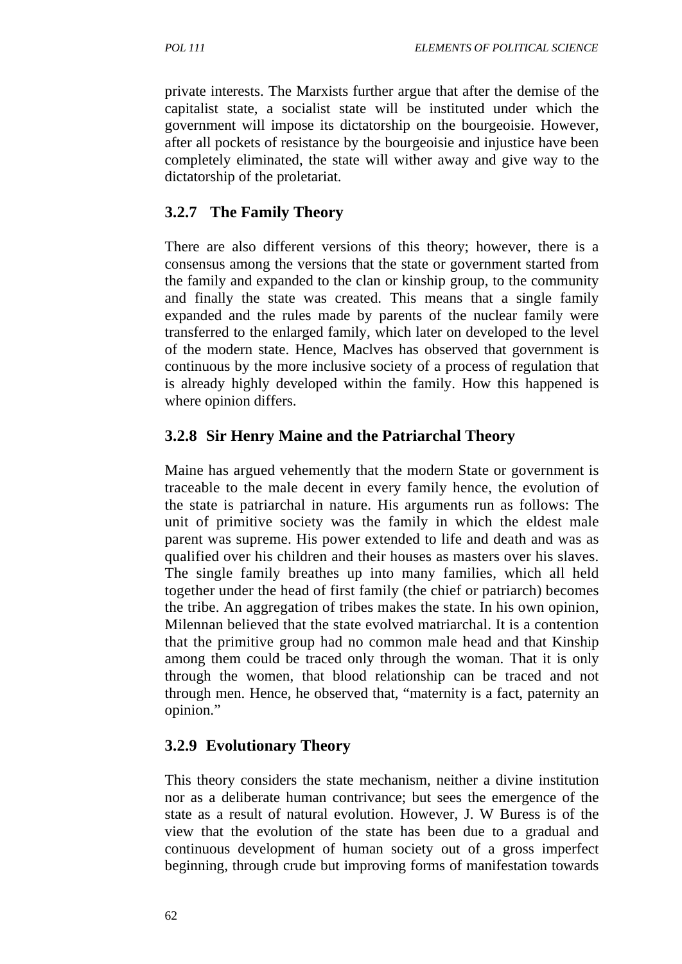private interests. The Marxists further argue that after the demise of the capitalist state, a socialist state will be instituted under which the government will impose its dictatorship on the bourgeoisie. However, after all pockets of resistance by the bourgeoisie and injustice have been completely eliminated, the state will wither away and give way to the dictatorship of the proletariat.

# **3.2.7 The Family Theory**

There are also different versions of this theory; however, there is a consensus among the versions that the state or government started from the family and expanded to the clan or kinship group, to the community and finally the state was created. This means that a single family expanded and the rules made by parents of the nuclear family were transferred to the enlarged family, which later on developed to the level of the modern state. Hence, Maclves has observed that government is continuous by the more inclusive society of a process of regulation that is already highly developed within the family. How this happened is where opinion differs.

### **3.2.8 Sir Henry Maine and the Patriarchal Theory**

Maine has argued vehemently that the modern State or government is traceable to the male decent in every family hence, the evolution of the state is patriarchal in nature. His arguments run as follows: The unit of primitive society was the family in which the eldest male parent was supreme. His power extended to life and death and was as qualified over his children and their houses as masters over his slaves. The single family breathes up into many families, which all held together under the head of first family (the chief or patriarch) becomes the tribe. An aggregation of tribes makes the state. In his own opinion, Milennan believed that the state evolved matriarchal. It is a contention that the primitive group had no common male head and that Kinship among them could be traced only through the woman. That it is only through the women, that blood relationship can be traced and not through men. Hence, he observed that, "maternity is a fact, paternity an opinion."

### **3.2.9 Evolutionary Theory**

This theory considers the state mechanism, neither a divine institution nor as a deliberate human contrivance; but sees the emergence of the state as a result of natural evolution. However, J. W Buress is of the view that the evolution of the state has been due to a gradual and continuous development of human society out of a gross imperfect beginning, through crude but improving forms of manifestation towards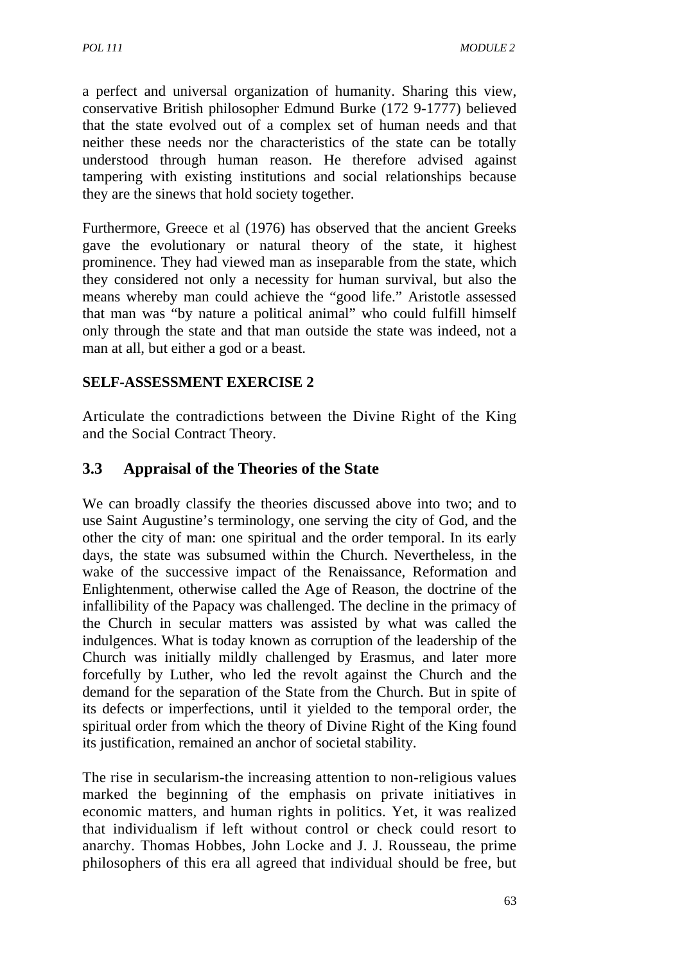a perfect and universal organization of humanity. Sharing this view, conservative British philosopher Edmund Burke (172 9-1777) believed that the state evolved out of a complex set of human needs and that neither these needs nor the characteristics of the state can be totally understood through human reason. He therefore advised against tampering with existing institutions and social relationships because they are the sinews that hold society together.

Furthermore, Greece et al (1976) has observed that the ancient Greeks gave the evolutionary or natural theory of the state, it highest prominence. They had viewed man as inseparable from the state, which they considered not only a necessity for human survival, but also the means whereby man could achieve the "good life." Aristotle assessed that man was "by nature a political animal" who could fulfill himself only through the state and that man outside the state was indeed, not a man at all, but either a god or a beast.

### **SELF-ASSESSMENT EXERCISE 2**

Articulate the contradictions between the Divine Right of the King and the Social Contract Theory.

# **3.3 Appraisal of the Theories of the State**

We can broadly classify the theories discussed above into two; and to use Saint Augustine's terminology, one serving the city of God, and the other the city of man: one spiritual and the order temporal. In its early days, the state was subsumed within the Church. Nevertheless, in the wake of the successive impact of the Renaissance, Reformation and Enlightenment, otherwise called the Age of Reason, the doctrine of the infallibility of the Papacy was challenged. The decline in the primacy of the Church in secular matters was assisted by what was called the indulgences. What is today known as corruption of the leadership of the Church was initially mildly challenged by Erasmus, and later more forcefully by Luther, who led the revolt against the Church and the demand for the separation of the State from the Church. But in spite of its defects or imperfections, until it yielded to the temporal order, the spiritual order from which the theory of Divine Right of the King found its justification, remained an anchor of societal stability.

The rise in secularism-the increasing attention to non-religious values marked the beginning of the emphasis on private initiatives in economic matters, and human rights in politics. Yet, it was realized that individualism if left without control or check could resort to anarchy. Thomas Hobbes, John Locke and J. J. Rousseau, the prime philosophers of this era all agreed that individual should be free, but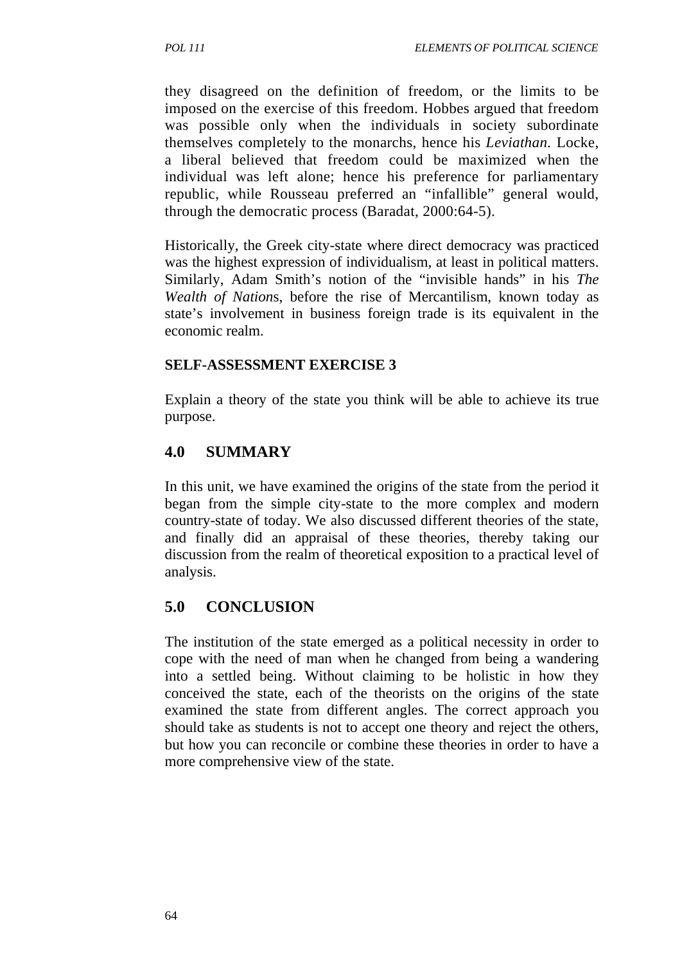they disagreed on the definition of freedom, or the limits to be imposed on the exercise of this freedom. Hobbes argued that freedom was possible only when the individuals in society subordinate themselves completely to the monarchs, hence his *Leviathan.* Locke, a liberal believed that freedom could be maximized when the individual was left alone; hence his preference for parliamentary republic, while Rousseau preferred an "infallible" general would, through the democratic process (Baradat, 2000:64-5).

Historically, the Greek city-state where direct democracy was practiced was the highest expression of individualism, at least in political matters. Similarly, Adam Smith's notion of the "invisible hands" in his *The Wealth of Nation*s, before the rise of Mercantilism, known today as state's involvement in business foreign trade is its equivalent in the economic realm.

#### **SELF-ASSESSMENT EXERCISE 3**

Explain a theory of the state you think will be able to achieve its true purpose.

### **4.0 SUMMARY**

In this unit, we have examined the origins of the state from the period it began from the simple city-state to the more complex and modern country-state of today. We also discussed different theories of the state, and finally did an appraisal of these theories, thereby taking our discussion from the realm of theoretical exposition to a practical level of analysis.

#### **5.0 CONCLUSION**

The institution of the state emerged as a political necessity in order to cope with the need of man when he changed from being a wandering into a settled being. Without claiming to be holistic in how they conceived the state, each of the theorists on the origins of the state examined the state from different angles. The correct approach you should take as students is not to accept one theory and reject the others, but how you can reconcile or combine these theories in order to have a more comprehensive view of the state.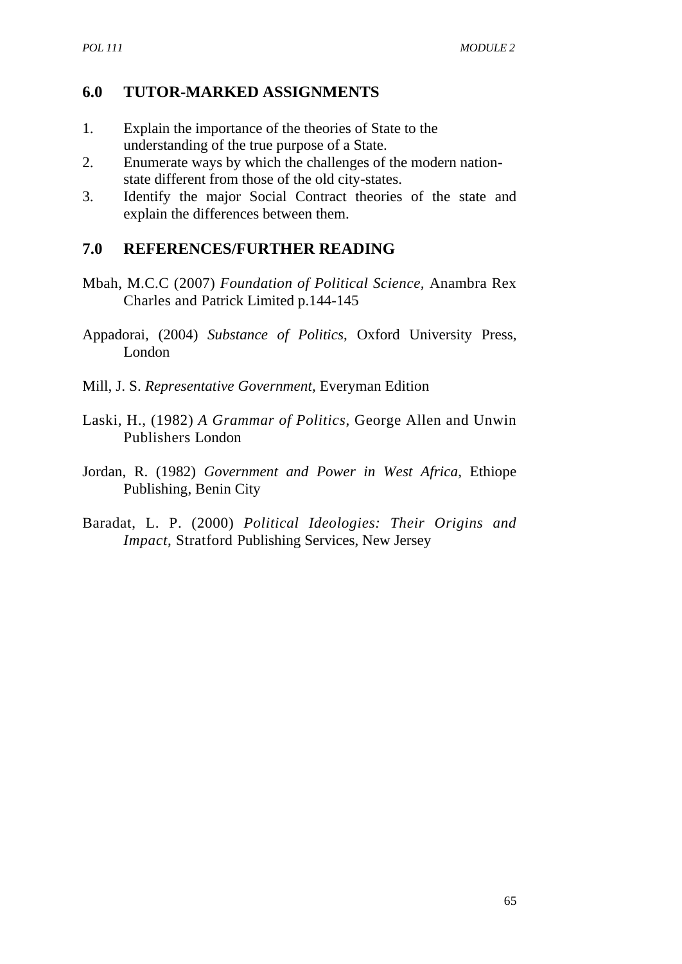### **6.0 TUTOR-MARKED ASSIGNMENTS**

- 1. Explain the importance of the theories of State to the understanding of the true purpose of a State.
- 2. Enumerate ways by which the challenges of the modern nationstate different from those of the old city-states.
- 3. Identify the major Social Contract theories of the state and explain the differences between them.

### **7.0 REFERENCES/FURTHER READING**

- Mbah, M.C.C (2007) *Foundation of Political Science,* Anambra Rex Charles and Patrick Limited p.144-145
- Appadorai, (2004) *Substance of Politics*, Oxford University Press, London
- Mill, J. S. *Representative Government,* Everyman Edition
- Laski, H., (1982) *A Grammar of Politics*, George Allen and Unwin Publishers London
- Jordan, R. (1982) *Government and Power in West Africa*, Ethiope Publishing, Benin City
- Baradat, L. P. (2000) *Political Ideologies: Their Origins and Impact*, Stratford Publishing Services, New Jersey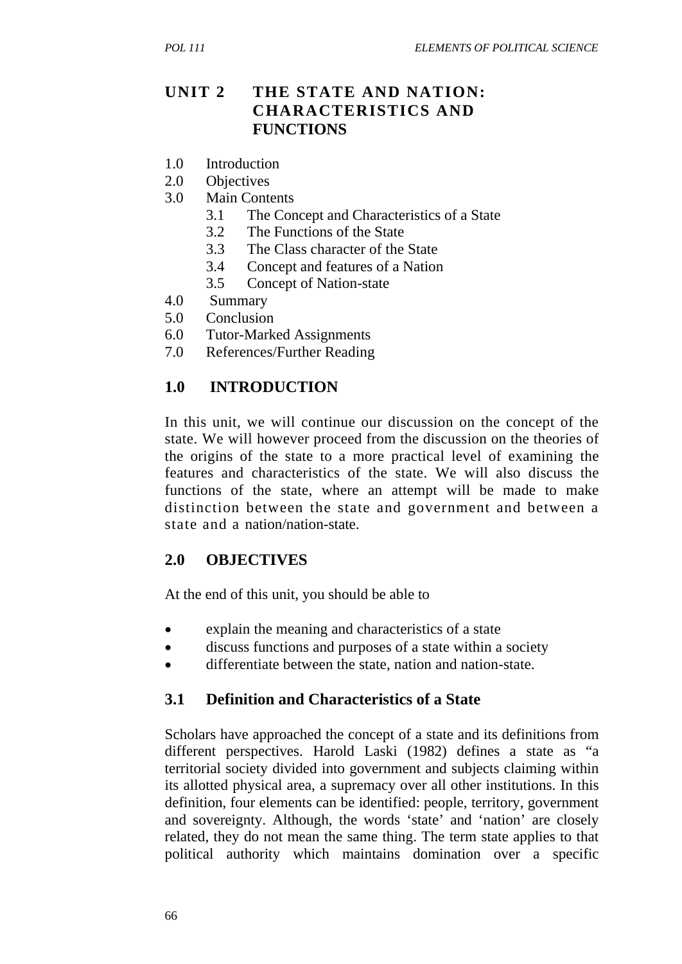### **UNIT 2 THE STATE AND NATION: CHARACTERISTICS AND FUNCTIONS**

- 1.0 Introduction
- 2.0 Objectives
- 3.0 Main Contents
	- 3.1 The Concept and Characteristics of a State
	- 3.2 The Functions of the State
	- 3.3 The Class character of the State
	- 3.4 Concept and features of a Nation
	- 3.5 Concept of Nation-state
- 4.0 Summary
- 5.0 Conclusion
- 6.0 Tutor-Marked Assignments
- 7.0 References/Further Reading

### **1.0 INTRODUCTION**

In this unit, we will continue our discussion on the concept of the state. We will however proceed from the discussion on the theories of the origins of the state to a more practical level of examining the features and characteristics of the state. We will also discuss the functions of the state, where an attempt will be made to make distinction between the state and government and between a state and a nation/nation-state.

### **2.0 OBJECTIVES**

At the end of this unit, you should be able to

- explain the meaning and characteristics of a state
- discuss functions and purposes of a state within a society
- differentiate between the state, nation and nation-state.

### **3.1 Definition and Characteristics of a State**

Scholars have approached the concept of a state and its definitions from different perspectives. Harold Laski (1982) defines a state as "a territorial society divided into government and subjects claiming within its allotted physical area, a supremacy over all other institutions. In this definition, four elements can be identified: people, territory, government and sovereignty. Although, the words 'state' and 'nation' are closely related, they do not mean the same thing. The term state applies to that political authority which maintains domination over a specific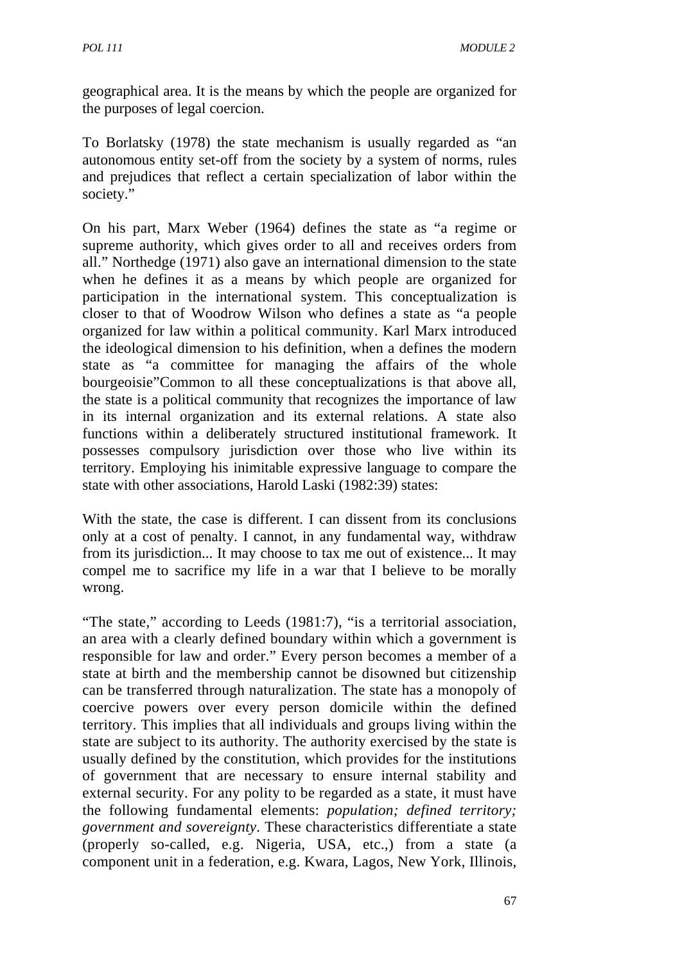geographical area. It is the means by which the people are organized for the purposes of legal coercion.

To Borlatsky (1978) the state mechanism is usually regarded as "an autonomous entity set-off from the society by a system of norms, rules and prejudices that reflect a certain specialization of labor within the society."

On his part, Marx Weber (1964) defines the state as "a regime or supreme authority, which gives order to all and receives orders from all." Northedge (1971) also gave an international dimension to the state when he defines it as a means by which people are organized for participation in the international system. This conceptualization is closer to that of Woodrow Wilson who defines a state as "a people organized for law within a political community. Karl Marx introduced the ideological dimension to his definition, when a defines the modern state as "a committee for managing the affairs of the whole bourgeoisie"Common to all these conceptualizations is that above all, the state is a political community that recognizes the importance of law in its internal organization and its external relations. A state also functions within a deliberately structured institutional framework. It possesses compulsory jurisdiction over those who live within its territory. Employing his inimitable expressive language to compare the state with other associations, Harold Laski (1982:39) states:

With the state, the case is different. I can dissent from its conclusions only at a cost of penalty. I cannot, in any fundamental way, withdraw from its jurisdiction... It may choose to tax me out of existence... It may compel me to sacrifice my life in a war that I believe to be morally wrong.

"The state," according to Leeds (1981:7), "is a territorial association, an area with a clearly defined boundary within which a government is responsible for law and order." Every person becomes a member of a state at birth and the membership cannot be disowned but citizenship can be transferred through naturalization. The state has a monopoly of coercive powers over every person domicile within the defined territory. This implies that all individuals and groups living within the state are subject to its authority. The authority exercised by the state is usually defined by the constitution, which provides for the institutions of government that are necessary to ensure internal stability and external security. For any polity to be regarded as a state, it must have the following fundamental elements: *population; defined territory; government and sovereignty*. These characteristics differentiate a state (properly so-called, e.g. Nigeria, USA, etc.,) from a state (a component unit in a federation, e.g. Kwara, Lagos, New York, Illinois,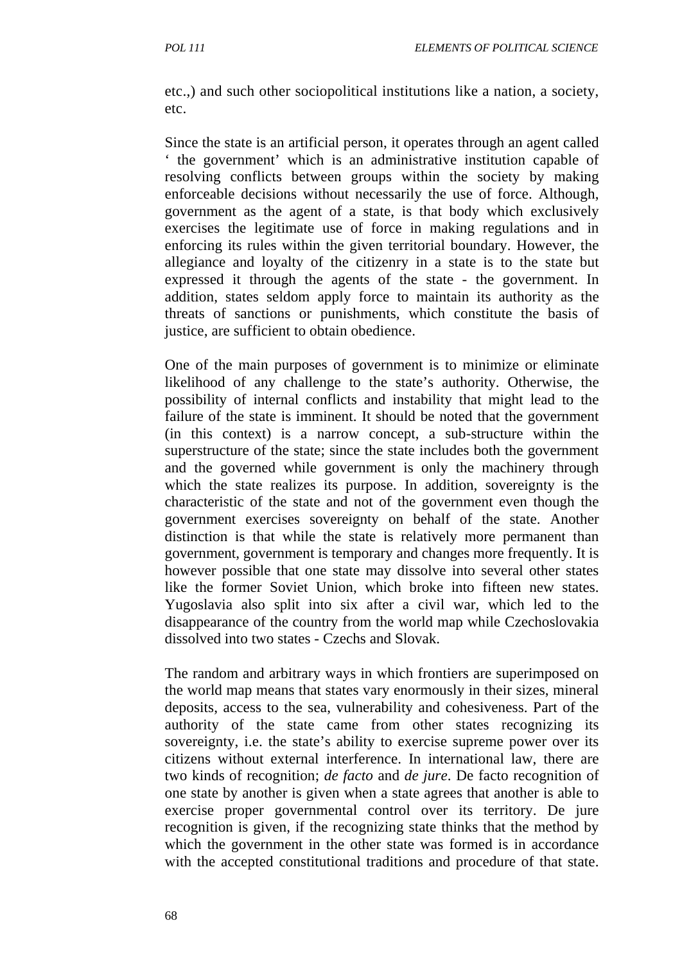etc.,) and such other sociopolitical institutions like a nation, a society, etc.

Since the state is an artificial person, it operates through an agent called ' the government' which is an administrative institution capable of resolving conflicts between groups within the society by making enforceable decisions without necessarily the use of force. Although, government as the agent of a state, is that body which exclusively exercises the legitimate use of force in making regulations and in enforcing its rules within the given territorial boundary. However, the allegiance and loyalty of the citizenry in a state is to the state but expressed it through the agents of the state - the government. In addition, states seldom apply force to maintain its authority as the threats of sanctions or punishments, which constitute the basis of justice, are sufficient to obtain obedience.

One of the main purposes of government is to minimize or eliminate likelihood of any challenge to the state's authority. Otherwise, the possibility of internal conflicts and instability that might lead to the failure of the state is imminent. It should be noted that the government (in this context) is a narrow concept, a sub-structure within the superstructure of the state; since the state includes both the government and the governed while government is only the machinery through which the state realizes its purpose. In addition, sovereignty is the characteristic of the state and not of the government even though the government exercises sovereignty on behalf of the state. Another distinction is that while the state is relatively more permanent than government, government is temporary and changes more frequently. It is however possible that one state may dissolve into several other states like the former Soviet Union, which broke into fifteen new states. Yugoslavia also split into six after a civil war, which led to the disappearance of the country from the world map while Czechoslovakia dissolved into two states - Czechs and Slovak.

The random and arbitrary ways in which frontiers are superimposed on the world map means that states vary enormously in their sizes, mineral deposits, access to the sea, vulnerability and cohesiveness. Part of the authority of the state came from other states recognizing its sovereignty, i.e. the state's ability to exercise supreme power over its citizens without external interference. In international law, there are two kinds of recognition; *de facto* and *de jure*. De facto recognition of one state by another is given when a state agrees that another is able to exercise proper governmental control over its territory. De jure recognition is given, if the recognizing state thinks that the method by which the government in the other state was formed is in accordance with the accepted constitutional traditions and procedure of that state.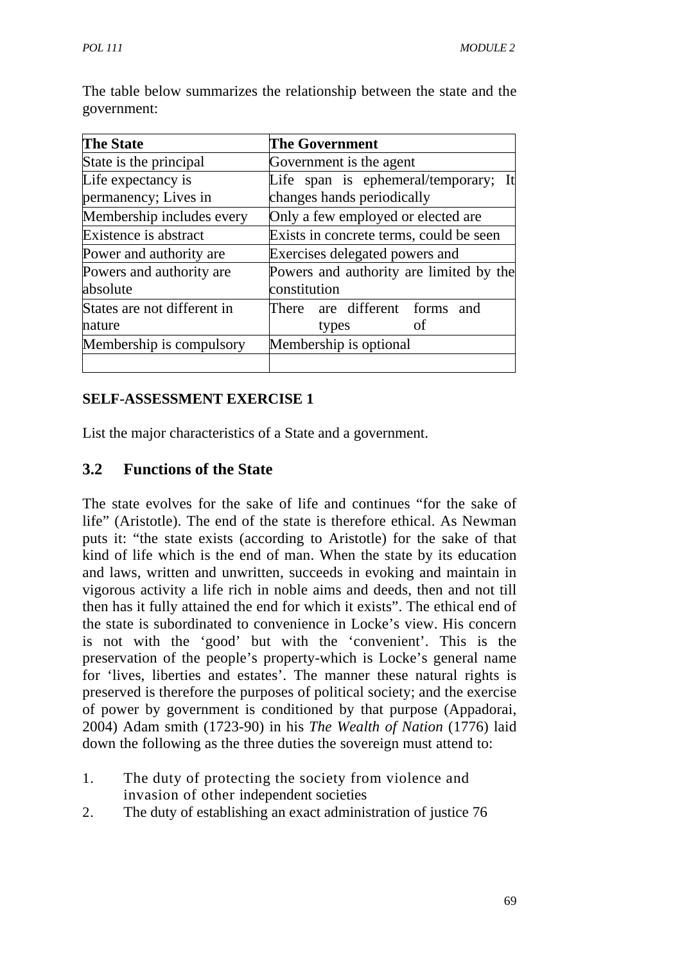| <b>The State</b>                           | <b>The Government</b>                                                   |
|--------------------------------------------|-------------------------------------------------------------------------|
| State is the principal                     | Government is the agent                                                 |
| Life expectancy is<br>permanency; Lives in | Life span is ephemeral/temporary;<br>- It<br>changes hands periodically |
| Membership includes every                  | Only a few employed or elected are                                      |
| Existence is abstract                      | Exists in concrete terms, could be seen                                 |
| Power and authority are                    | Exercises delegated powers and                                          |
| Powers and authority are<br>absolute       | Powers and authority are limited by the<br>constitution                 |
| States are not different in<br>nature      | are different forms<br>There<br>and<br>οf<br>types                      |
| Membership is compulsory                   | Membership is optional                                                  |

The table below summarizes the relationship between the state and the government:

### **SELF-ASSESSMENT EXERCISE 1**

List the major characteristics of a State and a government.

#### **3.2 Functions of the State**

The state evolves for the sake of life and continues "for the sake of life" (Aristotle). The end of the state is therefore ethical. As Newman puts it: "the state exists (according to Aristotle) for the sake of that kind of life which is the end of man. When the state by its education and laws, written and unwritten, succeeds in evoking and maintain in vigorous activity a life rich in noble aims and deeds, then and not till then has it fully attained the end for which it exists". The ethical end of the state is subordinated to convenience in Locke's view. His concern is not with the 'good' but with the 'convenient'. This is the preservation of the people's property-which is Locke's general name for 'lives, liberties and estates'. The manner these natural rights is preserved is therefore the purposes of political society; and the exercise of power by government is conditioned by that purpose (Appadorai, 2004) Adam smith (1723-90) in his *The Wealth of Nation* (1776) laid down the following as the three duties the sovereign must attend to:

- 1. The duty of protecting the society from violence and invasion of other independent societies
- 2. The duty of establishing an exact administration of justice 76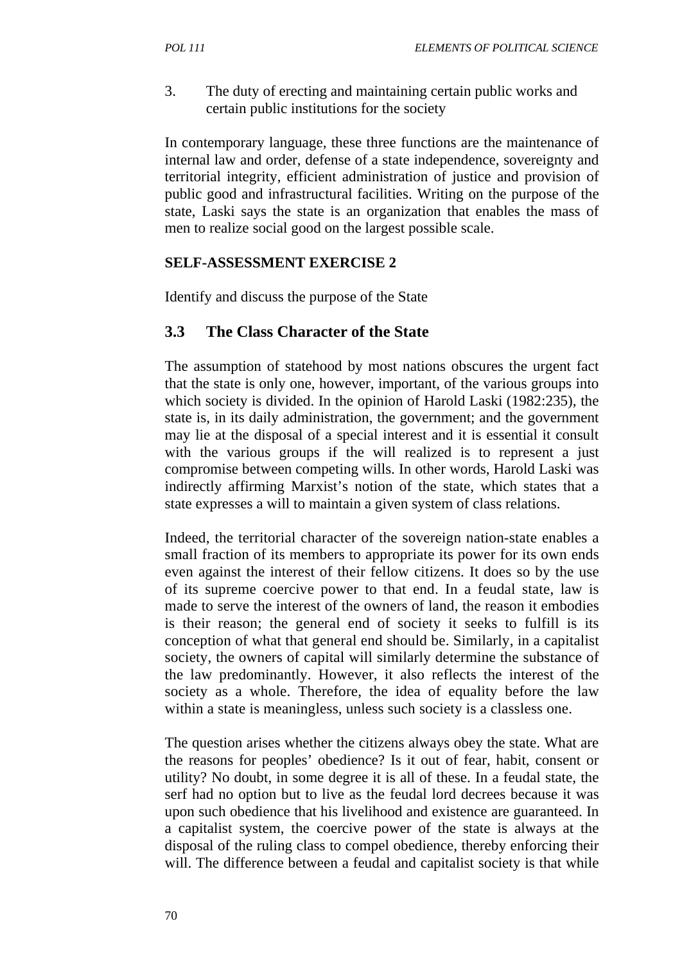3. The duty of erecting and maintaining certain public works and certain public institutions for the society

In contemporary language, these three functions are the maintenance of internal law and order, defense of a state independence, sovereignty and territorial integrity, efficient administration of justice and provision of public good and infrastructural facilities. Writing on the purpose of the state, Laski says the state is an organization that enables the mass of men to realize social good on the largest possible scale.

#### **SELF-ASSESSMENT EXERCISE 2**

Identify and discuss the purpose of the State

### **3.3 The Class Character of the State**

The assumption of statehood by most nations obscures the urgent fact that the state is only one, however, important, of the various groups into which society is divided. In the opinion of Harold Laski (1982:235), the state is, in its daily administration, the government; and the government may lie at the disposal of a special interest and it is essential it consult with the various groups if the will realized is to represent a just compromise between competing wills. In other words, Harold Laski was indirectly affirming Marxist's notion of the state, which states that a state expresses a will to maintain a given system of class relations.

Indeed, the territorial character of the sovereign nation-state enables a small fraction of its members to appropriate its power for its own ends even against the interest of their fellow citizens. It does so by the use of its supreme coercive power to that end. In a feudal state, law is made to serve the interest of the owners of land, the reason it embodies is their reason; the general end of society it seeks to fulfill is its conception of what that general end should be. Similarly, in a capitalist society, the owners of capital will similarly determine the substance of the law predominantly. However, it also reflects the interest of the society as a whole. Therefore, the idea of equality before the law within a state is meaningless, unless such society is a classless one.

The question arises whether the citizens always obey the state. What are the reasons for peoples' obedience? Is it out of fear, habit, consent or utility? No doubt, in some degree it is all of these. In a feudal state, the serf had no option but to live as the feudal lord decrees because it was upon such obedience that his livelihood and existence are guaranteed. In a capitalist system, the coercive power of the state is always at the disposal of the ruling class to compel obedience, thereby enforcing their will. The difference between a feudal and capitalist society is that while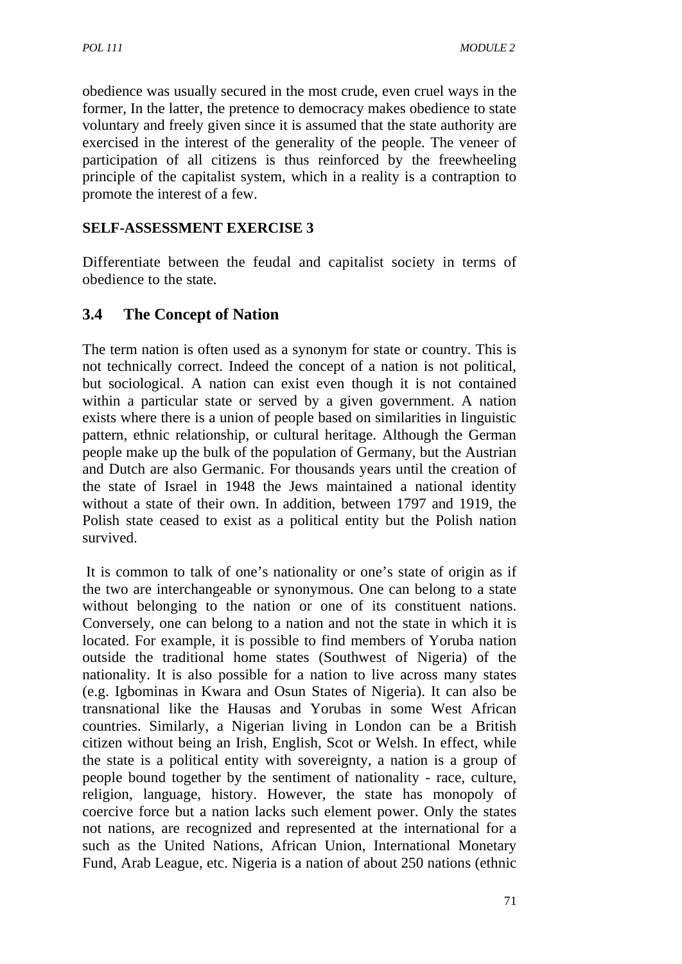obedience was usually secured in the most crude, even cruel ways in the former, In the latter, the pretence to democracy makes obedience to state voluntary and freely given since it is assumed that the state authority are exercised in the interest of the generality of the people. The veneer of participation of all citizens is thus reinforced by the freewheeling principle of the capitalist system, which in a reality is a contraption to promote the interest of a few.

### **SELF-ASSESSMENT EXERCISE 3**

Differentiate between the feudal and capitalist society in terms of obedience to the state.

## **3.4 The Concept of Nation**

The term nation is often used as a synonym for state or country. This is not technically correct. Indeed the concept of a nation is not political, but sociological. A nation can exist even though it is not contained within a particular state or served by a given government. A nation exists where there is a union of people based on similarities in linguistic pattern, ethnic relationship, or cultural heritage. Although the German people make up the bulk of the population of Germany, but the Austrian and Dutch are also Germanic. For thousands years until the creation of the state of Israel in 1948 the Jews maintained a national identity without a state of their own. In addition, between 1797 and 1919, the Polish state ceased to exist as a political entity but the Polish nation survived.

It is common to talk of one's nationality or one's state of origin as if the two are interchangeable or synonymous. One can belong to a state without belonging to the nation or one of its constituent nations. Conversely, one can belong to a nation and not the state in which it is located. For example, it is possible to find members of Yoruba nation outside the traditional home states (Southwest of Nigeria) of the nationality. It is also possible for a nation to live across many states (e.g. Igbominas in Kwara and Osun States of Nigeria). It can also be transnational like the Hausas and Yorubas in some West African countries. Similarly, a Nigerian living in London can be a British citizen without being an Irish, English, Scot or Welsh. In effect, while the state is a political entity with sovereignty, a nation is a group of people bound together by the sentiment of nationality - race, culture, religion, language, history. However, the state has monopoly of coercive force but a nation lacks such element power. Only the states not nations, are recognized and represented at the international for a such as the United Nations, African Union, International Monetary Fund, Arab League, etc. Nigeria is a nation of about 250 nations (ethnic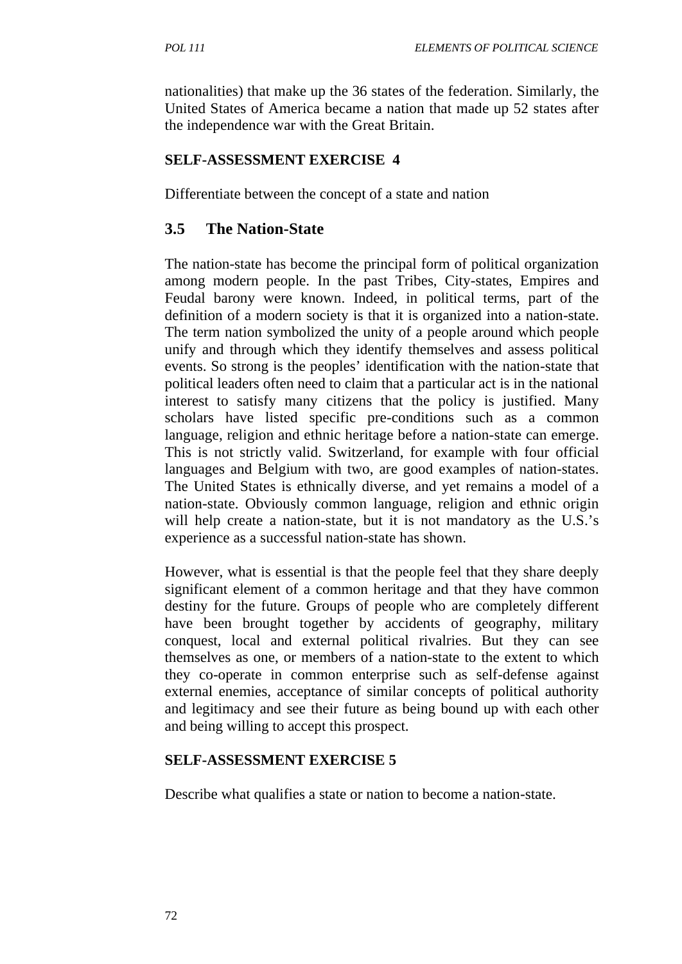nationalities) that make up the 36 states of the federation. Similarly, the United States of America became a nation that made up 52 states after the independence war with the Great Britain.

## **SELF-ASSESSMENT EXERCISE 4**

Differentiate between the concept of a state and nation

## **3.5 The Nation-State**

The nation-state has become the principal form of political organization among modern people. In the past Tribes, City-states, Empires and Feudal barony were known. Indeed, in political terms, part of the definition of a modern society is that it is organized into a nation-state. The term nation symbolized the unity of a people around which people unify and through which they identify themselves and assess political events. So strong is the peoples' identification with the nation-state that political leaders often need to claim that a particular act is in the national interest to satisfy many citizens that the policy is justified. Many scholars have listed specific pre-conditions such as a common language, religion and ethnic heritage before a nation-state can emerge. This is not strictly valid. Switzerland, for example with four official languages and Belgium with two, are good examples of nation-states. The United States is ethnically diverse, and yet remains a model of a nation-state. Obviously common language, religion and ethnic origin will help create a nation-state, but it is not mandatory as the U.S.'s experience as a successful nation-state has shown.

However, what is essential is that the people feel that they share deeply significant element of a common heritage and that they have common destiny for the future. Groups of people who are completely different have been brought together by accidents of geography, military conquest, local and external political rivalries. But they can see themselves as one, or members of a nation-state to the extent to which they co-operate in common enterprise such as self-defense against external enemies, acceptance of similar concepts of political authority and legitimacy and see their future as being bound up with each other and being willing to accept this prospect.

## **SELF-ASSESSMENT EXERCISE 5**

Describe what qualifies a state or nation to become a nation-state.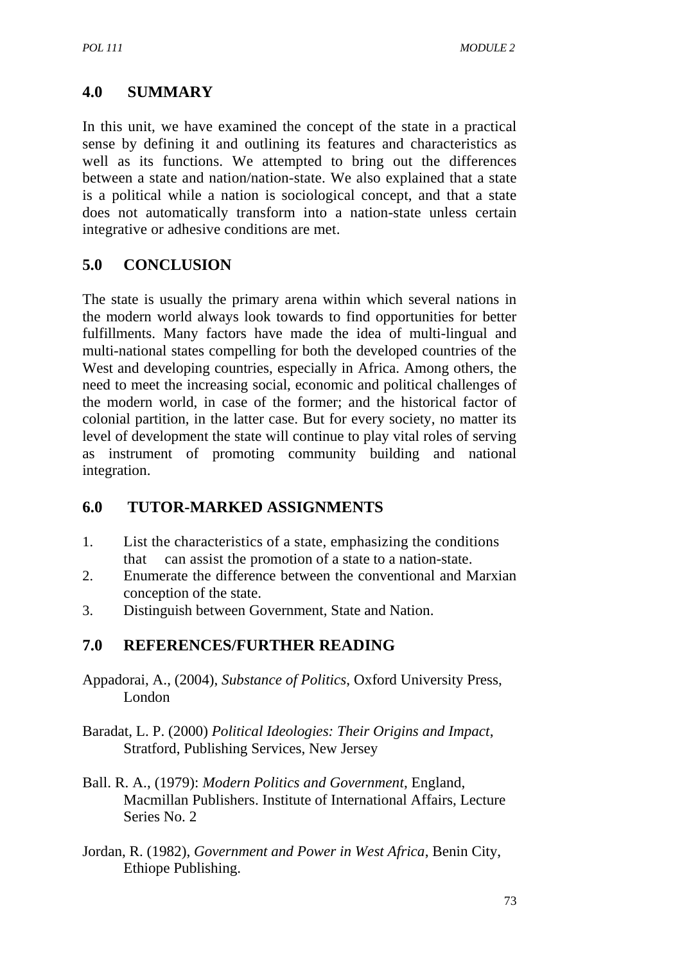# **4.0 SUMMARY**

In this unit, we have examined the concept of the state in a practical sense by defining it and outlining its features and characteristics as well as its functions. We attempted to bring out the differences between a state and nation/nation-state. We also explained that a state is a political while a nation is sociological concept, and that a state does not automatically transform into a nation-state unless certain integrative or adhesive conditions are met.

# **5.0 CONCLUSION**

The state is usually the primary arena within which several nations in the modern world always look towards to find opportunities for better fulfillments. Many factors have made the idea of multi-lingual and multi-national states compelling for both the developed countries of the West and developing countries, especially in Africa. Among others, the need to meet the increasing social, economic and political challenges of the modern world, in case of the former; and the historical factor of colonial partition, in the latter case. But for every society, no matter its level of development the state will continue to play vital roles of serving as instrument of promoting community building and national integration.

# **6.0 TUTOR-MARKED ASSIGNMENTS**

- 1. List the characteristics of a state, emphasizing the conditions that can assist the promotion of a state to a nation-state.
- 2. Enumerate the difference between the conventional and Marxian conception of the state.
- 3. Distinguish between Government, State and Nation.

# **7.0 REFERENCES/FURTHER READING**

- Appadorai, A., (2004), *Substance of Politics*, Oxford University Press, London
- Baradat, L. P. (2000) *Political Ideologies: Their Origins and Impact*, Stratford, Publishing Services, New Jersey
- Ball. R. A., (1979): *Modern Politics and Government*, England, Macmillan Publishers. Institute of International Affairs, Lecture Series No. 2
- Jordan, R. (1982), *Government and Power in West Africa*, Benin City, Ethiope Publishing.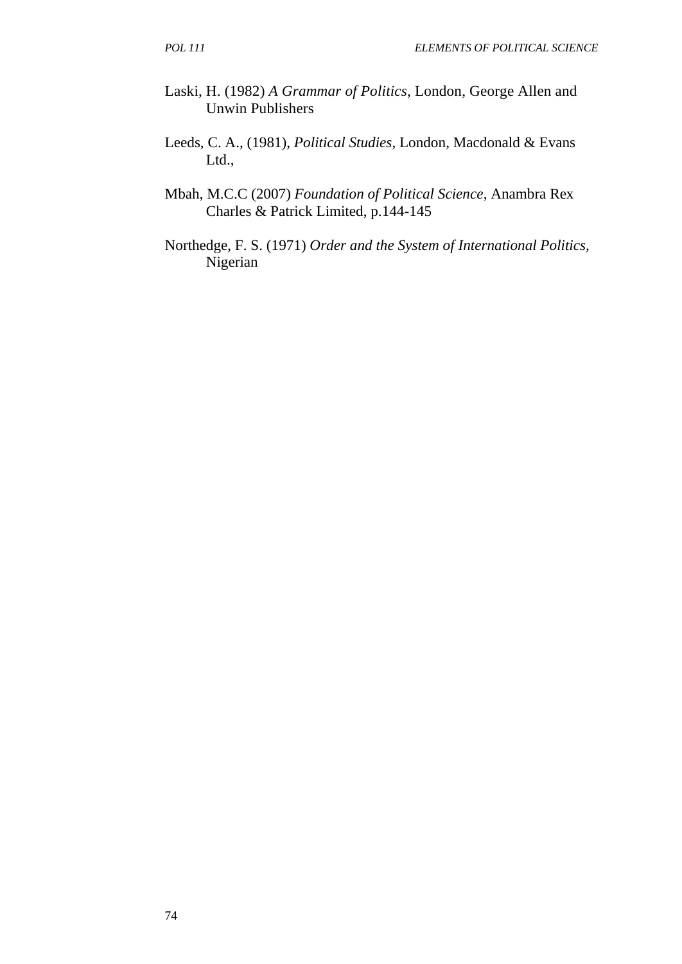- Laski, H. (1982) *A Grammar of Politics*, London, George Allen and Unwin Publishers
- Leeds, C. A., (1981), *Political Studies*, London, Macdonald & Evans Ltd.,
- Mbah, M.C.C (2007) *Foundation of Political Science*, Anambra Rex Charles & Patrick Limited, p.144-145
- Northedge, F. S. (1971) *Order and the System of International Politics,*  Nigerian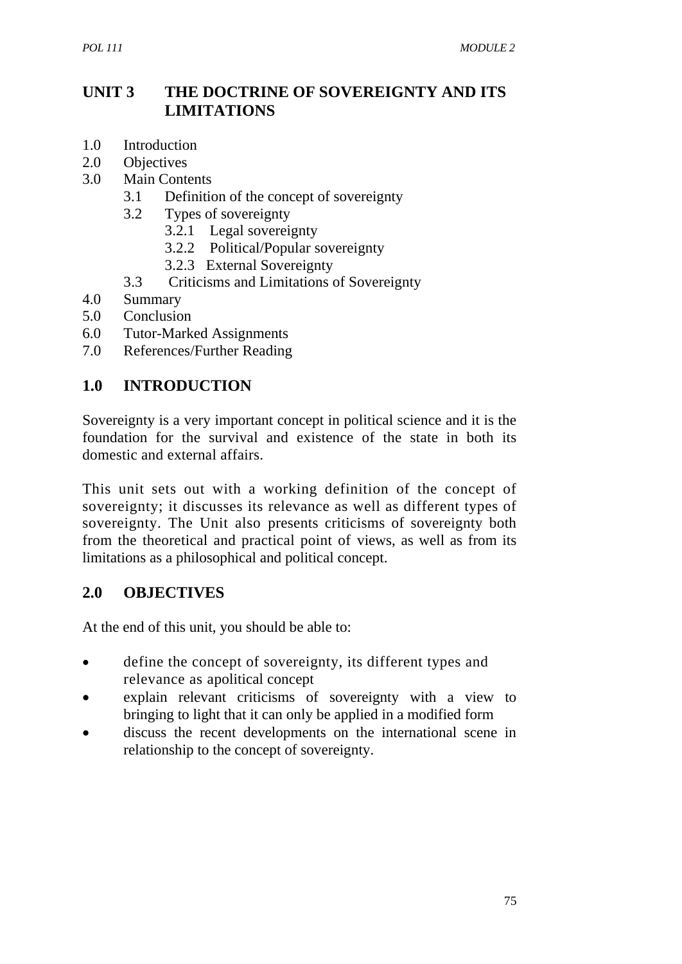## **UNIT 3 THE DOCTRINE OF SOVEREIGNTY AND ITS LIMITATIONS**

- 1.0 Introduction
- 2.0 Objectives
- 3.0 Main Contents
	- 3.1 Definition of the concept of sovereignty
	- 3.2 Types of sovereignty
		- 3.2.1 Legal sovereignty
		- 3.2.2 Political/Popular sovereignty
		- 3.2.3 External Sovereignty
	- 3.3 Criticisms and Limitations of Sovereignty
- 4.0 Summary
- 5.0 Conclusion
- 6.0 Tutor-Marked Assignments
- 7.0 References/Further Reading

## **1.0 INTRODUCTION**

Sovereignty is a very important concept in political science and it is the foundation for the survival and existence of the state in both its domestic and external affairs.

This unit sets out with a working definition of the concept of sovereignty; it discusses its relevance as well as different types of sovereignty. The Unit also presents criticisms of sovereignty both from the theoretical and practical point of views, as well as from its limitations as a philosophical and political concept.

## **2.0 OBJECTIVES**

At the end of this unit, you should be able to:

- define the concept of sovereignty, its different types and relevance as apolitical concept
- explain relevant criticisms of sovereignty with a view to bringing to light that it can only be applied in a modified form
- discuss the recent developments on the international scene in relationship to the concept of sovereignty.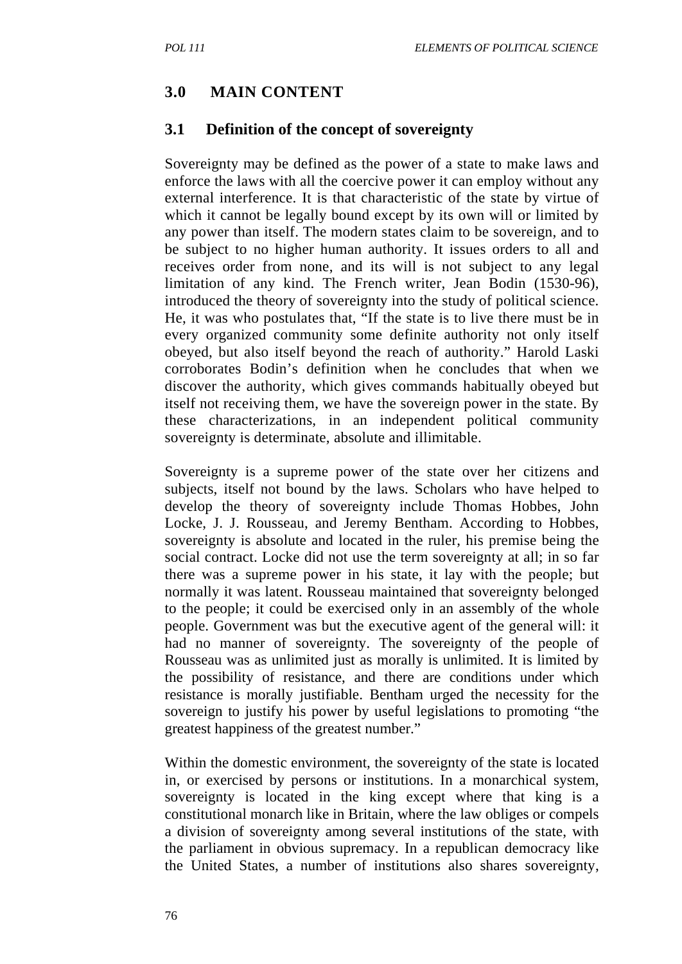## **3.0 MAIN CONTENT**

#### **3.1 Definition of the concept of sovereignty**

Sovereignty may be defined as the power of a state to make laws and enforce the laws with all the coercive power it can employ without any external interference. It is that characteristic of the state by virtue of which it cannot be legally bound except by its own will or limited by any power than itself. The modern states claim to be sovereign, and to be subject to no higher human authority. It issues orders to all and receives order from none, and its will is not subject to any legal limitation of any kind. The French writer, Jean Bodin (1530-96), introduced the theory of sovereignty into the study of political science. He, it was who postulates that, "If the state is to live there must be in every organized community some definite authority not only itself obeyed, but also itself beyond the reach of authority." Harold Laski corroborates Bodin's definition when he concludes that when we discover the authority, which gives commands habitually obeyed but itself not receiving them, we have the sovereign power in the state. By these characterizations, in an independent political community sovereignty is determinate, absolute and illimitable.

Sovereignty is a supreme power of the state over her citizens and subjects, itself not bound by the laws. Scholars who have helped to develop the theory of sovereignty include Thomas Hobbes, John Locke, J. J. Rousseau, and Jeremy Bentham. According to Hobbes, sovereignty is absolute and located in the ruler, his premise being the social contract. Locke did not use the term sovereignty at all; in so far there was a supreme power in his state, it lay with the people; but normally it was latent. Rousseau maintained that sovereignty belonged to the people; it could be exercised only in an assembly of the whole people. Government was but the executive agent of the general will: it had no manner of sovereignty. The sovereignty of the people of Rousseau was as unlimited just as morally is unlimited. It is limited by the possibility of resistance, and there are conditions under which resistance is morally justifiable. Bentham urged the necessity for the sovereign to justify his power by useful legislations to promoting "the greatest happiness of the greatest number."

Within the domestic environment, the sovereignty of the state is located in, or exercised by persons or institutions. In a monarchical system, sovereignty is located in the king except where that king is a constitutional monarch like in Britain, where the law obliges or compels a division of sovereignty among several institutions of the state, with the parliament in obvious supremacy. In a republican democracy like the United States, a number of institutions also shares sovereignty,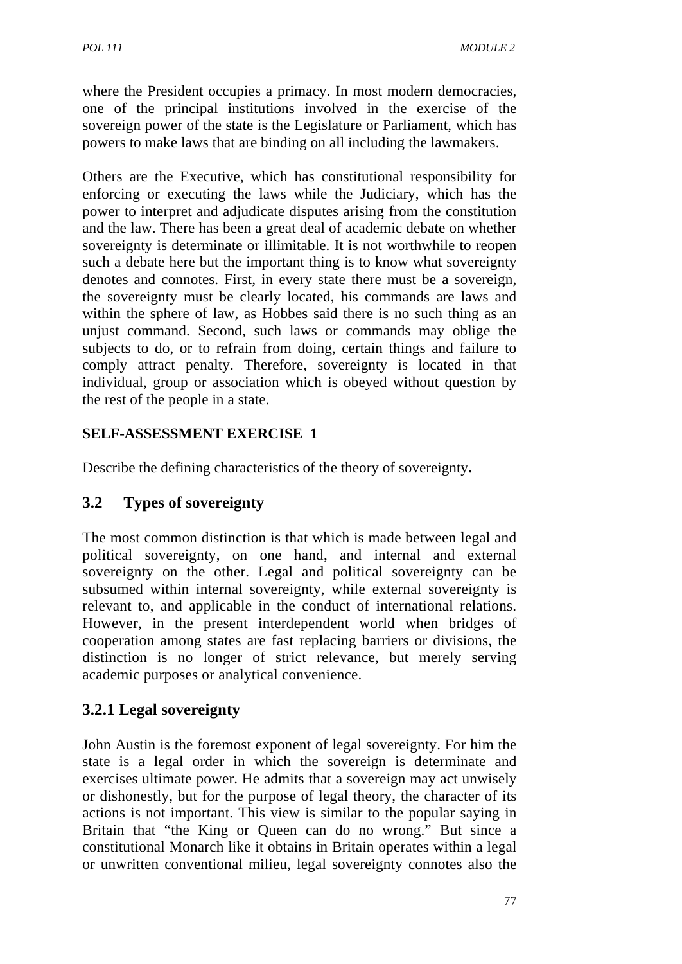where the President occupies a primacy. In most modern democracies, one of the principal institutions involved in the exercise of the sovereign power of the state is the Legislature or Parliament, which has powers to make laws that are binding on all including the lawmakers.

Others are the Executive, which has constitutional responsibility for enforcing or executing the laws while the Judiciary, which has the power to interpret and adjudicate disputes arising from the constitution and the law. There has been a great deal of academic debate on whether sovereignty is determinate or illimitable. It is not worthwhile to reopen such a debate here but the important thing is to know what sovereignty denotes and connotes. First, in every state there must be a sovereign, the sovereignty must be clearly located, his commands are laws and within the sphere of law, as Hobbes said there is no such thing as an unjust command. Second, such laws or commands may oblige the subjects to do, or to refrain from doing, certain things and failure to comply attract penalty. Therefore, sovereignty is located in that individual, group or association which is obeyed without question by the rest of the people in a state.

## **SELF-ASSESSMENT EXERCISE 1**

Describe the defining characteristics of the theory of sovereignty**.**

# **3.2 Types of sovereignty**

The most common distinction is that which is made between legal and political sovereignty, on one hand, and internal and external sovereignty on the other. Legal and political sovereignty can be subsumed within internal sovereignty, while external sovereignty is relevant to, and applicable in the conduct of international relations. However, in the present interdependent world when bridges of cooperation among states are fast replacing barriers or divisions, the distinction is no longer of strict relevance, but merely serving academic purposes or analytical convenience.

# **3.2.1 Legal sovereignty**

John Austin is the foremost exponent of legal sovereignty. For him the state is a legal order in which the sovereign is determinate and exercises ultimate power. He admits that a sovereign may act unwisely or dishonestly, but for the purpose of legal theory, the character of its actions is not important. This view is similar to the popular saying in Britain that "the King or Queen can do no wrong." But since a constitutional Monarch like it obtains in Britain operates within a legal or unwritten conventional milieu, legal sovereignty connotes also the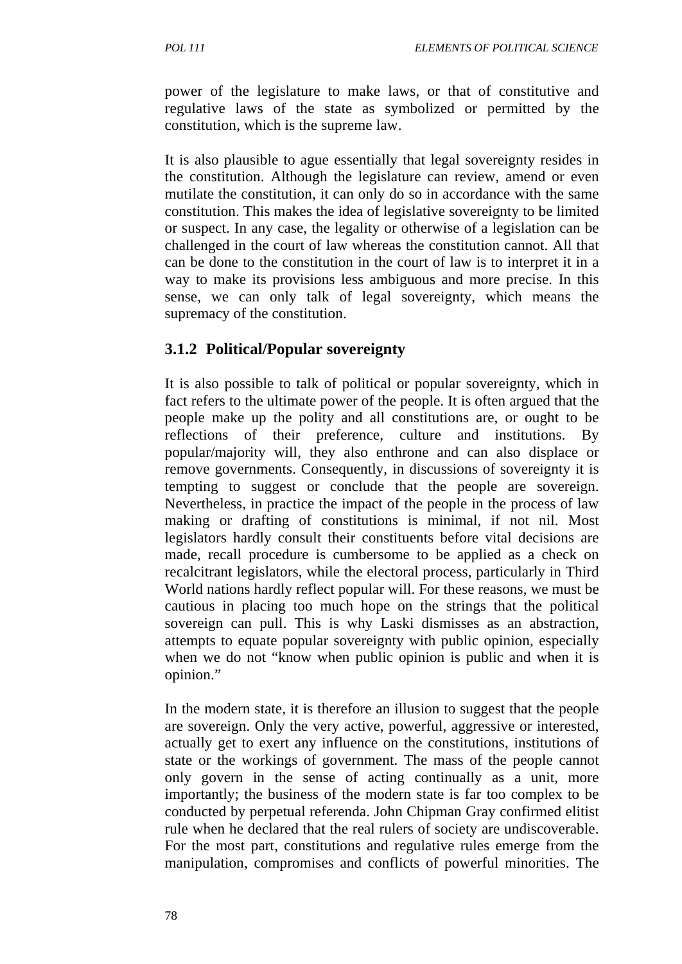power of the legislature to make laws, or that of constitutive and regulative laws of the state as symbolized or permitted by the constitution, which is the supreme law.

It is also plausible to ague essentially that legal sovereignty resides in the constitution. Although the legislature can review, amend or even mutilate the constitution, it can only do so in accordance with the same constitution. This makes the idea of legislative sovereignty to be limited or suspect. In any case, the legality or otherwise of a legislation can be challenged in the court of law whereas the constitution cannot. All that can be done to the constitution in the court of law is to interpret it in a way to make its provisions less ambiguous and more precise. In this sense, we can only talk of legal sovereignty, which means the supremacy of the constitution.

## **3.1.2 Political/Popular sovereignty**

It is also possible to talk of political or popular sovereignty, which in fact refers to the ultimate power of the people. It is often argued that the people make up the polity and all constitutions are, or ought to be reflections of their preference, culture and institutions. By popular/majority will, they also enthrone and can also displace or remove governments. Consequently, in discussions of sovereignty it is tempting to suggest or conclude that the people are sovereign. Nevertheless, in practice the impact of the people in the process of law making or drafting of constitutions is minimal, if not nil. Most legislators hardly consult their constituents before vital decisions are made, recall procedure is cumbersome to be applied as a check on recalcitrant legislators, while the electoral process, particularly in Third World nations hardly reflect popular will. For these reasons, we must be cautious in placing too much hope on the strings that the political sovereign can pull. This is why Laski dismisses as an abstraction, attempts to equate popular sovereignty with public opinion, especially when we do not "know when public opinion is public and when it is opinion."

In the modern state, it is therefore an illusion to suggest that the people are sovereign. Only the very active, powerful, aggressive or interested, actually get to exert any influence on the constitutions, institutions of state or the workings of government. The mass of the people cannot only govern in the sense of acting continually as a unit, more importantly; the business of the modern state is far too complex to be conducted by perpetual referenda. John Chipman Gray confirmed elitist rule when he declared that the real rulers of society are undiscoverable. For the most part, constitutions and regulative rules emerge from the manipulation, compromises and conflicts of powerful minorities. The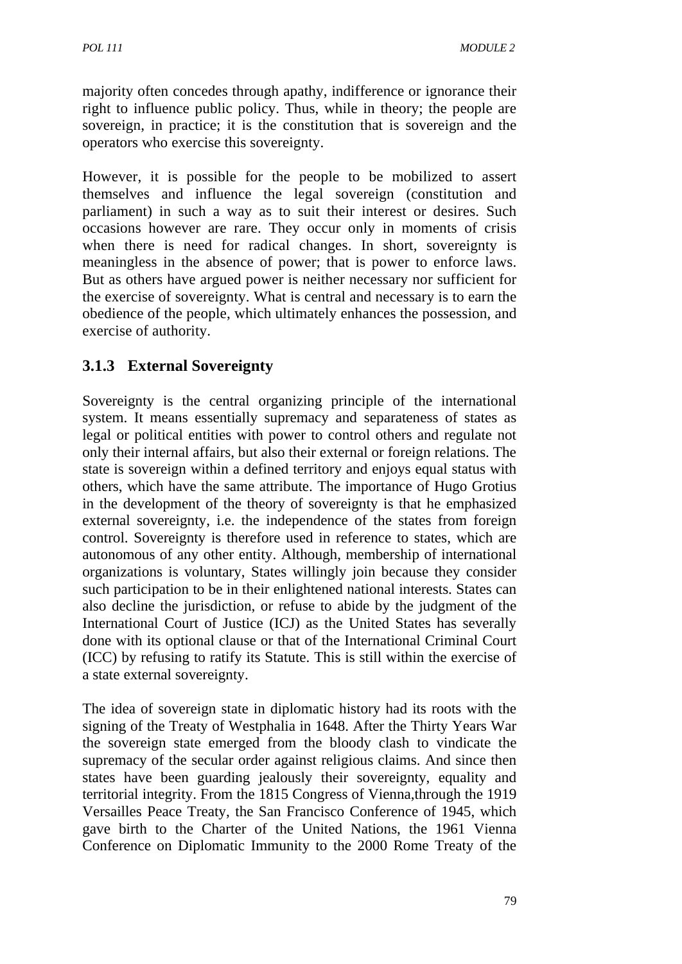majority often concedes through apathy, indifference or ignorance their right to influence public policy. Thus, while in theory; the people are sovereign, in practice; it is the constitution that is sovereign and the operators who exercise this sovereignty.

However, it is possible for the people to be mobilized to assert themselves and influence the legal sovereign (constitution and parliament) in such a way as to suit their interest or desires. Such occasions however are rare. They occur only in moments of crisis when there is need for radical changes. In short, sovereignty is meaningless in the absence of power; that is power to enforce laws. But as others have argued power is neither necessary nor sufficient for the exercise of sovereignty. What is central and necessary is to earn the obedience of the people, which ultimately enhances the possession, and exercise of authority.

# **3.1.3 External Sovereignty**

Sovereignty is the central organizing principle of the international system. It means essentially supremacy and separateness of states as legal or political entities with power to control others and regulate not only their internal affairs, but also their external or foreign relations. The state is sovereign within a defined territory and enjoys equal status with others, which have the same attribute. The importance of Hugo Grotius in the development of the theory of sovereignty is that he emphasized external sovereignty, i.e. the independence of the states from foreign control. Sovereignty is therefore used in reference to states, which are autonomous of any other entity. Although, membership of international organizations is voluntary, States willingly join because they consider such participation to be in their enlightened national interests. States can also decline the jurisdiction, or refuse to abide by the judgment of the International Court of Justice (ICJ) as the United States has severally done with its optional clause or that of the International Criminal Court (ICC) by refusing to ratify its Statute. This is still within the exercise of a state external sovereignty.

The idea of sovereign state in diplomatic history had its roots with the signing of the Treaty of Westphalia in 1648. After the Thirty Years War the sovereign state emerged from the bloody clash to vindicate the supremacy of the secular order against religious claims. And since then states have been guarding jealously their sovereignty, equality and territorial integrity. From the 1815 Congress of Vienna,through the 1919 Versailles Peace Treaty, the San Francisco Conference of 1945, which gave birth to the Charter of the United Nations, the 1961 Vienna Conference on Diplomatic Immunity to the 2000 Rome Treaty of the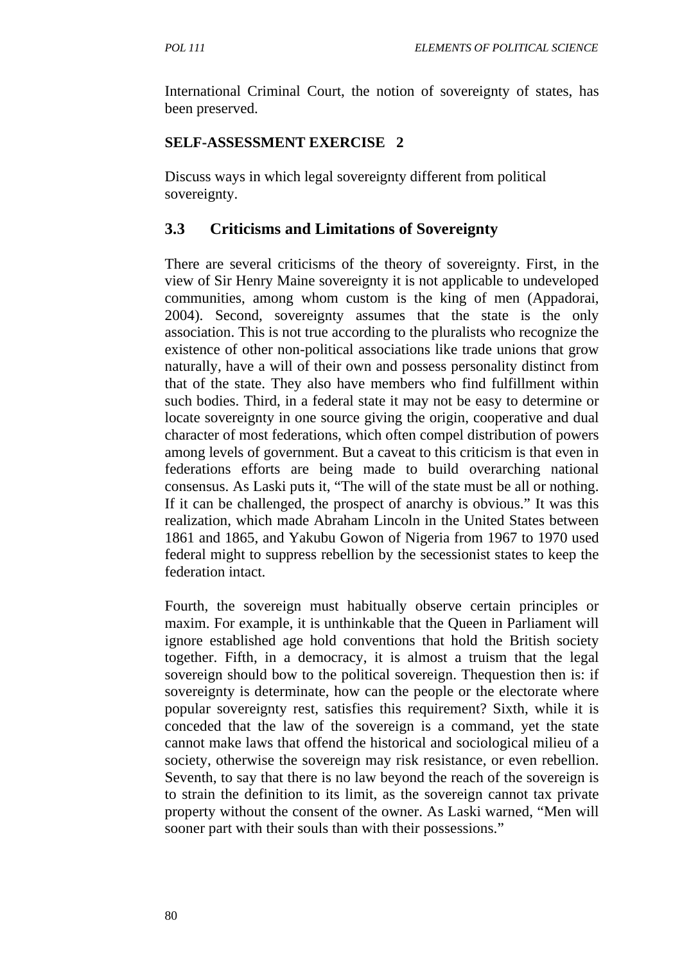International Criminal Court, the notion of sovereignty of states, has been preserved.

## **SELF-ASSESSMENT EXERCISE 2**

Discuss ways in which legal sovereignty different from political sovereignty.

# **3.3 Criticisms and Limitations of Sovereignty**

There are several criticisms of the theory of sovereignty. First, in the view of Sir Henry Maine sovereignty it is not applicable to undeveloped communities, among whom custom is the king of men (Appadorai, 2004). Second, sovereignty assumes that the state is the only association. This is not true according to the pluralists who recognize the existence of other non-political associations like trade unions that grow naturally, have a will of their own and possess personality distinct from that of the state. They also have members who find fulfillment within such bodies. Third, in a federal state it may not be easy to determine or locate sovereignty in one source giving the origin, cooperative and dual character of most federations, which often compel distribution of powers among levels of government. But a caveat to this criticism is that even in federations efforts are being made to build overarching national consensus. As Laski puts it, "The will of the state must be all or nothing. If it can be challenged, the prospect of anarchy is obvious." It was this realization, which made Abraham Lincoln in the United States between 1861 and 1865, and Yakubu Gowon of Nigeria from 1967 to 1970 used federal might to suppress rebellion by the secessionist states to keep the federation intact.

Fourth, the sovereign must habitually observe certain principles or maxim. For example, it is unthinkable that the Queen in Parliament will ignore established age hold conventions that hold the British society together. Fifth, in a democracy, it is almost a truism that the legal sovereign should bow to the political sovereign. Thequestion then is: if sovereignty is determinate, how can the people or the electorate where popular sovereignty rest, satisfies this requirement? Sixth, while it is conceded that the law of the sovereign is a command, yet the state cannot make laws that offend the historical and sociological milieu of a society, otherwise the sovereign may risk resistance, or even rebellion. Seventh, to say that there is no law beyond the reach of the sovereign is to strain the definition to its limit, as the sovereign cannot tax private property without the consent of the owner. As Laski warned, "Men will sooner part with their souls than with their possessions."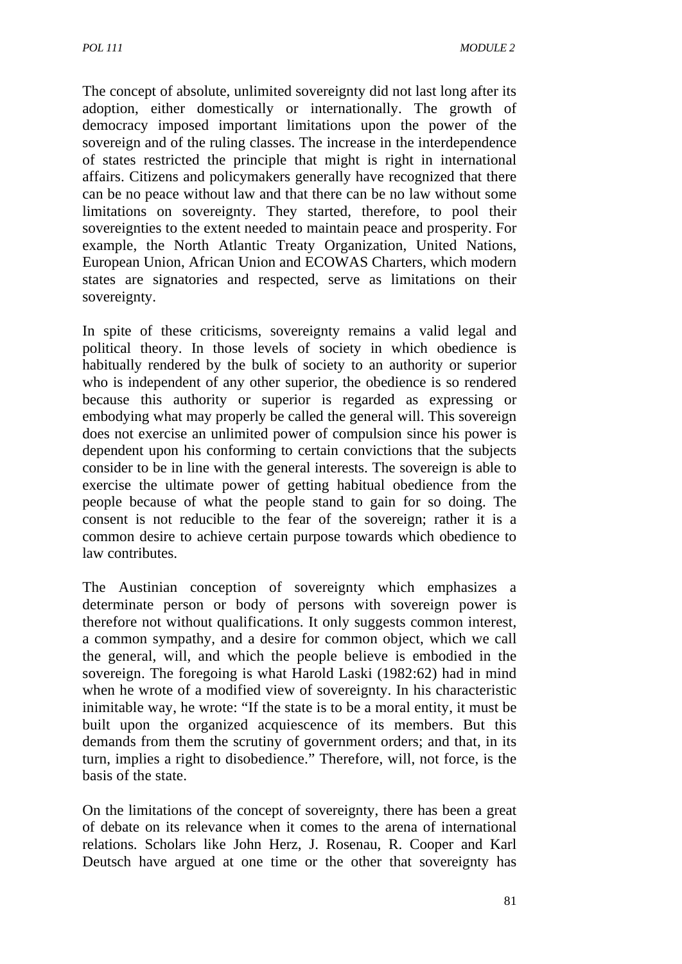The concept of absolute, unlimited sovereignty did not last long after its adoption, either domestically or internationally. The growth of democracy imposed important limitations upon the power of the sovereign and of the ruling classes. The increase in the interdependence of states restricted the principle that might is right in international affairs. Citizens and policymakers generally have recognized that there can be no peace without law and that there can be no law without some limitations on sovereignty. They started, therefore, to pool their sovereignties to the extent needed to maintain peace and prosperity. For example, the North Atlantic Treaty Organization, United Nations, European Union, African Union and ECOWAS Charters, which modern states are signatories and respected, serve as limitations on their sovereignty.

In spite of these criticisms, sovereignty remains a valid legal and political theory. In those levels of society in which obedience is habitually rendered by the bulk of society to an authority or superior who is independent of any other superior, the obedience is so rendered because this authority or superior is regarded as expressing or embodying what may properly be called the general will. This sovereign does not exercise an unlimited power of compulsion since his power is dependent upon his conforming to certain convictions that the subjects consider to be in line with the general interests. The sovereign is able to exercise the ultimate power of getting habitual obedience from the people because of what the people stand to gain for so doing. The consent is not reducible to the fear of the sovereign; rather it is a common desire to achieve certain purpose towards which obedience to law contributes.

The Austinian conception of sovereignty which emphasizes a determinate person or body of persons with sovereign power is therefore not without qualifications. It only suggests common interest, a common sympathy, and a desire for common object, which we call the general, will, and which the people believe is embodied in the sovereign. The foregoing is what Harold Laski (1982:62) had in mind when he wrote of a modified view of sovereignty. In his characteristic inimitable way, he wrote: "If the state is to be a moral entity, it must be built upon the organized acquiescence of its members. But this demands from them the scrutiny of government orders; and that, in its turn, implies a right to disobedience." Therefore, will, not force, is the basis of the state.

On the limitations of the concept of sovereignty, there has been a great of debate on its relevance when it comes to the arena of international relations. Scholars like John Herz, J. Rosenau, R. Cooper and Karl Deutsch have argued at one time or the other that sovereignty has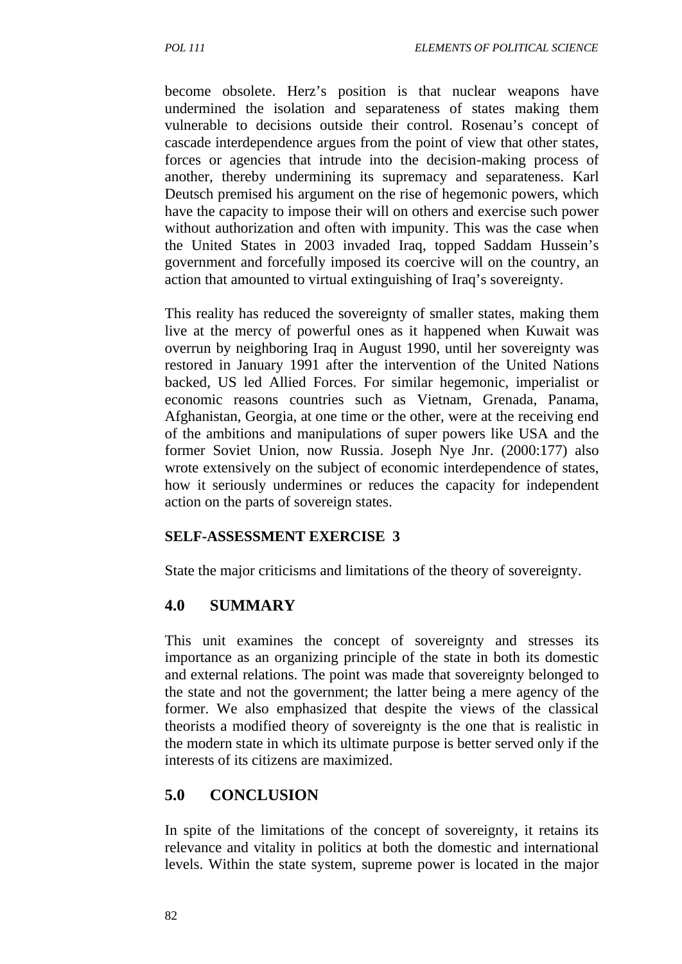become obsolete. Herz's position is that nuclear weapons have undermined the isolation and separateness of states making them vulnerable to decisions outside their control. Rosenau's concept of cascade interdependence argues from the point of view that other states, forces or agencies that intrude into the decision-making process of another, thereby undermining its supremacy and separateness. Karl Deutsch premised his argument on the rise of hegemonic powers, which have the capacity to impose their will on others and exercise such power without authorization and often with impunity. This was the case when the United States in 2003 invaded Iraq, topped Saddam Hussein's government and forcefully imposed its coercive will on the country, an action that amounted to virtual extinguishing of Iraq's sovereignty.

This reality has reduced the sovereignty of smaller states, making them live at the mercy of powerful ones as it happened when Kuwait was overrun by neighboring Iraq in August 1990, until her sovereignty was restored in January 1991 after the intervention of the United Nations backed, US led Allied Forces. For similar hegemonic, imperialist or economic reasons countries such as Vietnam, Grenada, Panama, Afghanistan, Georgia, at one time or the other, were at the receiving end of the ambitions and manipulations of super powers like USA and the former Soviet Union, now Russia. Joseph Nye Jnr. (2000:177) also wrote extensively on the subject of economic interdependence of states, how it seriously undermines or reduces the capacity for independent action on the parts of sovereign states.

### **SELF-ASSESSMENT EXERCISE 3**

State the major criticisms and limitations of the theory of sovereignty.

### **4.0 SUMMARY**

This unit examines the concept of sovereignty and stresses its importance as an organizing principle of the state in both its domestic and external relations. The point was made that sovereignty belonged to the state and not the government; the latter being a mere agency of the former. We also emphasized that despite the views of the classical theorists a modified theory of sovereignty is the one that is realistic in the modern state in which its ultimate purpose is better served only if the interests of its citizens are maximized.

## **5.0 CONCLUSION**

In spite of the limitations of the concept of sovereignty, it retains its relevance and vitality in politics at both the domestic and international levels. Within the state system, supreme power is located in the major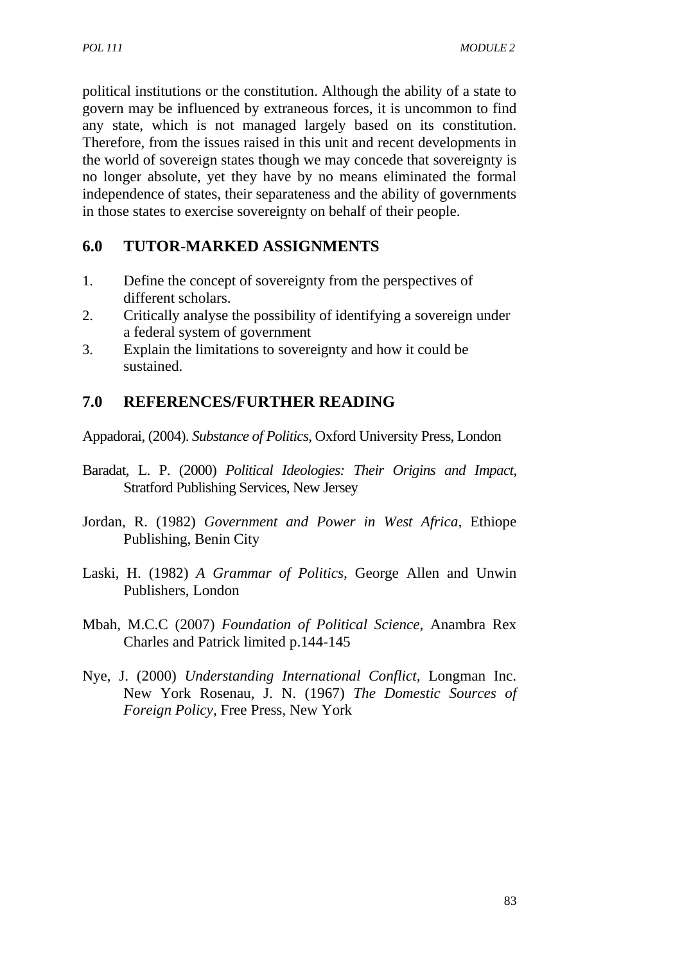political institutions or the constitution. Although the ability of a state to govern may be influenced by extraneous forces, it is uncommon to find any state, which is not managed largely based on its constitution. Therefore, from the issues raised in this unit and recent developments in the world of sovereign states though we may concede that sovereignty is no longer absolute, yet they have by no means eliminated the formal independence of states, their separateness and the ability of governments in those states to exercise sovereignty on behalf of their people.

# **6.0 TUTOR-MARKED ASSIGNMENTS**

- 1. Define the concept of sovereignty from the perspectives of different scholars.
- 2. Critically analyse the possibility of identifying a sovereign under a federal system of government
- 3. Explain the limitations to sovereignty and how it could be sustained.

# **7.0 REFERENCES/FURTHER READING**

Appadorai, (2004). *Substance of Politics*, Oxford University Press, London

- Baradat, L. P. (2000) *Political Ideologies: Their Origins and Impact*, Stratford Publishing Services, New Jersey
- Jordan, R. (1982) *Government and Power in West Africa,* Ethiope Publishing, Benin City
- Laski, H. (1982) *A Grammar of Politics,* George Allen and Unwin Publishers, London
- Mbah, M.C.C (2007) *Foundation of Political Science,* Anambra Rex Charles and Patrick limited p.144-145
- Nye, J. (2000) *Understanding International Conflict,* Longman Inc. New York Rosenau, J. N. (1967) *The Domestic Sources of Foreign Policy*, Free Press, New York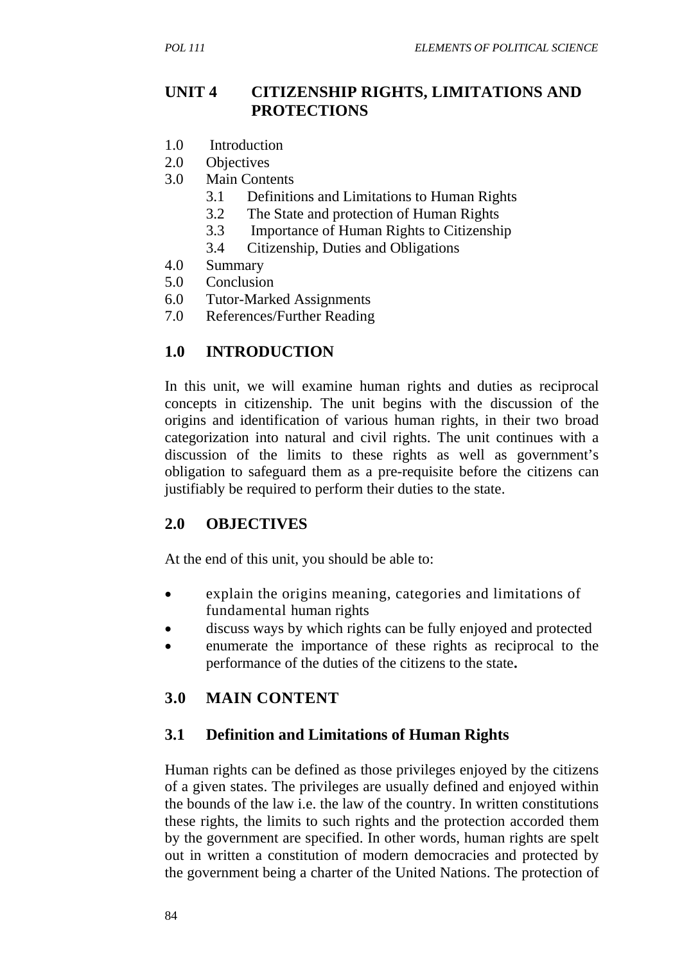## **UNIT 4 CITIZENSHIP RIGHTS, LIMITATIONS AND PROTECTIONS**

- 1.0 Introduction
- 2.0 Objectives
- 3.0 Main Contents
	- 3.1 Definitions and Limitations to Human Rights
	- 3.2 The State and protection of Human Rights
	- 3.3 Importance of Human Rights to Citizenship
	- 3.4 Citizenship, Duties and Obligations
- 4.0 Summary
- 5.0 Conclusion
- 6.0 Tutor-Marked Assignments
- 7.0 References/Further Reading

## **1.0 INTRODUCTION**

In this unit, we will examine human rights and duties as reciprocal concepts in citizenship. The unit begins with the discussion of the origins and identification of various human rights, in their two broad categorization into natural and civil rights. The unit continues with a discussion of the limits to these rights as well as government's obligation to safeguard them as a pre-requisite before the citizens can justifiably be required to perform their duties to the state.

### **2.0 OBJECTIVES**

At the end of this unit, you should be able to:

- explain the origins meaning, categories and limitations of fundamental human rights
- discuss ways by which rights can be fully enjoyed and protected
- enumerate the importance of these rights as reciprocal to the performance of the duties of the citizens to the state**.**

## **3.0 MAIN CONTENT**

### **3.1 Definition and Limitations of Human Rights**

Human rights can be defined as those privileges enjoyed by the citizens of a given states. The privileges are usually defined and enjoyed within the bounds of the law i.e. the law of the country. In written constitutions these rights, the limits to such rights and the protection accorded them by the government are specified. In other words, human rights are spelt out in written a constitution of modern democracies and protected by the government being a charter of the United Nations. The protection of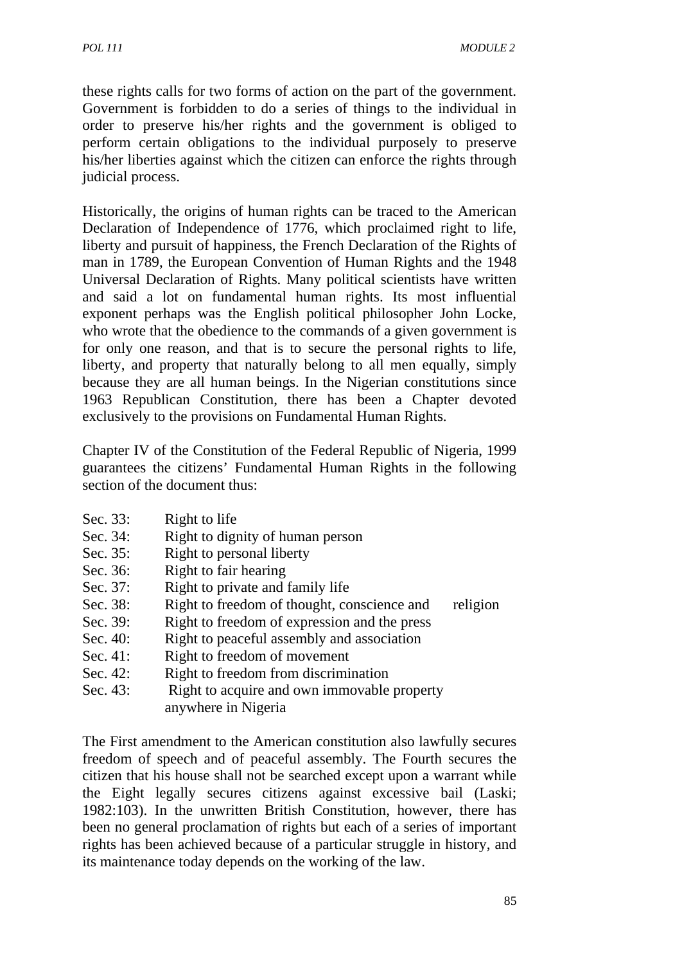these rights calls for two forms of action on the part of the government. Government is forbidden to do a series of things to the individual in order to preserve his/her rights and the government is obliged to perform certain obligations to the individual purposely to preserve his/her liberties against which the citizen can enforce the rights through judicial process.

Historically, the origins of human rights can be traced to the American Declaration of Independence of 1776, which proclaimed right to life, liberty and pursuit of happiness, the French Declaration of the Rights of man in 1789, the European Convention of Human Rights and the 1948 Universal Declaration of Rights. Many political scientists have written and said a lot on fundamental human rights. Its most influential exponent perhaps was the English political philosopher John Locke, who wrote that the obedience to the commands of a given government is for only one reason, and that is to secure the personal rights to life, liberty, and property that naturally belong to all men equally, simply because they are all human beings. In the Nigerian constitutions since 1963 Republican Constitution, there has been a Chapter devoted exclusively to the provisions on Fundamental Human Rights.

Chapter IV of the Constitution of the Federal Republic of Nigeria, 1999 guarantees the citizens' Fundamental Human Rights in the following section of the document thus:

- Sec. 33: Right to life
- Sec. 34: Right to dignity of human person
- Sec. 35: Right to personal liberty
- Sec. 36: Right to fair hearing
- Sec. 37: Right to private and family life
- Sec. 38: Right to freedom of thought, conscience and religion
- Sec. 39: Right to freedom of expression and the press
- Sec. 40: Right to peaceful assembly and association
- Sec. 41: Right to freedom of movement
- Sec. 42: Right to freedom from discrimination
- Sec. 43: Right to acquire and own immovable property anywhere in Nigeria

The First amendment to the American constitution also lawfully secures freedom of speech and of peaceful assembly. The Fourth secures the citizen that his house shall not be searched except upon a warrant while the Eight legally secures citizens against excessive bail (Laski; 1982:103). In the unwritten British Constitution, however, there has been no general proclamation of rights but each of a series of important rights has been achieved because of a particular struggle in history, and its maintenance today depends on the working of the law.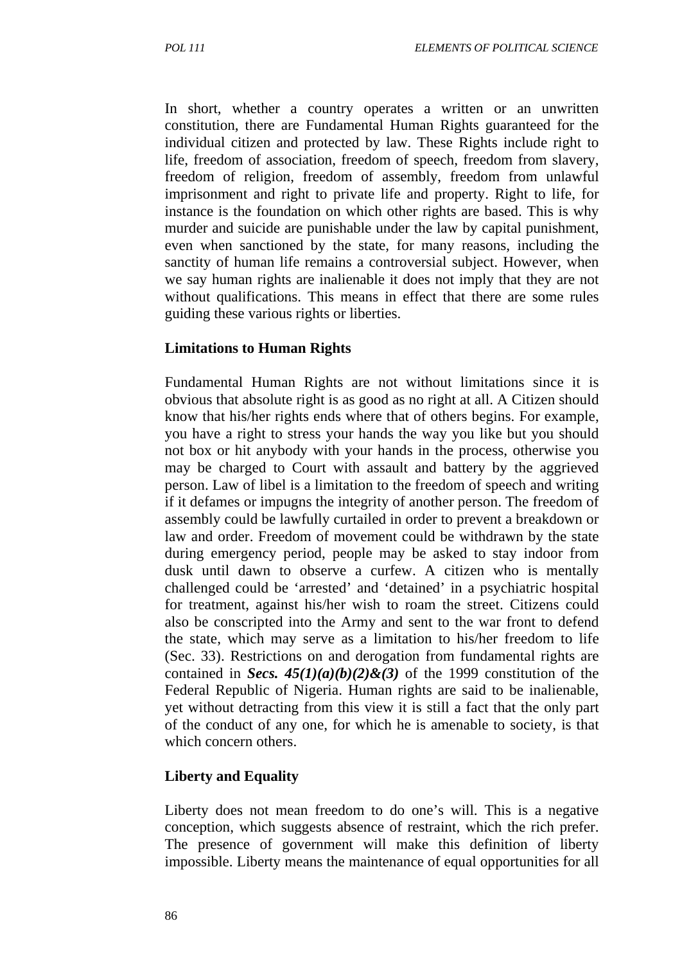In short, whether a country operates a written or an unwritten constitution, there are Fundamental Human Rights guaranteed for the individual citizen and protected by law. These Rights include right to life, freedom of association, freedom of speech, freedom from slavery, freedom of religion, freedom of assembly, freedom from unlawful imprisonment and right to private life and property. Right to life, for instance is the foundation on which other rights are based. This is why murder and suicide are punishable under the law by capital punishment, even when sanctioned by the state, for many reasons, including the sanctity of human life remains a controversial subject. However, when we say human rights are inalienable it does not imply that they are not without qualifications. This means in effect that there are some rules guiding these various rights or liberties.

#### **Limitations to Human Rights**

Fundamental Human Rights are not without limitations since it is obvious that absolute right is as good as no right at all. A Citizen should know that his/her rights ends where that of others begins. For example, you have a right to stress your hands the way you like but you should not box or hit anybody with your hands in the process, otherwise you may be charged to Court with assault and battery by the aggrieved person. Law of libel is a limitation to the freedom of speech and writing if it defames or impugns the integrity of another person. The freedom of assembly could be lawfully curtailed in order to prevent a breakdown or law and order. Freedom of movement could be withdrawn by the state during emergency period, people may be asked to stay indoor from dusk until dawn to observe a curfew. A citizen who is mentally challenged could be 'arrested' and 'detained' in a psychiatric hospital for treatment, against his/her wish to roam the street. Citizens could also be conscripted into the Army and sent to the war front to defend the state, which may serve as a limitation to his/her freedom to life (Sec. 33). Restrictions on and derogation from fundamental rights are contained in *Secs.*  $45(1)(a)(b)(2)$ &(3) of the 1999 constitution of the Federal Republic of Nigeria. Human rights are said to be inalienable, yet without detracting from this view it is still a fact that the only part of the conduct of any one, for which he is amenable to society, is that which concern others.

### **Liberty and Equality**

Liberty does not mean freedom to do one's will. This is a negative conception, which suggests absence of restraint, which the rich prefer. The presence of government will make this definition of liberty impossible. Liberty means the maintenance of equal opportunities for all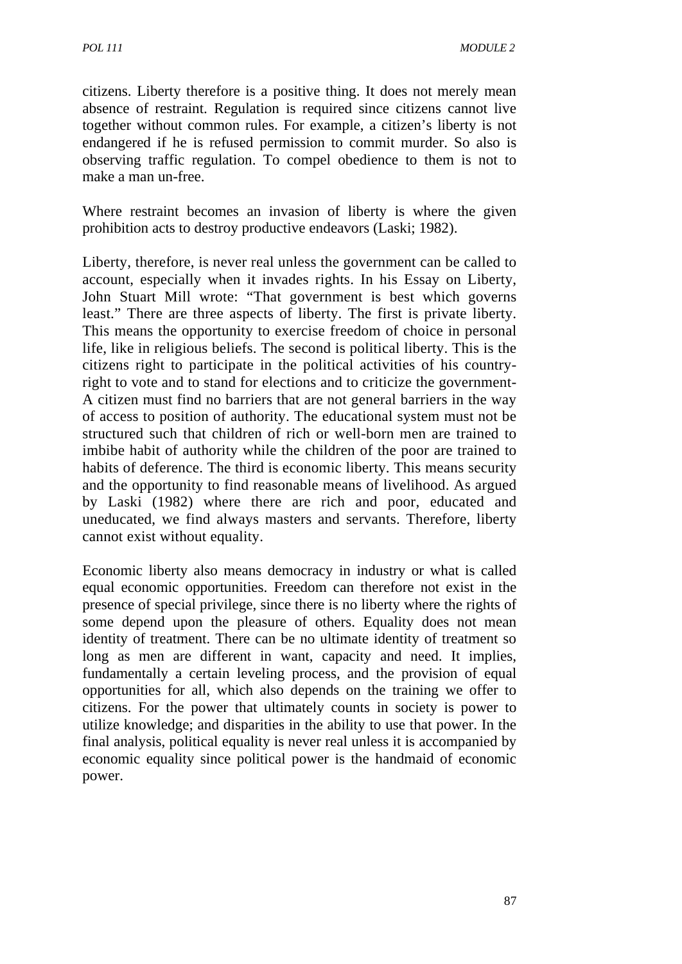citizens. Liberty therefore is a positive thing. It does not merely mean absence of restraint. Regulation is required since citizens cannot live together without common rules. For example, a citizen's liberty is not endangered if he is refused permission to commit murder. So also is observing traffic regulation. To compel obedience to them is not to make a man un-free.

Where restraint becomes an invasion of liberty is where the given prohibition acts to destroy productive endeavors (Laski; 1982).

Liberty, therefore, is never real unless the government can be called to account, especially when it invades rights. In his Essay on Liberty, John Stuart Mill wrote: "That government is best which governs least." There are three aspects of liberty. The first is private liberty. This means the opportunity to exercise freedom of choice in personal life, like in religious beliefs. The second is political liberty. This is the citizens right to participate in the political activities of his countryright to vote and to stand for elections and to criticize the government-A citizen must find no barriers that are not general barriers in the way of access to position of authority. The educational system must not be structured such that children of rich or well-born men are trained to imbibe habit of authority while the children of the poor are trained to habits of deference. The third is economic liberty. This means security and the opportunity to find reasonable means of livelihood. As argued by Laski (1982) where there are rich and poor, educated and uneducated, we find always masters and servants. Therefore, liberty cannot exist without equality.

Economic liberty also means democracy in industry or what is called equal economic opportunities. Freedom can therefore not exist in the presence of special privilege, since there is no liberty where the rights of some depend upon the pleasure of others. Equality does not mean identity of treatment. There can be no ultimate identity of treatment so long as men are different in want, capacity and need. It implies, fundamentally a certain leveling process, and the provision of equal opportunities for all, which also depends on the training we offer to citizens. For the power that ultimately counts in society is power to utilize knowledge; and disparities in the ability to use that power. In the final analysis, political equality is never real unless it is accompanied by economic equality since political power is the handmaid of economic power.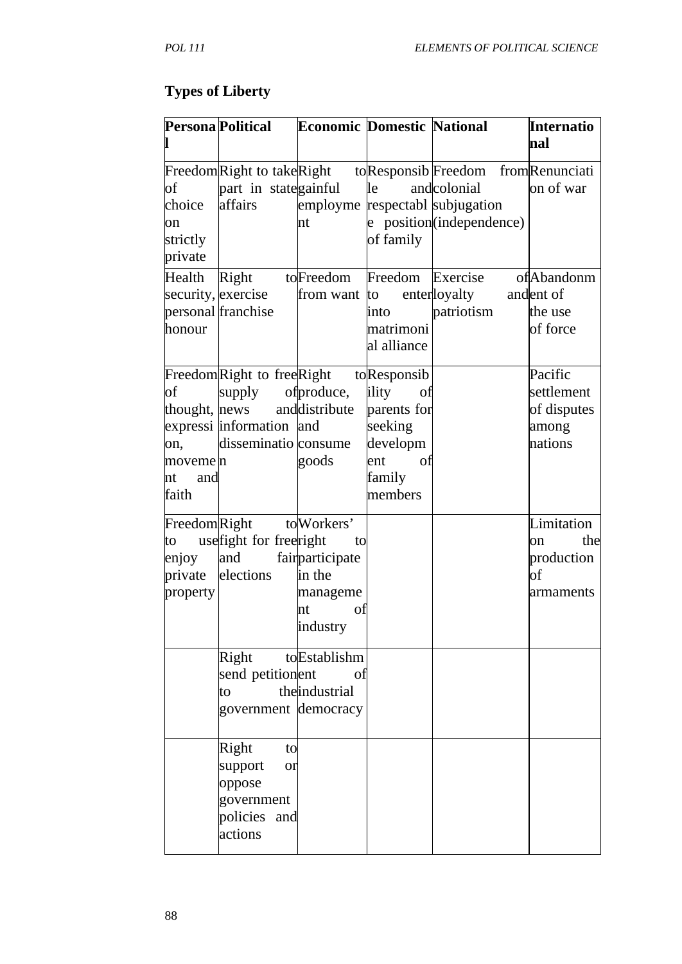# **Types of Liberty**

|                                             | Persona Political                                                                                                       | <b>Economic Domestic National</b>                                                  |                                                                                                    |                                                                                                                                                | <b>Internatio</b><br>nal                                 |
|---------------------------------------------|-------------------------------------------------------------------------------------------------------------------------|------------------------------------------------------------------------------------|----------------------------------------------------------------------------------------------------|------------------------------------------------------------------------------------------------------------------------------------------------|----------------------------------------------------------|
| of<br>choice<br>on<br>strictly<br>private   | part in stategainful<br>affairs                                                                                         | nt                                                                                 | le<br>of family                                                                                    | Freedom Right to take Right to Responsib Freedom from Renunciati<br>andcolonial<br>employme respectabl subjugation<br>e position(independence) | on of war                                                |
| Health<br>honour                            | Right<br>security, exercise<br>personal franchise                                                                       | toFreedom Freedom<br>from want to                                                  | into<br>matrimoni<br>al alliance                                                                   | Exercise<br>enterloyalty and ent of<br>patriotism                                                                                              | of Abandonm<br>the use<br>of force                       |
| оf<br>on,<br>moveme n<br>nt<br>and<br>faith | FreedomRight to freeRight<br>supply<br>thought, news and distribute<br>expressi information and<br>disseminatio consume | of produce,<br>goods                                                               | toResponsib<br>ility<br>of<br>parents for<br>seeking<br>developm<br>of<br>ent<br>family<br>members |                                                                                                                                                | Pacific<br>settlement<br>of disputes<br>among<br>nations |
| FreedomRight<br>to<br>enjoy<br>property     | usefight for freeright<br>and<br>private elections                                                                      | to Workers'<br>to<br>fairparticipate<br>in the<br>manageme<br>nt<br>of<br>industry |                                                                                                    |                                                                                                                                                | Limitation<br>the<br>on<br>production<br>of<br>armaments |
|                                             | Right<br>send petitionent<br>to<br>government democracy                                                                 | toEstablishm<br>of<br>theindustrial                                                |                                                                                                    |                                                                                                                                                |                                                          |
|                                             | Right<br>to<br>support<br>or<br>oppose<br>government<br>policies and<br>actions                                         |                                                                                    |                                                                                                    |                                                                                                                                                |                                                          |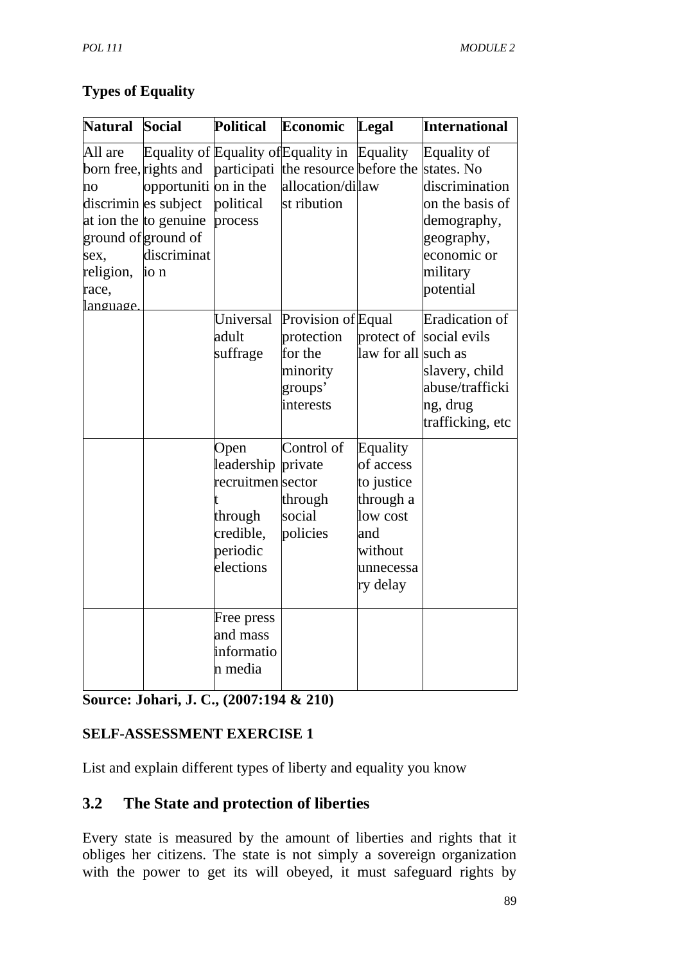## **Types of Equality**

| <b>Natural</b>                                          | <b>Social</b>                                                                                                                                 | <b>Political</b>                                                                         | Economic                                                                                                      | Legal                                                                                                   | <b>International</b>                                                                                                                |
|---------------------------------------------------------|-----------------------------------------------------------------------------------------------------------------------------------------------|------------------------------------------------------------------------------------------|---------------------------------------------------------------------------------------------------------------|---------------------------------------------------------------------------------------------------------|-------------------------------------------------------------------------------------------------------------------------------------|
| All are<br>no<br>sex,<br>religion,<br>race,<br>language | born free, rights and<br>opportuniti on in the<br>discrimin es subject<br>at ion the to genuine<br>ground of ground of<br>discriminat<br>io n | political<br>process                                                                     | Equality of Equality of Equality in<br>participati the resource before the<br>allocation/dilaw<br>st ribution | Equality                                                                                                | Equality of<br>states. No<br>discrimination<br>on the basis of<br>demography,<br>geography,<br>economic or<br>military<br>potential |
|                                                         |                                                                                                                                               | Universal<br>adult<br>suffrage                                                           | Provision of Equal<br>protection<br>for the<br>minority<br>groups'<br>interests                               | protect of<br>law for all such as                                                                       | <b>Eradication</b> of<br>social evils<br>slavery, child<br>abuse/trafficki<br>ng, drug<br>trafficking, etc                          |
|                                                         |                                                                                                                                               | Open<br>leadership<br>recruitmen sector<br>through<br>credible,<br>periodic<br>elections | Control of<br>private<br>through<br>social<br>policies                                                        | Equality<br>of access<br>to justice<br>through a<br>low cost<br>and<br>without<br>unnecessa<br>ry delay |                                                                                                                                     |
|                                                         |                                                                                                                                               | Free press<br>and mass<br>informatio<br>n media                                          |                                                                                                               |                                                                                                         |                                                                                                                                     |

# **Source: Johari, J. C., (2007:194 & 210)**

# **SELF-ASSESSMENT EXERCISE 1**

List and explain different types of liberty and equality you know

# **3.2 The State and protection of liberties**

Every state is measured by the amount of liberties and rights that it obliges her citizens. The state is not simply a sovereign organization with the power to get its will obeyed, it must safeguard rights by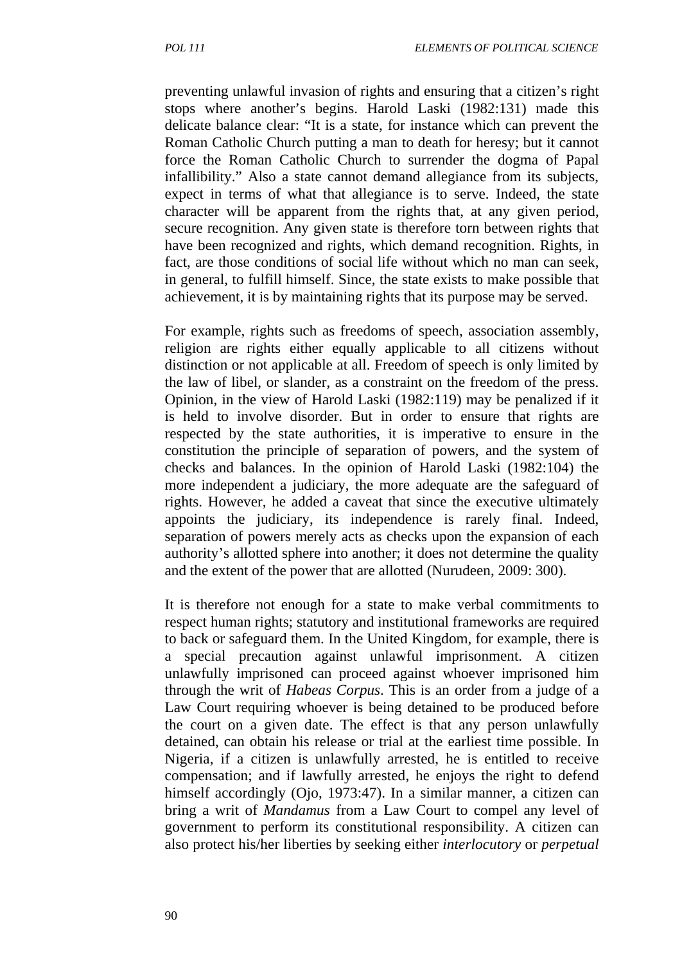preventing unlawful invasion of rights and ensuring that a citizen's right stops where another's begins. Harold Laski (1982:131) made this delicate balance clear: "It is a state, for instance which can prevent the Roman Catholic Church putting a man to death for heresy; but it cannot force the Roman Catholic Church to surrender the dogma of Papal infallibility." Also a state cannot demand allegiance from its subjects, expect in terms of what that allegiance is to serve. Indeed, the state character will be apparent from the rights that, at any given period, secure recognition. Any given state is therefore torn between rights that have been recognized and rights, which demand recognition. Rights, in fact, are those conditions of social life without which no man can seek, in general, to fulfill himself. Since, the state exists to make possible that achievement, it is by maintaining rights that its purpose may be served.

For example, rights such as freedoms of speech, association assembly, religion are rights either equally applicable to all citizens without distinction or not applicable at all. Freedom of speech is only limited by the law of libel, or slander, as a constraint on the freedom of the press. Opinion, in the view of Harold Laski (1982:119) may be penalized if it is held to involve disorder. But in order to ensure that rights are respected by the state authorities, it is imperative to ensure in the constitution the principle of separation of powers, and the system of checks and balances. In the opinion of Harold Laski (1982:104) the more independent a judiciary, the more adequate are the safeguard of rights. However, he added a caveat that since the executive ultimately appoints the judiciary, its independence is rarely final. Indeed, separation of powers merely acts as checks upon the expansion of each authority's allotted sphere into another; it does not determine the quality and the extent of the power that are allotted (Nurudeen, 2009: 300).

It is therefore not enough for a state to make verbal commitments to respect human rights; statutory and institutional frameworks are required to back or safeguard them. In the United Kingdom, for example, there is a special precaution against unlawful imprisonment. A citizen unlawfully imprisoned can proceed against whoever imprisoned him through the writ of *Habeas Corpus*. This is an order from a judge of a Law Court requiring whoever is being detained to be produced before the court on a given date. The effect is that any person unlawfully detained, can obtain his release or trial at the earliest time possible. In Nigeria, if a citizen is unlawfully arrested, he is entitled to receive compensation; and if lawfully arrested, he enjoys the right to defend himself accordingly (Ojo, 1973:47). In a similar manner, a citizen can bring a writ of *Mandamus* from a Law Court to compel any level of government to perform its constitutional responsibility. A citizen can also protect his/her liberties by seeking either *interlocutory* or *perpetual*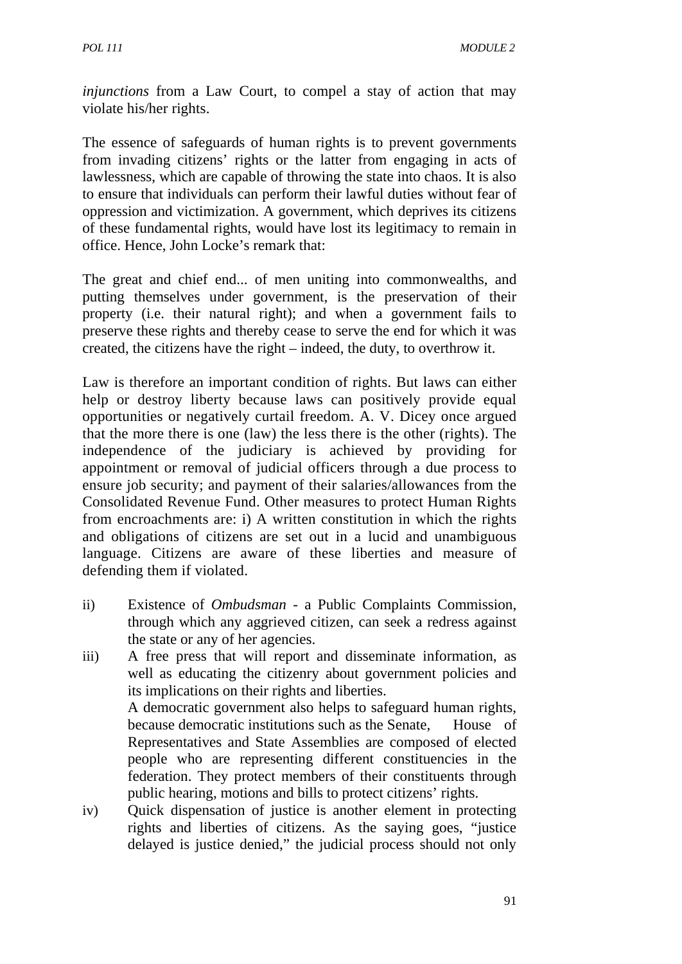*injunctions* from a Law Court, to compel a stay of action that may violate his/her rights.

The essence of safeguards of human rights is to prevent governments from invading citizens' rights or the latter from engaging in acts of lawlessness, which are capable of throwing the state into chaos. It is also to ensure that individuals can perform their lawful duties without fear of oppression and victimization. A government, which deprives its citizens of these fundamental rights, would have lost its legitimacy to remain in office. Hence, John Locke's remark that:

The great and chief end... of men uniting into commonwealths, and putting themselves under government, is the preservation of their property (i.e. their natural right); and when a government fails to preserve these rights and thereby cease to serve the end for which it was created, the citizens have the right – indeed, the duty, to overthrow it.

Law is therefore an important condition of rights. But laws can either help or destroy liberty because laws can positively provide equal opportunities or negatively curtail freedom. A. V. Dicey once argued that the more there is one (law) the less there is the other (rights). The independence of the judiciary is achieved by providing for appointment or removal of judicial officers through a due process to ensure job security; and payment of their salaries/allowances from the Consolidated Revenue Fund. Other measures to protect Human Rights from encroachments are: i) A written constitution in which the rights and obligations of citizens are set out in a lucid and unambiguous language. Citizens are aware of these liberties and measure of defending them if violated.

- ii) Existence of *Ombudsman*  a Public Complaints Commission, through which any aggrieved citizen, can seek a redress against the state or any of her agencies.
- iii) A free press that will report and disseminate information, as well as educating the citizenry about government policies and its implications on their rights and liberties. A democratic government also helps to safeguard human rights, because democratic institutions such as the Senate, House of Representatives and State Assemblies are composed of elected people who are representing different constituencies in the federation. They protect members of their constituents through public hearing, motions and bills to protect citizens' rights.
- iv) Quick dispensation of justice is another element in protecting rights and liberties of citizens. As the saying goes, "justice delayed is justice denied," the judicial process should not only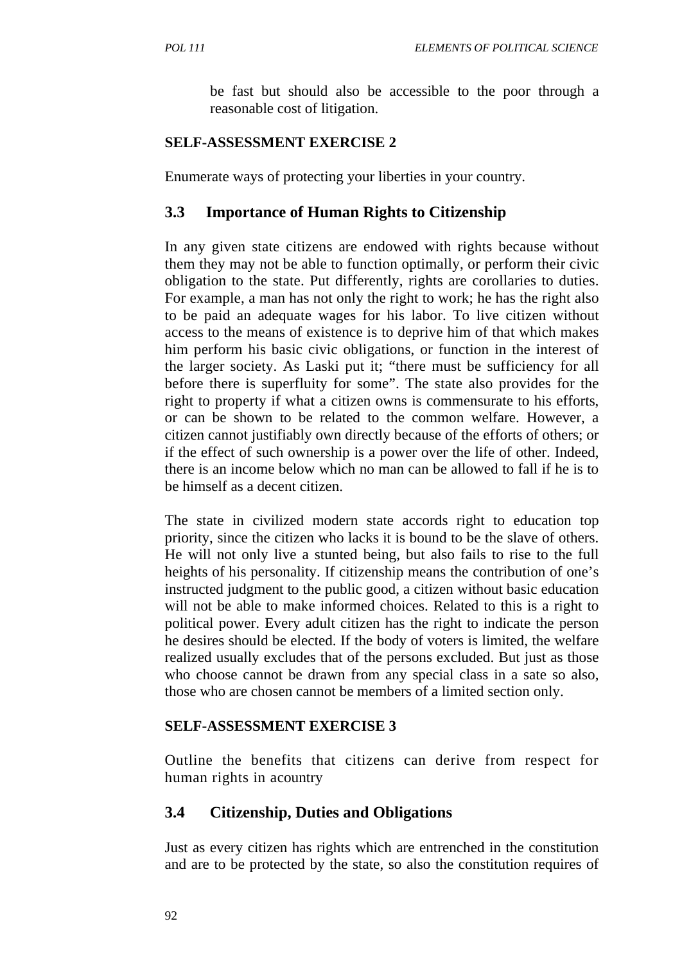be fast but should also be accessible to the poor through a reasonable cost of litigation.

### **SELF-ASSESSMENT EXERCISE 2**

Enumerate ways of protecting your liberties in your country.

## **3.3 Importance of Human Rights to Citizenship**

In any given state citizens are endowed with rights because without them they may not be able to function optimally, or perform their civic obligation to the state. Put differently, rights are corollaries to duties. For example, a man has not only the right to work; he has the right also to be paid an adequate wages for his labor. To live citizen without access to the means of existence is to deprive him of that which makes him perform his basic civic obligations, or function in the interest of the larger society. As Laski put it; "there must be sufficiency for all before there is superfluity for some". The state also provides for the right to property if what a citizen owns is commensurate to his efforts, or can be shown to be related to the common welfare. However, a citizen cannot justifiably own directly because of the efforts of others; or if the effect of such ownership is a power over the life of other. Indeed, there is an income below which no man can be allowed to fall if he is to be himself as a decent citizen.

The state in civilized modern state accords right to education top priority, since the citizen who lacks it is bound to be the slave of others. He will not only live a stunted being, but also fails to rise to the full heights of his personality. If citizenship means the contribution of one's instructed judgment to the public good, a citizen without basic education will not be able to make informed choices. Related to this is a right to political power. Every adult citizen has the right to indicate the person he desires should be elected. If the body of voters is limited, the welfare realized usually excludes that of the persons excluded. But just as those who choose cannot be drawn from any special class in a sate so also, those who are chosen cannot be members of a limited section only.

### **SELF-ASSESSMENT EXERCISE 3**

Outline the benefits that citizens can derive from respect for human rights in acountry

## **3.4 Citizenship, Duties and Obligations**

Just as every citizen has rights which are entrenched in the constitution and are to be protected by the state, so also the constitution requires of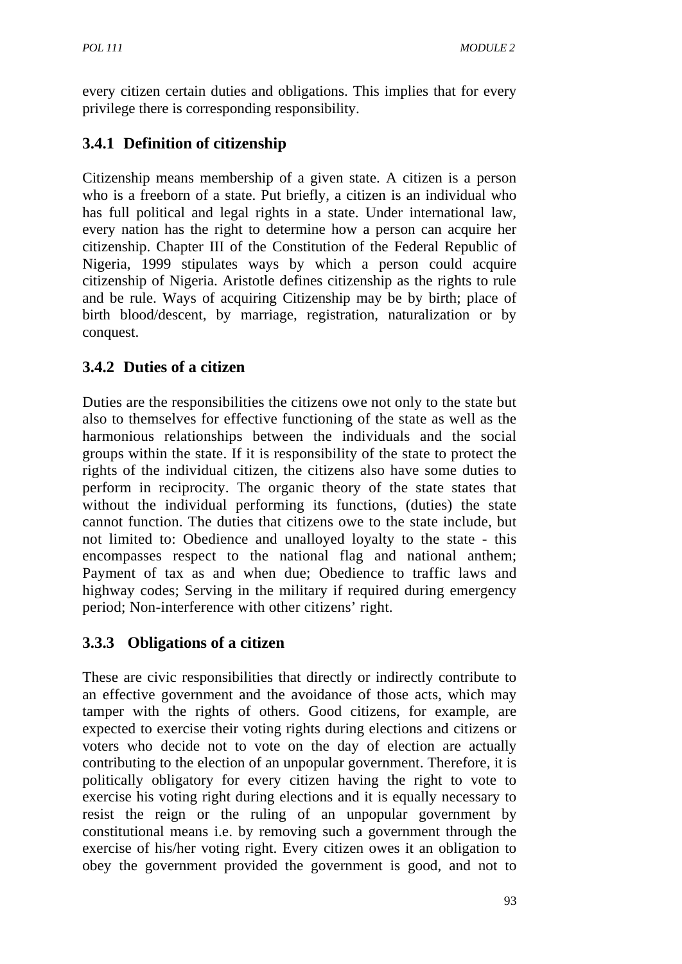every citizen certain duties and obligations. This implies that for every privilege there is corresponding responsibility.

# **3.4.1 Definition of citizenship**

Citizenship means membership of a given state. A citizen is a person who is a freeborn of a state. Put briefly, a citizen is an individual who has full political and legal rights in a state. Under international law, every nation has the right to determine how a person can acquire her citizenship. Chapter III of the Constitution of the Federal Republic of Nigeria, 1999 stipulates ways by which a person could acquire citizenship of Nigeria. Aristotle defines citizenship as the rights to rule and be rule. Ways of acquiring Citizenship may be by birth; place of birth blood/descent, by marriage, registration, naturalization or by conquest.

# **3.4.2 Duties of a citizen**

Duties are the responsibilities the citizens owe not only to the state but also to themselves for effective functioning of the state as well as the harmonious relationships between the individuals and the social groups within the state. If it is responsibility of the state to protect the rights of the individual citizen, the citizens also have some duties to perform in reciprocity. The organic theory of the state states that without the individual performing its functions, (duties) the state cannot function. The duties that citizens owe to the state include, but not limited to: Obedience and unalloyed loyalty to the state - this encompasses respect to the national flag and national anthem; Payment of tax as and when due; Obedience to traffic laws and highway codes; Serving in the military if required during emergency period; Non-interference with other citizens' right.

# **3.3.3 Obligations of a citizen**

These are civic responsibilities that directly or indirectly contribute to an effective government and the avoidance of those acts, which may tamper with the rights of others. Good citizens, for example, are expected to exercise their voting rights during elections and citizens or voters who decide not to vote on the day of election are actually contributing to the election of an unpopular government. Therefore, it is politically obligatory for every citizen having the right to vote to exercise his voting right during elections and it is equally necessary to resist the reign or the ruling of an unpopular government by constitutional means i.e. by removing such a government through the exercise of his/her voting right. Every citizen owes it an obligation to obey the government provided the government is good, and not to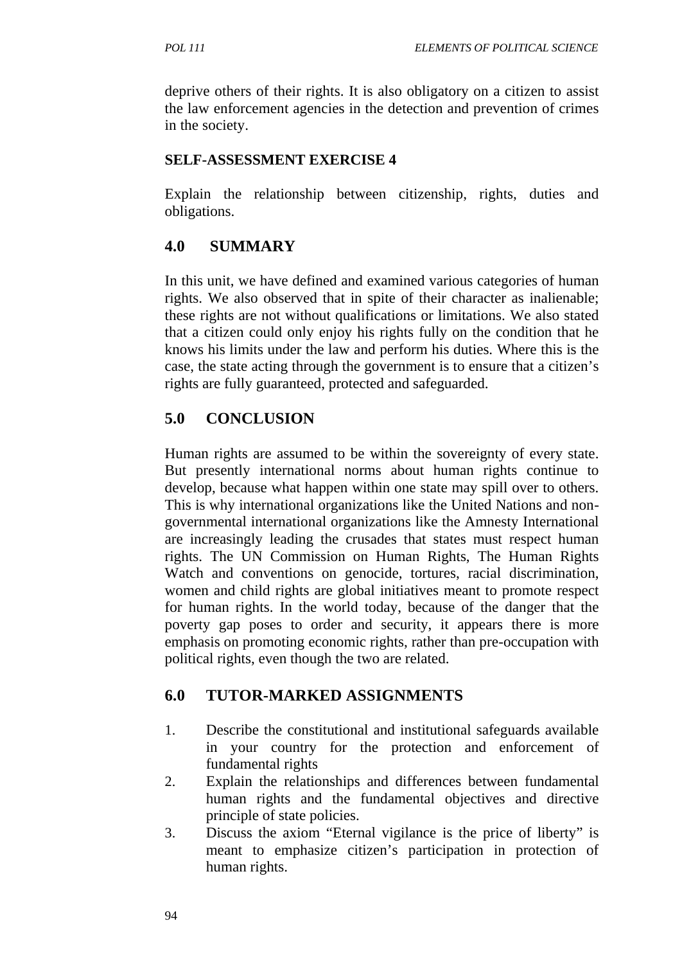deprive others of their rights. It is also obligatory on a citizen to assist the law enforcement agencies in the detection and prevention of crimes in the society.

### **SELF-ASSESSMENT EXERCISE 4**

Explain the relationship between citizenship, rights, duties and obligations.

## **4.0 SUMMARY**

In this unit, we have defined and examined various categories of human rights. We also observed that in spite of their character as inalienable; these rights are not without qualifications or limitations. We also stated that a citizen could only enjoy his rights fully on the condition that he knows his limits under the law and perform his duties. Where this is the case, the state acting through the government is to ensure that a citizen's rights are fully guaranteed, protected and safeguarded.

# **5.0 CONCLUSION**

Human rights are assumed to be within the sovereignty of every state. But presently international norms about human rights continue to develop, because what happen within one state may spill over to others. This is why international organizations like the United Nations and nongovernmental international organizations like the Amnesty International are increasingly leading the crusades that states must respect human rights. The UN Commission on Human Rights, The Human Rights Watch and conventions on genocide, tortures, racial discrimination, women and child rights are global initiatives meant to promote respect for human rights. In the world today, because of the danger that the poverty gap poses to order and security, it appears there is more emphasis on promoting economic rights, rather than pre-occupation with political rights, even though the two are related.

# **6.0 TUTOR-MARKED ASSIGNMENTS**

- 1. Describe the constitutional and institutional safeguards available in your country for the protection and enforcement of fundamental rights
- 2. Explain the relationships and differences between fundamental human rights and the fundamental objectives and directive principle of state policies.
- 3. Discuss the axiom "Eternal vigilance is the price of liberty" is meant to emphasize citizen's participation in protection of human rights.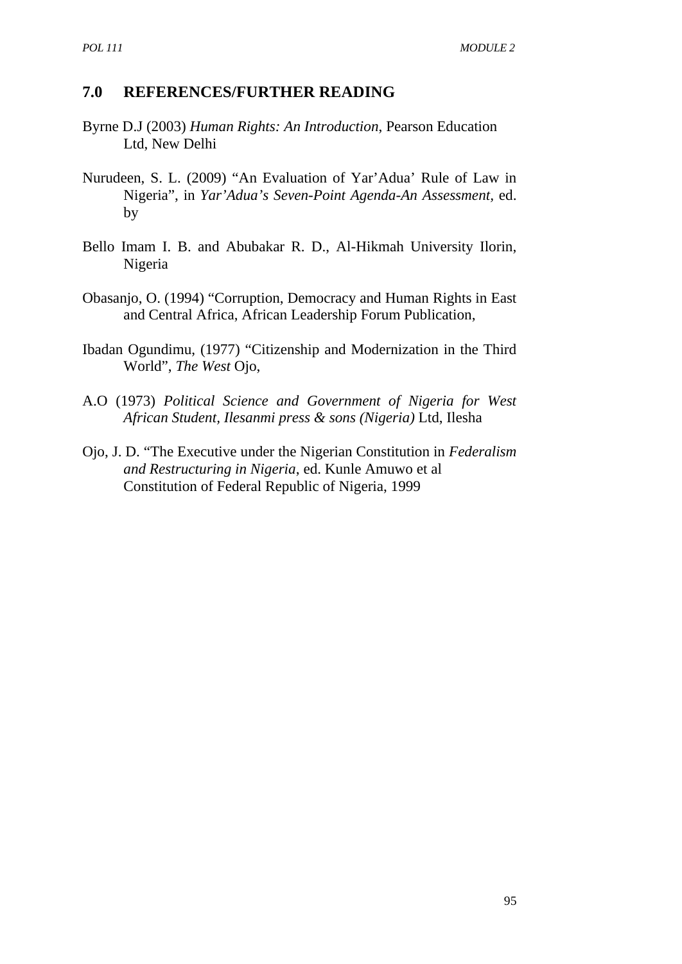### **7.0 REFERENCES/FURTHER READING**

- Byrne D.J (2003) *Human Rights: An Introduction*, Pearson Education Ltd, New Delhi
- Nurudeen, S. L. (2009) "An Evaluation of Yar'Adua' Rule of Law in Nigeria", in *Yar'Adua's Seven-Point Agenda-An Assessment,* ed. by
- Bello Imam I. B. and Abubakar R. D., Al-Hikmah University Ilorin, Nigeria
- Obasanjo, O. (1994) "Corruption, Democracy and Human Rights in East and Central Africa, African Leadership Forum Publication,
- Ibadan Ogundimu, (1977) "Citizenship and Modernization in the Third World", *The West* Ojo,
- A.O (1973) *Political Science and Government of Nigeria for West African Student, Ilesanmi press & sons (Nigeria)* Ltd, Ilesha
- Ojo, J. D. "The Executive under the Nigerian Constitution in *Federalism and Restructuring in Nigeria*, ed. Kunle Amuwo et al Constitution of Federal Republic of Nigeria, 1999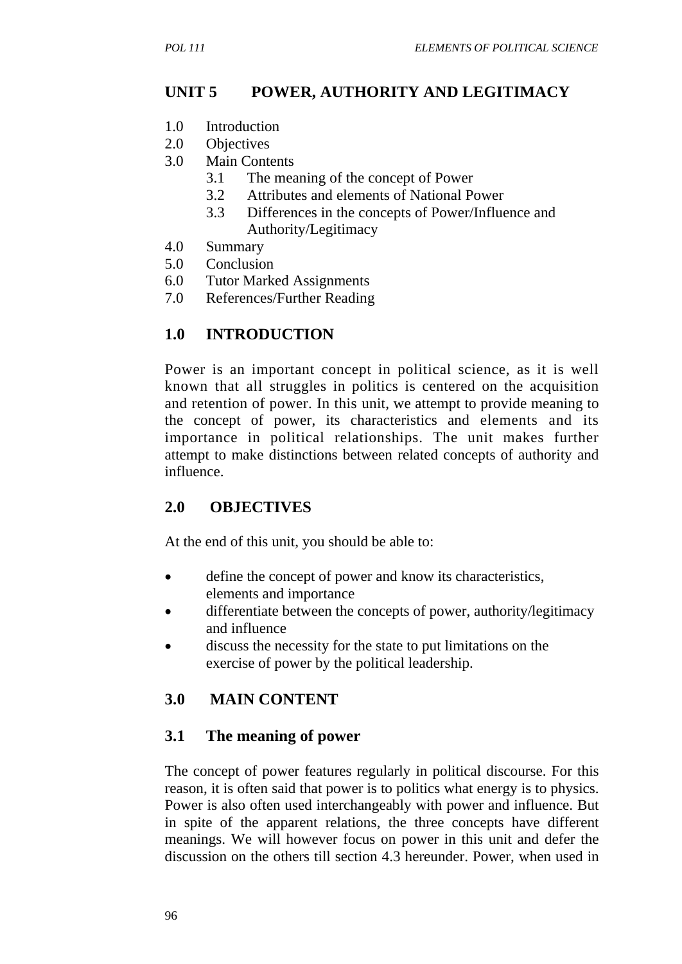# **UNIT 5 POWER, AUTHORITY AND LEGITIMACY**

- 1.0 Introduction
- 2.0 Objectives
- 3.0 Main Contents
	- 3.1 The meaning of the concept of Power
	- 3.2 Attributes and elements of National Power
	- 3.3 Differences in the concepts of Power/Influence and Authority/Legitimacy
- 4.0 Summary
- 5.0 Conclusion
- 6.0 Tutor Marked Assignments
- 7.0 References/Further Reading

## **1.0 INTRODUCTION**

Power is an important concept in political science, as it is well known that all struggles in politics is centered on the acquisition and retention of power. In this unit, we attempt to provide meaning to the concept of power, its characteristics and elements and its importance in political relationships. The unit makes further attempt to make distinctions between related concepts of authority and influence.

## **2.0 OBJECTIVES**

At the end of this unit, you should be able to:

- define the concept of power and know its characteristics, elements and importance
- differentiate between the concepts of power, authority/legitimacy and influence
- discuss the necessity for the state to put limitations on the exercise of power by the political leadership.

# **3.0 MAIN CONTENT**

## **3.1 The meaning of power**

The concept of power features regularly in political discourse. For this reason, it is often said that power is to politics what energy is to physics. Power is also often used interchangeably with power and influence. But in spite of the apparent relations, the three concepts have different meanings. We will however focus on power in this unit and defer the discussion on the others till section 4.3 hereunder. Power, when used in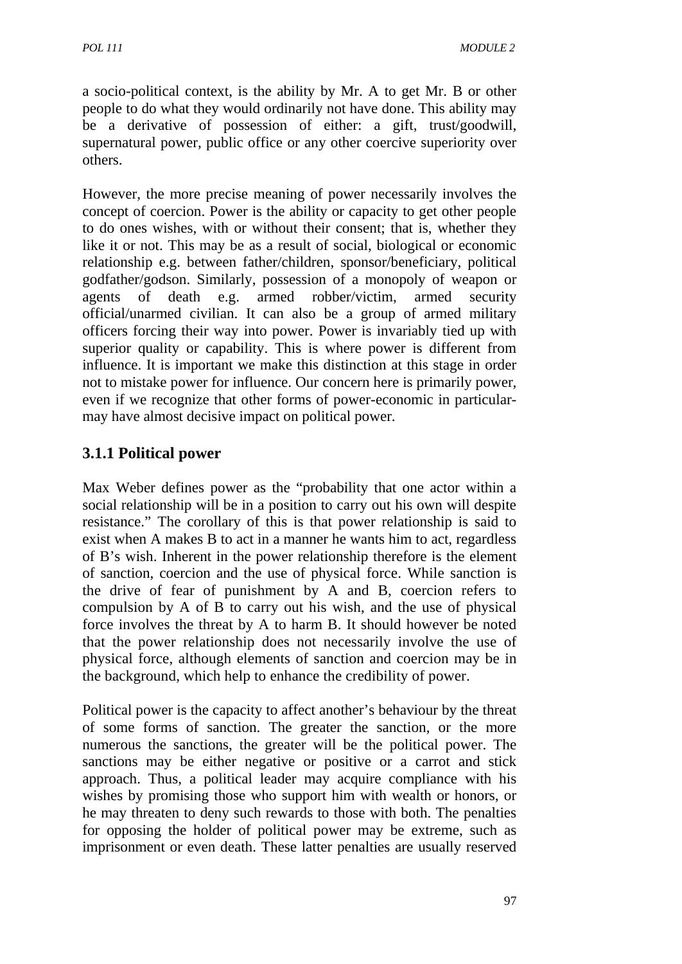a socio-political context, is the ability by Mr. A to get Mr. B or other people to do what they would ordinarily not have done. This ability may be a derivative of possession of either: a gift, trust/goodwill, supernatural power, public office or any other coercive superiority over others.

However, the more precise meaning of power necessarily involves the concept of coercion. Power is the ability or capacity to get other people to do ones wishes, with or without their consent; that is, whether they like it or not. This may be as a result of social, biological or economic relationship e.g. between father/children, sponsor/beneficiary, political godfather/godson. Similarly, possession of a monopoly of weapon or agents of death e.g. armed robber/victim, armed security official/unarmed civilian. It can also be a group of armed military officers forcing their way into power. Power is invariably tied up with superior quality or capability. This is where power is different from influence. It is important we make this distinction at this stage in order not to mistake power for influence. Our concern here is primarily power, even if we recognize that other forms of power-economic in particularmay have almost decisive impact on political power.

# **3.1.1 Political power**

Max Weber defines power as the "probability that one actor within a social relationship will be in a position to carry out his own will despite resistance." The corollary of this is that power relationship is said to exist when A makes B to act in a manner he wants him to act, regardless of B's wish. Inherent in the power relationship therefore is the element of sanction, coercion and the use of physical force. While sanction is the drive of fear of punishment by A and B, coercion refers to compulsion by A of B to carry out his wish, and the use of physical force involves the threat by A to harm B. It should however be noted that the power relationship does not necessarily involve the use of physical force, although elements of sanction and coercion may be in the background, which help to enhance the credibility of power.

Political power is the capacity to affect another's behaviour by the threat of some forms of sanction. The greater the sanction, or the more numerous the sanctions, the greater will be the political power. The sanctions may be either negative or positive or a carrot and stick approach. Thus, a political leader may acquire compliance with his wishes by promising those who support him with wealth or honors, or he may threaten to deny such rewards to those with both. The penalties for opposing the holder of political power may be extreme, such as imprisonment or even death. These latter penalties are usually reserved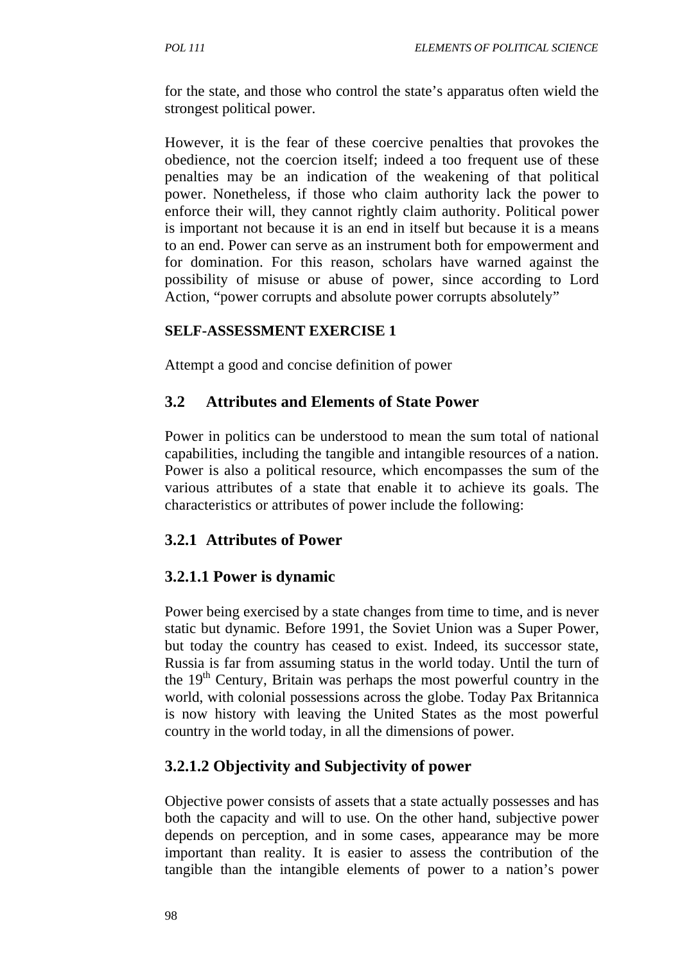for the state, and those who control the state's apparatus often wield the strongest political power.

However, it is the fear of these coercive penalties that provokes the obedience, not the coercion itself; indeed a too frequent use of these penalties may be an indication of the weakening of that political power. Nonetheless, if those who claim authority lack the power to enforce their will, they cannot rightly claim authority. Political power is important not because it is an end in itself but because it is a means to an end. Power can serve as an instrument both for empowerment and for domination. For this reason, scholars have warned against the possibility of misuse or abuse of power, since according to Lord Action, "power corrupts and absolute power corrupts absolutely"

## **SELF-ASSESSMENT EXERCISE 1**

Attempt a good and concise definition of power

## **3.2 Attributes and Elements of State Power**

Power in politics can be understood to mean the sum total of national capabilities, including the tangible and intangible resources of a nation. Power is also a political resource, which encompasses the sum of the various attributes of a state that enable it to achieve its goals. The characteristics or attributes of power include the following:

## **3.2.1 Attributes of Power**

## **3.2.1.1 Power is dynamic**

Power being exercised by a state changes from time to time, and is never static but dynamic. Before 1991, the Soviet Union was a Super Power, but today the country has ceased to exist. Indeed, its successor state, Russia is far from assuming status in the world today. Until the turn of the  $19<sup>th</sup>$  Century, Britain was perhaps the most powerful country in the world, with colonial possessions across the globe. Today Pax Britannica is now history with leaving the United States as the most powerful country in the world today, in all the dimensions of power.

## **3.2.1.2 Objectivity and Subjectivity of power**

Objective power consists of assets that a state actually possesses and has both the capacity and will to use. On the other hand, subjective power depends on perception, and in some cases, appearance may be more important than reality. It is easier to assess the contribution of the tangible than the intangible elements of power to a nation's power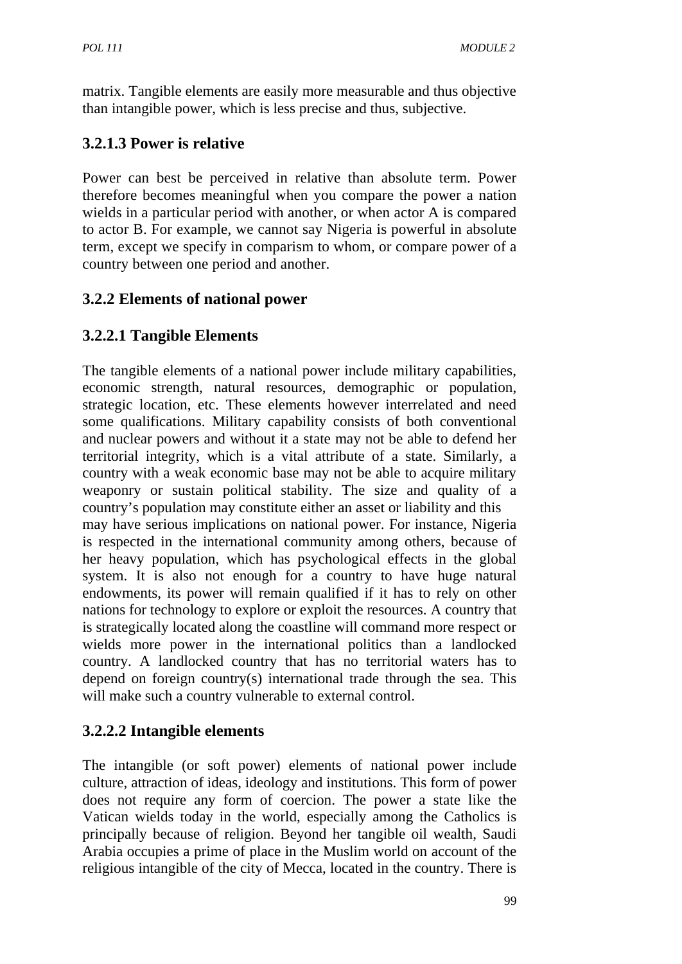matrix. Tangible elements are easily more measurable and thus objective than intangible power, which is less precise and thus, subjective.

# **3.2.1.3 Power is relative**

Power can best be perceived in relative than absolute term. Power therefore becomes meaningful when you compare the power a nation wields in a particular period with another, or when actor A is compared to actor B. For example, we cannot say Nigeria is powerful in absolute term, except we specify in comparism to whom, or compare power of a country between one period and another.

# **3.2.2 Elements of national power**

# **3.2.2.1 Tangible Elements**

The tangible elements of a national power include military capabilities, economic strength, natural resources, demographic or population, strategic location, etc. These elements however interrelated and need some qualifications. Military capability consists of both conventional and nuclear powers and without it a state may not be able to defend her territorial integrity, which is a vital attribute of a state. Similarly, a country with a weak economic base may not be able to acquire military weaponry or sustain political stability. The size and quality of a country's population may constitute either an asset or liability and this may have serious implications on national power. For instance, Nigeria is respected in the international community among others, because of her heavy population, which has psychological effects in the global system. It is also not enough for a country to have huge natural endowments, its power will remain qualified if it has to rely on other nations for technology to explore or exploit the resources. A country that is strategically located along the coastline will command more respect or wields more power in the international politics than a landlocked country. A landlocked country that has no territorial waters has to depend on foreign country(s) international trade through the sea. This will make such a country vulnerable to external control.

# **3.2.2.2 Intangible elements**

The intangible (or soft power) elements of national power include culture, attraction of ideas, ideology and institutions. This form of power does not require any form of coercion. The power a state like the Vatican wields today in the world, especially among the Catholics is principally because of religion. Beyond her tangible oil wealth, Saudi Arabia occupies a prime of place in the Muslim world on account of the religious intangible of the city of Mecca, located in the country. There is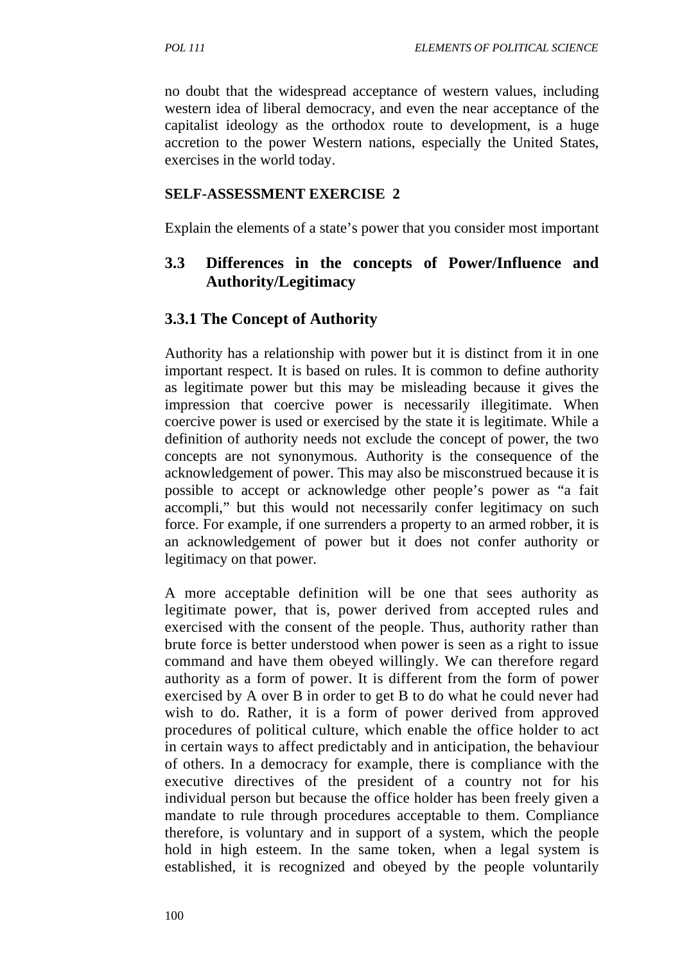no doubt that the widespread acceptance of western values, including western idea of liberal democracy, and even the near acceptance of the capitalist ideology as the orthodox route to development, is a huge accretion to the power Western nations, especially the United States, exercises in the world today.

#### **SELF-ASSESSMENT EXERCISE 2**

Explain the elements of a state's power that you consider most important

### **3.3 Differences in the concepts of Power/Influence and Authority/Legitimacy**

### **3.3.1 The Concept of Authority**

Authority has a relationship with power but it is distinct from it in one important respect. It is based on rules. It is common to define authority as legitimate power but this may be misleading because it gives the impression that coercive power is necessarily illegitimate. When coercive power is used or exercised by the state it is legitimate. While a definition of authority needs not exclude the concept of power, the two concepts are not synonymous. Authority is the consequence of the acknowledgement of power. This may also be misconstrued because it is possible to accept or acknowledge other people's power as "a fait accompli," but this would not necessarily confer legitimacy on such force. For example, if one surrenders a property to an armed robber, it is an acknowledgement of power but it does not confer authority or legitimacy on that power.

A more acceptable definition will be one that sees authority as legitimate power, that is, power derived from accepted rules and exercised with the consent of the people. Thus, authority rather than brute force is better understood when power is seen as a right to issue command and have them obeyed willingly. We can therefore regard authority as a form of power. It is different from the form of power exercised by A over B in order to get B to do what he could never had wish to do. Rather, it is a form of power derived from approved procedures of political culture, which enable the office holder to act in certain ways to affect predictably and in anticipation, the behaviour of others. In a democracy for example, there is compliance with the executive directives of the president of a country not for his individual person but because the office holder has been freely given a mandate to rule through procedures acceptable to them. Compliance therefore, is voluntary and in support of a system, which the people hold in high esteem. In the same token, when a legal system is established, it is recognized and obeyed by the people voluntarily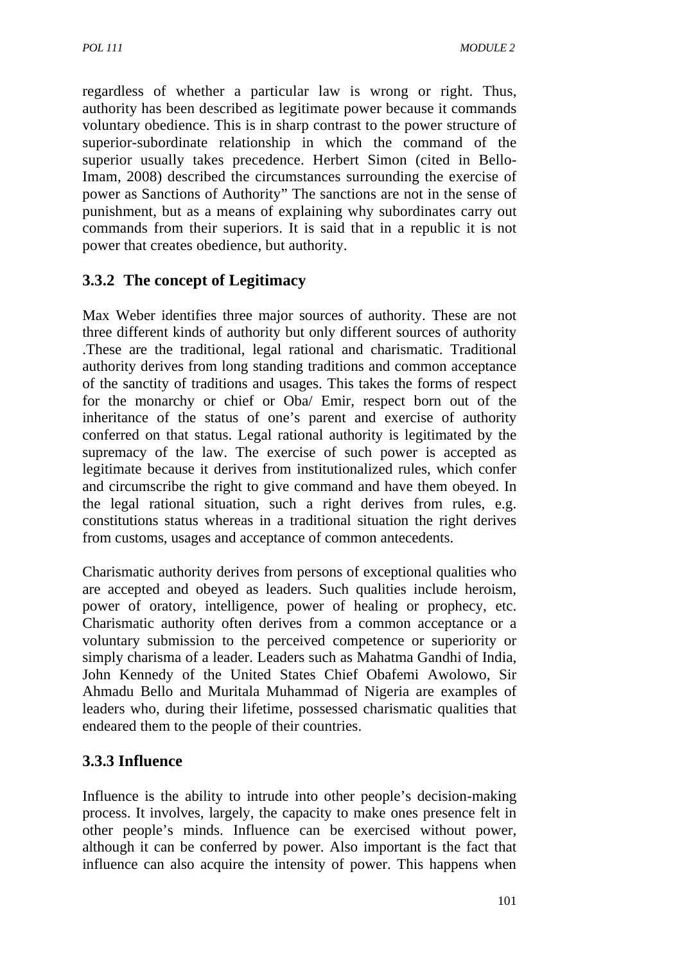regardless of whether a particular law is wrong or right. Thus, authority has been described as legitimate power because it commands voluntary obedience. This is in sharp contrast to the power structure of superior-subordinate relationship in which the command of the superior usually takes precedence. Herbert Simon (cited in Bello-Imam, 2008) described the circumstances surrounding the exercise of power as Sanctions of Authority" The sanctions are not in the sense of punishment, but as a means of explaining why subordinates carry out commands from their superiors. It is said that in a republic it is not power that creates obedience, but authority.

# **3.3.2 The concept of Legitimacy**

Max Weber identifies three major sources of authority. These are not three different kinds of authority but only different sources of authority .These are the traditional, legal rational and charismatic. Traditional authority derives from long standing traditions and common acceptance of the sanctity of traditions and usages. This takes the forms of respect for the monarchy or chief or Oba/ Emir, respect born out of the inheritance of the status of one's parent and exercise of authority conferred on that status. Legal rational authority is legitimated by the supremacy of the law. The exercise of such power is accepted as legitimate because it derives from institutionalized rules, which confer and circumscribe the right to give command and have them obeyed. In the legal rational situation, such a right derives from rules, e.g. constitutions status whereas in a traditional situation the right derives from customs, usages and acceptance of common antecedents.

Charismatic authority derives from persons of exceptional qualities who are accepted and obeyed as leaders. Such qualities include heroism, power of oratory, intelligence, power of healing or prophecy, etc. Charismatic authority often derives from a common acceptance or a voluntary submission to the perceived competence or superiority or simply charisma of a leader. Leaders such as Mahatma Gandhi of India, John Kennedy of the United States Chief Obafemi Awolowo, Sir Ahmadu Bello and Muritala Muhammad of Nigeria are examples of leaders who, during their lifetime, possessed charismatic qualities that endeared them to the people of their countries.

# **3.3.3 Influence**

Influence is the ability to intrude into other people's decision-making process. It involves, largely, the capacity to make ones presence felt in other people's minds. Influence can be exercised without power, although it can be conferred by power. Also important is the fact that influence can also acquire the intensity of power. This happens when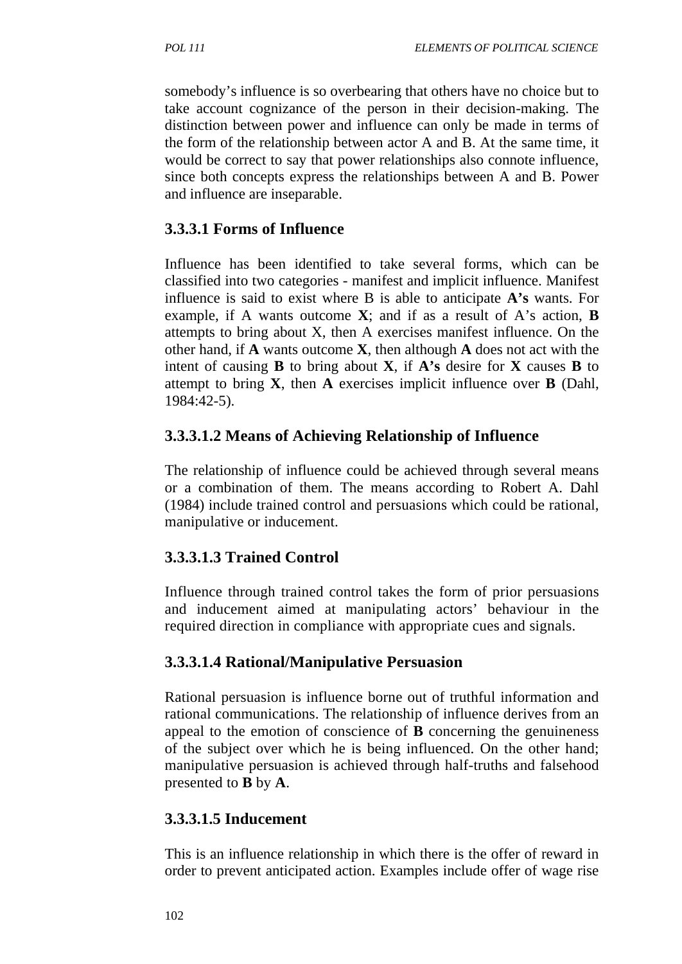somebody's influence is so overbearing that others have no choice but to take account cognizance of the person in their decision-making. The distinction between power and influence can only be made in terms of the form of the relationship between actor A and B. At the same time, it would be correct to say that power relationships also connote influence, since both concepts express the relationships between A and B. Power and influence are inseparable.

# **3.3.3.1 Forms of Influence**

Influence has been identified to take several forms, which can be classified into two categories - manifest and implicit influence. Manifest influence is said to exist where B is able to anticipate **A's** wants. For example, if A wants outcome **X**; and if as a result of A's action, **B**  attempts to bring about X, then A exercises manifest influence. On the other hand, if **A** wants outcome **X**, then although **A** does not act with the intent of causing **B** to bring about **X**, if **A's** desire for **X** causes **B** to attempt to bring **X**, then **A** exercises implicit influence over **B** (Dahl, 1984:42-5).

# **3.3.3.1.2 Means of Achieving Relationship of Influence**

The relationship of influence could be achieved through several means or a combination of them. The means according to Robert A. Dahl (1984) include trained control and persuasions which could be rational, manipulative or inducement.

# **3.3.3.1.3 Trained Control**

Influence through trained control takes the form of prior persuasions and inducement aimed at manipulating actors' behaviour in the required direction in compliance with appropriate cues and signals.

# **3.3.3.1.4 Rational/Manipulative Persuasion**

Rational persuasion is influence borne out of truthful information and rational communications. The relationship of influence derives from an appeal to the emotion of conscience of **B** concerning the genuineness of the subject over which he is being influenced. On the other hand; manipulative persuasion is achieved through half-truths and falsehood presented to **B** by **A**.

# **3.3.3.1.5 Inducement**

This is an influence relationship in which there is the offer of reward in order to prevent anticipated action. Examples include offer of wage rise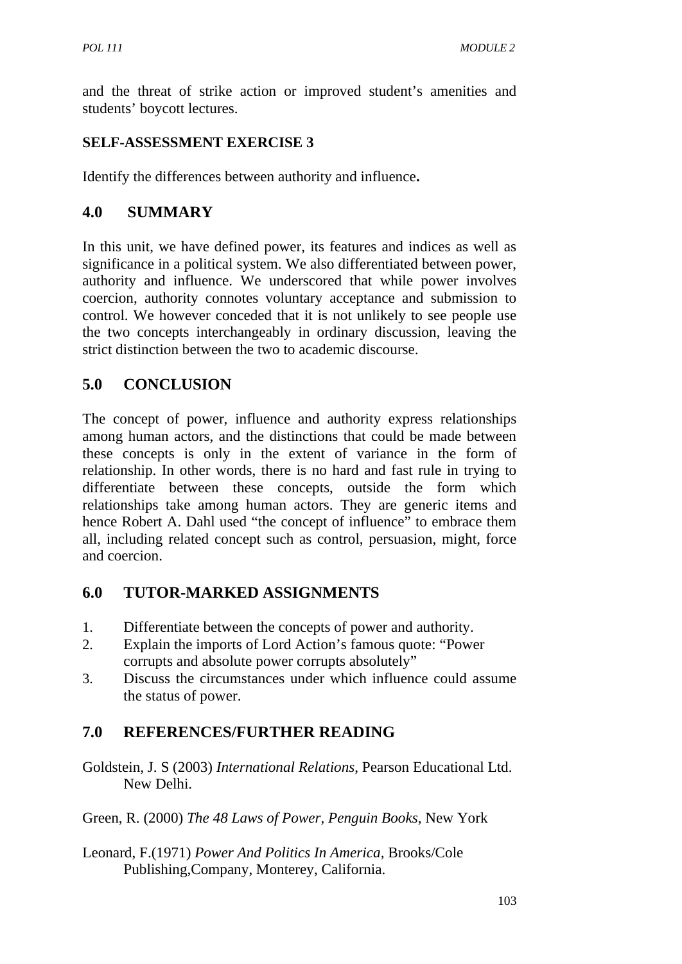and the threat of strike action or improved student's amenities and students' boycott lectures.

## **SELF-ASSESSMENT EXERCISE 3**

Identify the differences between authority and influence**.**

# **4.0 SUMMARY**

In this unit, we have defined power, its features and indices as well as significance in a political system. We also differentiated between power, authority and influence. We underscored that while power involves coercion, authority connotes voluntary acceptance and submission to control. We however conceded that it is not unlikely to see people use the two concepts interchangeably in ordinary discussion, leaving the strict distinction between the two to academic discourse.

# **5.0 CONCLUSION**

The concept of power, influence and authority express relationships among human actors, and the distinctions that could be made between these concepts is only in the extent of variance in the form of relationship. In other words, there is no hard and fast rule in trying to differentiate between these concepts, outside the form which relationships take among human actors. They are generic items and hence Robert A. Dahl used "the concept of influence" to embrace them all, including related concept such as control, persuasion, might, force and coercion.

# **6.0 TUTOR-MARKED ASSIGNMENTS**

- 1. Differentiate between the concepts of power and authority.
- 2. Explain the imports of Lord Action's famous quote: "Power corrupts and absolute power corrupts absolutely"
- 3. Discuss the circumstances under which influence could assume the status of power.

# **7.0 REFERENCES/FURTHER READING**

- Goldstein, J. S (2003) *International Relations*, Pearson Educational Ltd. New Delhi.
- Green, R. (2000) *The 48 Laws of Power, Penguin Books*, New York
- Leonard, F.(1971) *Power And Politics In America,* Brooks/Cole Publishing,Company, Monterey, California.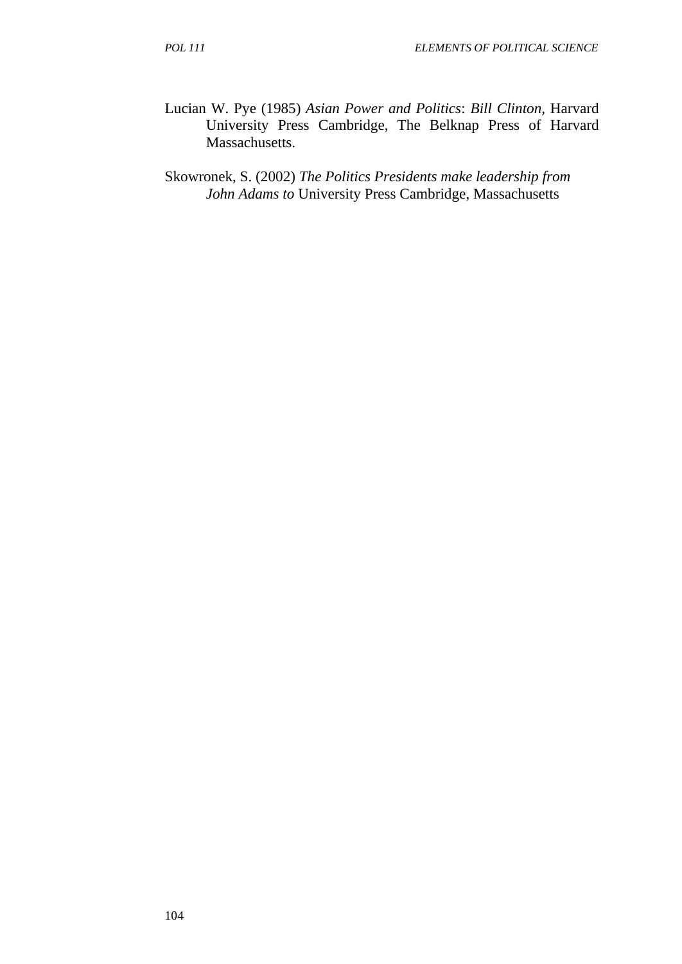Lucian W. Pye (1985) *Asian Power and Politics*: *Bill Clinton,* Harvard University Press Cambridge, The Belknap Press of Harvard Massachusetts.

Skowronek, S. (2002) *The Politics Presidents make leadership from John Adams to* University Press Cambridge, Massachusetts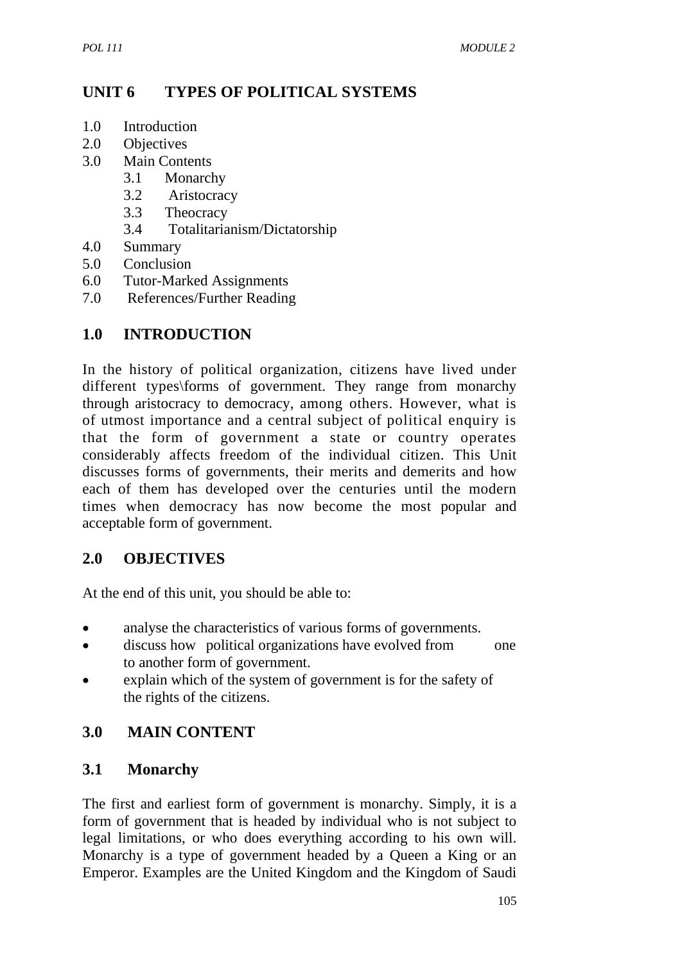# **UNIT 6 TYPES OF POLITICAL SYSTEMS**

- 1.0 Introduction
- 2.0 Objectives
- 3.0 Main Contents
	- 3.1 Monarchy
	- 3.2 Aristocracy
	- 3.3 Theocracy
	- 3.4 Totalitarianism/Dictatorship
- 4.0 Summary
- 5.0 Conclusion
- 6.0 Tutor-Marked Assignments
- 7.0 References/Further Reading

# **1.0 INTRODUCTION**

In the history of political organization, citizens have lived under different types\forms of government. They range from monarchy through aristocracy to democracy, among others. However, what is of utmost importance and a central subject of political enquiry is that the form of government a state or country operates considerably affects freedom of the individual citizen. This Unit discusses forms of governments, their merits and demerits and how each of them has developed over the centuries until the modern times when democracy has now become the most popular and acceptable form of government.

## **2.0 OBJECTIVES**

At the end of this unit, you should be able to:

- analyse the characteristics of various forms of governments.
- discuss how political organizations have evolved from one to another form of government.
- explain which of the system of government is for the safety of the rights of the citizens.

# **3.0 MAIN CONTENT**

## **3.1 Monarchy**

The first and earliest form of government is monarchy. Simply, it is a form of government that is headed by individual who is not subject to legal limitations, or who does everything according to his own will. Monarchy is a type of government headed by a Queen a King or an Emperor. Examples are the United Kingdom and the Kingdom of Saudi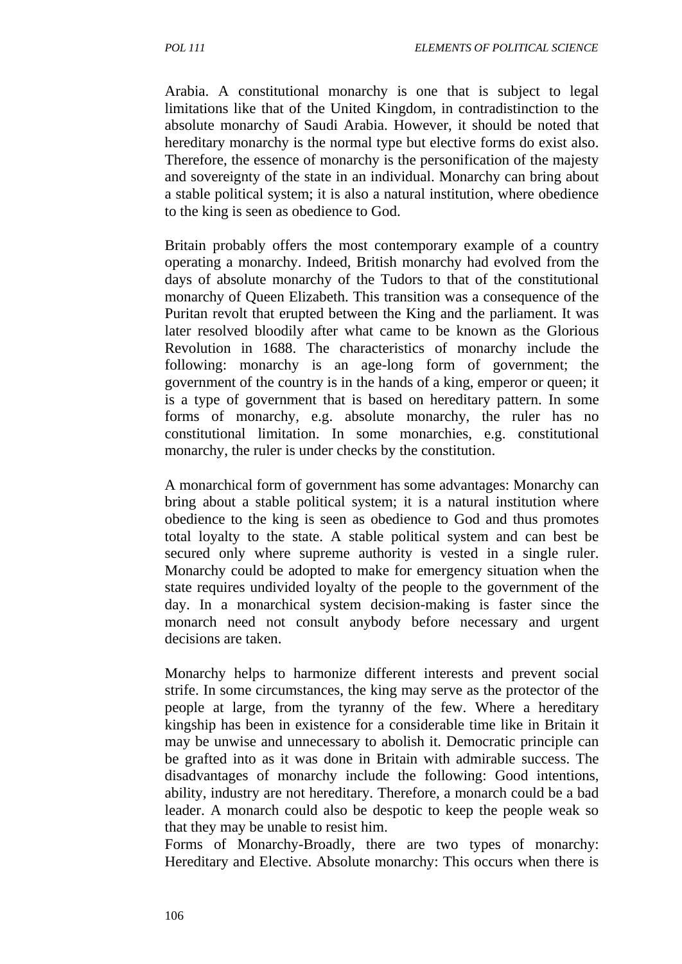Arabia. A constitutional monarchy is one that is subject to legal limitations like that of the United Kingdom, in contradistinction to the absolute monarchy of Saudi Arabia. However, it should be noted that hereditary monarchy is the normal type but elective forms do exist also. Therefore, the essence of monarchy is the personification of the majesty and sovereignty of the state in an individual. Monarchy can bring about a stable political system; it is also a natural institution, where obedience to the king is seen as obedience to God.

Britain probably offers the most contemporary example of a country operating a monarchy. Indeed, British monarchy had evolved from the days of absolute monarchy of the Tudors to that of the constitutional monarchy of Queen Elizabeth. This transition was a consequence of the Puritan revolt that erupted between the King and the parliament. It was later resolved bloodily after what came to be known as the Glorious Revolution in 1688. The characteristics of monarchy include the following: monarchy is an age-long form of government; the government of the country is in the hands of a king, emperor or queen; it is a type of government that is based on hereditary pattern. In some forms of monarchy, e.g. absolute monarchy, the ruler has no constitutional limitation. In some monarchies, e.g. constitutional monarchy, the ruler is under checks by the constitution.

A monarchical form of government has some advantages: Monarchy can bring about a stable political system; it is a natural institution where obedience to the king is seen as obedience to God and thus promotes total loyalty to the state. A stable political system and can best be secured only where supreme authority is vested in a single ruler. Monarchy could be adopted to make for emergency situation when the state requires undivided loyalty of the people to the government of the day. In a monarchical system decision-making is faster since the monarch need not consult anybody before necessary and urgent decisions are taken.

Monarchy helps to harmonize different interests and prevent social strife. In some circumstances, the king may serve as the protector of the people at large, from the tyranny of the few. Where a hereditary kingship has been in existence for a considerable time like in Britain it may be unwise and unnecessary to abolish it. Democratic principle can be grafted into as it was done in Britain with admirable success. The disadvantages of monarchy include the following: Good intentions, ability, industry are not hereditary. Therefore, a monarch could be a bad leader. A monarch could also be despotic to keep the people weak so that they may be unable to resist him.

Forms of Monarchy-Broadly, there are two types of monarchy: Hereditary and Elective. Absolute monarchy: This occurs when there is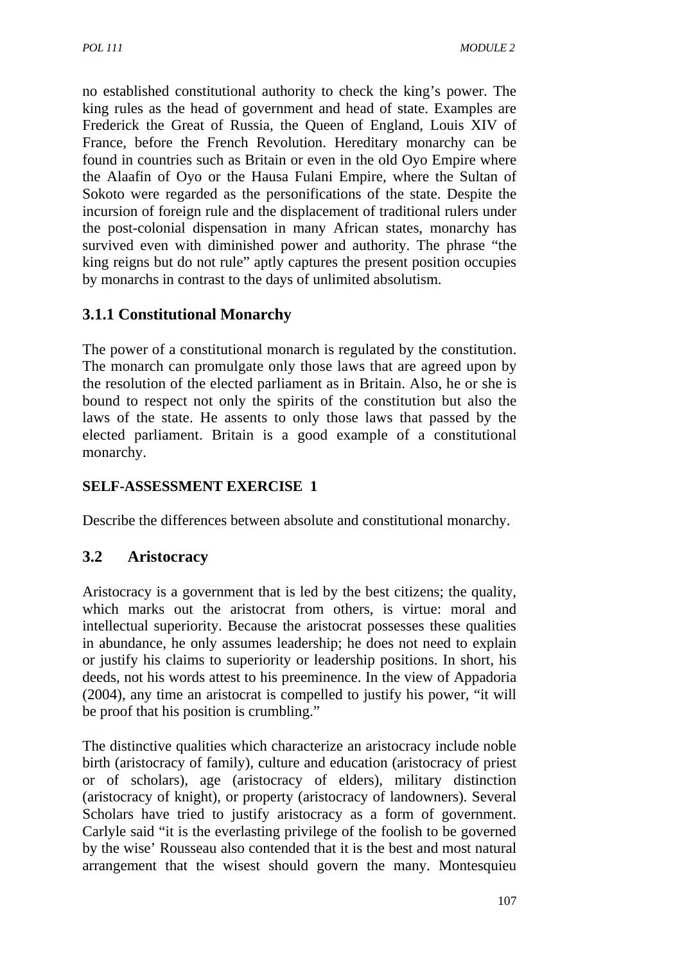no established constitutional authority to check the king's power. The king rules as the head of government and head of state. Examples are Frederick the Great of Russia, the Queen of England, Louis XIV of France, before the French Revolution. Hereditary monarchy can be found in countries such as Britain or even in the old Oyo Empire where the Alaafin of Oyo or the Hausa Fulani Empire, where the Sultan of Sokoto were regarded as the personifications of the state. Despite the incursion of foreign rule and the displacement of traditional rulers under the post-colonial dispensation in many African states, monarchy has survived even with diminished power and authority. The phrase "the king reigns but do not rule" aptly captures the present position occupies by monarchs in contrast to the days of unlimited absolutism.

# **3.1.1 Constitutional Monarchy**

The power of a constitutional monarch is regulated by the constitution. The monarch can promulgate only those laws that are agreed upon by the resolution of the elected parliament as in Britain. Also, he or she is bound to respect not only the spirits of the constitution but also the laws of the state. He assents to only those laws that passed by the elected parliament. Britain is a good example of a constitutional monarchy.

## **SELF-ASSESSMENT EXERCISE 1**

Describe the differences between absolute and constitutional monarchy.

## **3.2 Aristocracy**

Aristocracy is a government that is led by the best citizens; the quality, which marks out the aristocrat from others, is virtue: moral and intellectual superiority. Because the aristocrat possesses these qualities in abundance, he only assumes leadership; he does not need to explain or justify his claims to superiority or leadership positions. In short, his deeds, not his words attest to his preeminence. In the view of Appadoria (2004), any time an aristocrat is compelled to justify his power, "it will be proof that his position is crumbling."

The distinctive qualities which characterize an aristocracy include noble birth (aristocracy of family), culture and education (aristocracy of priest or of scholars), age (aristocracy of elders), military distinction (aristocracy of knight), or property (aristocracy of landowners). Several Scholars have tried to justify aristocracy as a form of government. Carlyle said "it is the everlasting privilege of the foolish to be governed by the wise' Rousseau also contended that it is the best and most natural arrangement that the wisest should govern the many. Montesquieu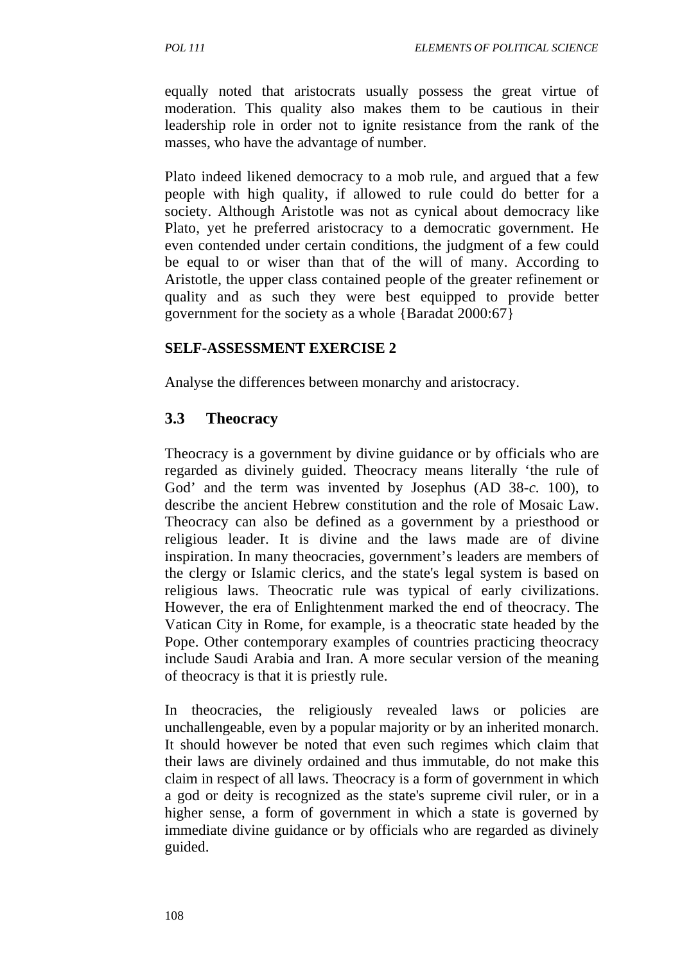equally noted that aristocrats usually possess the great virtue of moderation. This quality also makes them to be cautious in their leadership role in order not to ignite resistance from the rank of the masses, who have the advantage of number.

Plato indeed likened democracy to a mob rule, and argued that a few people with high quality, if allowed to rule could do better for a society. Although Aristotle was not as cynical about democracy like Plato, yet he preferred aristocracy to a democratic government. He even contended under certain conditions, the judgment of a few could be equal to or wiser than that of the will of many. According to Aristotle, the upper class contained people of the greater refinement or quality and as such they were best equipped to provide better government for the society as a whole {Baradat 2000:67}

#### **SELF-ASSESSMENT EXERCISE 2**

Analyse the differences between monarchy and aristocracy.

#### **3.3 Theocracy**

Theocracy is a government by divine guidance or by officials who are regarded as divinely guided. Theocracy means literally 'the rule of God' and the term was invented by Josephus (AD 38-*c.* 100), to describe the ancient Hebrew constitution and the role of Mosaic Law. Theocracy can also be defined as a government by a priesthood or religious leader. It is divine and the laws made are of divine inspiration. In many theocracies, government's leaders are members of the clergy or Islamic clerics, and the state's legal system is based on religious laws. Theocratic rule was typical of early civilizations. However, the era of Enlightenment marked the end of theocracy. The Vatican City in Rome, for example, is a theocratic state headed by the Pope. Other contemporary examples of countries practicing theocracy include Saudi Arabia and Iran. A more secular version of the meaning of theocracy is that it is priestly rule.

In theocracies, the religiously revealed laws or policies are unchallengeable, even by a popular majority or by an inherited monarch. It should however be noted that even such regimes which claim that their laws are divinely ordained and thus immutable, do not make this claim in respect of all laws. Theocracy is a form of government in which a god or deity is recognized as the state's supreme civil ruler, or in a higher sense, a form of government in which a state is governed by immediate divine guidance or by officials who are regarded as divinely guided.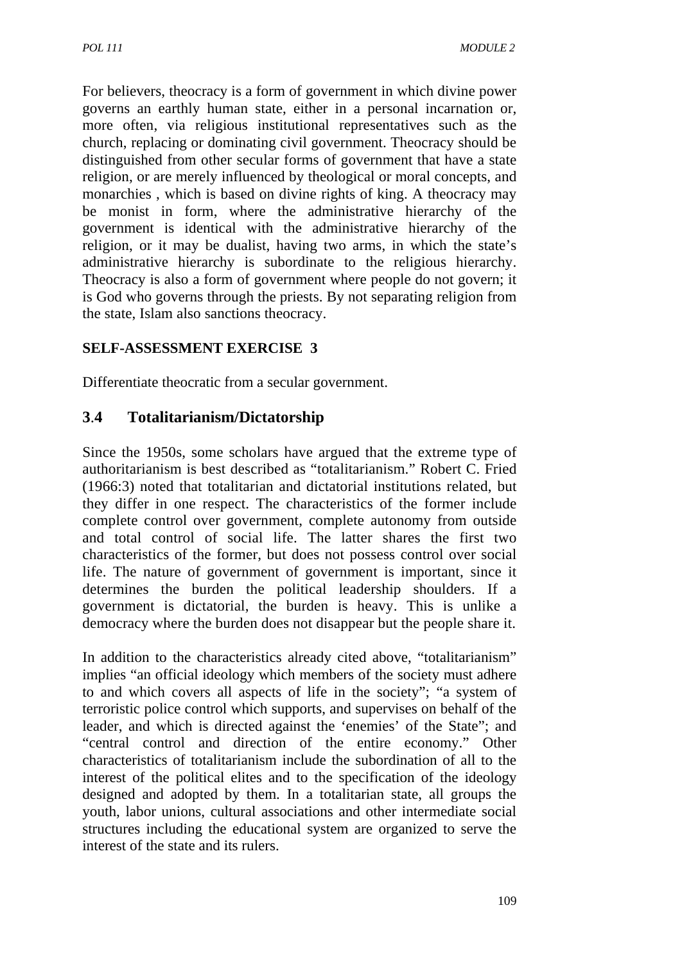For believers, theocracy is a form of government in which divine power governs an earthly human state, either in a personal incarnation or, more often, via religious institutional representatives such as the church, replacing or dominating civil government. Theocracy should be distinguished from other secular forms of government that have a state religion, or are merely influenced by theological or moral concepts, and monarchies , which is based on divine rights of king. A theocracy may be monist in form, where the administrative hierarchy of the government is identical with the administrative hierarchy of the religion, or it may be dualist, having two arms, in which the state's administrative hierarchy is subordinate to the religious hierarchy. Theocracy is also a form of government where people do not govern; it is God who governs through the priests. By not separating religion from the state, Islam also sanctions theocracy.

## **SELF-ASSESSMENT EXERCISE 3**

Differentiate theocratic from a secular government.

# **3**.**4 Totalitarianism/Dictatorship**

Since the 1950s, some scholars have argued that the extreme type of authoritarianism is best described as "totalitarianism." Robert C. Fried (1966:3) noted that totalitarian and dictatorial institutions related, but they differ in one respect. The characteristics of the former include complete control over government, complete autonomy from outside and total control of social life. The latter shares the first two characteristics of the former, but does not possess control over social life. The nature of government of government is important, since it determines the burden the political leadership shoulders. If a government is dictatorial, the burden is heavy. This is unlike a democracy where the burden does not disappear but the people share it.

In addition to the characteristics already cited above, "totalitarianism" implies "an official ideology which members of the society must adhere to and which covers all aspects of life in the society"; "a system of terroristic police control which supports, and supervises on behalf of the leader, and which is directed against the 'enemies' of the State"; and "central control and direction of the entire economy." Other characteristics of totalitarianism include the subordination of all to the interest of the political elites and to the specification of the ideology designed and adopted by them. In a totalitarian state, all groups the youth, labor unions, cultural associations and other intermediate social structures including the educational system are organized to serve the interest of the state and its rulers.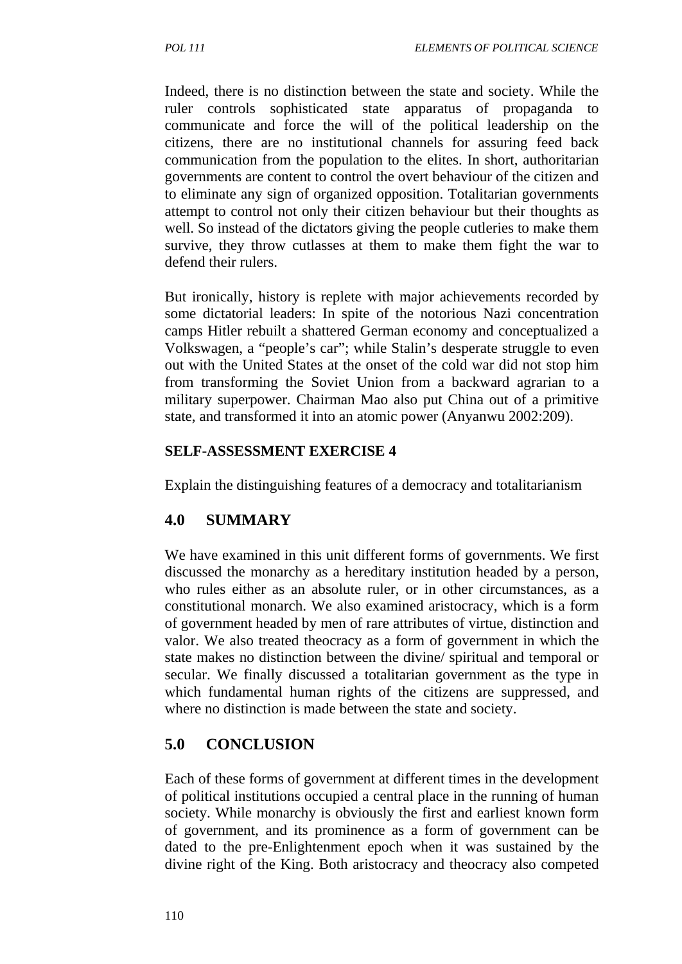Indeed, there is no distinction between the state and society. While the ruler controls sophisticated state apparatus of propaganda to communicate and force the will of the political leadership on the citizens, there are no institutional channels for assuring feed back communication from the population to the elites. In short, authoritarian governments are content to control the overt behaviour of the citizen and to eliminate any sign of organized opposition. Totalitarian governments attempt to control not only their citizen behaviour but their thoughts as well. So instead of the dictators giving the people cutleries to make them survive, they throw cutlasses at them to make them fight the war to defend their rulers.

But ironically, history is replete with major achievements recorded by some dictatorial leaders: In spite of the notorious Nazi concentration camps Hitler rebuilt a shattered German economy and conceptualized a Volkswagen, a "people's car"; while Stalin's desperate struggle to even out with the United States at the onset of the cold war did not stop him from transforming the Soviet Union from a backward agrarian to a military superpower. Chairman Mao also put China out of a primitive state, and transformed it into an atomic power (Anyanwu 2002:209).

#### **SELF-ASSESSMENT EXERCISE 4**

Explain the distinguishing features of a democracy and totalitarianism

## **4.0 SUMMARY**

We have examined in this unit different forms of governments. We first discussed the monarchy as a hereditary institution headed by a person, who rules either as an absolute ruler, or in other circumstances, as a constitutional monarch. We also examined aristocracy, which is a form of government headed by men of rare attributes of virtue, distinction and valor. We also treated theocracy as a form of government in which the state makes no distinction between the divine/ spiritual and temporal or secular. We finally discussed a totalitarian government as the type in which fundamental human rights of the citizens are suppressed, and where no distinction is made between the state and society.

#### **5.0 CONCLUSION**

Each of these forms of government at different times in the development of political institutions occupied a central place in the running of human society. While monarchy is obviously the first and earliest known form of government, and its prominence as a form of government can be dated to the pre-Enlightenment epoch when it was sustained by the divine right of the King. Both aristocracy and theocracy also competed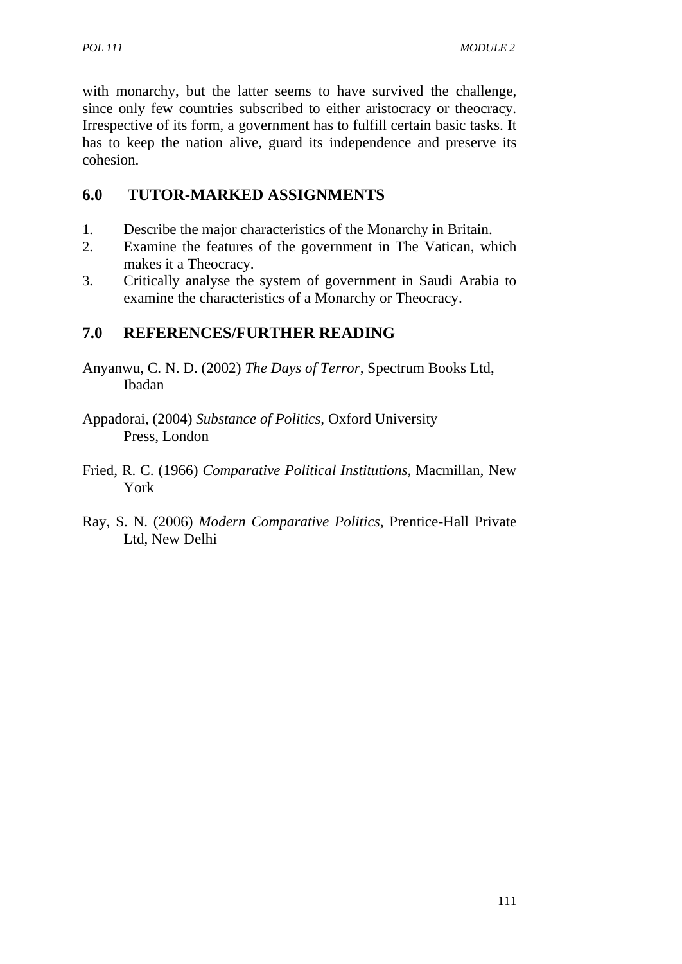with monarchy, but the latter seems to have survived the challenge, since only few countries subscribed to either aristocracy or theocracy. Irrespective of its form, a government has to fulfill certain basic tasks. It has to keep the nation alive, guard its independence and preserve its cohesion.

# **6.0 TUTOR-MARKED ASSIGNMENTS**

- 1. Describe the major characteristics of the Monarchy in Britain.
- 2. Examine the features of the government in The Vatican, which makes it a Theocracy.
- 3. Critically analyse the system of government in Saudi Arabia to examine the characteristics of a Monarchy or Theocracy.

# **7.0 REFERENCES/FURTHER READING**

- Anyanwu, C. N. D. (2002) *The Days of Terror,* Spectrum Books Ltd, Ibadan
- Appadorai, (2004) *Substance of Politics,* Oxford University Press, London
- Fried, R. C. (1966) *Comparative Political Institutions,* Macmillan, New York
- Ray, S. N. (2006) *Modern Comparative Politics,* Prentice-Hall Private Ltd, New Delhi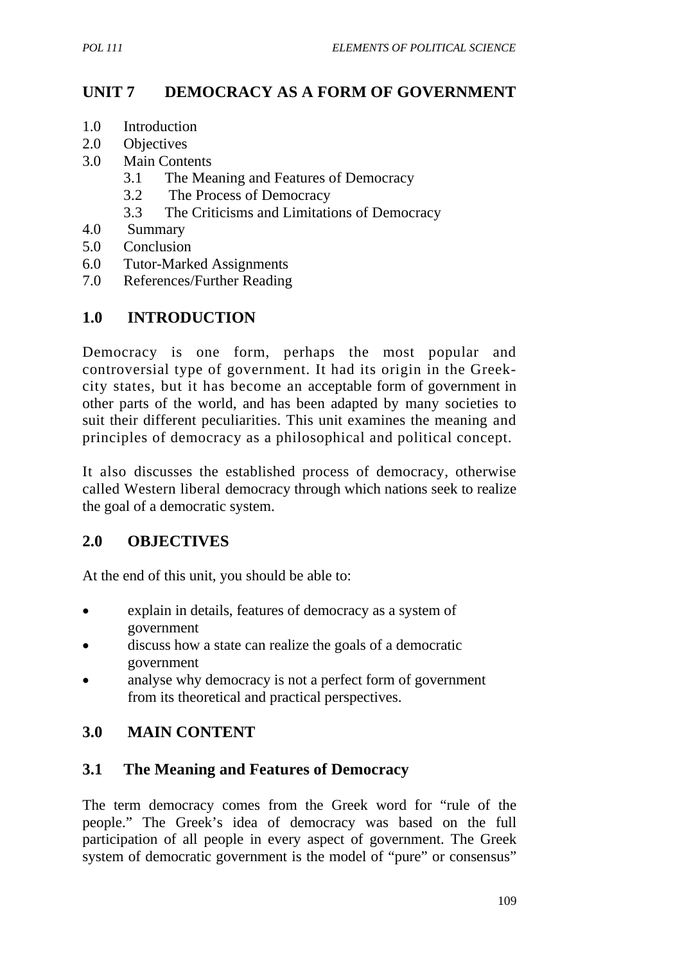## **UNIT 7 DEMOCRACY AS A FORM OF GOVERNMENT**

- 1.0 Introduction
- 2.0 Objectives
- 3.0 Main Contents
	- 3.1 The Meaning and Features of Democracy
	- 3.2 The Process of Democracy
	- 3.3 The Criticisms and Limitations of Democracy
- 4.0 Summary
- 5.0 Conclusion
- 6.0 Tutor-Marked Assignments
- 7.0 References/Further Reading

## **1.0 INTRODUCTION**

Democracy is one form, perhaps the most popular and controversial type of government. It had its origin in the Greekcity states, but it has become an acceptable form of government in other parts of the world, and has been adapted by many societies to suit their different peculiarities. This unit examines the meaning and principles of democracy as a philosophical and political concept.

It also discusses the established process of democracy, otherwise called Western liberal democracy through which nations seek to realize the goal of a democratic system.

#### **2.0 OBJECTIVES**

At the end of this unit, you should be able to:

- explain in details, features of democracy as a system of government
- discuss how a state can realize the goals of a democratic government
- analyse why democracy is not a perfect form of government from its theoretical and practical perspectives.

## **3.0 MAIN CONTENT**

#### **3.1 The Meaning and Features of Democracy**

The term democracy comes from the Greek word for "rule of the people." The Greek's idea of democracy was based on the full participation of all people in every aspect of government. The Greek system of democratic government is the model of "pure" or consensus"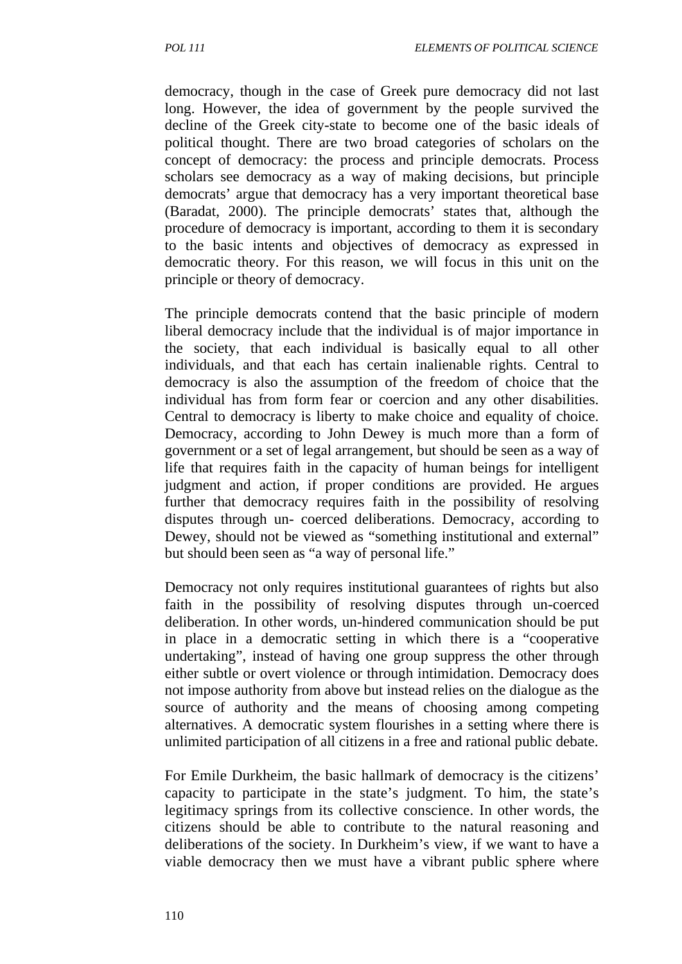democracy, though in the case of Greek pure democracy did not last long. However, the idea of government by the people survived the decline of the Greek city-state to become one of the basic ideals of political thought. There are two broad categories of scholars on the concept of democracy: the process and principle democrats. Process scholars see democracy as a way of making decisions, but principle democrats' argue that democracy has a very important theoretical base (Baradat, 2000). The principle democrats' states that, although the procedure of democracy is important, according to them it is secondary to the basic intents and objectives of democracy as expressed in democratic theory. For this reason, we will focus in this unit on the principle or theory of democracy.

The principle democrats contend that the basic principle of modern liberal democracy include that the individual is of major importance in the society, that each individual is basically equal to all other individuals, and that each has certain inalienable rights. Central to democracy is also the assumption of the freedom of choice that the individual has from form fear or coercion and any other disabilities. Central to democracy is liberty to make choice and equality of choice. Democracy, according to John Dewey is much more than a form of government or a set of legal arrangement, but should be seen as a way of life that requires faith in the capacity of human beings for intelligent judgment and action, if proper conditions are provided. He argues further that democracy requires faith in the possibility of resolving disputes through un- coerced deliberations. Democracy, according to Dewey, should not be viewed as "something institutional and external" but should been seen as "a way of personal life."

Democracy not only requires institutional guarantees of rights but also faith in the possibility of resolving disputes through un-coerced deliberation. In other words, un-hindered communication should be put in place in a democratic setting in which there is a "cooperative undertaking", instead of having one group suppress the other through either subtle or overt violence or through intimidation. Democracy does not impose authority from above but instead relies on the dialogue as the source of authority and the means of choosing among competing alternatives. A democratic system flourishes in a setting where there is unlimited participation of all citizens in a free and rational public debate.

For Emile Durkheim, the basic hallmark of democracy is the citizens' capacity to participate in the state's judgment. To him, the state's legitimacy springs from its collective conscience. In other words, the citizens should be able to contribute to the natural reasoning and deliberations of the society. In Durkheim's view, if we want to have a viable democracy then we must have a vibrant public sphere where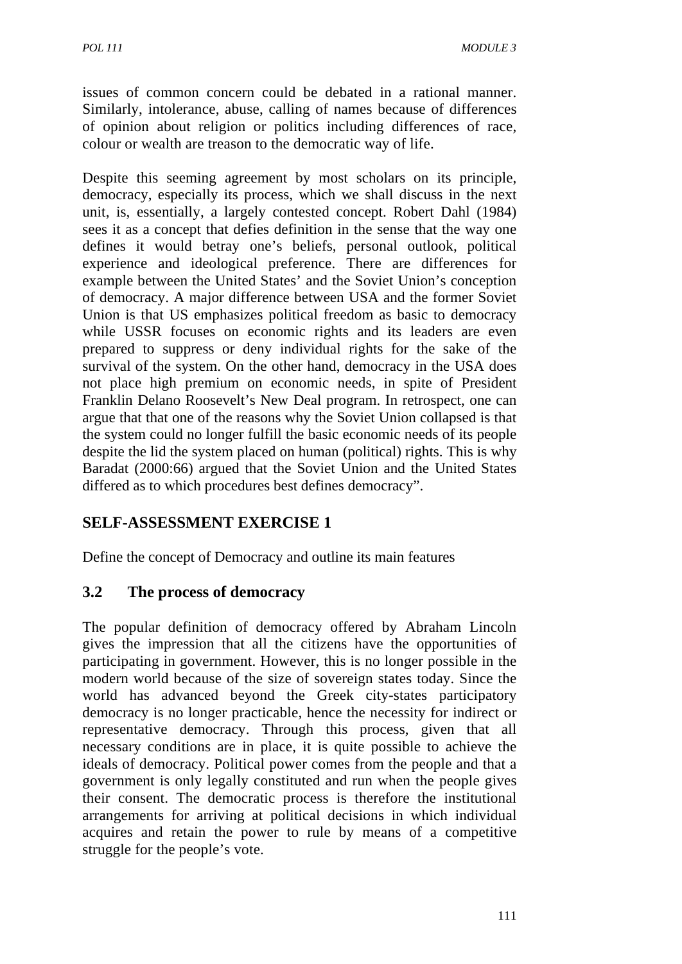issues of common concern could be debated in a rational manner. Similarly, intolerance, abuse, calling of names because of differences of opinion about religion or politics including differences of race, colour or wealth are treason to the democratic way of life.

Despite this seeming agreement by most scholars on its principle, democracy, especially its process, which we shall discuss in the next unit, is, essentially, a largely contested concept. Robert Dahl (1984) sees it as a concept that defies definition in the sense that the way one defines it would betray one's beliefs, personal outlook, political experience and ideological preference. There are differences for example between the United States' and the Soviet Union's conception of democracy. A major difference between USA and the former Soviet Union is that US emphasizes political freedom as basic to democracy while USSR focuses on economic rights and its leaders are even prepared to suppress or deny individual rights for the sake of the survival of the system. On the other hand, democracy in the USA does not place high premium on economic needs, in spite of President Franklin Delano Roosevelt's New Deal program. In retrospect, one can argue that that one of the reasons why the Soviet Union collapsed is that the system could no longer fulfill the basic economic needs of its people despite the lid the system placed on human (political) rights. This is why Baradat (2000:66) argued that the Soviet Union and the United States differed as to which procedures best defines democracy".

# **SELF-ASSESSMENT EXERCISE 1**

Define the concept of Democracy and outline its main features

## **3.2 The process of democracy**

The popular definition of democracy offered by Abraham Lincoln gives the impression that all the citizens have the opportunities of participating in government. However, this is no longer possible in the modern world because of the size of sovereign states today. Since the world has advanced beyond the Greek city-states participatory democracy is no longer practicable, hence the necessity for indirect or representative democracy. Through this process, given that all necessary conditions are in place, it is quite possible to achieve the ideals of democracy. Political power comes from the people and that a government is only legally constituted and run when the people gives their consent. The democratic process is therefore the institutional arrangements for arriving at political decisions in which individual acquires and retain the power to rule by means of a competitive struggle for the people's vote.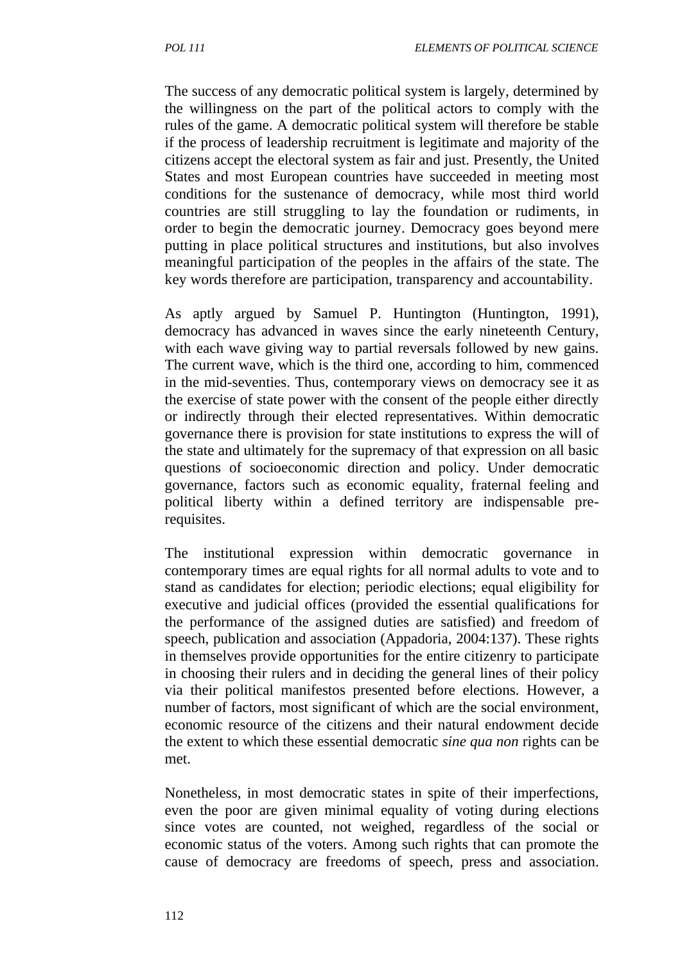The success of any democratic political system is largely, determined by the willingness on the part of the political actors to comply with the rules of the game. A democratic political system will therefore be stable if the process of leadership recruitment is legitimate and majority of the citizens accept the electoral system as fair and just. Presently, the United States and most European countries have succeeded in meeting most conditions for the sustenance of democracy, while most third world countries are still struggling to lay the foundation or rudiments, in order to begin the democratic journey. Democracy goes beyond mere putting in place political structures and institutions, but also involves meaningful participation of the peoples in the affairs of the state. The key words therefore are participation, transparency and accountability.

As aptly argued by Samuel P. Huntington (Huntington, 1991), democracy has advanced in waves since the early nineteenth Century, with each wave giving way to partial reversals followed by new gains. The current wave, which is the third one, according to him, commenced in the mid-seventies. Thus, contemporary views on democracy see it as the exercise of state power with the consent of the people either directly or indirectly through their elected representatives. Within democratic governance there is provision for state institutions to express the will of the state and ultimately for the supremacy of that expression on all basic questions of socioeconomic direction and policy. Under democratic governance, factors such as economic equality, fraternal feeling and political liberty within a defined territory are indispensable prerequisites.

The institutional expression within democratic governance in contemporary times are equal rights for all normal adults to vote and to stand as candidates for election; periodic elections; equal eligibility for executive and judicial offices (provided the essential qualifications for the performance of the assigned duties are satisfied) and freedom of speech, publication and association (Appadoria, 2004:137). These rights in themselves provide opportunities for the entire citizenry to participate in choosing their rulers and in deciding the general lines of their policy via their political manifestos presented before elections. However, a number of factors, most significant of which are the social environment, economic resource of the citizens and their natural endowment decide the extent to which these essential democratic *sine qua non* rights can be met.

Nonetheless, in most democratic states in spite of their imperfections, even the poor are given minimal equality of voting during elections since votes are counted, not weighed, regardless of the social or economic status of the voters. Among such rights that can promote the cause of democracy are freedoms of speech, press and association.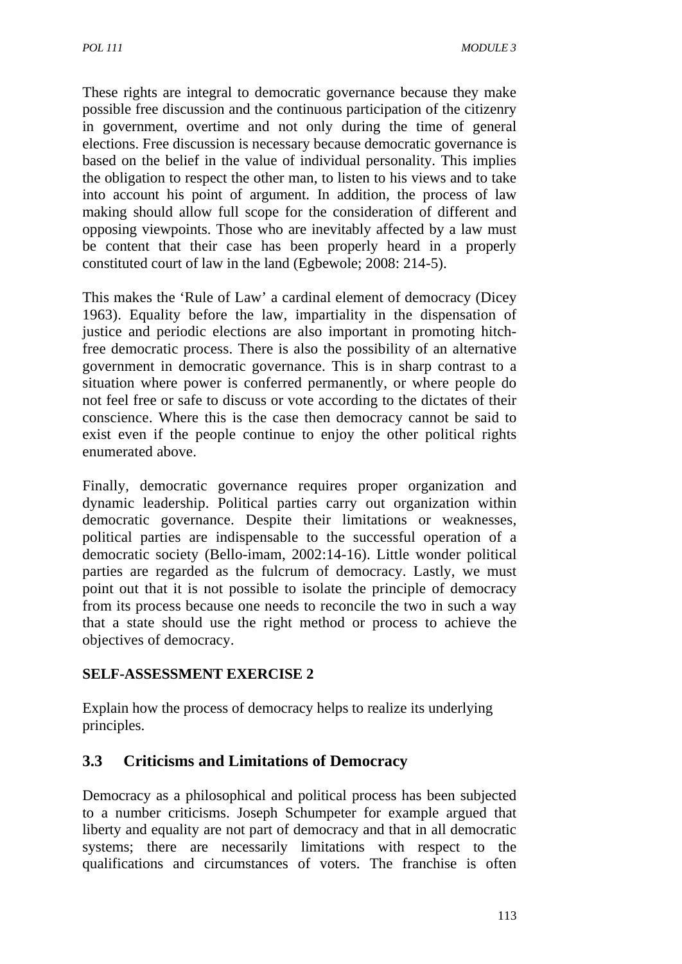These rights are integral to democratic governance because they make possible free discussion and the continuous participation of the citizenry in government, overtime and not only during the time of general elections. Free discussion is necessary because democratic governance is based on the belief in the value of individual personality. This implies the obligation to respect the other man, to listen to his views and to take into account his point of argument. In addition, the process of law making should allow full scope for the consideration of different and opposing viewpoints. Those who are inevitably affected by a law must be content that their case has been properly heard in a properly constituted court of law in the land (Egbewole; 2008: 214-5).

This makes the 'Rule of Law' a cardinal element of democracy (Dicey 1963). Equality before the law, impartiality in the dispensation of justice and periodic elections are also important in promoting hitchfree democratic process. There is also the possibility of an alternative government in democratic governance. This is in sharp contrast to a situation where power is conferred permanently, or where people do not feel free or safe to discuss or vote according to the dictates of their conscience. Where this is the case then democracy cannot be said to exist even if the people continue to enjoy the other political rights enumerated above.

Finally, democratic governance requires proper organization and dynamic leadership. Political parties carry out organization within democratic governance. Despite their limitations or weaknesses, political parties are indispensable to the successful operation of a democratic society (Bello-imam, 2002:14-16). Little wonder political parties are regarded as the fulcrum of democracy. Lastly, we must point out that it is not possible to isolate the principle of democracy from its process because one needs to reconcile the two in such a way that a state should use the right method or process to achieve the objectives of democracy.

## **SELF-ASSESSMENT EXERCISE 2**

Explain how the process of democracy helps to realize its underlying principles.

# **3.3 Criticisms and Limitations of Democracy**

Democracy as a philosophical and political process has been subjected to a number criticisms. Joseph Schumpeter for example argued that liberty and equality are not part of democracy and that in all democratic systems; there are necessarily limitations with respect to the qualifications and circumstances of voters. The franchise is often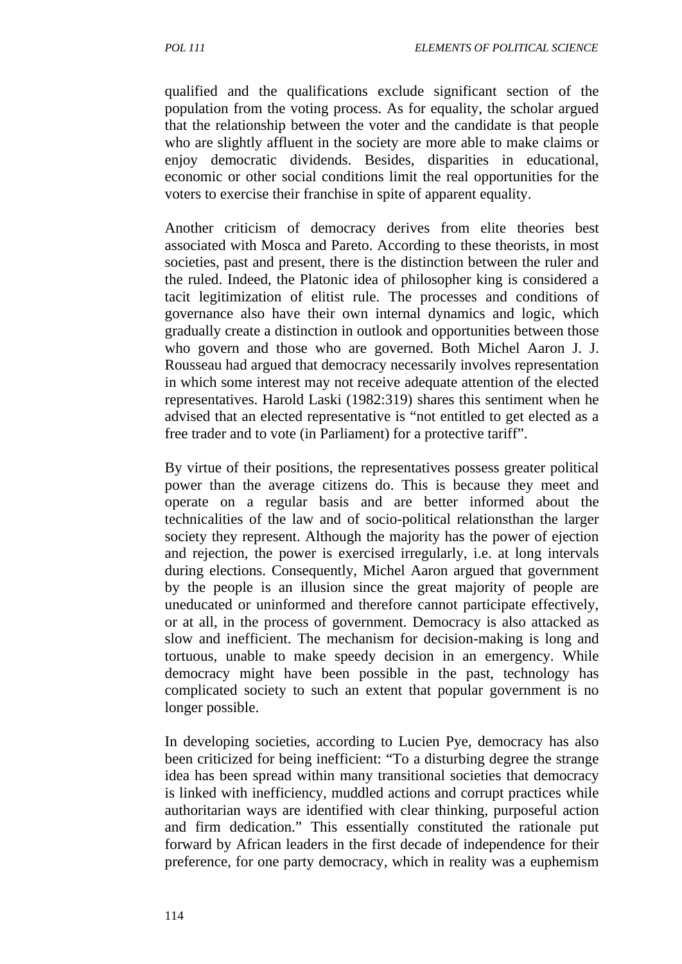qualified and the qualifications exclude significant section of the population from the voting process. As for equality, the scholar argued that the relationship between the voter and the candidate is that people who are slightly affluent in the society are more able to make claims or enjoy democratic dividends. Besides, disparities in educational, economic or other social conditions limit the real opportunities for the voters to exercise their franchise in spite of apparent equality.

Another criticism of democracy derives from elite theories best associated with Mosca and Pareto. According to these theorists, in most societies, past and present, there is the distinction between the ruler and the ruled. Indeed, the Platonic idea of philosopher king is considered a tacit legitimization of elitist rule. The processes and conditions of governance also have their own internal dynamics and logic, which gradually create a distinction in outlook and opportunities between those who govern and those who are governed. Both Michel Aaron J. J. Rousseau had argued that democracy necessarily involves representation in which some interest may not receive adequate attention of the elected representatives. Harold Laski (1982:319) shares this sentiment when he advised that an elected representative is "not entitled to get elected as a free trader and to vote (in Parliament) for a protective tariff".

By virtue of their positions, the representatives possess greater political power than the average citizens do. This is because they meet and operate on a regular basis and are better informed about the technicalities of the law and of socio-political relationsthan the larger society they represent. Although the majority has the power of ejection and rejection, the power is exercised irregularly, i.e. at long intervals during elections. Consequently, Michel Aaron argued that government by the people is an illusion since the great majority of people are uneducated or uninformed and therefore cannot participate effectively, or at all, in the process of government. Democracy is also attacked as slow and inefficient. The mechanism for decision-making is long and tortuous, unable to make speedy decision in an emergency. While democracy might have been possible in the past, technology has complicated society to such an extent that popular government is no longer possible.

In developing societies, according to Lucien Pye, democracy has also been criticized for being inefficient: "To a disturbing degree the strange idea has been spread within many transitional societies that democracy is linked with inefficiency, muddled actions and corrupt practices while authoritarian ways are identified with clear thinking, purposeful action and firm dedication." This essentially constituted the rationale put forward by African leaders in the first decade of independence for their preference, for one party democracy, which in reality was a euphemism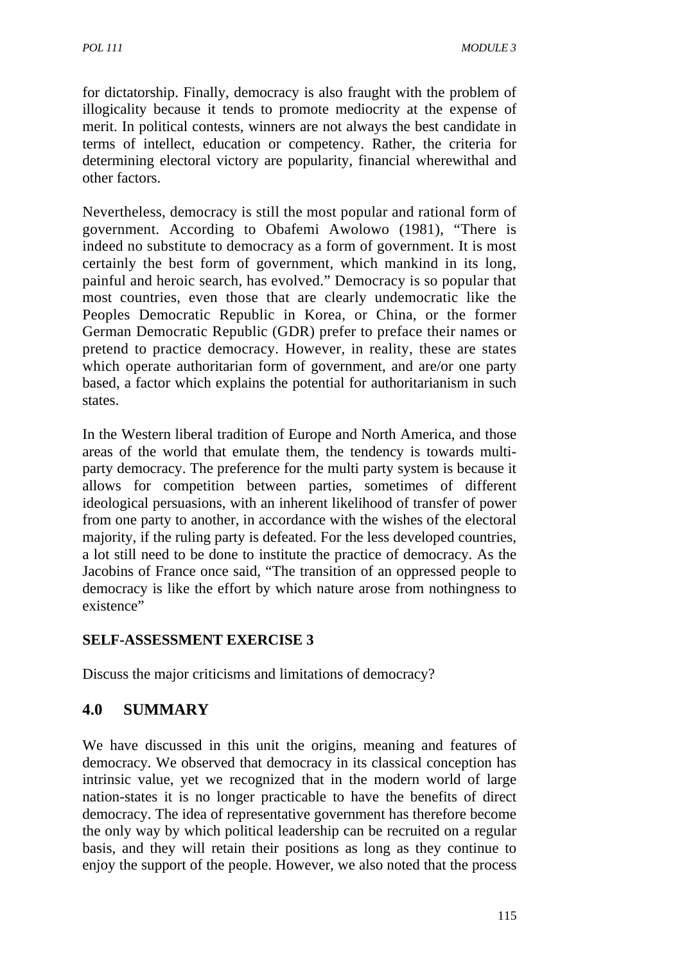for dictatorship. Finally, democracy is also fraught with the problem of illogicality because it tends to promote mediocrity at the expense of merit. In political contests, winners are not always the best candidate in terms of intellect, education or competency. Rather, the criteria for determining electoral victory are popularity, financial wherewithal and other factors.

Nevertheless, democracy is still the most popular and rational form of government. According to Obafemi Awolowo (1981), "There is indeed no substitute to democracy as a form of government. It is most certainly the best form of government, which mankind in its long, painful and heroic search, has evolved." Democracy is so popular that most countries, even those that are clearly undemocratic like the Peoples Democratic Republic in Korea, or China, or the former German Democratic Republic (GDR) prefer to preface their names or pretend to practice democracy. However, in reality, these are states which operate authoritarian form of government, and are/or one party based, a factor which explains the potential for authoritarianism in such states.

In the Western liberal tradition of Europe and North America, and those areas of the world that emulate them, the tendency is towards multiparty democracy. The preference for the multi party system is because it allows for competition between parties, sometimes of different ideological persuasions, with an inherent likelihood of transfer of power from one party to another, in accordance with the wishes of the electoral majority, if the ruling party is defeated. For the less developed countries, a lot still need to be done to institute the practice of democracy. As the Jacobins of France once said, "The transition of an oppressed people to democracy is like the effort by which nature arose from nothingness to existence"

# **SELF-ASSESSMENT EXERCISE 3**

Discuss the major criticisms and limitations of democracy?

# **4.0 SUMMARY**

We have discussed in this unit the origins, meaning and features of democracy. We observed that democracy in its classical conception has intrinsic value, yet we recognized that in the modern world of large nation-states it is no longer practicable to have the benefits of direct democracy. The idea of representative government has therefore become the only way by which political leadership can be recruited on a regular basis, and they will retain their positions as long as they continue to enjoy the support of the people. However, we also noted that the process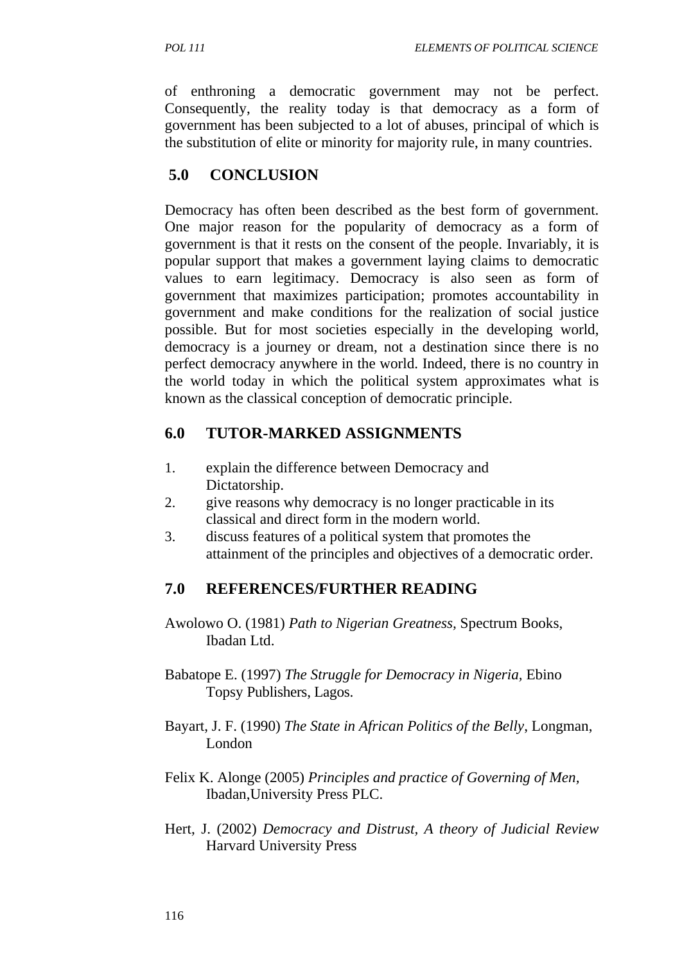of enthroning a democratic government may not be perfect. Consequently, the reality today is that democracy as a form of government has been subjected to a lot of abuses, principal of which is the substitution of elite or minority for majority rule, in many countries.

## **5.0 CONCLUSION**

Democracy has often been described as the best form of government. One major reason for the popularity of democracy as a form of government is that it rests on the consent of the people. Invariably, it is popular support that makes a government laying claims to democratic values to earn legitimacy. Democracy is also seen as form of government that maximizes participation; promotes accountability in government and make conditions for the realization of social justice possible. But for most societies especially in the developing world, democracy is a journey or dream, not a destination since there is no perfect democracy anywhere in the world. Indeed, there is no country in the world today in which the political system approximates what is known as the classical conception of democratic principle.

## **6.0 TUTOR-MARKED ASSIGNMENTS**

- 1. explain the difference between Democracy and Dictatorship.
- 2. give reasons why democracy is no longer practicable in its classical and direct form in the modern world.
- 3. discuss features of a political system that promotes the attainment of the principles and objectives of a democratic order.

# **7.0 REFERENCES/FURTHER READING**

- Awolowo O. (1981) *Path to Nigerian Greatness,* Spectrum Books, Ibadan Ltd.
- Babatope E. (1997) *The Struggle for Democracy in Nigeria,* Ebino Topsy Publishers, Lagos.
- Bayart, J. F. (1990) *The State in African Politics of the Belly*, Longman, London
- Felix K. Alonge (2005) *Principles and practice of Governing of Men,*  Ibadan,University Press PLC.
- Hert, J. (2002) *Democracy and Distrust, A theory of Judicial Review*  Harvard University Press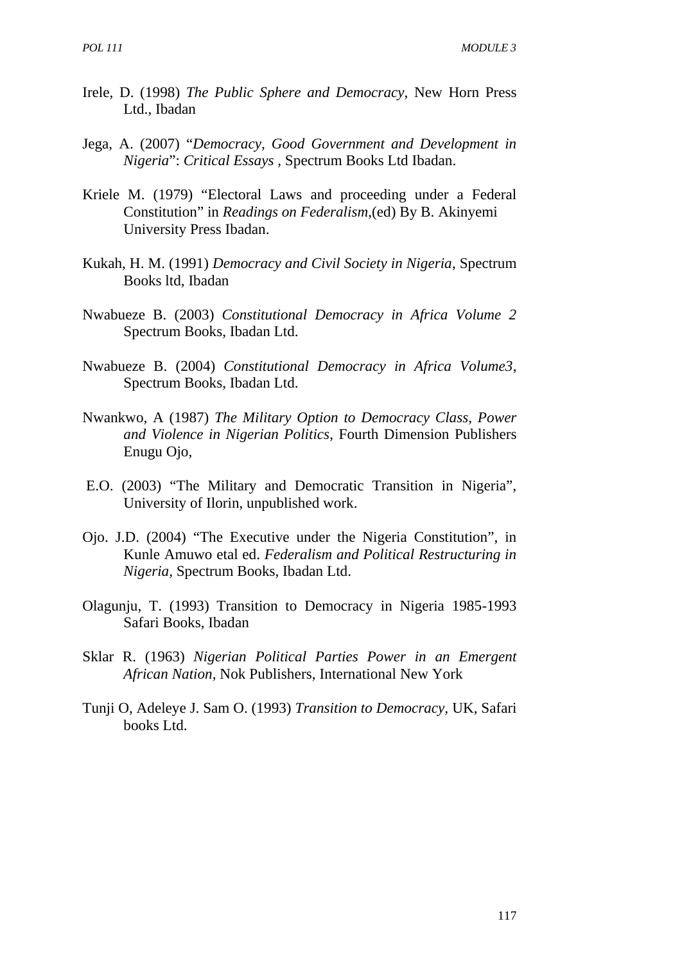- Irele, D. (1998) *The Public Sphere and Democracy*, New Horn Press Ltd., Ibadan
- Jega, A. (2007) "*Democracy, Good Government and Development in Nigeria*": *Critical Essays ,* Spectrum Books Ltd Ibadan.
- Kriele M. (1979) "Electoral Laws and proceeding under a Federal Constitution" in *Readings on Federalism*,(ed) By B. Akinyemi University Press Ibadan.
- Kukah, H. M. (1991) *Democracy and Civil Society in Nigeria*, Spectrum Books ltd, Ibadan
- Nwabueze B. (2003) *Constitutional Democracy in Africa Volume 2*  Spectrum Books, Ibadan Ltd.
- Nwabueze B. (2004) *Constitutional Democracy in Africa Volume3*, Spectrum Books, Ibadan Ltd.
- Nwankwo, A (1987) *The Military Option to Democracy Class, Power and Violence in Nigerian Politics*, Fourth Dimension Publishers Enugu Ojo,
- E.O. (2003) "The Military and Democratic Transition in Nigeria", University of Ilorin, unpublished work.
- Ojo. J.D. (2004) "The Executive under the Nigeria Constitution", in Kunle Amuwo etal ed. *Federalism and Political Restructuring in Nigeria,* Spectrum Books, Ibadan Ltd.
- Olagunju, T. (1993) Transition to Democracy in Nigeria 1985-1993 Safari Books, Ibadan
- Sklar R. (1963) *Nigerian Political Parties Power in an Emergent African Nation,* Nok Publishers, International New York
- Tunji O, Adeleye J. Sam O. (1993) *Transition to Democracy,* UK, Safari books Ltd.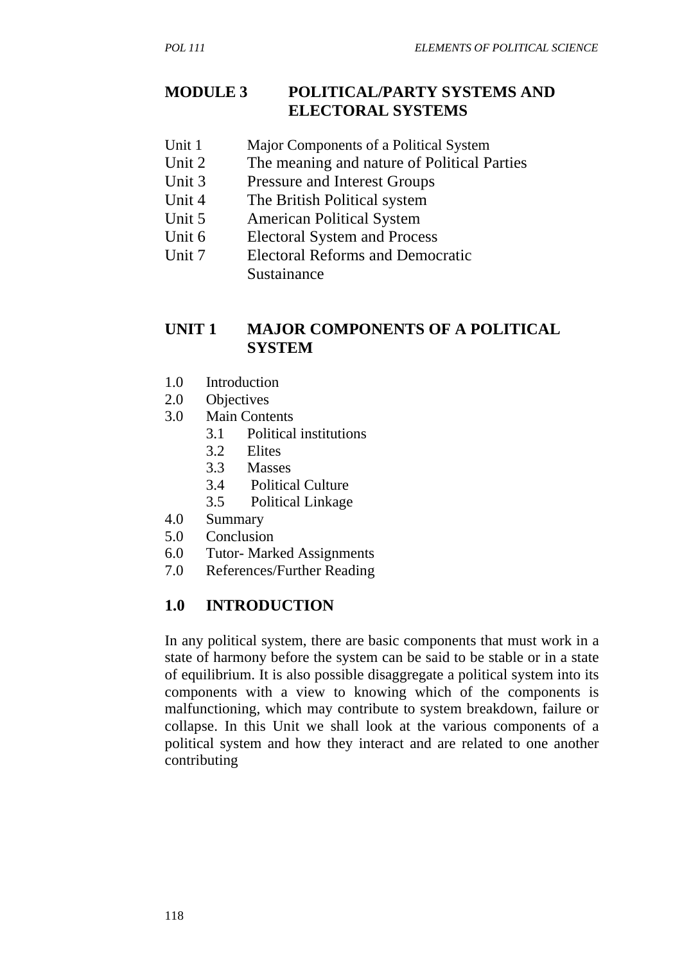#### **MODULE 3 POLITICAL/PARTY SYSTEMS AND ELECTORAL SYSTEMS**

- Unit 1 Major Components of a Political System
- Unit 2 The meaning and nature of Political Parties
- Unit 3 Pressure and Interest Groups
- Unit 4 The British Political system
- Unit 5 American Political System
- Unit 6 Electoral System and Process
- Unit 7 Electoral Reforms and Democratic **Sustainance**

## **UNIT 1 MAJOR COMPONENTS OF A POLITICAL SYSTEM**

- 1.0 Introduction
- 2.0 Objectives
- 3.0 Main Contents
	- 3.1 Political institutions
		- 3.2 Elites
		- 3.3 Masses
		- 3.4 Political Culture
		- 3.5 Political Linkage
- 4.0 Summary
- 5.0 Conclusion
- 6.0 Tutor- Marked Assignments
- 7.0 References/Further Reading

# **1.0 INTRODUCTION**

In any political system, there are basic components that must work in a state of harmony before the system can be said to be stable or in a state of equilibrium. It is also possible disaggregate a political system into its components with a view to knowing which of the components is malfunctioning, which may contribute to system breakdown, failure or collapse. In this Unit we shall look at the various components of a political system and how they interact and are related to one another contributing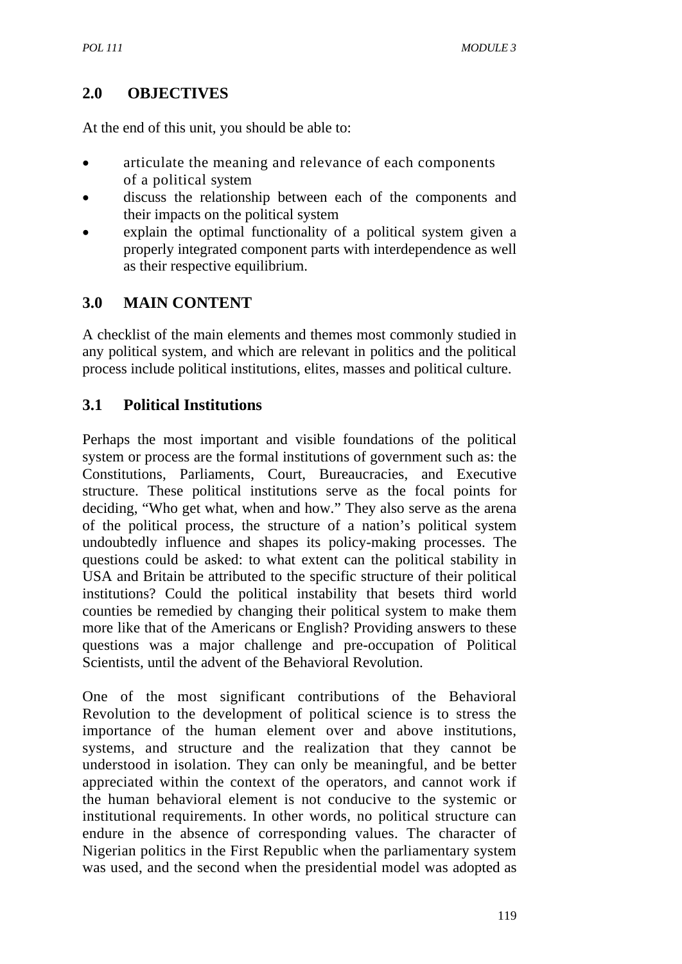## **2.0 OBJECTIVES**

At the end of this unit, you should be able to:

- articulate the meaning and relevance of each components of a political system
- discuss the relationship between each of the components and their impacts on the political system
- explain the optimal functionality of a political system given a properly integrated component parts with interdependence as well as their respective equilibrium.

## **3.0 MAIN CONTENT**

A checklist of the main elements and themes most commonly studied in any political system, and which are relevant in politics and the political process include political institutions, elites, masses and political culture.

## **3.1 Political Institutions**

Perhaps the most important and visible foundations of the political system or process are the formal institutions of government such as: the Constitutions, Parliaments, Court, Bureaucracies, and Executive structure. These political institutions serve as the focal points for deciding, "Who get what, when and how." They also serve as the arena of the political process, the structure of a nation's political system undoubtedly influence and shapes its policy-making processes. The questions could be asked: to what extent can the political stability in USA and Britain be attributed to the specific structure of their political institutions? Could the political instability that besets third world counties be remedied by changing their political system to make them more like that of the Americans or English? Providing answers to these questions was a major challenge and pre-occupation of Political Scientists, until the advent of the Behavioral Revolution.

One of the most significant contributions of the Behavioral Revolution to the development of political science is to stress the importance of the human element over and above institutions, systems, and structure and the realization that they cannot be understood in isolation. They can only be meaningful, and be better appreciated within the context of the operators, and cannot work if the human behavioral element is not conducive to the systemic or institutional requirements. In other words, no political structure can endure in the absence of corresponding values. The character of Nigerian politics in the First Republic when the parliamentary system was used, and the second when the presidential model was adopted as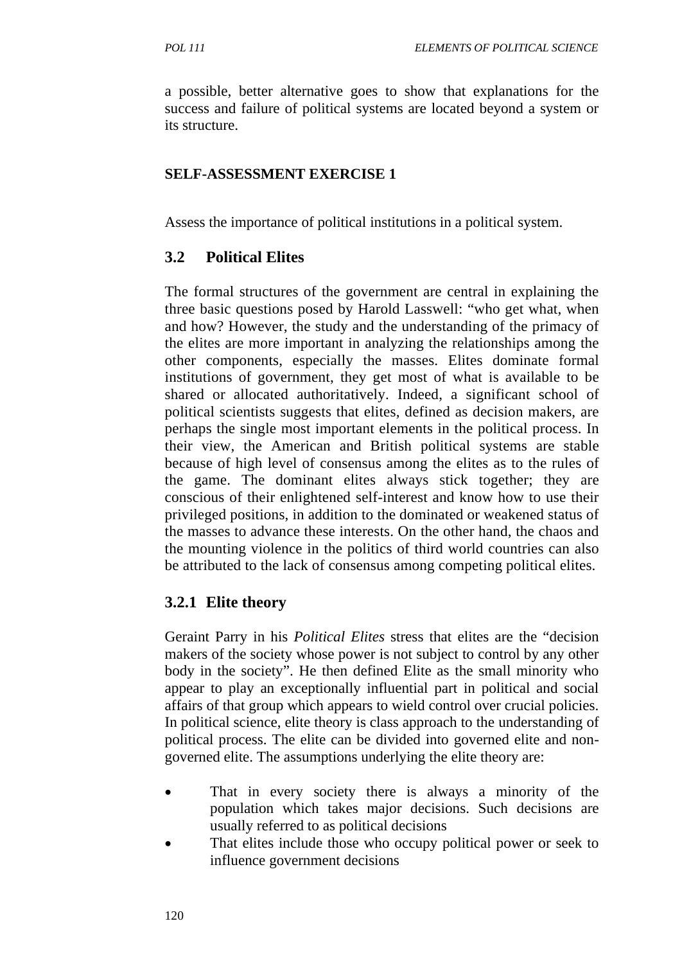a possible, better alternative goes to show that explanations for the success and failure of political systems are located beyond a system or its structure.

#### **SELF-ASSESSMENT EXERCISE 1**

Assess the importance of political institutions in a political system.

## **3.2 Political Elites**

The formal structures of the government are central in explaining the three basic questions posed by Harold Lasswell: "who get what, when and how? However, the study and the understanding of the primacy of the elites are more important in analyzing the relationships among the other components, especially the masses. Elites dominate formal institutions of government, they get most of what is available to be shared or allocated authoritatively. Indeed, a significant school of political scientists suggests that elites, defined as decision makers, are perhaps the single most important elements in the political process. In their view, the American and British political systems are stable because of high level of consensus among the elites as to the rules of the game. The dominant elites always stick together; they are conscious of their enlightened self-interest and know how to use their privileged positions, in addition to the dominated or weakened status of the masses to advance these interests. On the other hand, the chaos and the mounting violence in the politics of third world countries can also be attributed to the lack of consensus among competing political elites.

# **3.2.1 Elite theory**

Geraint Parry in his *Political Elites* stress that elites are the "decision makers of the society whose power is not subject to control by any other body in the society". He then defined Elite as the small minority who appear to play an exceptionally influential part in political and social affairs of that group which appears to wield control over crucial policies. In political science, elite theory is class approach to the understanding of political process. The elite can be divided into governed elite and nongoverned elite. The assumptions underlying the elite theory are:

- That in every society there is always a minority of the population which takes major decisions. Such decisions are usually referred to as political decisions
- That elites include those who occupy political power or seek to influence government decisions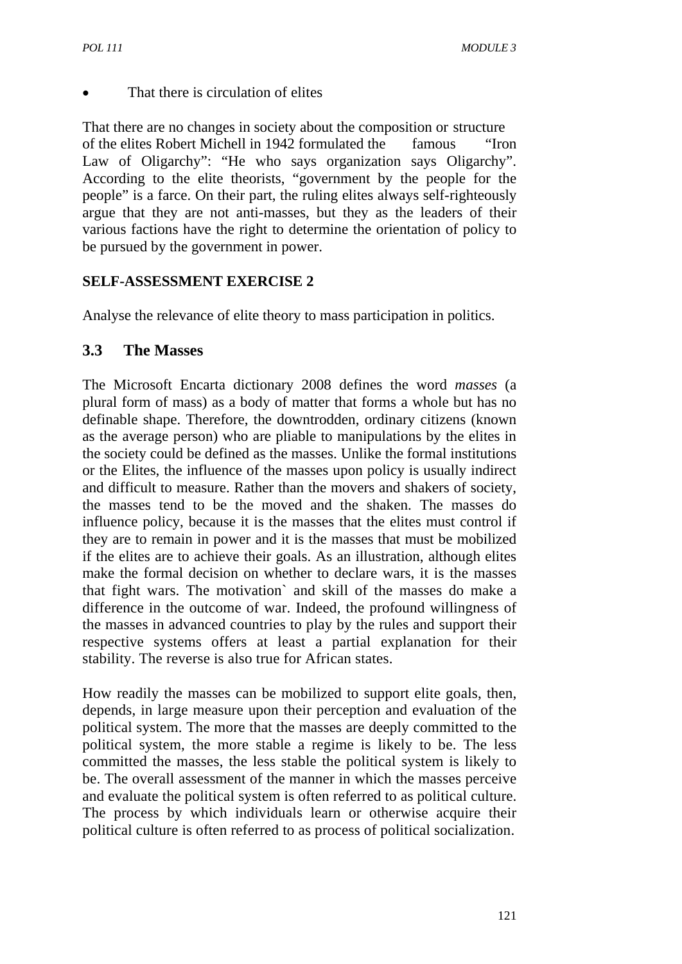That there is circulation of elites

That there are no changes in society about the composition or structure of the elites Robert Michell in 1942 formulated the famous "Iron Law of Oligarchy": "He who says organization says Oligarchy". According to the elite theorists, "government by the people for the people" is a farce. On their part, the ruling elites always self-righteously argue that they are not anti-masses, but they as the leaders of their various factions have the right to determine the orientation of policy to be pursued by the government in power.

## **SELF-ASSESSMENT EXERCISE 2**

Analyse the relevance of elite theory to mass participation in politics.

## **3.3 The Masses**

The Microsoft Encarta dictionary 2008 defines the word *masses* (a plural form of mass) as a body of matter that forms a whole but has no definable shape. Therefore, the downtrodden, ordinary citizens (known as the average person) who are pliable to manipulations by the elites in the society could be defined as the masses. Unlike the formal institutions or the Elites, the influence of the masses upon policy is usually indirect and difficult to measure. Rather than the movers and shakers of society, the masses tend to be the moved and the shaken. The masses do influence policy, because it is the masses that the elites must control if they are to remain in power and it is the masses that must be mobilized if the elites are to achieve their goals. As an illustration, although elites make the formal decision on whether to declare wars, it is the masses that fight wars. The motivation` and skill of the masses do make a difference in the outcome of war. Indeed, the profound willingness of the masses in advanced countries to play by the rules and support their respective systems offers at least a partial explanation for their stability. The reverse is also true for African states.

How readily the masses can be mobilized to support elite goals, then, depends, in large measure upon their perception and evaluation of the political system. The more that the masses are deeply committed to the political system, the more stable a regime is likely to be. The less committed the masses, the less stable the political system is likely to be. The overall assessment of the manner in which the masses perceive and evaluate the political system is often referred to as political culture. The process by which individuals learn or otherwise acquire their political culture is often referred to as process of political socialization.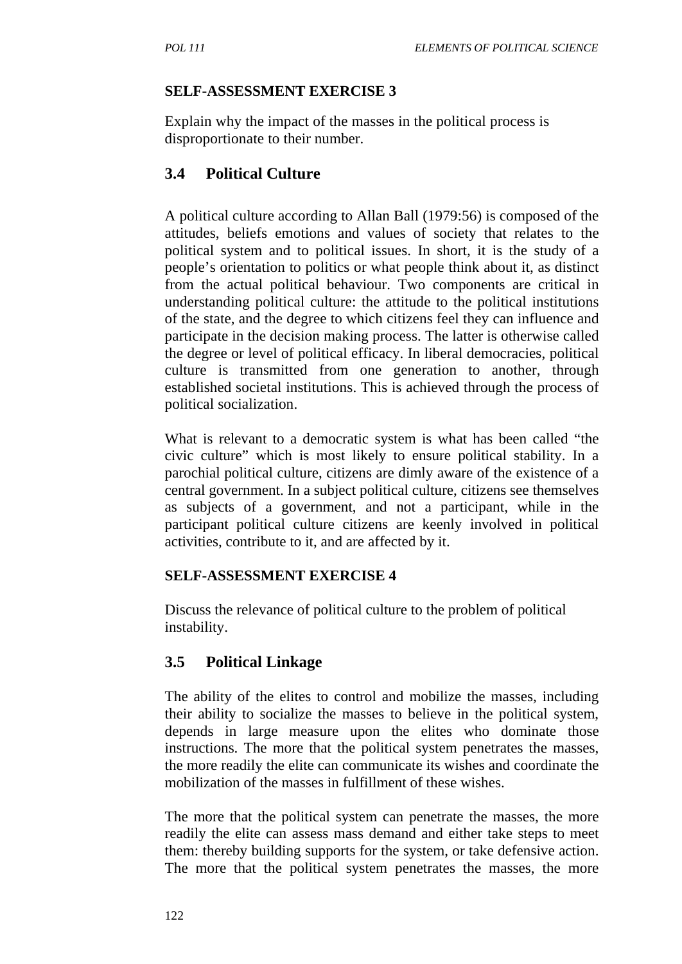#### **SELF-ASSESSMENT EXERCISE 3**

Explain why the impact of the masses in the political process is disproportionate to their number.

## **3.4 Political Culture**

A political culture according to Allan Ball (1979:56) is composed of the attitudes, beliefs emotions and values of society that relates to the political system and to political issues. In short, it is the study of a people's orientation to politics or what people think about it, as distinct from the actual political behaviour. Two components are critical in understanding political culture: the attitude to the political institutions of the state, and the degree to which citizens feel they can influence and participate in the decision making process. The latter is otherwise called the degree or level of political efficacy. In liberal democracies, political culture is transmitted from one generation to another, through established societal institutions. This is achieved through the process of political socialization.

What is relevant to a democratic system is what has been called "the civic culture" which is most likely to ensure political stability. In a parochial political culture, citizens are dimly aware of the existence of a central government. In a subject political culture, citizens see themselves as subjects of a government, and not a participant, while in the participant political culture citizens are keenly involved in political activities, contribute to it, and are affected by it.

#### **SELF-ASSESSMENT EXERCISE 4**

Discuss the relevance of political culture to the problem of political instability.

## **3.5 Political Linkage**

The ability of the elites to control and mobilize the masses, including their ability to socialize the masses to believe in the political system, depends in large measure upon the elites who dominate those instructions. The more that the political system penetrates the masses, the more readily the elite can communicate its wishes and coordinate the mobilization of the masses in fulfillment of these wishes.

The more that the political system can penetrate the masses, the more readily the elite can assess mass demand and either take steps to meet them: thereby building supports for the system, or take defensive action. The more that the political system penetrates the masses, the more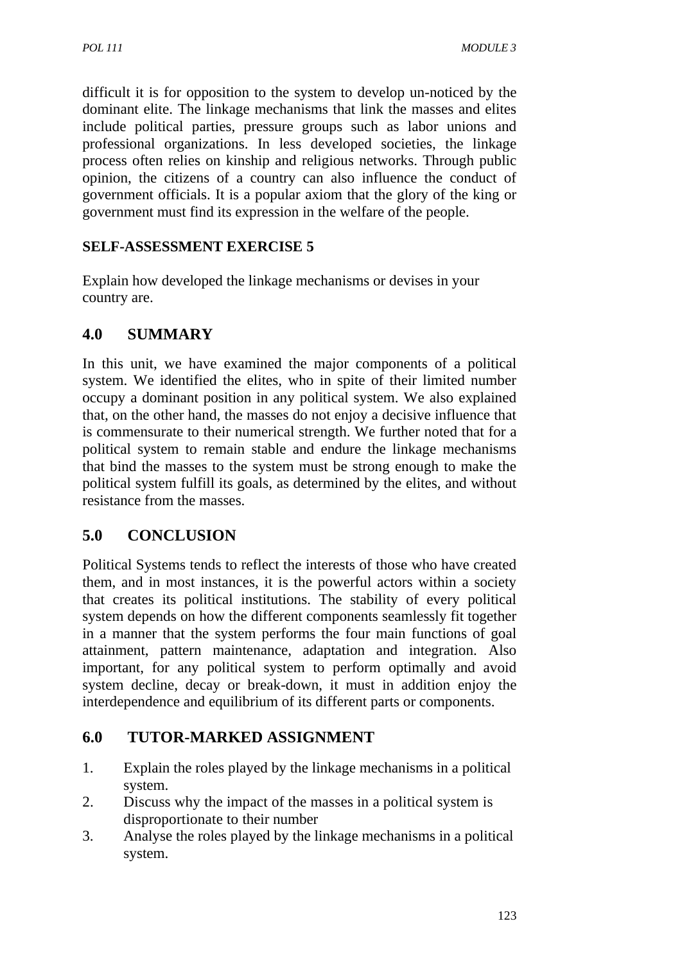difficult it is for opposition to the system to develop un-noticed by the dominant elite. The linkage mechanisms that link the masses and elites include political parties, pressure groups such as labor unions and professional organizations. In less developed societies, the linkage process often relies on kinship and religious networks. Through public opinion, the citizens of a country can also influence the conduct of government officials. It is a popular axiom that the glory of the king or government must find its expression in the welfare of the people.

## **SELF-ASSESSMENT EXERCISE 5**

Explain how developed the linkage mechanisms or devises in your country are.

## **4.0 SUMMARY**

In this unit, we have examined the major components of a political system. We identified the elites, who in spite of their limited number occupy a dominant position in any political system. We also explained that, on the other hand, the masses do not enjoy a decisive influence that is commensurate to their numerical strength. We further noted that for a political system to remain stable and endure the linkage mechanisms that bind the masses to the system must be strong enough to make the political system fulfill its goals, as determined by the elites, and without resistance from the masses.

## **5.0 CONCLUSION**

Political Systems tends to reflect the interests of those who have created them, and in most instances, it is the powerful actors within a society that creates its political institutions. The stability of every political system depends on how the different components seamlessly fit together in a manner that the system performs the four main functions of goal attainment, pattern maintenance, adaptation and integration. Also important, for any political system to perform optimally and avoid system decline, decay or break-down, it must in addition enjoy the interdependence and equilibrium of its different parts or components.

## **6.0 TUTOR-MARKED ASSIGNMENT**

- 1. Explain the roles played by the linkage mechanisms in a political system.
- 2. Discuss why the impact of the masses in a political system is disproportionate to their number
- 3. Analyse the roles played by the linkage mechanisms in a political system.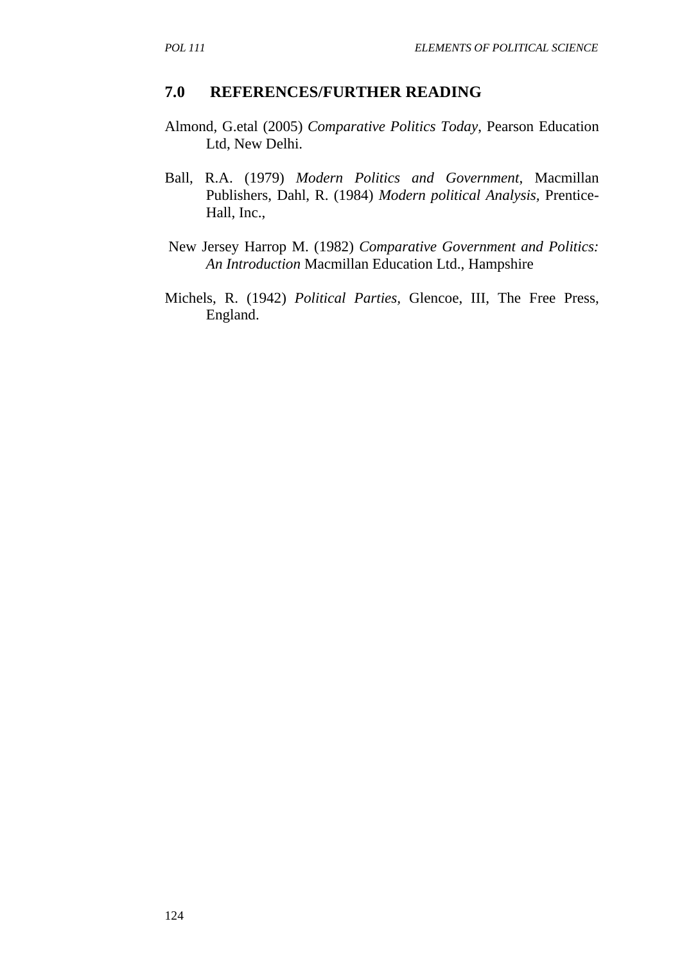#### **7.0 REFERENCES/FURTHER READING**

- Almond, G.etal (2005) *Comparative Politics Today*, Pearson Education Ltd, New Delhi.
- Ball, R.A. (1979) *Modern Politics and Government*, Macmillan Publishers, Dahl, R. (1984) *Modern political Analysis,* Prentice-Hall, Inc.,
- New Jersey Harrop M. (1982) *Comparative Government and Politics: An Introduction* Macmillan Education Ltd., Hampshire
- Michels, R. (1942) *Political Parties,* Glencoe, III, The Free Press, England.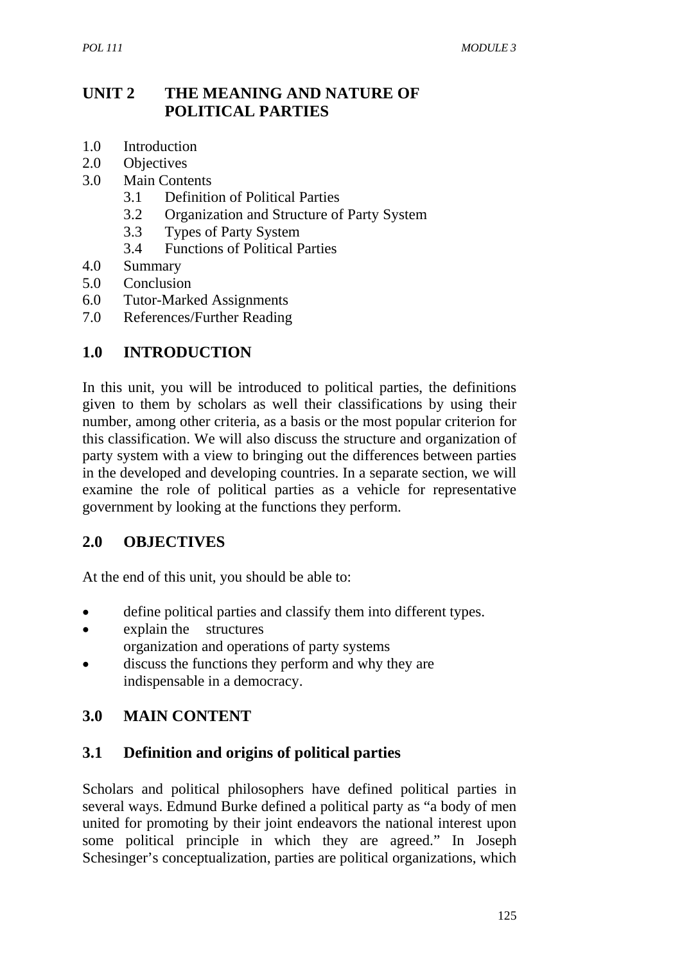## **UNIT 2 THE MEANING AND NATURE OF POLITICAL PARTIES**

- 1.0 Introduction
- 2.0 Objectives
- 3.0 Main Contents
	- 3.1 Definition of Political Parties
	- 3.2 Organization and Structure of Party System
	- 3.3 Types of Party System
	- 3.4 Functions of Political Parties
- 4.0 Summary
- 5.0 Conclusion
- 6.0 Tutor-Marked Assignments
- 7.0 References/Further Reading

#### **1.0 INTRODUCTION**

In this unit, you will be introduced to political parties, the definitions given to them by scholars as well their classifications by using their number, among other criteria, as a basis or the most popular criterion for this classification. We will also discuss the structure and organization of party system with a view to bringing out the differences between parties in the developed and developing countries. In a separate section, we will examine the role of political parties as a vehicle for representative government by looking at the functions they perform.

#### **2.0 OBJECTIVES**

At the end of this unit, you should be able to:

- define political parties and classify them into different types.
- explain the structures organization and operations of party systems
- discuss the functions they perform and why they are indispensable in a democracy.

## **3.0 MAIN CONTENT**

#### **3.1 Definition and origins of political parties**

Scholars and political philosophers have defined political parties in several ways. Edmund Burke defined a political party as "a body of men united for promoting by their joint endeavors the national interest upon some political principle in which they are agreed." In Joseph Schesinger's conceptualization, parties are political organizations, which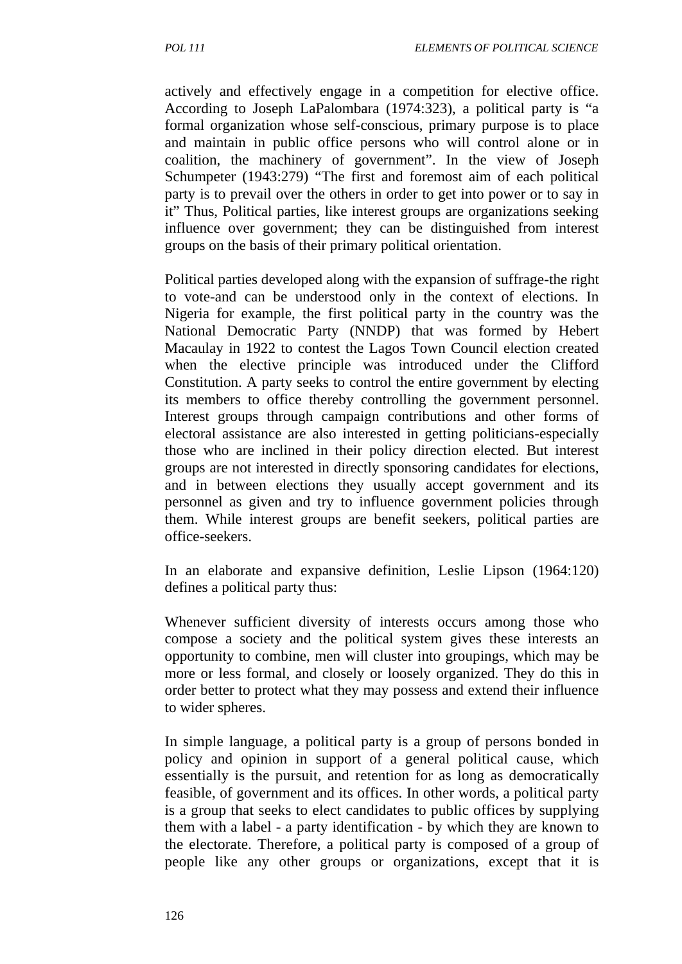actively and effectively engage in a competition for elective office. According to Joseph LaPalombara (1974:323), a political party is "a formal organization whose self-conscious, primary purpose is to place and maintain in public office persons who will control alone or in coalition, the machinery of government". In the view of Joseph Schumpeter (1943:279) "The first and foremost aim of each political party is to prevail over the others in order to get into power or to say in it" Thus, Political parties, like interest groups are organizations seeking influence over government; they can be distinguished from interest groups on the basis of their primary political orientation.

Political parties developed along with the expansion of suffrage-the right to vote-and can be understood only in the context of elections. In Nigeria for example, the first political party in the country was the National Democratic Party (NNDP) that was formed by Hebert Macaulay in 1922 to contest the Lagos Town Council election created when the elective principle was introduced under the Clifford Constitution. A party seeks to control the entire government by electing its members to office thereby controlling the government personnel. Interest groups through campaign contributions and other forms of electoral assistance are also interested in getting politicians-especially those who are inclined in their policy direction elected. But interest groups are not interested in directly sponsoring candidates for elections, and in between elections they usually accept government and its personnel as given and try to influence government policies through them. While interest groups are benefit seekers, political parties are office-seekers.

In an elaborate and expansive definition, Leslie Lipson (1964:120) defines a political party thus:

Whenever sufficient diversity of interests occurs among those who compose a society and the political system gives these interests an opportunity to combine, men will cluster into groupings, which may be more or less formal, and closely or loosely organized. They do this in order better to protect what they may possess and extend their influence to wider spheres.

In simple language, a political party is a group of persons bonded in policy and opinion in support of a general political cause, which essentially is the pursuit, and retention for as long as democratically feasible, of government and its offices. In other words, a political party is a group that seeks to elect candidates to public offices by supplying them with a label - a party identification - by which they are known to the electorate. Therefore, a political party is composed of a group of people like any other groups or organizations, except that it is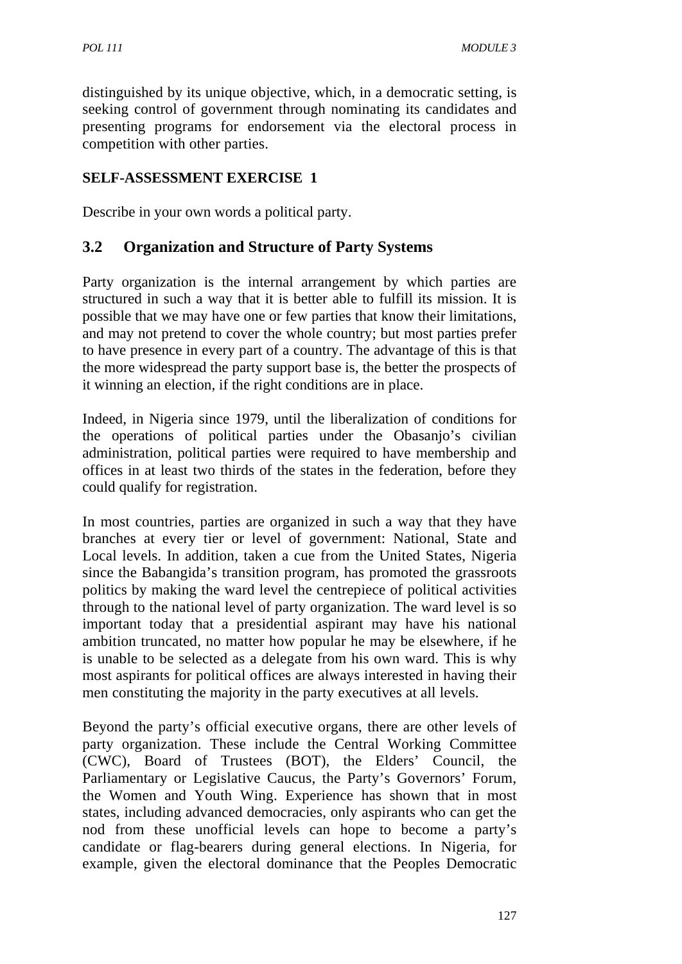distinguished by its unique objective, which, in a democratic setting, is seeking control of government through nominating its candidates and presenting programs for endorsement via the electoral process in competition with other parties.

## **SELF-ASSESSMENT EXERCISE 1**

Describe in your own words a political party.

## **3.2 Organization and Structure of Party Systems**

Party organization is the internal arrangement by which parties are structured in such a way that it is better able to fulfill its mission. It is possible that we may have one or few parties that know their limitations, and may not pretend to cover the whole country; but most parties prefer to have presence in every part of a country. The advantage of this is that the more widespread the party support base is, the better the prospects of it winning an election, if the right conditions are in place.

Indeed, in Nigeria since 1979, until the liberalization of conditions for the operations of political parties under the Obasanjo's civilian administration, political parties were required to have membership and offices in at least two thirds of the states in the federation, before they could qualify for registration.

In most countries, parties are organized in such a way that they have branches at every tier or level of government: National, State and Local levels. In addition, taken a cue from the United States, Nigeria since the Babangida's transition program, has promoted the grassroots politics by making the ward level the centrepiece of political activities through to the national level of party organization. The ward level is so important today that a presidential aspirant may have his national ambition truncated, no matter how popular he may be elsewhere, if he is unable to be selected as a delegate from his own ward. This is why most aspirants for political offices are always interested in having their men constituting the majority in the party executives at all levels.

Beyond the party's official executive organs, there are other levels of party organization. These include the Central Working Committee (CWC), Board of Trustees (BOT), the Elders' Council, the Parliamentary or Legislative Caucus, the Party's Governors' Forum, the Women and Youth Wing. Experience has shown that in most states, including advanced democracies, only aspirants who can get the nod from these unofficial levels can hope to become a party's candidate or flag-bearers during general elections. In Nigeria, for example, given the electoral dominance that the Peoples Democratic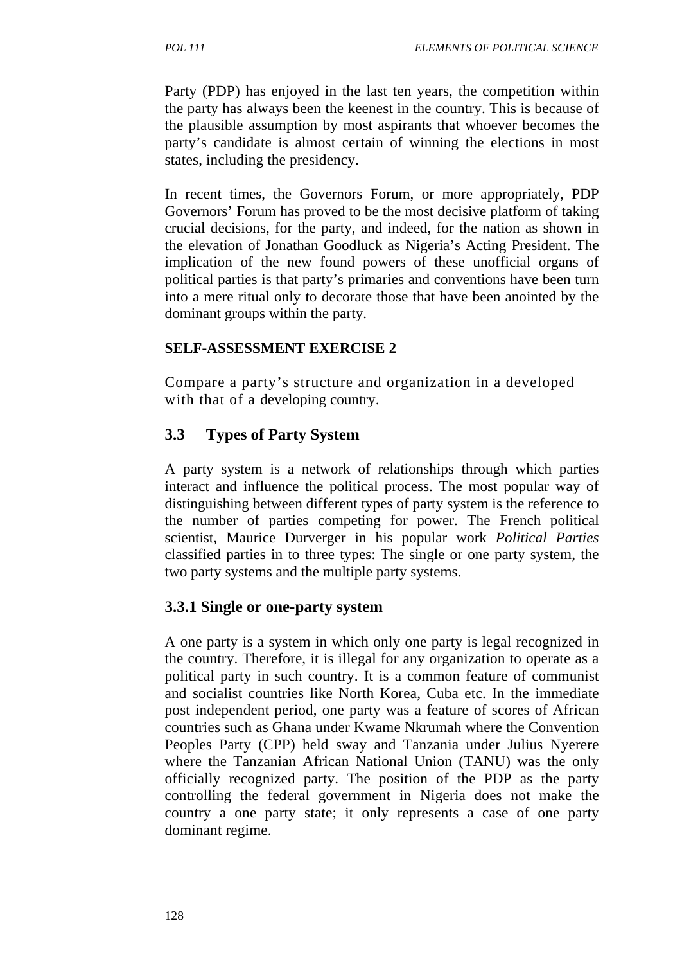Party (PDP) has enjoyed in the last ten years, the competition within the party has always been the keenest in the country. This is because of the plausible assumption by most aspirants that whoever becomes the party's candidate is almost certain of winning the elections in most states, including the presidency.

In recent times, the Governors Forum, or more appropriately, PDP Governors' Forum has proved to be the most decisive platform of taking crucial decisions, for the party, and indeed, for the nation as shown in the elevation of Jonathan Goodluck as Nigeria's Acting President. The implication of the new found powers of these unofficial organs of political parties is that party's primaries and conventions have been turn into a mere ritual only to decorate those that have been anointed by the dominant groups within the party.

#### **SELF-ASSESSMENT EXERCISE 2**

Compare a party's structure and organization in a developed with that of a developing country.

## **3.3 Types of Party System**

A party system is a network of relationships through which parties interact and influence the political process. The most popular way of distinguishing between different types of party system is the reference to the number of parties competing for power. The French political scientist, Maurice Durverger in his popular work *Political Parties*  classified parties in to three types: The single or one party system, the two party systems and the multiple party systems.

#### **3.3.1 Single or one-party system**

A one party is a system in which only one party is legal recognized in the country. Therefore, it is illegal for any organization to operate as a political party in such country. It is a common feature of communist and socialist countries like North Korea, Cuba etc. In the immediate post independent period, one party was a feature of scores of African countries such as Ghana under Kwame Nkrumah where the Convention Peoples Party (CPP) held sway and Tanzania under Julius Nyerere where the Tanzanian African National Union (TANU) was the only officially recognized party. The position of the PDP as the party controlling the federal government in Nigeria does not make the country a one party state; it only represents a case of one party dominant regime.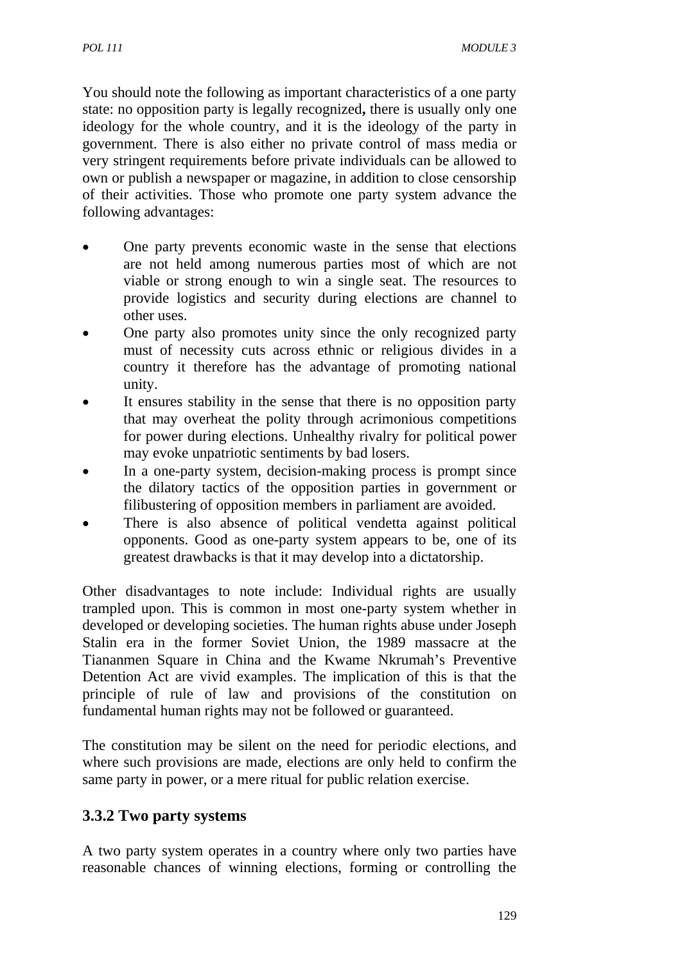You should note the following as important characteristics of a one party state: no opposition party is legally recognized**,** there is usually only one ideology for the whole country, and it is the ideology of the party in government. There is also either no private control of mass media or very stringent requirements before private individuals can be allowed to own or publish a newspaper or magazine, in addition to close censorship of their activities. Those who promote one party system advance the following advantages:

- One party prevents economic waste in the sense that elections are not held among numerous parties most of which are not viable or strong enough to win a single seat. The resources to provide logistics and security during elections are channel to other uses.
- One party also promotes unity since the only recognized party must of necessity cuts across ethnic or religious divides in a country it therefore has the advantage of promoting national unity.
- It ensures stability in the sense that there is no opposition party that may overheat the polity through acrimonious competitions for power during elections. Unhealthy rivalry for political power may evoke unpatriotic sentiments by bad losers.
- In a one-party system, decision-making process is prompt since the dilatory tactics of the opposition parties in government or filibustering of opposition members in parliament are avoided.
- There is also absence of political vendetta against political opponents. Good as one-party system appears to be, one of its greatest drawbacks is that it may develop into a dictatorship.

Other disadvantages to note include: Individual rights are usually trampled upon. This is common in most one-party system whether in developed or developing societies. The human rights abuse under Joseph Stalin era in the former Soviet Union, the 1989 massacre at the Tiananmen Square in China and the Kwame Nkrumah's Preventive Detention Act are vivid examples. The implication of this is that the principle of rule of law and provisions of the constitution on fundamental human rights may not be followed or guaranteed.

The constitution may be silent on the need for periodic elections, and where such provisions are made, elections are only held to confirm the same party in power, or a mere ritual for public relation exercise.

# **3.3.2 Two party systems**

A two party system operates in a country where only two parties have reasonable chances of winning elections, forming or controlling the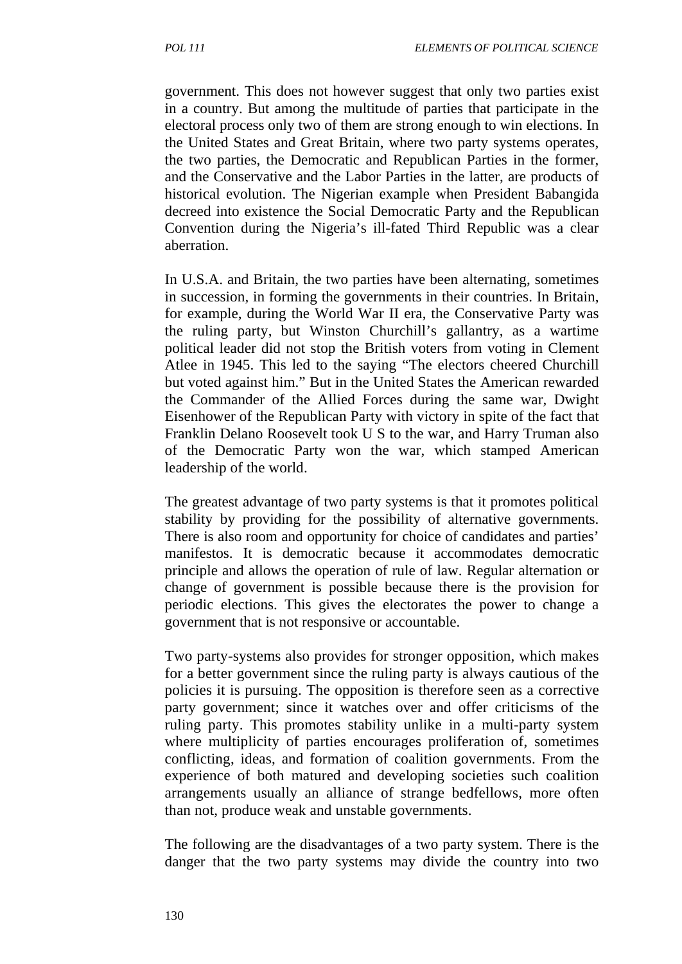government. This does not however suggest that only two parties exist in a country. But among the multitude of parties that participate in the electoral process only two of them are strong enough to win elections. In the United States and Great Britain, where two party systems operates, the two parties, the Democratic and Republican Parties in the former, and the Conservative and the Labor Parties in the latter, are products of historical evolution. The Nigerian example when President Babangida decreed into existence the Social Democratic Party and the Republican Convention during the Nigeria's ill-fated Third Republic was a clear aberration.

In U.S.A. and Britain, the two parties have been alternating, sometimes in succession, in forming the governments in their countries. In Britain, for example, during the World War II era, the Conservative Party was the ruling party, but Winston Churchill's gallantry, as a wartime political leader did not stop the British voters from voting in Clement Atlee in 1945. This led to the saying "The electors cheered Churchill but voted against him." But in the United States the American rewarded the Commander of the Allied Forces during the same war, Dwight Eisenhower of the Republican Party with victory in spite of the fact that Franklin Delano Roosevelt took U S to the war, and Harry Truman also of the Democratic Party won the war, which stamped American leadership of the world.

The greatest advantage of two party systems is that it promotes political stability by providing for the possibility of alternative governments. There is also room and opportunity for choice of candidates and parties' manifestos. It is democratic because it accommodates democratic principle and allows the operation of rule of law. Regular alternation or change of government is possible because there is the provision for periodic elections. This gives the electorates the power to change a government that is not responsive or accountable.

Two party-systems also provides for stronger opposition, which makes for a better government since the ruling party is always cautious of the policies it is pursuing. The opposition is therefore seen as a corrective party government; since it watches over and offer criticisms of the ruling party. This promotes stability unlike in a multi-party system where multiplicity of parties encourages proliferation of, sometimes conflicting, ideas, and formation of coalition governments. From the experience of both matured and developing societies such coalition arrangements usually an alliance of strange bedfellows, more often than not, produce weak and unstable governments.

The following are the disadvantages of a two party system. There is the danger that the two party systems may divide the country into two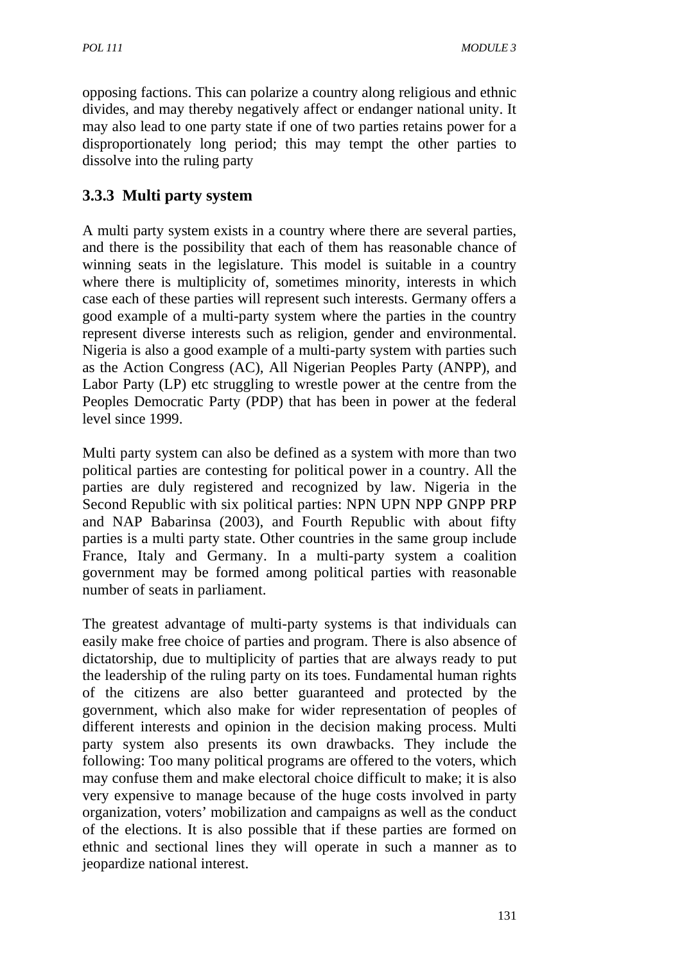opposing factions. This can polarize a country along religious and ethnic divides, and may thereby negatively affect or endanger national unity. It may also lead to one party state if one of two parties retains power for a disproportionately long period; this may tempt the other parties to dissolve into the ruling party

# **3.3.3 Multi party system**

A multi party system exists in a country where there are several parties, and there is the possibility that each of them has reasonable chance of winning seats in the legislature. This model is suitable in a country where there is multiplicity of, sometimes minority, interests in which case each of these parties will represent such interests. Germany offers a good example of a multi-party system where the parties in the country represent diverse interests such as religion, gender and environmental. Nigeria is also a good example of a multi-party system with parties such as the Action Congress (AC), All Nigerian Peoples Party (ANPP), and Labor Party (LP) etc struggling to wrestle power at the centre from the Peoples Democratic Party (PDP) that has been in power at the federal level since 1999.

Multi party system can also be defined as a system with more than two political parties are contesting for political power in a country. All the parties are duly registered and recognized by law. Nigeria in the Second Republic with six political parties: NPN UPN NPP GNPP PRP and NAP Babarinsa (2003), and Fourth Republic with about fifty parties is a multi party state. Other countries in the same group include France, Italy and Germany. In a multi-party system a coalition government may be formed among political parties with reasonable number of seats in parliament.

The greatest advantage of multi-party systems is that individuals can easily make free choice of parties and program. There is also absence of dictatorship, due to multiplicity of parties that are always ready to put the leadership of the ruling party on its toes. Fundamental human rights of the citizens are also better guaranteed and protected by the government, which also make for wider representation of peoples of different interests and opinion in the decision making process. Multi party system also presents its own drawbacks. They include the following: Too many political programs are offered to the voters, which may confuse them and make electoral choice difficult to make; it is also very expensive to manage because of the huge costs involved in party organization, voters' mobilization and campaigns as well as the conduct of the elections. It is also possible that if these parties are formed on ethnic and sectional lines they will operate in such a manner as to jeopardize national interest.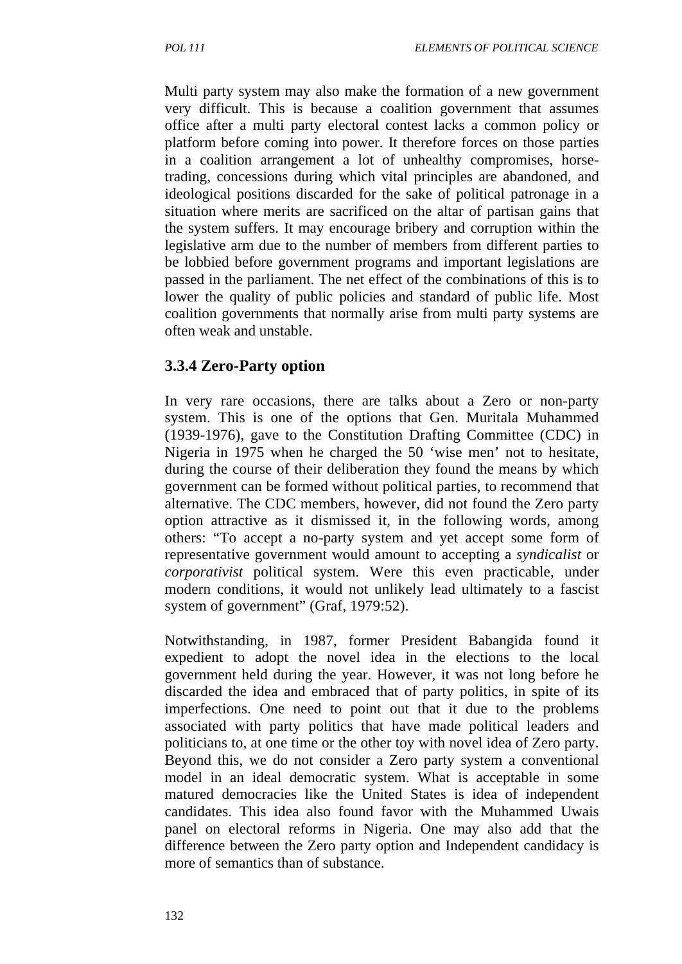Multi party system may also make the formation of a new government very difficult. This is because a coalition government that assumes office after a multi party electoral contest lacks a common policy or platform before coming into power. It therefore forces on those parties in a coalition arrangement a lot of unhealthy compromises, horsetrading, concessions during which vital principles are abandoned, and ideological positions discarded for the sake of political patronage in a situation where merits are sacrificed on the altar of partisan gains that the system suffers. It may encourage bribery and corruption within the legislative arm due to the number of members from different parties to be lobbied before government programs and important legislations are passed in the parliament. The net effect of the combinations of this is to lower the quality of public policies and standard of public life. Most coalition governments that normally arise from multi party systems are often weak and unstable.

#### **3.3.4 Zero-Party option**

In very rare occasions, there are talks about a Zero or non-party system. This is one of the options that Gen. Muritala Muhammed (1939-1976), gave to the Constitution Drafting Committee (CDC) in Nigeria in 1975 when he charged the 50 'wise men' not to hesitate, during the course of their deliberation they found the means by which government can be formed without political parties, to recommend that alternative. The CDC members, however, did not found the Zero party option attractive as it dismissed it, in the following words, among others: "To accept a no-party system and yet accept some form of representative government would amount to accepting a *syndicalist* or *corporativist* political system. Were this even practicable, under modern conditions, it would not unlikely lead ultimately to a fascist system of government" (Graf, 1979:52).

Notwithstanding, in 1987, former President Babangida found it expedient to adopt the novel idea in the elections to the local government held during the year. However, it was not long before he discarded the idea and embraced that of party politics, in spite of its imperfections. One need to point out that it due to the problems associated with party politics that have made political leaders and politicians to, at one time or the other toy with novel idea of Zero party. Beyond this, we do not consider a Zero party system a conventional model in an ideal democratic system. What is acceptable in some matured democracies like the United States is idea of independent candidates. This idea also found favor with the Muhammed Uwais panel on electoral reforms in Nigeria. One may also add that the difference between the Zero party option and Independent candidacy is more of semantics than of substance.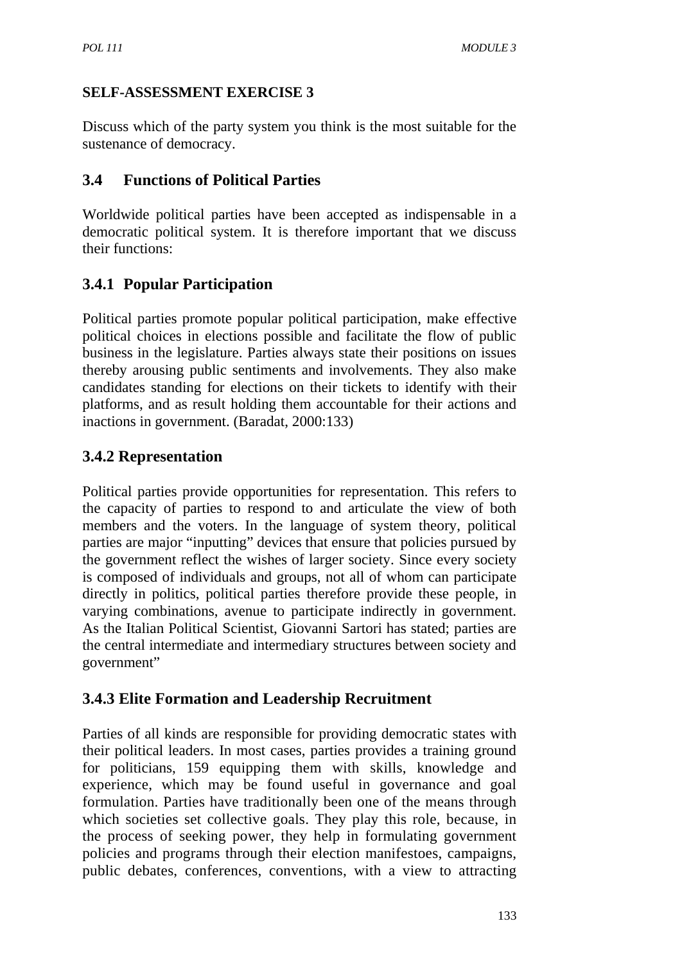## **SELF-ASSESSMENT EXERCISE 3**

Discuss which of the party system you think is the most suitable for the sustenance of democracy.

## **3.4 Functions of Political Parties**

Worldwide political parties have been accepted as indispensable in a democratic political system. It is therefore important that we discuss their functions:

# **3.4.1 Popular Participation**

Political parties promote popular political participation, make effective political choices in elections possible and facilitate the flow of public business in the legislature. Parties always state their positions on issues thereby arousing public sentiments and involvements. They also make candidates standing for elections on their tickets to identify with their platforms, and as result holding them accountable for their actions and inactions in government. (Baradat, 2000:133)

# **3.4.2 Representation**

Political parties provide opportunities for representation. This refers to the capacity of parties to respond to and articulate the view of both members and the voters. In the language of system theory, political parties are major "inputting" devices that ensure that policies pursued by the government reflect the wishes of larger society. Since every society is composed of individuals and groups, not all of whom can participate directly in politics, political parties therefore provide these people, in varying combinations, avenue to participate indirectly in government. As the Italian Political Scientist, Giovanni Sartori has stated; parties are the central intermediate and intermediary structures between society and government"

# **3.4.3 Elite Formation and Leadership Recruitment**

Parties of all kinds are responsible for providing democratic states with their political leaders. In most cases, parties provides a training ground for politicians, 159 equipping them with skills, knowledge and experience, which may be found useful in governance and goal formulation. Parties have traditionally been one of the means through which societies set collective goals. They play this role, because, in the process of seeking power, they help in formulating government policies and programs through their election manifestoes, campaigns, public debates, conferences, conventions, with a view to attracting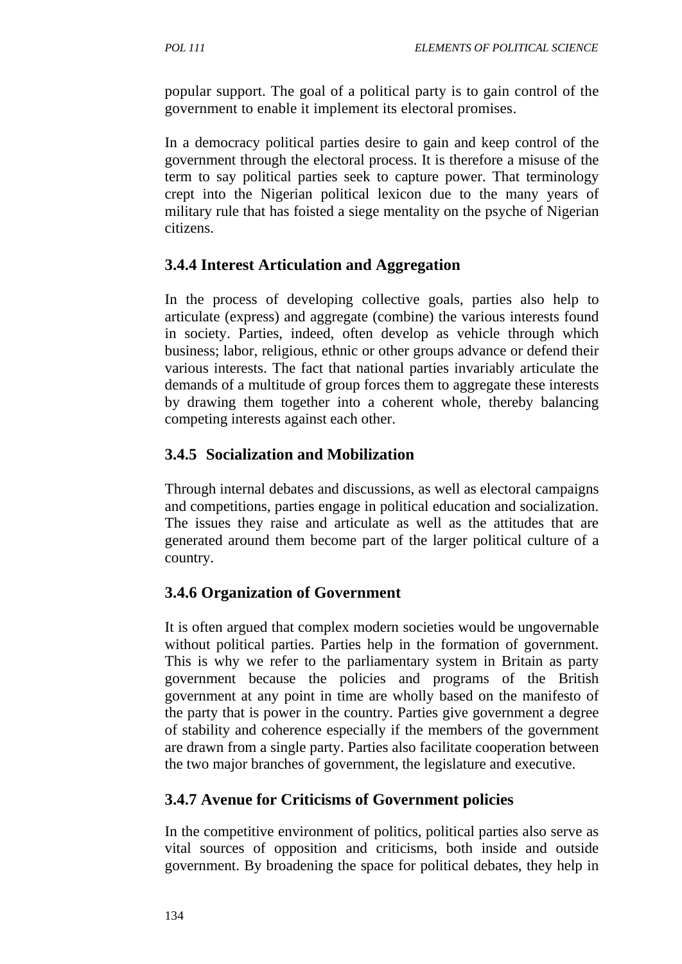popular support. The goal of a political party is to gain control of the government to enable it implement its electoral promises.

In a democracy political parties desire to gain and keep control of the government through the electoral process. It is therefore a misuse of the term to say political parties seek to capture power. That terminology crept into the Nigerian political lexicon due to the many years of military rule that has foisted a siege mentality on the psyche of Nigerian citizens.

## **3.4.4 Interest Articulation and Aggregation**

In the process of developing collective goals, parties also help to articulate (express) and aggregate (combine) the various interests found in society. Parties, indeed, often develop as vehicle through which business; labor, religious, ethnic or other groups advance or defend their various interests. The fact that national parties invariably articulate the demands of a multitude of group forces them to aggregate these interests by drawing them together into a coherent whole, thereby balancing competing interests against each other.

## **3.4.5 Socialization and Mobilization**

Through internal debates and discussions, as well as electoral campaigns and competitions, parties engage in political education and socialization. The issues they raise and articulate as well as the attitudes that are generated around them become part of the larger political culture of a country.

## **3.4.6 Organization of Government**

It is often argued that complex modern societies would be ungovernable without political parties. Parties help in the formation of government. This is why we refer to the parliamentary system in Britain as party government because the policies and programs of the British government at any point in time are wholly based on the manifesto of the party that is power in the country. Parties give government a degree of stability and coherence especially if the members of the government are drawn from a single party. Parties also facilitate cooperation between the two major branches of government, the legislature and executive.

# **3.4.7 Avenue for Criticisms of Government policies**

In the competitive environment of politics, political parties also serve as vital sources of opposition and criticisms, both inside and outside government. By broadening the space for political debates, they help in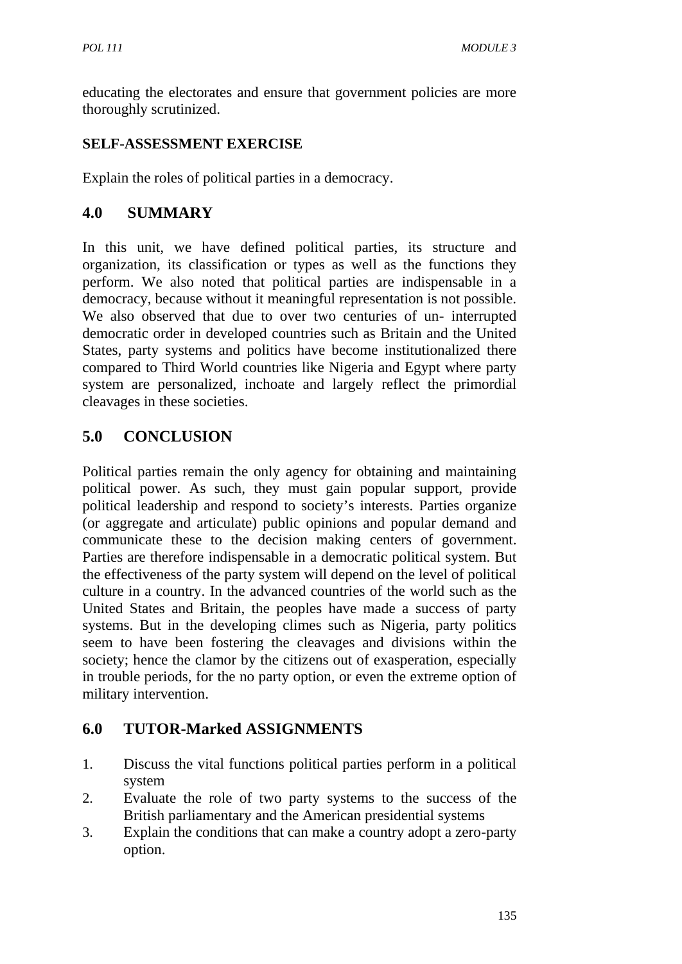educating the electorates and ensure that government policies are more thoroughly scrutinized.

## **SELF-ASSESSMENT EXERCISE**

Explain the roles of political parties in a democracy.

## **4.0 SUMMARY**

In this unit, we have defined political parties, its structure and organization, its classification or types as well as the functions they perform. We also noted that political parties are indispensable in a democracy, because without it meaningful representation is not possible. We also observed that due to over two centuries of un- interrupted democratic order in developed countries such as Britain and the United States, party systems and politics have become institutionalized there compared to Third World countries like Nigeria and Egypt where party system are personalized, inchoate and largely reflect the primordial cleavages in these societies.

# **5.0 CONCLUSION**

Political parties remain the only agency for obtaining and maintaining political power. As such, they must gain popular support, provide political leadership and respond to society's interests. Parties organize (or aggregate and articulate) public opinions and popular demand and communicate these to the decision making centers of government. Parties are therefore indispensable in a democratic political system. But the effectiveness of the party system will depend on the level of political culture in a country. In the advanced countries of the world such as the United States and Britain, the peoples have made a success of party systems. But in the developing climes such as Nigeria, party politics seem to have been fostering the cleavages and divisions within the society; hence the clamor by the citizens out of exasperation, especially in trouble periods, for the no party option, or even the extreme option of military intervention.

## **6.0 TUTOR-Marked ASSIGNMENTS**

- 1. Discuss the vital functions political parties perform in a political system
- 2. Evaluate the role of two party systems to the success of the British parliamentary and the American presidential systems
- 3. Explain the conditions that can make a country adopt a zero-party option.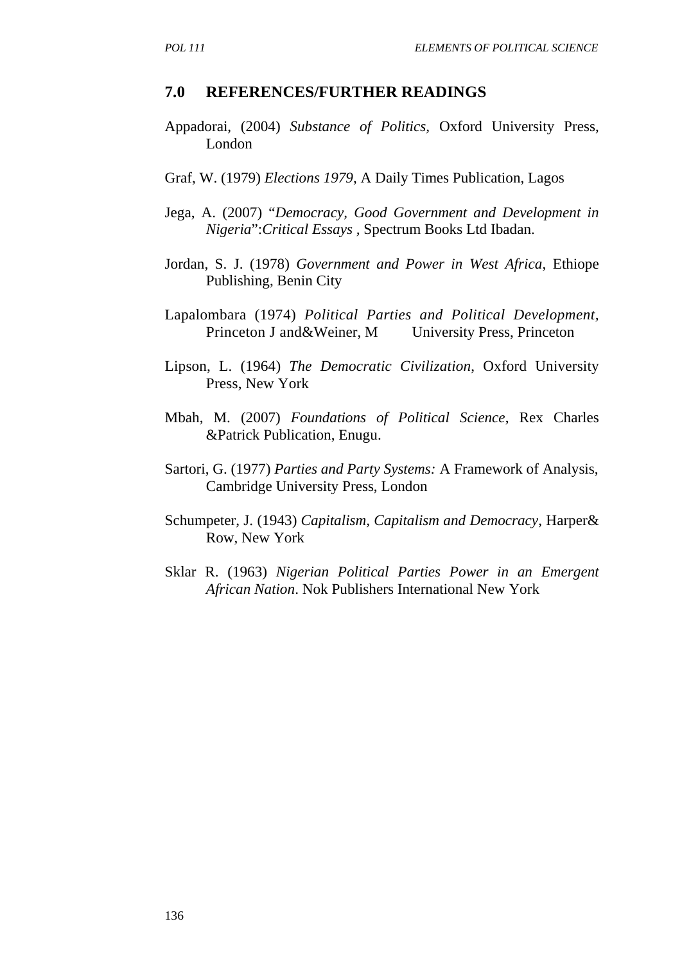#### **7.0 REFERENCES/FURTHER READINGS**

- Appadorai, (2004) *Substance of Politics,* Oxford University Press, London
- Graf, W. (1979) *Elections 1979*, A Daily Times Publication, Lagos
- Jega, A. (2007) "*Democracy, Good Government and Development in Nigeria*":*Critical Essays ,* Spectrum Books Ltd Ibadan.
- Jordan, S. J. (1978) *Government and Power in West Africa*, Ethiope Publishing, Benin City
- Lapalombara (1974) *Political Parties and Political Development,*  Princeton J and&Weiner, M University Press, Princeton
- Lipson, L. (1964) *The Democratic Civilization*, Oxford University Press, New York
- Mbah, M. (2007) *Foundations of Political Science*, Rex Charles &Patrick Publication, Enugu.
- Sartori, G. (1977) *Parties and Party Systems:* A Framework of Analysis, Cambridge University Press, London
- Schumpeter, J. (1943) *Capitalism, Capitalism and Democracy*, Harper& Row, New York
- Sklar R. (1963) *Nigerian Political Parties Power in an Emergent African Nation*. Nok Publishers International New York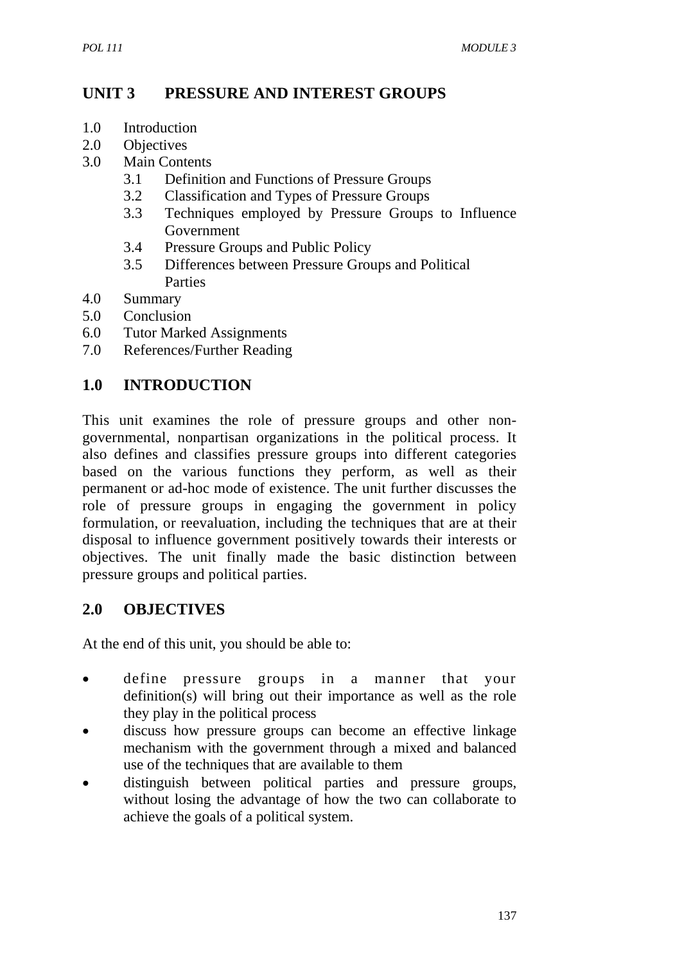## **UNIT 3 PRESSURE AND INTEREST GROUPS**

- 1.0 Introduction
- 2.0 Objectives
- 3.0 Main Contents
	- 3.1 Definition and Functions of Pressure Groups
	- 3.2 Classification and Types of Pressure Groups
	- 3.3 Techniques employed by Pressure Groups to Influence Government
	- 3.4 Pressure Groups and Public Policy
	- 3.5 Differences between Pressure Groups and Political Parties
- 4.0 Summary
- 5.0 Conclusion
- 6.0 Tutor Marked Assignments
- 7.0 References/Further Reading

## **1.0 INTRODUCTION**

This unit examines the role of pressure groups and other nongovernmental, nonpartisan organizations in the political process. It also defines and classifies pressure groups into different categories based on the various functions they perform, as well as their permanent or ad-hoc mode of existence. The unit further discusses the role of pressure groups in engaging the government in policy formulation, or reevaluation, including the techniques that are at their disposal to influence government positively towards their interests or objectives. The unit finally made the basic distinction between pressure groups and political parties.

## **2.0 OBJECTIVES**

At the end of this unit, you should be able to:

- define pressure groups in a manner that your definition(s) will bring out their importance as well as the role they play in the political process
- discuss how pressure groups can become an effective linkage mechanism with the government through a mixed and balanced use of the techniques that are available to them
- distinguish between political parties and pressure groups, without losing the advantage of how the two can collaborate to achieve the goals of a political system.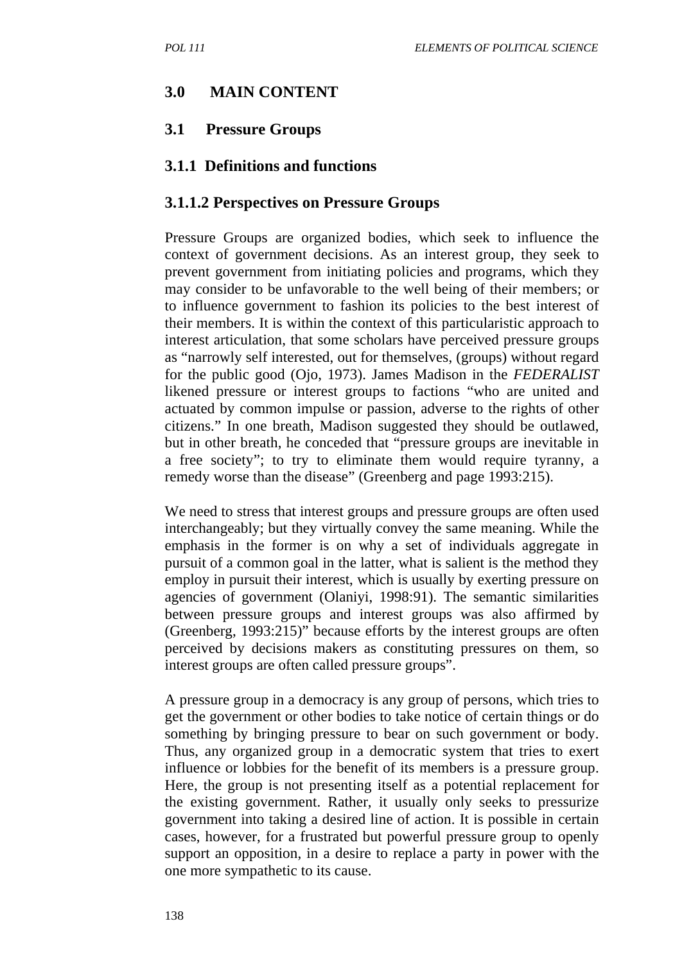#### **3.0 MAIN CONTENT**

#### **3.1 Pressure Groups**

#### **3.1.1 Definitions and functions**

#### **3.1.1.2 Perspectives on Pressure Groups**

Pressure Groups are organized bodies, which seek to influence the context of government decisions. As an interest group, they seek to prevent government from initiating policies and programs, which they may consider to be unfavorable to the well being of their members; or to influence government to fashion its policies to the best interest of their members. It is within the context of this particularistic approach to interest articulation, that some scholars have perceived pressure groups as "narrowly self interested, out for themselves, (groups) without regard for the public good (Ojo, 1973). James Madison in the *FEDERALIST*  likened pressure or interest groups to factions "who are united and actuated by common impulse or passion, adverse to the rights of other citizens." In one breath, Madison suggested they should be outlawed, but in other breath, he conceded that "pressure groups are inevitable in a free society"; to try to eliminate them would require tyranny, a remedy worse than the disease" (Greenberg and page 1993:215).

We need to stress that interest groups and pressure groups are often used interchangeably; but they virtually convey the same meaning. While the emphasis in the former is on why a set of individuals aggregate in pursuit of a common goal in the latter, what is salient is the method they employ in pursuit their interest, which is usually by exerting pressure on agencies of government (Olaniyi, 1998:91). The semantic similarities between pressure groups and interest groups was also affirmed by (Greenberg, 1993:215)" because efforts by the interest groups are often perceived by decisions makers as constituting pressures on them, so interest groups are often called pressure groups".

A pressure group in a democracy is any group of persons, which tries to get the government or other bodies to take notice of certain things or do something by bringing pressure to bear on such government or body. Thus, any organized group in a democratic system that tries to exert influence or lobbies for the benefit of its members is a pressure group. Here, the group is not presenting itself as a potential replacement for the existing government. Rather, it usually only seeks to pressurize government into taking a desired line of action. It is possible in certain cases, however, for a frustrated but powerful pressure group to openly support an opposition, in a desire to replace a party in power with the one more sympathetic to its cause.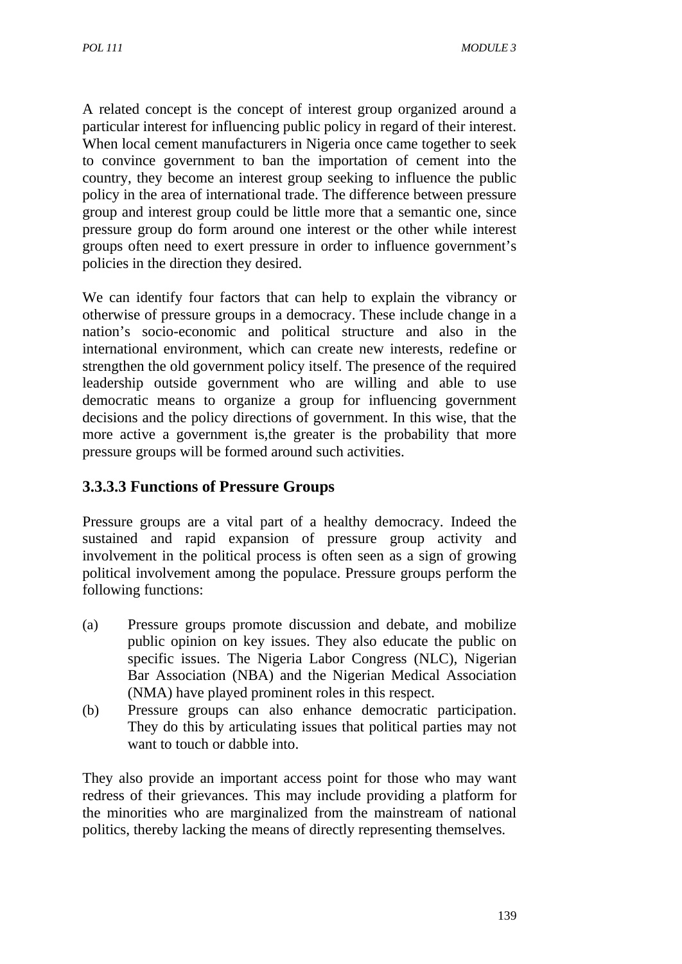A related concept is the concept of interest group organized around a particular interest for influencing public policy in regard of their interest. When local cement manufacturers in Nigeria once came together to seek to convince government to ban the importation of cement into the country, they become an interest group seeking to influence the public policy in the area of international trade. The difference between pressure group and interest group could be little more that a semantic one, since pressure group do form around one interest or the other while interest groups often need to exert pressure in order to influence government's policies in the direction they desired.

We can identify four factors that can help to explain the vibrancy or otherwise of pressure groups in a democracy. These include change in a nation's socio-economic and political structure and also in the international environment, which can create new interests, redefine or strengthen the old government policy itself. The presence of the required leadership outside government who are willing and able to use democratic means to organize a group for influencing government decisions and the policy directions of government. In this wise, that the more active a government is,the greater is the probability that more pressure groups will be formed around such activities.

## **3.3.3.3 Functions of Pressure Groups**

Pressure groups are a vital part of a healthy democracy. Indeed the sustained and rapid expansion of pressure group activity and involvement in the political process is often seen as a sign of growing political involvement among the populace. Pressure groups perform the following functions:

- (a) Pressure groups promote discussion and debate, and mobilize public opinion on key issues. They also educate the public on specific issues. The Nigeria Labor Congress (NLC), Nigerian Bar Association (NBA) and the Nigerian Medical Association (NMA) have played prominent roles in this respect.
- (b) Pressure groups can also enhance democratic participation. They do this by articulating issues that political parties may not want to touch or dabble into.

They also provide an important access point for those who may want redress of their grievances. This may include providing a platform for the minorities who are marginalized from the mainstream of national politics, thereby lacking the means of directly representing themselves.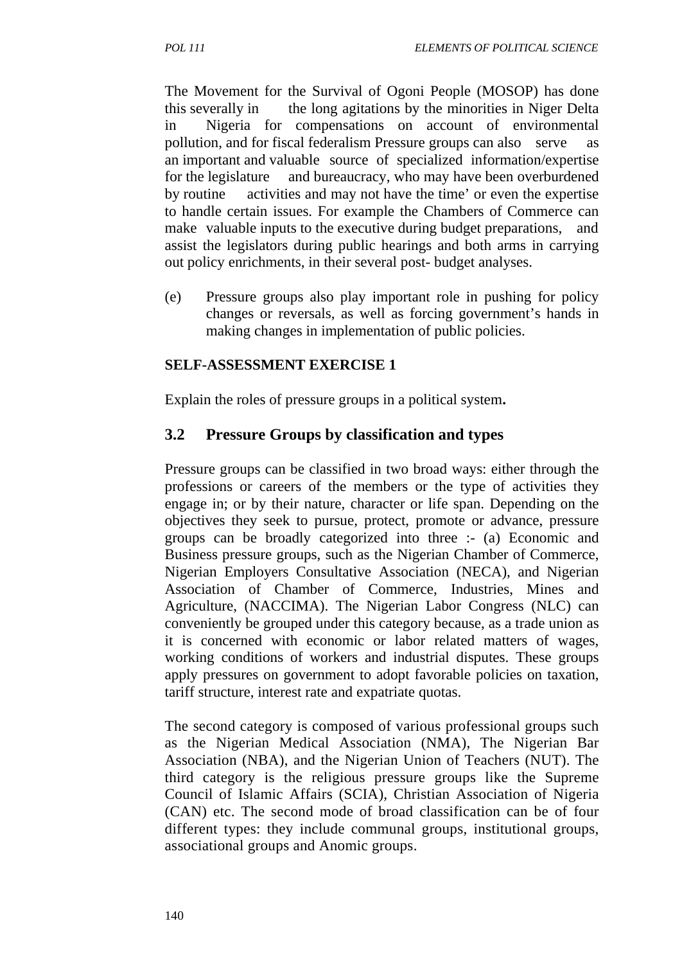The Movement for the Survival of Ogoni People (MOSOP) has done this severally in the long agitations by the minorities in Niger Delta in Nigeria for compensations on account of environmental pollution, and for fiscal federalism Pressure groups can also serve as an important and valuable source of specialized information/expertise for the legislature and bureaucracy, who may have been overburdened by routine activities and may not have the time' or even the expertise to handle certain issues. For example the Chambers of Commerce can make valuable inputs to the executive during budget preparations, and assist the legislators during public hearings and both arms in carrying out policy enrichments, in their several post- budget analyses.

(e) Pressure groups also play important role in pushing for policy changes or reversals, as well as forcing government's hands in making changes in implementation of public policies.

#### **SELF-ASSESSMENT EXERCISE 1**

Explain the roles of pressure groups in a political system**.**

#### **3.2 Pressure Groups by classification and types**

Pressure groups can be classified in two broad ways: either through the professions or careers of the members or the type of activities they engage in; or by their nature, character or life span. Depending on the objectives they seek to pursue, protect, promote or advance, pressure groups can be broadly categorized into three :- (a) Economic and Business pressure groups, such as the Nigerian Chamber of Commerce, Nigerian Employers Consultative Association (NECA), and Nigerian Association of Chamber of Commerce, Industries, Mines and Agriculture, (NACCIMA). The Nigerian Labor Congress (NLC) can conveniently be grouped under this category because, as a trade union as it is concerned with economic or labor related matters of wages, working conditions of workers and industrial disputes. These groups apply pressures on government to adopt favorable policies on taxation, tariff structure, interest rate and expatriate quotas.

The second category is composed of various professional groups such as the Nigerian Medical Association (NMA), The Nigerian Bar Association (NBA), and the Nigerian Union of Teachers (NUT). The third category is the religious pressure groups like the Supreme Council of Islamic Affairs (SCIA), Christian Association of Nigeria (CAN) etc. The second mode of broad classification can be of four different types: they include communal groups, institutional groups, associational groups and Anomic groups.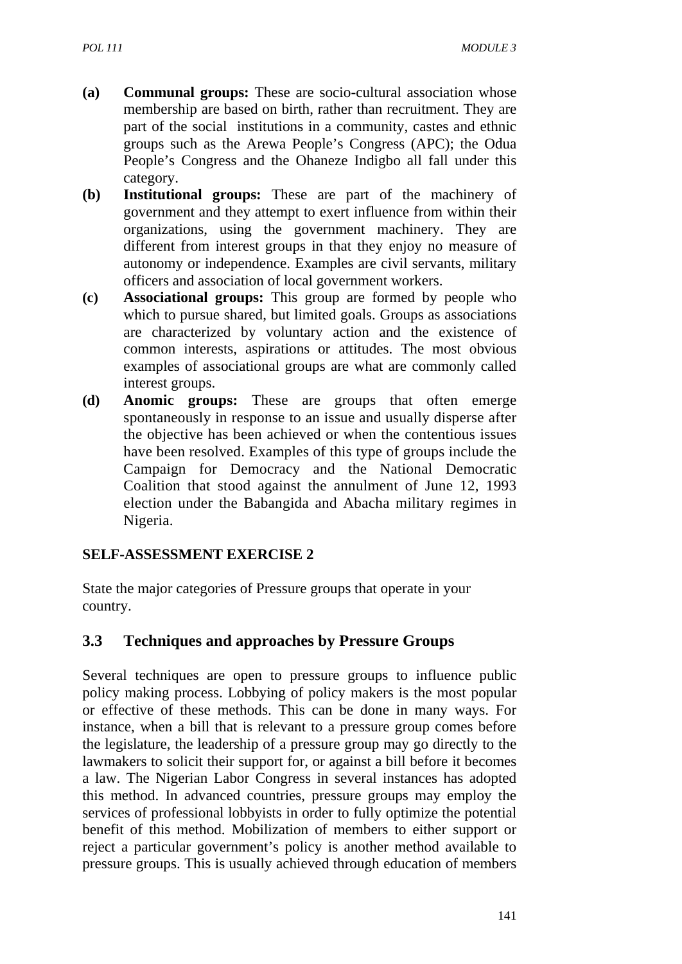- **(a) Communal groups:** These are socio-cultural association whose membership are based on birth, rather than recruitment. They are part of the socialinstitutions in a community, castes and ethnic groups such as the Arewa People's Congress (APC); the Odua People's Congress and the Ohaneze Indigbo all fall under this category.
- **(b) Institutional groups:** These are part of the machinery of government and they attempt to exert influence from within their organizations, using the government machinery. They are different from interest groups in that they enjoy no measure of autonomy or independence. Examples are civil servants, military officers and association of local government workers.
- **(c) Associational groups:** This group are formed by people who which to pursue shared, but limited goals. Groups as associations are characterized by voluntary action and the existence of common interests, aspirations or attitudes. The most obvious examples of associational groups are what are commonly called interest groups.
- **(d) Anomic groups:** These are groups that often emerge spontaneously in response to an issue and usually disperse after the objective has been achieved or when the contentious issues have been resolved. Examples of this type of groups include the Campaign for Democracy and the National Democratic Coalition that stood against the annulment of June 12, 1993 election under the Babangida and Abacha military regimes in Nigeria.

#### **SELF-ASSESSMENT EXERCISE 2**

State the major categories of Pressure groups that operate in your country.

#### **3.3 Techniques and approaches by Pressure Groups**

Several techniques are open to pressure groups to influence public policy making process. Lobbying of policy makers is the most popular or effective of these methods. This can be done in many ways. For instance, when a bill that is relevant to a pressure group comes before the legislature, the leadership of a pressure group may go directly to the lawmakers to solicit their support for, or against a bill before it becomes a law. The Nigerian Labor Congress in several instances has adopted this method. In advanced countries, pressure groups may employ the services of professional lobbyists in order to fully optimize the potential benefit of this method. Mobilization of members to either support or reject a particular government's policy is another method available to pressure groups. This is usually achieved through education of members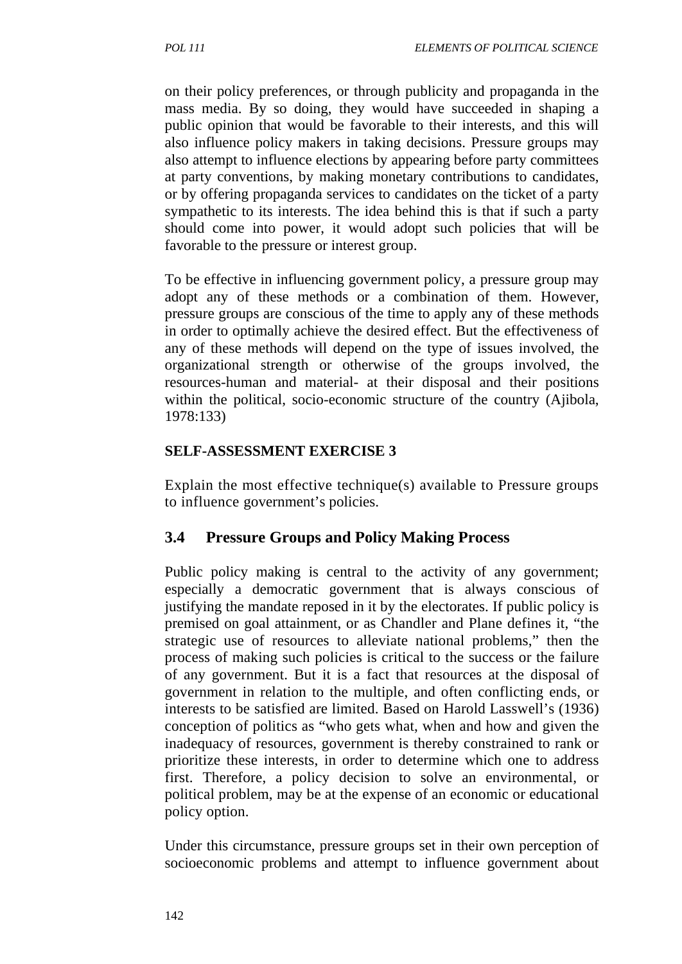on their policy preferences, or through publicity and propaganda in the mass media. By so doing, they would have succeeded in shaping a public opinion that would be favorable to their interests, and this will also influence policy makers in taking decisions. Pressure groups may also attempt to influence elections by appearing before party committees at party conventions, by making monetary contributions to candidates, or by offering propaganda services to candidates on the ticket of a party sympathetic to its interests. The idea behind this is that if such a party should come into power, it would adopt such policies that will be favorable to the pressure or interest group.

To be effective in influencing government policy, a pressure group may adopt any of these methods or a combination of them. However, pressure groups are conscious of the time to apply any of these methods in order to optimally achieve the desired effect. But the effectiveness of any of these methods will depend on the type of issues involved, the organizational strength or otherwise of the groups involved, the resources-human and material- at their disposal and their positions within the political, socio-economic structure of the country (Ajibola, 1978:133)

### **SELF-ASSESSMENT EXERCISE 3**

Explain the most effective technique(s) available to Pressure groups to influence government's policies.

# **3.4 Pressure Groups and Policy Making Process**

Public policy making is central to the activity of any government; especially a democratic government that is always conscious of justifying the mandate reposed in it by the electorates. If public policy is premised on goal attainment, or as Chandler and Plane defines it, "the strategic use of resources to alleviate national problems," then the process of making such policies is critical to the success or the failure of any government. But it is a fact that resources at the disposal of government in relation to the multiple, and often conflicting ends, or interests to be satisfied are limited. Based on Harold Lasswell's (1936) conception of politics as "who gets what, when and how and given the inadequacy of resources, government is thereby constrained to rank or prioritize these interests, in order to determine which one to address first. Therefore, a policy decision to solve an environmental, or political problem, may be at the expense of an economic or educational policy option.

Under this circumstance, pressure groups set in their own perception of socioeconomic problems and attempt to influence government about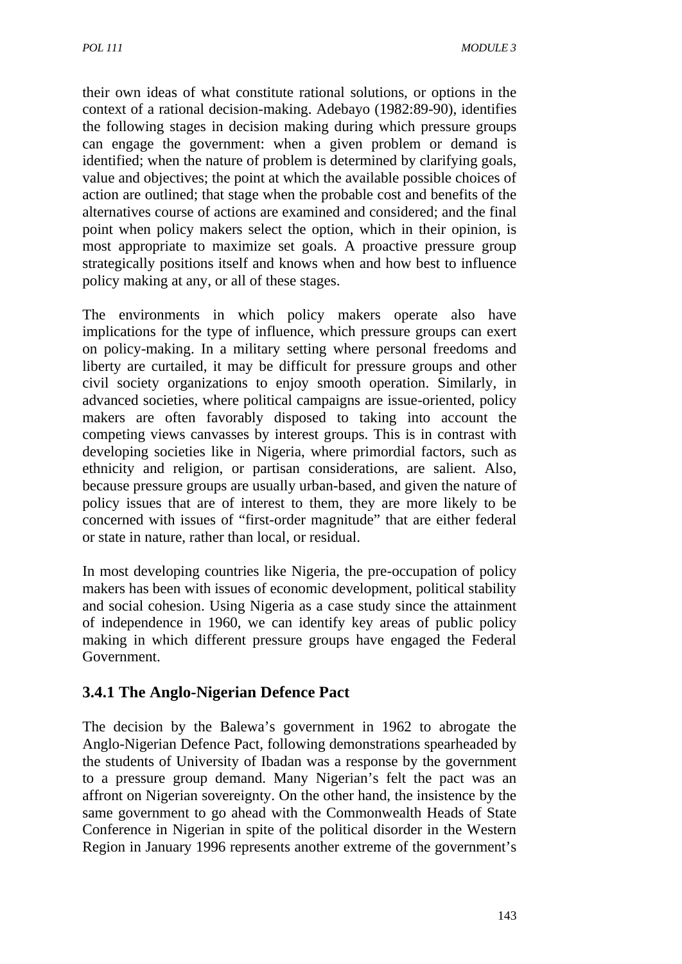their own ideas of what constitute rational solutions, or options in the context of a rational decision-making. Adebayo (1982:89-90), identifies the following stages in decision making during which pressure groups can engage the government: when a given problem or demand is identified; when the nature of problem is determined by clarifying goals, value and objectives; the point at which the available possible choices of action are outlined; that stage when the probable cost and benefits of the alternatives course of actions are examined and considered; and the final point when policy makers select the option, which in their opinion, is most appropriate to maximize set goals. A proactive pressure group strategically positions itself and knows when and how best to influence policy making at any, or all of these stages.

The environments in which policy makers operate also have implications for the type of influence, which pressure groups can exert on policy-making. In a military setting where personal freedoms and liberty are curtailed, it may be difficult for pressure groups and other civil society organizations to enjoy smooth operation. Similarly, in advanced societies, where political campaigns are issue-oriented, policy makers are often favorably disposed to taking into account the competing views canvasses by interest groups. This is in contrast with developing societies like in Nigeria, where primordial factors, such as ethnicity and religion, or partisan considerations, are salient. Also, because pressure groups are usually urban-based, and given the nature of policy issues that are of interest to them, they are more likely to be concerned with issues of "first-order magnitude" that are either federal or state in nature, rather than local, or residual.

In most developing countries like Nigeria, the pre-occupation of policy makers has been with issues of economic development, political stability and social cohesion. Using Nigeria as a case study since the attainment of independence in 1960, we can identify key areas of public policy making in which different pressure groups have engaged the Federal Government.

# **3.4.1 The Anglo-Nigerian Defence Pact**

The decision by the Balewa's government in 1962 to abrogate the Anglo-Nigerian Defence Pact, following demonstrations spearheaded by the students of University of Ibadan was a response by the government to a pressure group demand. Many Nigerian's felt the pact was an affront on Nigerian sovereignty. On the other hand, the insistence by the same government to go ahead with the Commonwealth Heads of State Conference in Nigerian in spite of the political disorder in the Western Region in January 1996 represents another extreme of the government's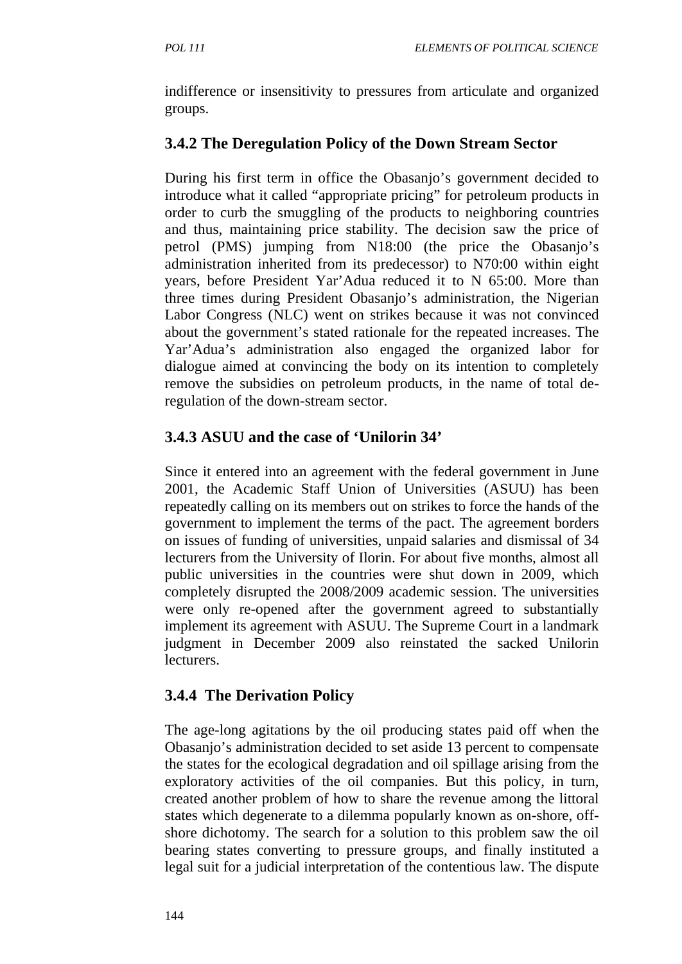indifference or insensitivity to pressures from articulate and organized groups.

## **3.4.2 The Deregulation Policy of the Down Stream Sector**

During his first term in office the Obasanjo's government decided to introduce what it called "appropriate pricing" for petroleum products in order to curb the smuggling of the products to neighboring countries and thus, maintaining price stability. The decision saw the price of petrol (PMS) jumping from N18:00 (the price the Obasanjo's administration inherited from its predecessor) to N70:00 within eight years, before President Yar'Adua reduced it to N 65:00. More than three times during President Obasanjo's administration, the Nigerian Labor Congress (NLC) went on strikes because it was not convinced about the government's stated rationale for the repeated increases. The Yar'Adua's administration also engaged the organized labor for dialogue aimed at convincing the body on its intention to completely remove the subsidies on petroleum products, in the name of total deregulation of the down-stream sector.

# **3.4.3 ASUU and the case of 'Unilorin 34'**

Since it entered into an agreement with the federal government in June 2001, the Academic Staff Union of Universities (ASUU) has been repeatedly calling on its members out on strikes to force the hands of the government to implement the terms of the pact. The agreement borders on issues of funding of universities, unpaid salaries and dismissal of 34 lecturers from the University of Ilorin. For about five months, almost all public universities in the countries were shut down in 2009, which completely disrupted the 2008/2009 academic session. The universities were only re-opened after the government agreed to substantially implement its agreement with ASUU. The Supreme Court in a landmark judgment in December 2009 also reinstated the sacked Unilorin lecturers.

### **3.4.4 The Derivation Policy**

The age-long agitations by the oil producing states paid off when the Obasanjo's administration decided to set aside 13 percent to compensate the states for the ecological degradation and oil spillage arising from the exploratory activities of the oil companies. But this policy, in turn, created another problem of how to share the revenue among the littoral states which degenerate to a dilemma popularly known as on-shore, offshore dichotomy. The search for a solution to this problem saw the oil bearing states converting to pressure groups, and finally instituted a legal suit for a judicial interpretation of the contentious law. The dispute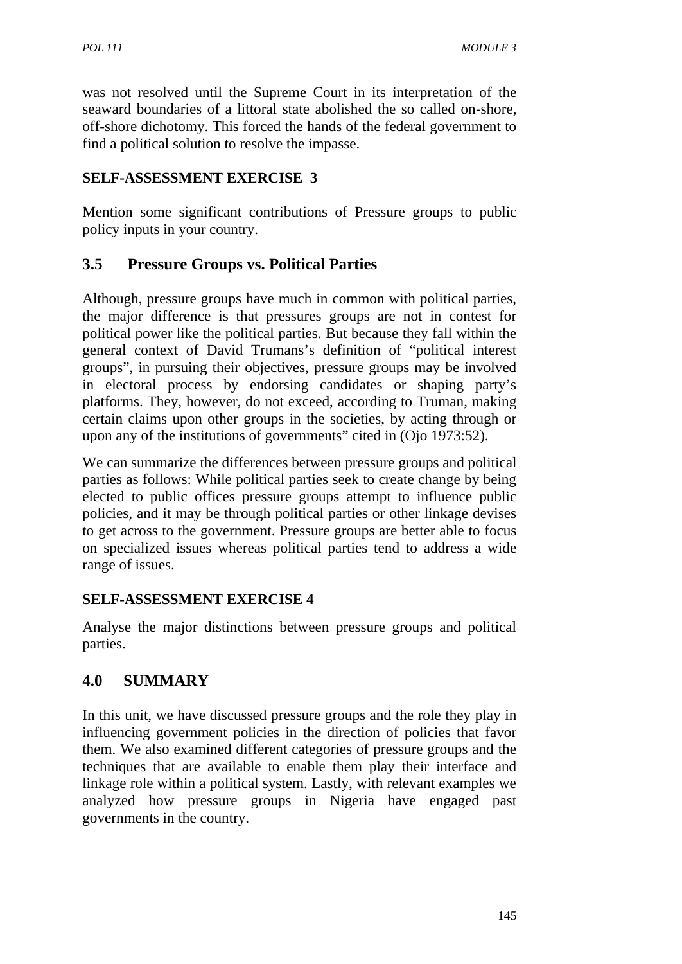was not resolved until the Supreme Court in its interpretation of the seaward boundaries of a littoral state abolished the so called on-shore, off-shore dichotomy. This forced the hands of the federal government to find a political solution to resolve the impasse.

### **SELF-ASSESSMENT EXERCISE 3**

Mention some significant contributions of Pressure groups to public policy inputs in your country.

# **3.5 Pressure Groups vs. Political Parties**

Although, pressure groups have much in common with political parties, the major difference is that pressures groups are not in contest for political power like the political parties. But because they fall within the general context of David Trumans's definition of "political interest groups", in pursuing their objectives, pressure groups may be involved in electoral process by endorsing candidates or shaping party's platforms. They, however, do not exceed, according to Truman, making certain claims upon other groups in the societies, by acting through or upon any of the institutions of governments" cited in (Ojo 1973:52).

We can summarize the differences between pressure groups and political parties as follows: While political parties seek to create change by being elected to public offices pressure groups attempt to influence public policies, and it may be through political parties or other linkage devises to get across to the government. Pressure groups are better able to focus on specialized issues whereas political parties tend to address a wide range of issues.

### **SELF-ASSESSMENT EXERCISE 4**

Analyse the major distinctions between pressure groups and political parties.

# **4.0 SUMMARY**

In this unit, we have discussed pressure groups and the role they play in influencing government policies in the direction of policies that favor them. We also examined different categories of pressure groups and the techniques that are available to enable them play their interface and linkage role within a political system. Lastly, with relevant examples we analyzed how pressure groups in Nigeria have engaged past governments in the country.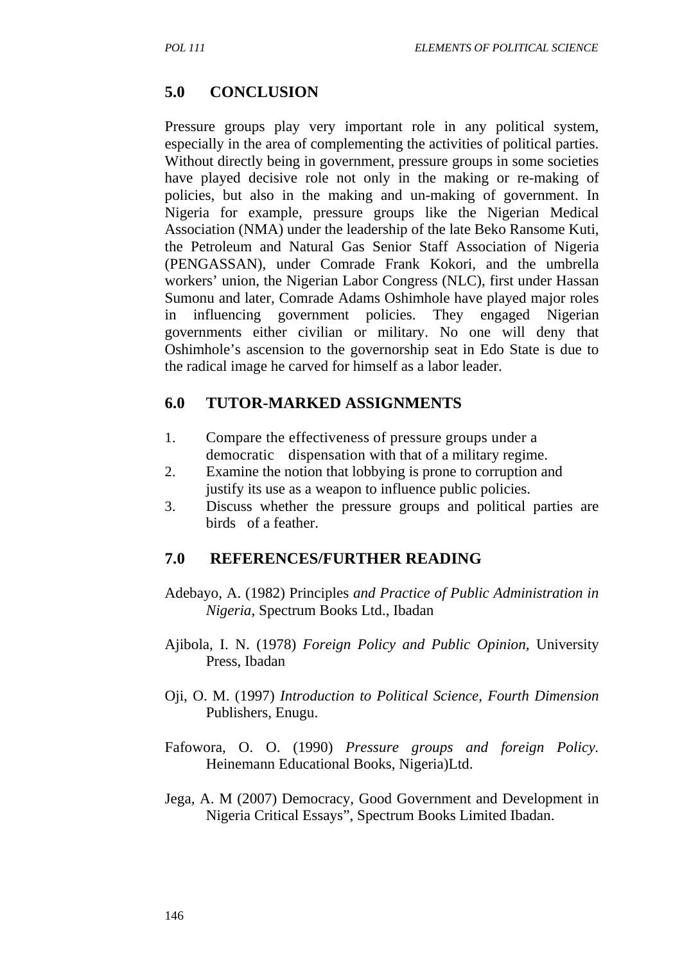## **5.0 CONCLUSION**

Pressure groups play very important role in any political system, especially in the area of complementing the activities of political parties. Without directly being in government, pressure groups in some societies have played decisive role not only in the making or re-making of policies, but also in the making and un-making of government. In Nigeria for example, pressure groups like the Nigerian Medical Association (NMA) under the leadership of the late Beko Ransome Kuti, the Petroleum and Natural Gas Senior Staff Association of Nigeria (PENGASSAN), under Comrade Frank Kokori, and the umbrella workers' union, the Nigerian Labor Congress (NLC), first under Hassan Sumonu and later, Comrade Adams Oshimhole have played major roles in influencing government policies. They engaged Nigerian governments either civilian or military. No one will deny that Oshimhole's ascension to the governorship seat in Edo State is due to the radical image he carved for himself as a labor leader.

### **6.0 TUTOR-MARKED ASSIGNMENTS**

- 1. Compare the effectiveness of pressure groups under a democratic dispensation with that of a military regime.
- 2. Examine the notion that lobbying is prone to corruption and justify its use as a weapon to influence public policies.
- 3. Discuss whether the pressure groups and political parties are birds of a feather.

#### **7.0 REFERENCES/FURTHER READING**

- Adebayo, A. (1982) Principles *and Practice of Public Administration in Nigeria*, Spectrum Books Ltd., Ibadan
- Ajibola, I. N. (1978) *Foreign Policy and Public Opinion,* University Press, Ibadan
- Oji, O. M. (1997) *Introduction to Political Science, Fourth Dimension*  Publishers, Enugu.
- Fafowora, O. O. (1990) *Pressure groups and foreign Policy.*  Heinemann Educational Books, Nigeria)Ltd.
- Jega, A. M (2007) Democracy, Good Government and Development in Nigeria Critical Essays", Spectrum Books Limited Ibadan.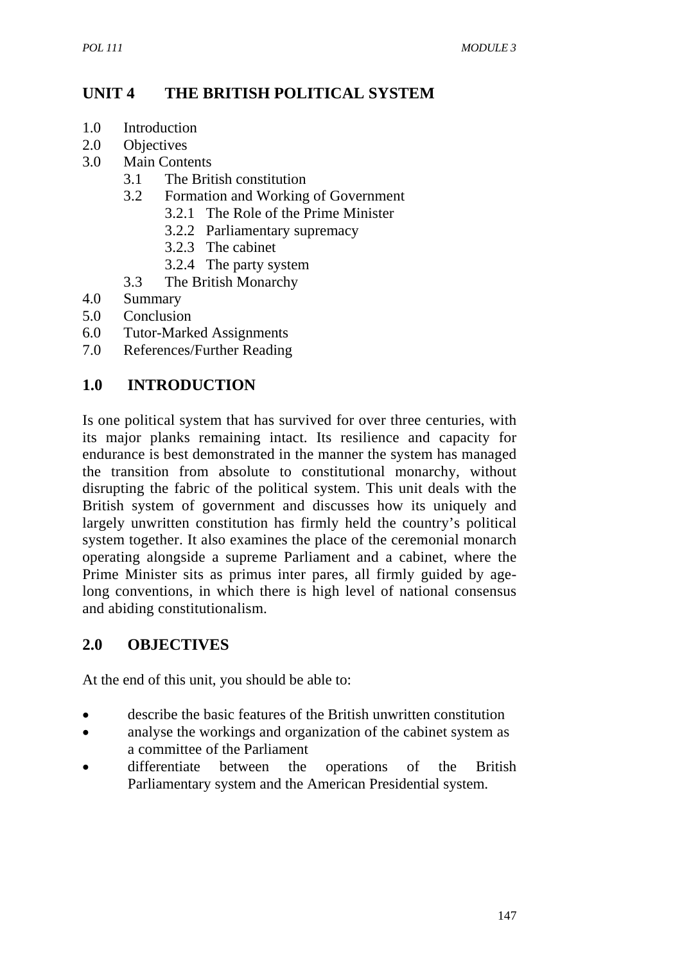# **UNIT 4 THE BRITISH POLITICAL SYSTEM**

- 1.0 Introduction
- 2.0 Objectives
- 3.0 Main Contents
	- 3.1 The British constitution
	- 3.2 Formation and Working of Government
		- 3.2.1 The Role of the Prime Minister
		- 3.2.2 Parliamentary supremacy
		- 3.2.3 The cabinet
		- 3.2.4 The party system
	- 3.3 The British Monarchy
- 4.0 Summary
- 5.0 Conclusion
- 6.0 Tutor-Marked Assignments
- 7.0 References/Further Reading

### **1.0 INTRODUCTION**

Is one political system that has survived for over three centuries, with its major planks remaining intact. Its resilience and capacity for endurance is best demonstrated in the manner the system has managed the transition from absolute to constitutional monarchy, without disrupting the fabric of the political system. This unit deals with the British system of government and discusses how its uniquely and largely unwritten constitution has firmly held the country's political system together. It also examines the place of the ceremonial monarch operating alongside a supreme Parliament and a cabinet, where the Prime Minister sits as primus inter pares, all firmly guided by agelong conventions, in which there is high level of national consensus and abiding constitutionalism.

### **2.0 OBJECTIVES**

At the end of this unit, you should be able to:

- describe the basic features of the British unwritten constitution
- analyse the workings and organization of the cabinet system as a committee of the Parliament
- differentiate between the operations of the British Parliamentary system and the American Presidential system.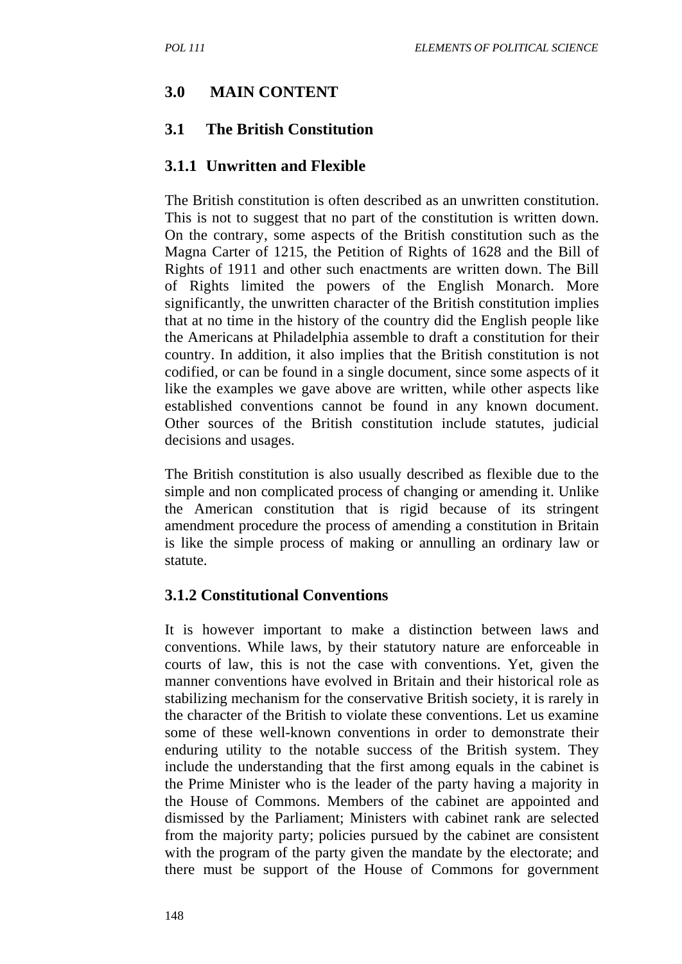#### **3.0 MAIN CONTENT**

#### **3.1 The British Constitution**

#### **3.1.1 Unwritten and Flexible**

The British constitution is often described as an unwritten constitution. This is not to suggest that no part of the constitution is written down. On the contrary, some aspects of the British constitution such as the Magna Carter of 1215, the Petition of Rights of 1628 and the Bill of Rights of 1911 and other such enactments are written down. The Bill of Rights limited the powers of the English Monarch. More significantly, the unwritten character of the British constitution implies that at no time in the history of the country did the English people like the Americans at Philadelphia assemble to draft a constitution for their country. In addition, it also implies that the British constitution is not codified, or can be found in a single document, since some aspects of it like the examples we gave above are written, while other aspects like established conventions cannot be found in any known document. Other sources of the British constitution include statutes, judicial decisions and usages.

The British constitution is also usually described as flexible due to the simple and non complicated process of changing or amending it. Unlike the American constitution that is rigid because of its stringent amendment procedure the process of amending a constitution in Britain is like the simple process of making or annulling an ordinary law or statute.

#### **3.1.2 Constitutional Conventions**

It is however important to make a distinction between laws and conventions. While laws, by their statutory nature are enforceable in courts of law, this is not the case with conventions. Yet, given the manner conventions have evolved in Britain and their historical role as stabilizing mechanism for the conservative British society, it is rarely in the character of the British to violate these conventions. Let us examine some of these well-known conventions in order to demonstrate their enduring utility to the notable success of the British system. They include the understanding that the first among equals in the cabinet is the Prime Minister who is the leader of the party having a majority in the House of Commons. Members of the cabinet are appointed and dismissed by the Parliament; Ministers with cabinet rank are selected from the majority party; policies pursued by the cabinet are consistent with the program of the party given the mandate by the electorate; and there must be support of the House of Commons for government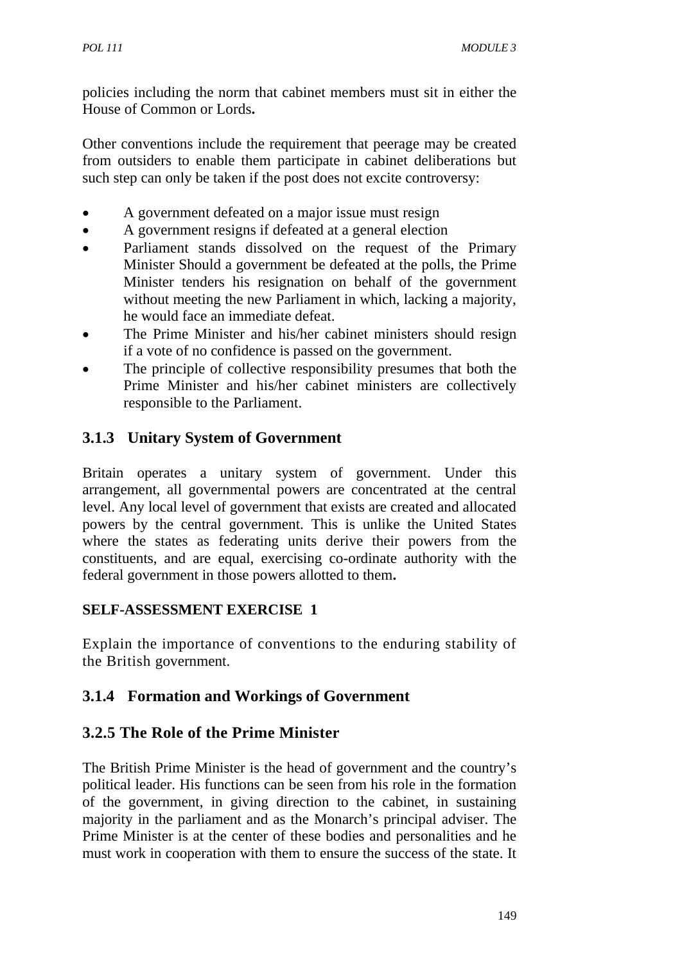policies including the norm that cabinet members must sit in either the House of Common or Lords**.**

Other conventions include the requirement that peerage may be created from outsiders to enable them participate in cabinet deliberations but such step can only be taken if the post does not excite controversy:

- A government defeated on a major issue must resign
- A government resigns if defeated at a general election
- Parliament stands dissolved on the request of the Primary Minister Should a government be defeated at the polls, the Prime Minister tenders his resignation on behalf of the government without meeting the new Parliament in which, lacking a majority, he would face an immediate defeat.
- The Prime Minister and his/her cabinet ministers should resign if a vote of no confidence is passed on the government.
- The principle of collective responsibility presumes that both the Prime Minister and his/her cabinet ministers are collectively responsible to the Parliament.

### **3.1.3 Unitary System of Government**

Britain operates a unitary system of government. Under this arrangement, all governmental powers are concentrated at the central level. Any local level of government that exists are created and allocated powers by the central government. This is unlike the United States where the states as federating units derive their powers from the constituents, and are equal, exercising co-ordinate authority with the federal government in those powers allotted to them**.**

### **SELF-ASSESSMENT EXERCISE 1**

Explain the importance of conventions to the enduring stability of the British government.

# **3.1.4 Formation and Workings of Government**

### **3.2.5 The Role of the Prime Minister**

The British Prime Minister is the head of government and the country's political leader. His functions can be seen from his role in the formation of the government, in giving direction to the cabinet, in sustaining majority in the parliament and as the Monarch's principal adviser. The Prime Minister is at the center of these bodies and personalities and he must work in cooperation with them to ensure the success of the state. It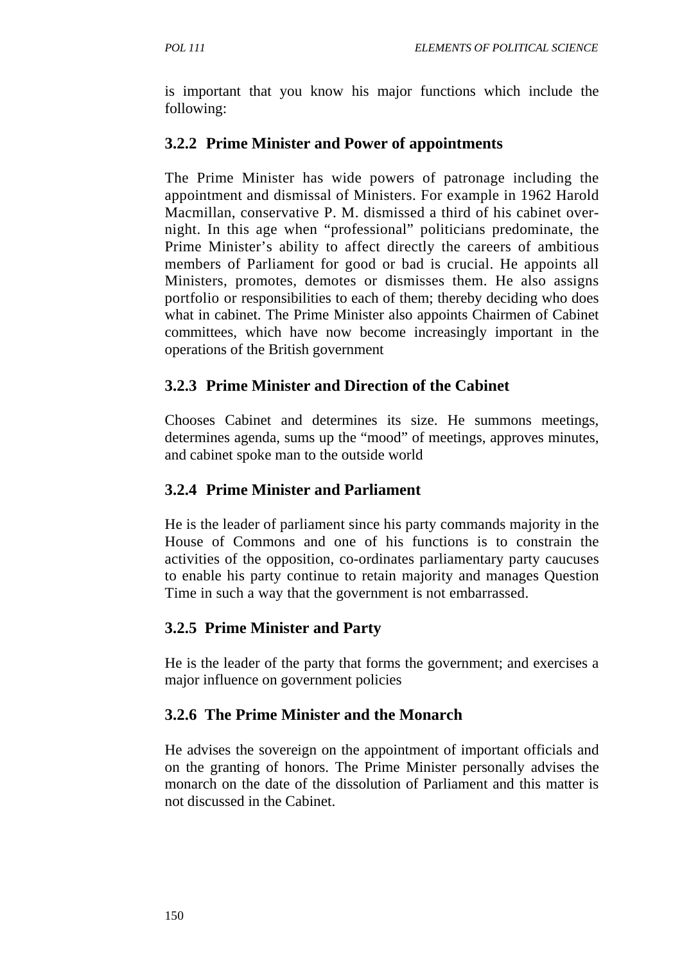is important that you know his major functions which include the following:

### **3.2.2 Prime Minister and Power of appointments**

The Prime Minister has wide powers of patronage including the appointment and dismissal of Ministers. For example in 1962 Harold Macmillan, conservative P. M. dismissed a third of his cabinet overnight. In this age when "professional" politicians predominate, the Prime Minister's ability to affect directly the careers of ambitious members of Parliament for good or bad is crucial. He appoints all Ministers, promotes, demotes or dismisses them. He also assigns portfolio or responsibilities to each of them; thereby deciding who does what in cabinet. The Prime Minister also appoints Chairmen of Cabinet committees, which have now become increasingly important in the operations of the British government

### **3.2.3 Prime Minister and Direction of the Cabinet**

Chooses Cabinet and determines its size. He summons meetings, determines agenda, sums up the "mood" of meetings, approves minutes, and cabinet spoke man to the outside world

## **3.2.4 Prime Minister and Parliament**

He is the leader of parliament since his party commands majority in the House of Commons and one of his functions is to constrain the activities of the opposition, co-ordinates parliamentary party caucuses to enable his party continue to retain majority and manages Question Time in such a way that the government is not embarrassed.

# **3.2.5 Prime Minister and Party**

He is the leader of the party that forms the government; and exercises a major influence on government policies

# **3.2.6 The Prime Minister and the Monarch**

He advises the sovereign on the appointment of important officials and on the granting of honors. The Prime Minister personally advises the monarch on the date of the dissolution of Parliament and this matter is not discussed in the Cabinet.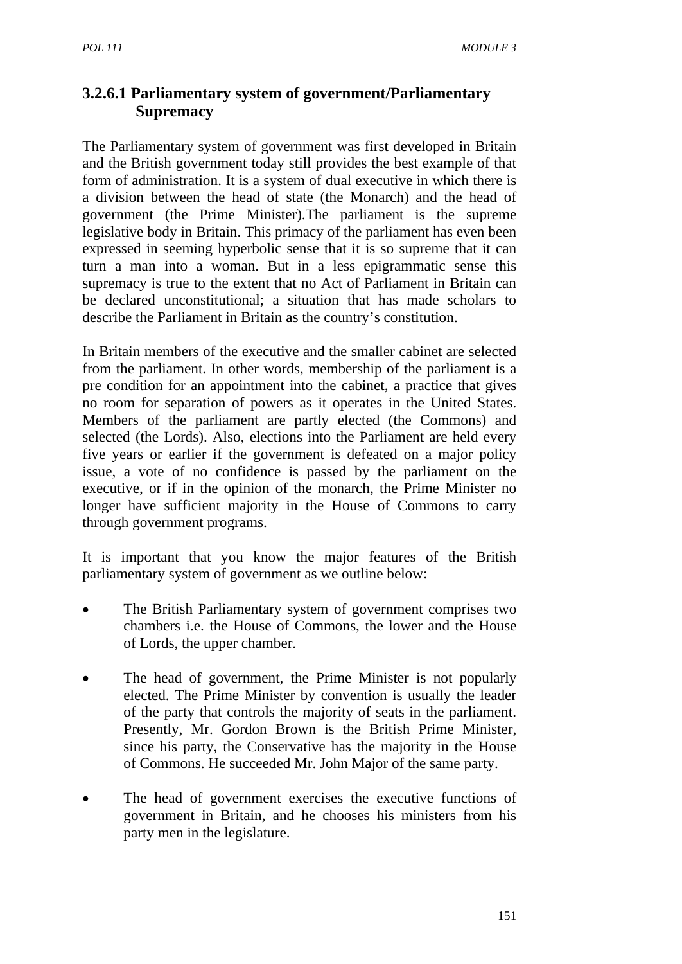# **3.2.6.1 Parliamentary system of government/Parliamentary Supremacy**

The Parliamentary system of government was first developed in Britain and the British government today still provides the best example of that form of administration. It is a system of dual executive in which there is a division between the head of state (the Monarch) and the head of government (the Prime Minister).The parliament is the supreme legislative body in Britain. This primacy of the parliament has even been expressed in seeming hyperbolic sense that it is so supreme that it can turn a man into a woman. But in a less epigrammatic sense this supremacy is true to the extent that no Act of Parliament in Britain can be declared unconstitutional; a situation that has made scholars to describe the Parliament in Britain as the country's constitution.

In Britain members of the executive and the smaller cabinet are selected from the parliament. In other words, membership of the parliament is a pre condition for an appointment into the cabinet, a practice that gives no room for separation of powers as it operates in the United States. Members of the parliament are partly elected (the Commons) and selected (the Lords). Also, elections into the Parliament are held every five years or earlier if the government is defeated on a major policy issue, a vote of no confidence is passed by the parliament on the executive, or if in the opinion of the monarch, the Prime Minister no longer have sufficient majority in the House of Commons to carry through government programs.

It is important that you know the major features of the British parliamentary system of government as we outline below:

- The British Parliamentary system of government comprises two chambers i.e. the House of Commons, the lower and the House of Lords, the upper chamber.
- The head of government, the Prime Minister is not popularly elected. The Prime Minister by convention is usually the leader of the party that controls the majority of seats in the parliament. Presently, Mr. Gordon Brown is the British Prime Minister, since his party, the Conservative has the majority in the House of Commons. He succeeded Mr. John Major of the same party.
- The head of government exercises the executive functions of government in Britain, and he chooses his ministers from his party men in the legislature.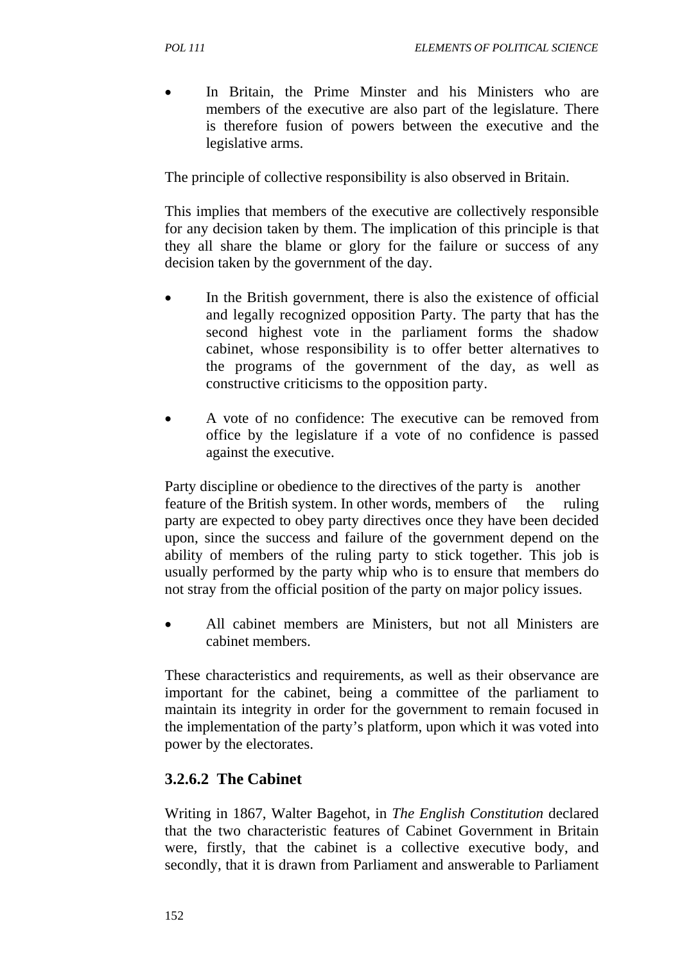In Britain, the Prime Minster and his Ministers who are members of the executive are also part of the legislature. There is therefore fusion of powers between the executive and the legislative arms.

The principle of collective responsibility is also observed in Britain.

This implies that members of the executive are collectively responsible for any decision taken by them. The implication of this principle is that they all share the blame or glory for the failure or success of any decision taken by the government of the day.

- In the British government, there is also the existence of official and legally recognized opposition Party. The party that has the second highest vote in the parliament forms the shadow cabinet, whose responsibility is to offer better alternatives to the programs of the government of the day, as well as constructive criticisms to the opposition party.
- A vote of no confidence: The executive can be removed from office by the legislature if a vote of no confidence is passed against the executive.

Party discipline or obedience to the directives of the party is another feature of the British system. In other words, members of the ruling party are expected to obey party directives once they have been decided upon, since the success and failure of the government depend on the ability of members of the ruling party to stick together. This job is usually performed by the party whip who is to ensure that members do not stray from the official position of the party on major policy issues.

All cabinet members are Ministers, but not all Ministers are cabinet members.

These characteristics and requirements, as well as their observance are important for the cabinet, being a committee of the parliament to maintain its integrity in order for the government to remain focused in the implementation of the party's platform, upon which it was voted into power by the electorates.

# **3.2.6.2 The Cabinet**

Writing in 1867, Walter Bagehot, in *The English Constitution* declared that the two characteristic features of Cabinet Government in Britain were, firstly, that the cabinet is a collective executive body, and secondly, that it is drawn from Parliament and answerable to Parliament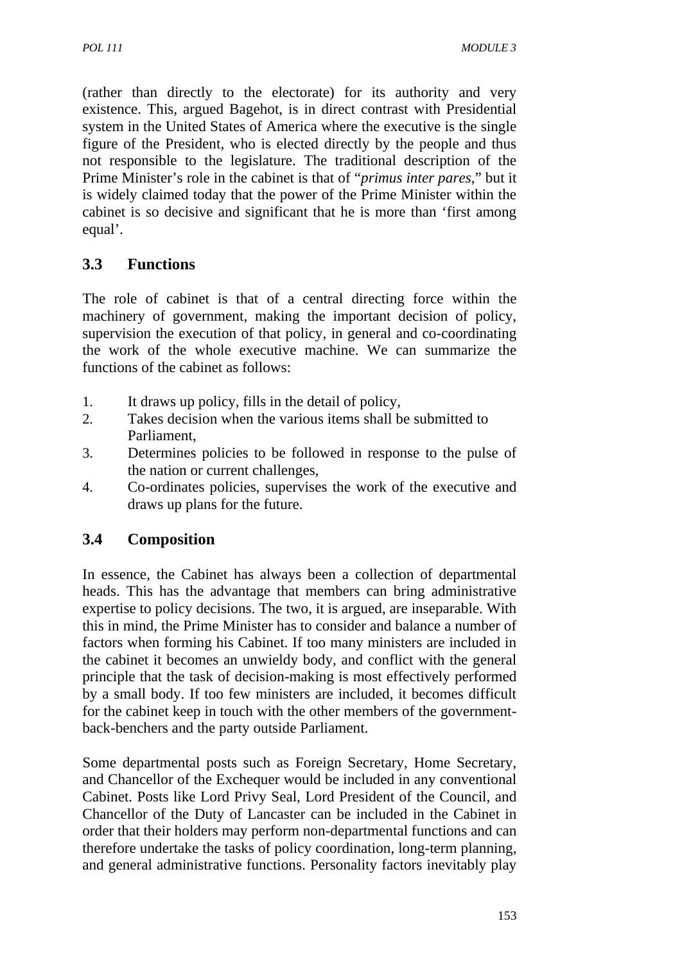(rather than directly to the electorate) for its authority and very existence. This, argued Bagehot, is in direct contrast with Presidential system in the United States of America where the executive is the single figure of the President, who is elected directly by the people and thus not responsible to the legislature. The traditional description of the Prime Minister's role in the cabinet is that of "*primus inter pares*," but it is widely claimed today that the power of the Prime Minister within the cabinet is so decisive and significant that he is more than 'first among equal'.

# **3.3 Functions**

The role of cabinet is that of a central directing force within the machinery of government, making the important decision of policy, supervision the execution of that policy, in general and co-coordinating the work of the whole executive machine. We can summarize the functions of the cabinet as follows:

- 1. It draws up policy, fills in the detail of policy,
- 2. Takes decision when the various items shall be submitted to Parliament,
- 3. Determines policies to be followed in response to the pulse of the nation or current challenges,
- 4. Co-ordinates policies, supervises the work of the executive and draws up plans for the future.

# **3.4 Composition**

In essence, the Cabinet has always been a collection of departmental heads. This has the advantage that members can bring administrative expertise to policy decisions. The two, it is argued, are inseparable. With this in mind, the Prime Minister has to consider and balance a number of factors when forming his Cabinet. If too many ministers are included in the cabinet it becomes an unwieldy body, and conflict with the general principle that the task of decision-making is most effectively performed by a small body. If too few ministers are included, it becomes difficult for the cabinet keep in touch with the other members of the governmentback-benchers and the party outside Parliament.

Some departmental posts such as Foreign Secretary, Home Secretary, and Chancellor of the Exchequer would be included in any conventional Cabinet. Posts like Lord Privy Seal, Lord President of the Council, and Chancellor of the Duty of Lancaster can be included in the Cabinet in order that their holders may perform non-departmental functions and can therefore undertake the tasks of policy coordination, long-term planning, and general administrative functions. Personality factors inevitably play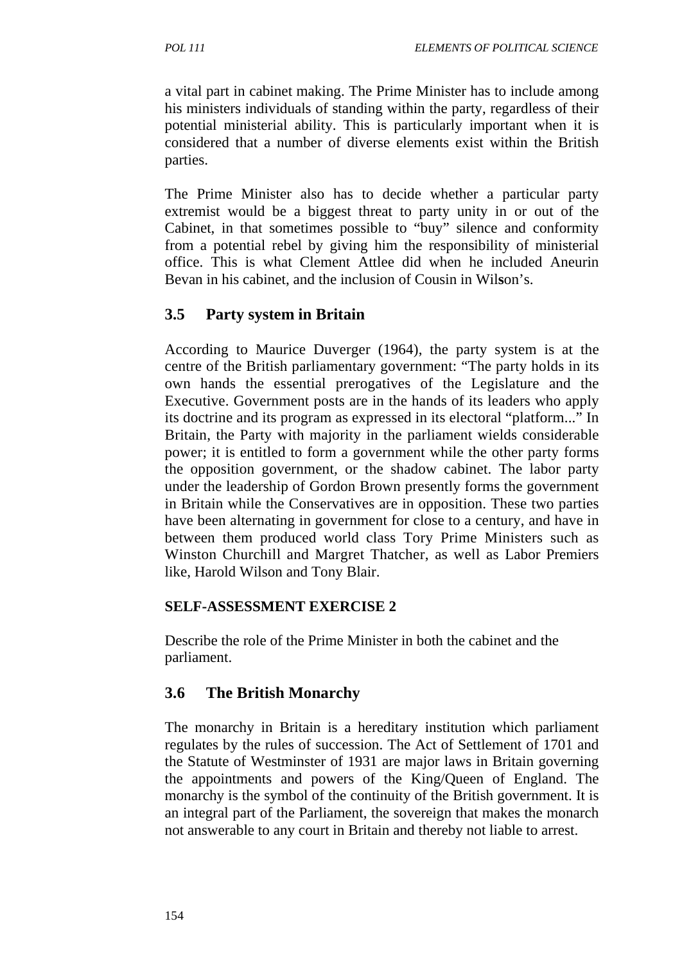a vital part in cabinet making. The Prime Minister has to include among his ministers individuals of standing within the party, regardless of their potential ministerial ability. This is particularly important when it is considered that a number of diverse elements exist within the British parties.

The Prime Minister also has to decide whether a particular party extremist would be a biggest threat to party unity in or out of the Cabinet, in that sometimes possible to "buy" silence and conformity from a potential rebel by giving him the responsibility of ministerial office. This is what Clement Attlee did when he included Aneurin Bevan in his cabinet, and the inclusion of Cousin in Wil**s**on's.

### **3.5 Party system in Britain**

According to Maurice Duverger (1964), the party system is at the centre of the British parliamentary government: "The party holds in its own hands the essential prerogatives of the Legislature and the Executive. Government posts are in the hands of its leaders who apply its doctrine and its program as expressed in its electoral "platform..." In Britain, the Party with majority in the parliament wields considerable power; it is entitled to form a government while the other party forms the opposition government, or the shadow cabinet. The labor party under the leadership of Gordon Brown presently forms the government in Britain while the Conservatives are in opposition. These two parties have been alternating in government for close to a century, and have in between them produced world class Tory Prime Ministers such as Winston Churchill and Margret Thatcher, as well as Labor Premiers like, Harold Wilson and Tony Blair.

#### **SELF-ASSESSMENT EXERCISE 2**

Describe the role of the Prime Minister in both the cabinet and the parliament.

### **3.6 The British Monarchy**

The monarchy in Britain is a hereditary institution which parliament regulates by the rules of succession. The Act of Settlement of 1701 and the Statute of Westminster of 1931 are major laws in Britain governing the appointments and powers of the King/Queen of England. The monarchy is the symbol of the continuity of the British government. It is an integral part of the Parliament, the sovereign that makes the monarch not answerable to any court in Britain and thereby not liable to arrest.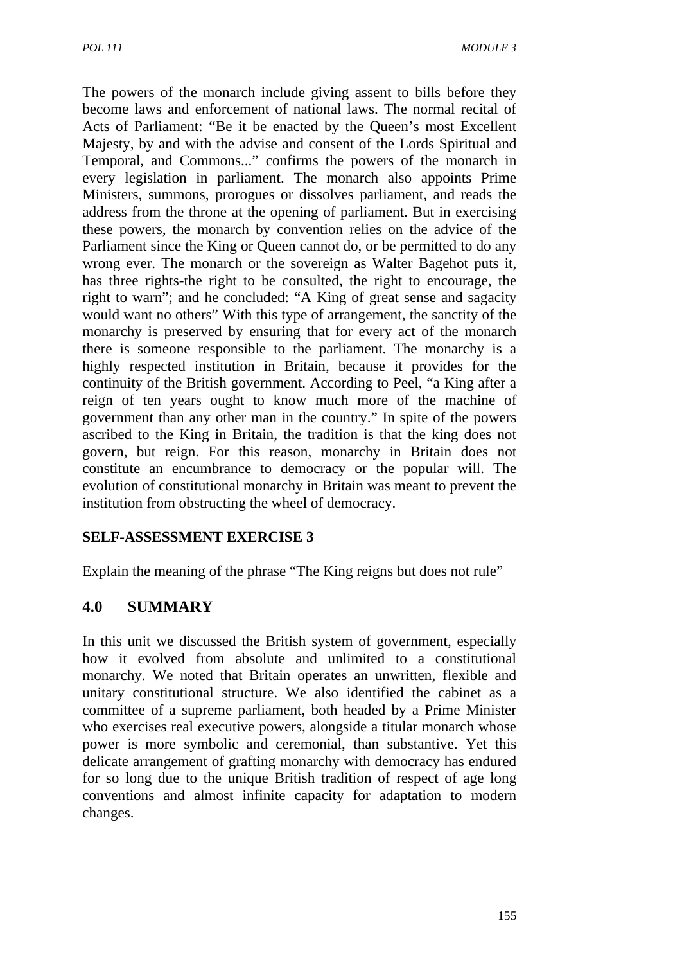The powers of the monarch include giving assent to bills before they become laws and enforcement of national laws. The normal recital of Acts of Parliament: "Be it be enacted by the Queen's most Excellent Majesty, by and with the advise and consent of the Lords Spiritual and Temporal, and Commons..." confirms the powers of the monarch in every legislation in parliament. The monarch also appoints Prime Ministers, summons, prorogues or dissolves parliament, and reads the address from the throne at the opening of parliament. But in exercising these powers, the monarch by convention relies on the advice of the Parliament since the King or Queen cannot do, or be permitted to do any wrong ever. The monarch or the sovereign as Walter Bagehot puts it, has three rights-the right to be consulted, the right to encourage, the right to warn"; and he concluded: "A King of great sense and sagacity would want no others" With this type of arrangement, the sanctity of the monarchy is preserved by ensuring that for every act of the monarch there is someone responsible to the parliament. The monarchy is a highly respected institution in Britain, because it provides for the continuity of the British government. According to Peel, "a King after a reign of ten years ought to know much more of the machine of government than any other man in the country." In spite of the powers ascribed to the King in Britain, the tradition is that the king does not govern, but reign. For this reason, monarchy in Britain does not constitute an encumbrance to democracy or the popular will. The evolution of constitutional monarchy in Britain was meant to prevent the institution from obstructing the wheel of democracy.

### **SELF-ASSESSMENT EXERCISE 3**

Explain the meaning of the phrase "The King reigns but does not rule"

# **4.0 SUMMARY**

In this unit we discussed the British system of government, especially how it evolved from absolute and unlimited to a constitutional monarchy. We noted that Britain operates an unwritten, flexible and unitary constitutional structure. We also identified the cabinet as a committee of a supreme parliament, both headed by a Prime Minister who exercises real executive powers, alongside a titular monarch whose power is more symbolic and ceremonial, than substantive. Yet this delicate arrangement of grafting monarchy with democracy has endured for so long due to the unique British tradition of respect of age long conventions and almost infinite capacity for adaptation to modern changes.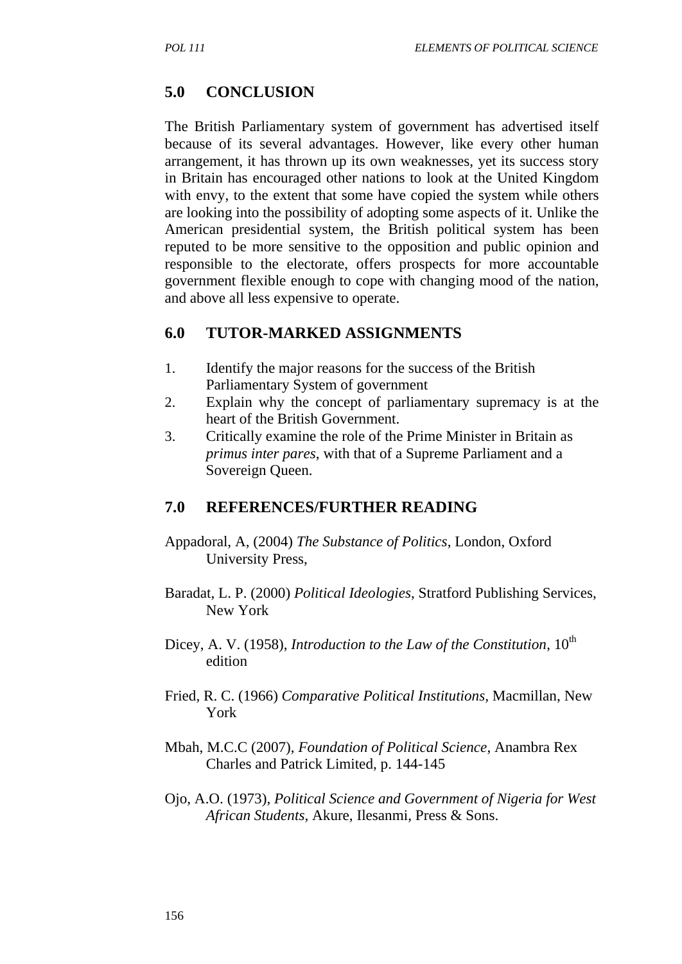# **5.0 CONCLUSION**

The British Parliamentary system of government has advertised itself because of its several advantages. However, like every other human arrangement, it has thrown up its own weaknesses, yet its success story in Britain has encouraged other nations to look at the United Kingdom with envy, to the extent that some have copied the system while others are looking into the possibility of adopting some aspects of it. Unlike the American presidential system, the British political system has been reputed to be more sensitive to the opposition and public opinion and responsible to the electorate, offers prospects for more accountable government flexible enough to cope with changing mood of the nation, and above all less expensive to operate.

### **6.0 TUTOR-MARKED ASSIGNMENTS**

- 1. Identify the major reasons for the success of the British Parliamentary System of government
- 2. Explain why the concept of parliamentary supremacy is at the heart of the British Government.
- 3. Critically examine the role of the Prime Minister in Britain as *primus inter pares*, with that of a Supreme Parliament and a Sovereign Queen.

### **7.0 REFERENCES/FURTHER READING**

- Appadoral, A, (2004) *The Substance of Politics*, London, Oxford University Press,
- Baradat, L. P. (2000) *Political Ideologies*, Stratford Publishing Services, New York
- Dicey, A. V. (1958), *Introduction to the Law of the Constitution*, 10<sup>th</sup> edition
- Fried, R. C. (1966) *Comparative Political Institutions,* Macmillan, New York
- Mbah, M.C.C (2007), *Foundation of Political Science*, Anambra Rex Charles and Patrick Limited, p. 144-145
- Ojo, A.O. (1973), *Political Science and Government of Nigeria for West African Students,* Akure, Ilesanmi, Press & Sons.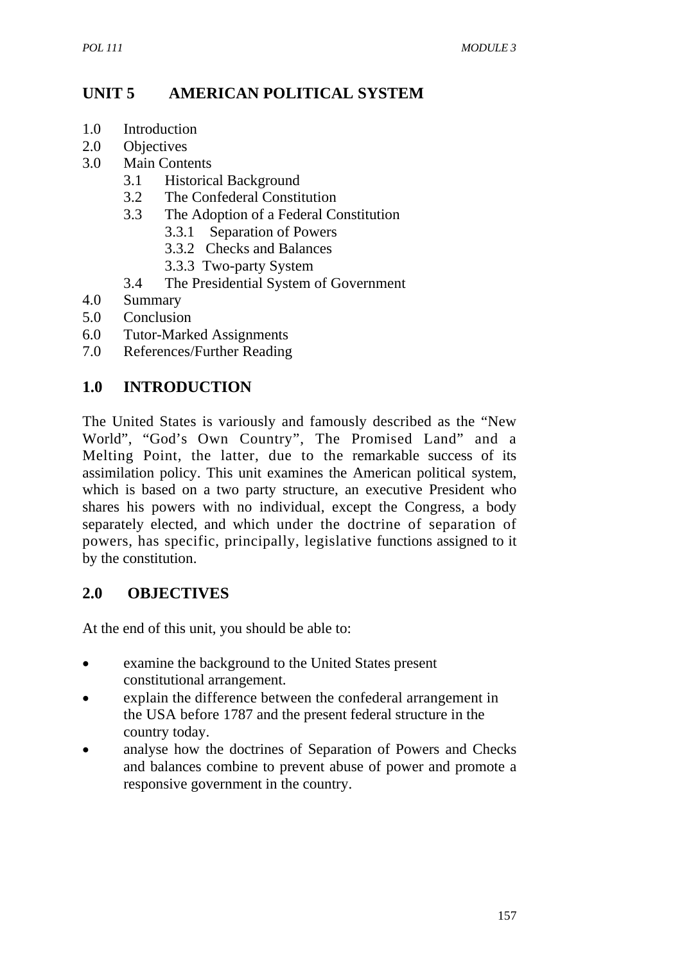## **UNIT 5 AMERICAN POLITICAL SYSTEM**

- 1.0 Introduction
- 2.0 Objectives
- 3.0 Main Contents
	- 3.1 Historical Background
	- 3.2 The Confederal Constitution
	- 3.3 The Adoption of a Federal Constitution
		- 3.3.1 Separation of Powers
		- 3.3.2 Checks and Balances
		- 3.3.3 Two-party System
	- 3.4 The Presidential System of Government
- 4.0 Summary
- 5.0 Conclusion
- 6.0 Tutor-Marked Assignments
- 7.0 References/Further Reading

#### **1.0 INTRODUCTION**

The United States is variously and famously described as the "New World", "God's Own Country", The Promised Land" and a Melting Point, the latter, due to the remarkable success of its assimilation policy. This unit examines the American political system, which is based on a two party structure, an executive President who shares his powers with no individual, except the Congress, a body separately elected, and which under the doctrine of separation of powers, has specific, principally, legislative functions assigned to it by the constitution.

#### **2.0 OBJECTIVES**

At the end of this unit, you should be able to:

- examine the background to the United States present constitutional arrangement.
- explain the difference between the confederal arrangement in the USA before 1787 and the present federal structure in the country today.
- analyse how the doctrines of Separation of Powers and Checks and balances combine to prevent abuse of power and promote a responsive government in the country.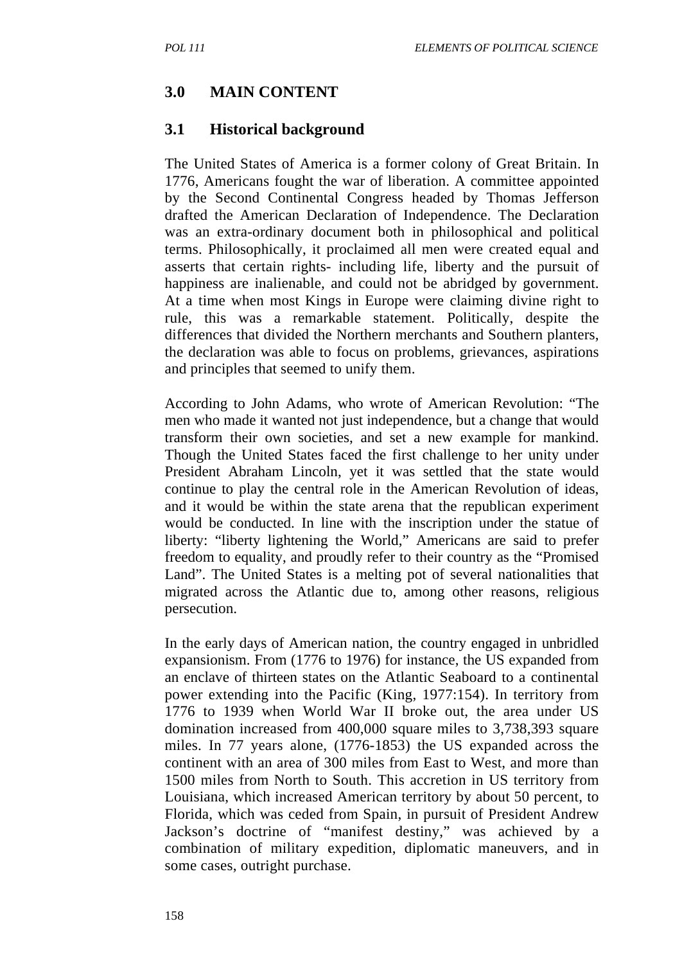#### **3.0 MAIN CONTENT**

#### **3.1 Historical background**

The United States of America is a former colony of Great Britain. In 1776, Americans fought the war of liberation. A committee appointed by the Second Continental Congress headed by Thomas Jefferson drafted the American Declaration of Independence. The Declaration was an extra-ordinary document both in philosophical and political terms. Philosophically, it proclaimed all men were created equal and asserts that certain rights- including life, liberty and the pursuit of happiness are inalienable, and could not be abridged by government. At a time when most Kings in Europe were claiming divine right to rule, this was a remarkable statement. Politically, despite the differences that divided the Northern merchants and Southern planters, the declaration was able to focus on problems, grievances, aspirations and principles that seemed to unify them.

According to John Adams, who wrote of American Revolution: "The men who made it wanted not just independence, but a change that would transform their own societies, and set a new example for mankind. Though the United States faced the first challenge to her unity under President Abraham Lincoln, yet it was settled that the state would continue to play the central role in the American Revolution of ideas, and it would be within the state arena that the republican experiment would be conducted. In line with the inscription under the statue of liberty: "liberty lightening the World," Americans are said to prefer freedom to equality, and proudly refer to their country as the "Promised Land". The United States is a melting pot of several nationalities that migrated across the Atlantic due to, among other reasons, religious persecution.

In the early days of American nation, the country engaged in unbridled expansionism. From (1776 to 1976) for instance, the US expanded from an enclave of thirteen states on the Atlantic Seaboard to a continental power extending into the Pacific (King, 1977:154). In territory from 1776 to 1939 when World War II broke out, the area under US domination increased from 400,000 square miles to 3,738,393 square miles. In 77 years alone, (1776-1853) the US expanded across the continent with an area of 300 miles from East to West, and more than 1500 miles from North to South. This accretion in US territory from Louisiana, which increased American territory by about 50 percent, to Florida, which was ceded from Spain, in pursuit of President Andrew Jackson's doctrine of "manifest destiny," was achieved by a combination of military expedition, diplomatic maneuvers, and in some cases, outright purchase.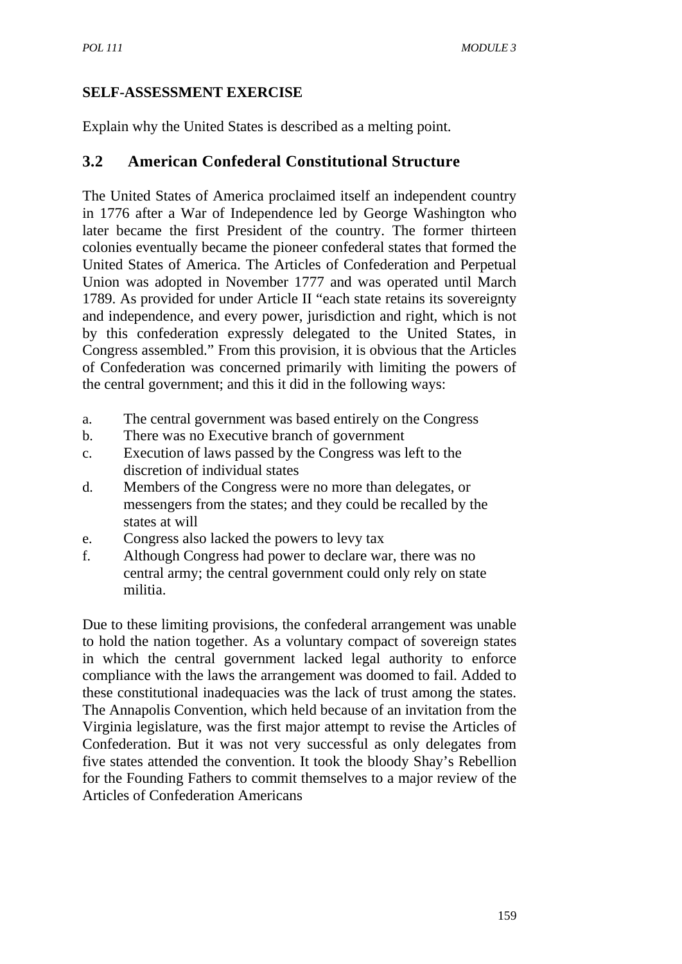### **SELF-ASSESSMENT EXERCISE**

Explain why the United States is described as a melting point.

## **3.2 American Confederal Constitutional Structure**

The United States of America proclaimed itself an independent country in 1776 after a War of Independence led by George Washington who later became the first President of the country. The former thirteen colonies eventually became the pioneer confederal states that formed the United States of America. The Articles of Confederation and Perpetual Union was adopted in November 1777 and was operated until March 1789. As provided for under Article II "each state retains its sovereignty and independence, and every power, jurisdiction and right, which is not by this confederation expressly delegated to the United States, in Congress assembled." From this provision, it is obvious that the Articles of Confederation was concerned primarily with limiting the powers of the central government; and this it did in the following ways:

- a. The central government was based entirely on the Congress
- b. There was no Executive branch of government
- c. Execution of laws passed by the Congress was left to the discretion of individual states
- d. Members of the Congress were no more than delegates, or messengers from the states; and they could be recalled by the states at will
- e. Congress also lacked the powers to levy tax
- f. Although Congress had power to declare war, there was no central army; the central government could only rely on state militia.

Due to these limiting provisions, the confederal arrangement was unable to hold the nation together. As a voluntary compact of sovereign states in which the central government lacked legal authority to enforce compliance with the laws the arrangement was doomed to fail. Added to these constitutional inadequacies was the lack of trust among the states. The Annapolis Convention, which held because of an invitation from the Virginia legislature, was the first major attempt to revise the Articles of Confederation. But it was not very successful as only delegates from five states attended the convention. It took the bloody Shay's Rebellion for the Founding Fathers to commit themselves to a major review of the Articles of Confederation Americans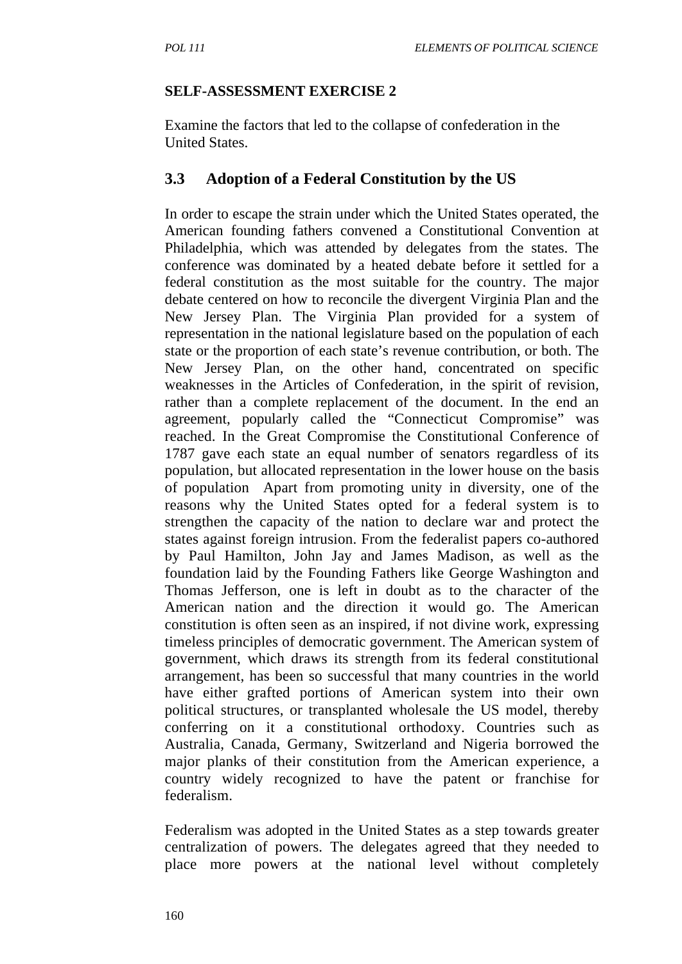#### **SELF-ASSESSMENT EXERCISE 2**

Examine the factors that led to the collapse of confederation in the United States.

### **3.3 Adoption of a Federal Constitution by the US**

In order to escape the strain under which the United States operated, the American founding fathers convened a Constitutional Convention at Philadelphia, which was attended by delegates from the states. The conference was dominated by a heated debate before it settled for a federal constitution as the most suitable for the country. The major debate centered on how to reconcile the divergent Virginia Plan and the New Jersey Plan. The Virginia Plan provided for a system of representation in the national legislature based on the population of each state or the proportion of each state's revenue contribution, or both. The New Jersey Plan, on the other hand, concentrated on specific weaknesses in the Articles of Confederation, in the spirit of revision, rather than a complete replacement of the document. In the end an agreement, popularly called the "Connecticut Compromise" was reached. In the Great Compromise the Constitutional Conference of 1787 gave each state an equal number of senators regardless of its population, but allocated representation in the lower house on the basis of population Apart from promoting unity in diversity, one of the reasons why the United States opted for a federal system is to strengthen the capacity of the nation to declare war and protect the states against foreign intrusion. From the federalist papers co-authored by Paul Hamilton, John Jay and James Madison, as well as the foundation laid by the Founding Fathers like George Washington and Thomas Jefferson, one is left in doubt as to the character of the American nation and the direction it would go. The American constitution is often seen as an inspired, if not divine work, expressing timeless principles of democratic government. The American system of government, which draws its strength from its federal constitutional arrangement, has been so successful that many countries in the world have either grafted portions of American system into their own political structures, or transplanted wholesale the US model, thereby conferring on it a constitutional orthodoxy. Countries such as Australia, Canada, Germany, Switzerland and Nigeria borrowed the major planks of their constitution from the American experience, a country widely recognized to have the patent or franchise for federalism.

Federalism was adopted in the United States as a step towards greater centralization of powers. The delegates agreed that they needed to place more powers at the national level without completely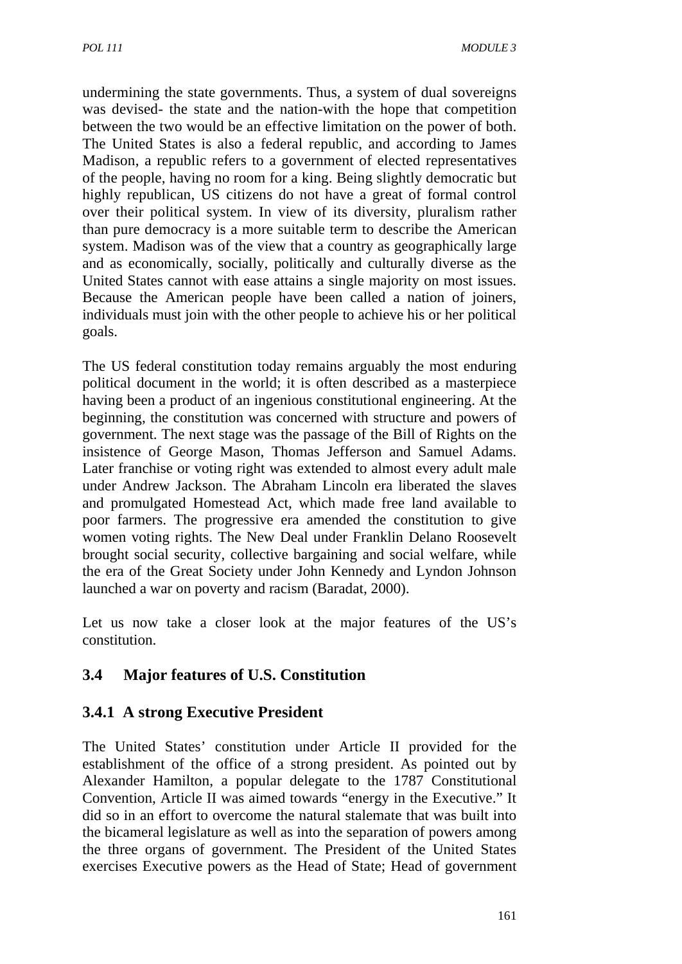undermining the state governments. Thus, a system of dual sovereigns was devised- the state and the nation-with the hope that competition between the two would be an effective limitation on the power of both. The United States is also a federal republic, and according to James Madison, a republic refers to a government of elected representatives of the people, having no room for a king. Being slightly democratic but highly republican, US citizens do not have a great of formal control over their political system. In view of its diversity, pluralism rather than pure democracy is a more suitable term to describe the American system. Madison was of the view that a country as geographically large and as economically, socially, politically and culturally diverse as the United States cannot with ease attains a single majority on most issues. Because the American people have been called a nation of joiners, individuals must join with the other people to achieve his or her political goals.

The US federal constitution today remains arguably the most enduring political document in the world; it is often described as a masterpiece having been a product of an ingenious constitutional engineering. At the beginning, the constitution was concerned with structure and powers of government. The next stage was the passage of the Bill of Rights on the insistence of George Mason, Thomas Jefferson and Samuel Adams. Later franchise or voting right was extended to almost every adult male under Andrew Jackson. The Abraham Lincoln era liberated the slaves and promulgated Homestead Act, which made free land available to poor farmers. The progressive era amended the constitution to give women voting rights. The New Deal under Franklin Delano Roosevelt brought social security, collective bargaining and social welfare, while the era of the Great Society under John Kennedy and Lyndon Johnson launched a war on poverty and racism (Baradat, 2000).

Let us now take a closer look at the major features of the US's constitution.

# **3.4 Major features of U.S. Constitution**

### **3.4.1 A strong Executive President**

The United States' constitution under Article II provided for the establishment of the office of a strong president. As pointed out by Alexander Hamilton, a popular delegate to the 1787 Constitutional Convention, Article II was aimed towards "energy in the Executive." It did so in an effort to overcome the natural stalemate that was built into the bicameral legislature as well as into the separation of powers among the three organs of government. The President of the United States exercises Executive powers as the Head of State; Head of government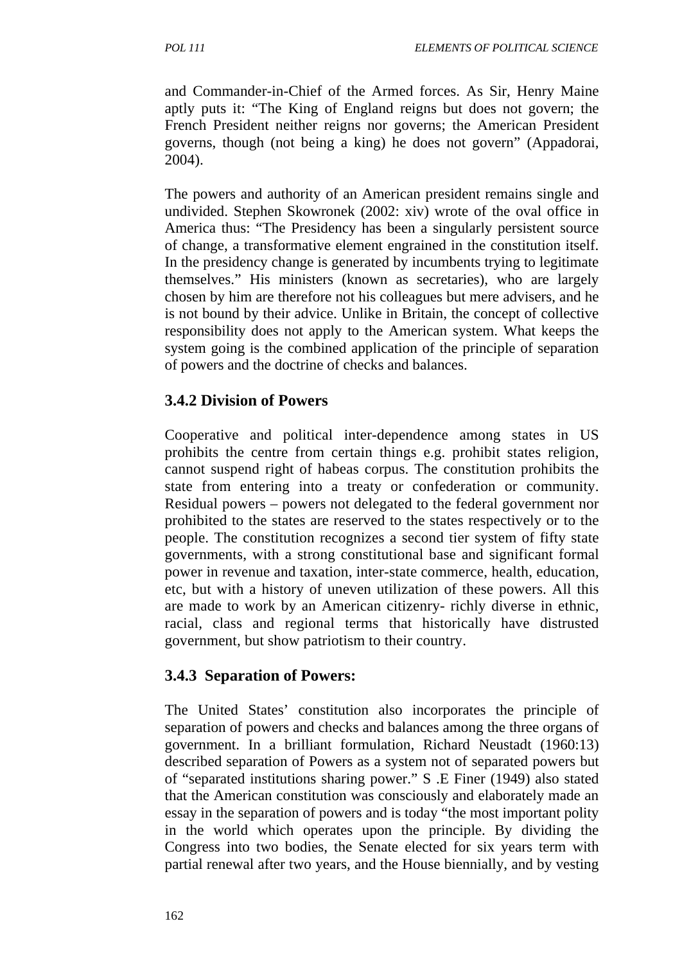and Commander-in-Chief of the Armed forces. As Sir, Henry Maine aptly puts it: "The King of England reigns but does not govern; the French President neither reigns nor governs; the American President governs, though (not being a king) he does not govern" (Appadorai, 2004).

The powers and authority of an American president remains single and undivided. Stephen Skowronek (2002: xiv) wrote of the oval office in America thus: "The Presidency has been a singularly persistent source of change, a transformative element engrained in the constitution itself. In the presidency change is generated by incumbents trying to legitimate themselves." His ministers (known as secretaries), who are largely chosen by him are therefore not his colleagues but mere advisers, and he is not bound by their advice. Unlike in Britain, the concept of collective responsibility does not apply to the American system. What keeps the system going is the combined application of the principle of separation of powers and the doctrine of checks and balances.

# **3.4.2 Division of Powers**

Cooperative and political inter-dependence among states in US prohibits the centre from certain things e.g. prohibit states religion, cannot suspend right of habeas corpus. The constitution prohibits the state from entering into a treaty or confederation or community. Residual powers – powers not delegated to the federal government nor prohibited to the states are reserved to the states respectively or to the people. The constitution recognizes a second tier system of fifty state governments, with a strong constitutional base and significant formal power in revenue and taxation, inter-state commerce, health, education, etc, but with a history of uneven utilization of these powers. All this are made to work by an American citizenry- richly diverse in ethnic, racial, class and regional terms that historically have distrusted government, but show patriotism to their country.

# **3.4.3 Separation of Powers:**

The United States' constitution also incorporates the principle of separation of powers and checks and balances among the three organs of government. In a brilliant formulation, Richard Neustadt (1960:13) described separation of Powers as a system not of separated powers but of "separated institutions sharing power." S .E Finer (1949) also stated that the American constitution was consciously and elaborately made an essay in the separation of powers and is today "the most important polity in the world which operates upon the principle. By dividing the Congress into two bodies, the Senate elected for six years term with partial renewal after two years, and the House biennially, and by vesting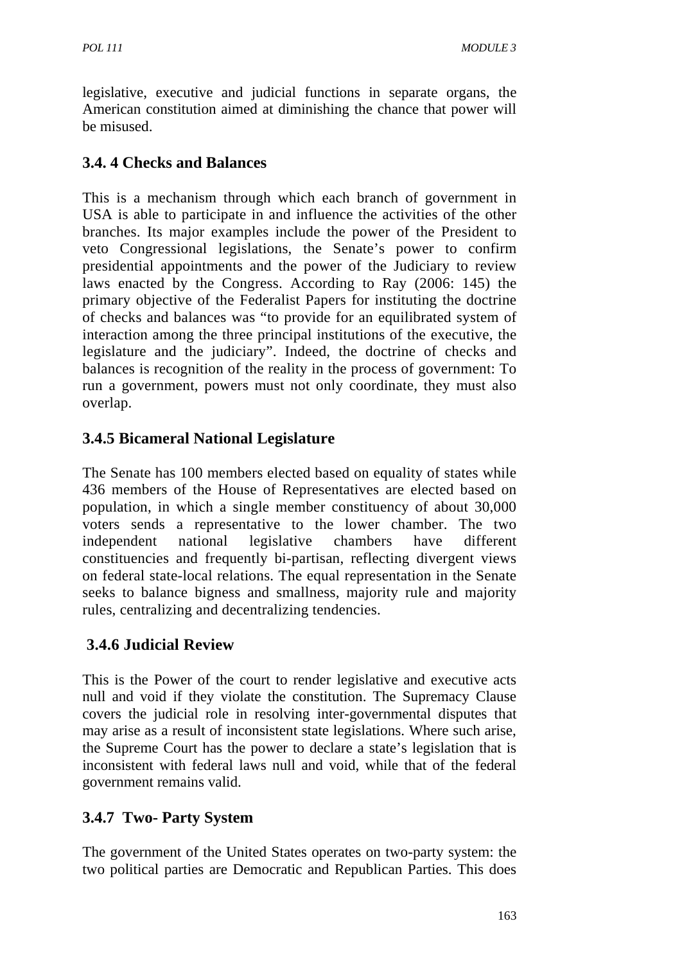legislative, executive and judicial functions in separate organs, the American constitution aimed at diminishing the chance that power will be misused.

## **3.4. 4 Checks and Balances**

This is a mechanism through which each branch of government in USA is able to participate in and influence the activities of the other branches. Its major examples include the power of the President to veto Congressional legislations, the Senate's power to confirm presidential appointments and the power of the Judiciary to review laws enacted by the Congress. According to Ray (2006: 145) the primary objective of the Federalist Papers for instituting the doctrine of checks and balances was "to provide for an equilibrated system of interaction among the three principal institutions of the executive, the legislature and the judiciary". Indeed, the doctrine of checks and balances is recognition of the reality in the process of government: To run a government, powers must not only coordinate, they must also overlap.

### **3.4.5 Bicameral National Legislature**

The Senate has 100 members elected based on equality of states while 436 members of the House of Representatives are elected based on population, in which a single member constituency of about 30,000 voters sends a representative to the lower chamber. The two independent national legislative chambers have different constituencies and frequently bi-partisan, reflecting divergent views on federal state-local relations. The equal representation in the Senate seeks to balance bigness and smallness, majority rule and majority rules, centralizing and decentralizing tendencies.

### **3.4.6 Judicial Review**

This is the Power of the court to render legislative and executive acts null and void if they violate the constitution. The Supremacy Clause covers the judicial role in resolving inter-governmental disputes that may arise as a result of inconsistent state legislations. Where such arise, the Supreme Court has the power to declare a state's legislation that is inconsistent with federal laws null and void, while that of the federal government remains valid.

# **3.4.7 Two- Party System**

The government of the United States operates on two-party system: the two political parties are Democratic and Republican Parties. This does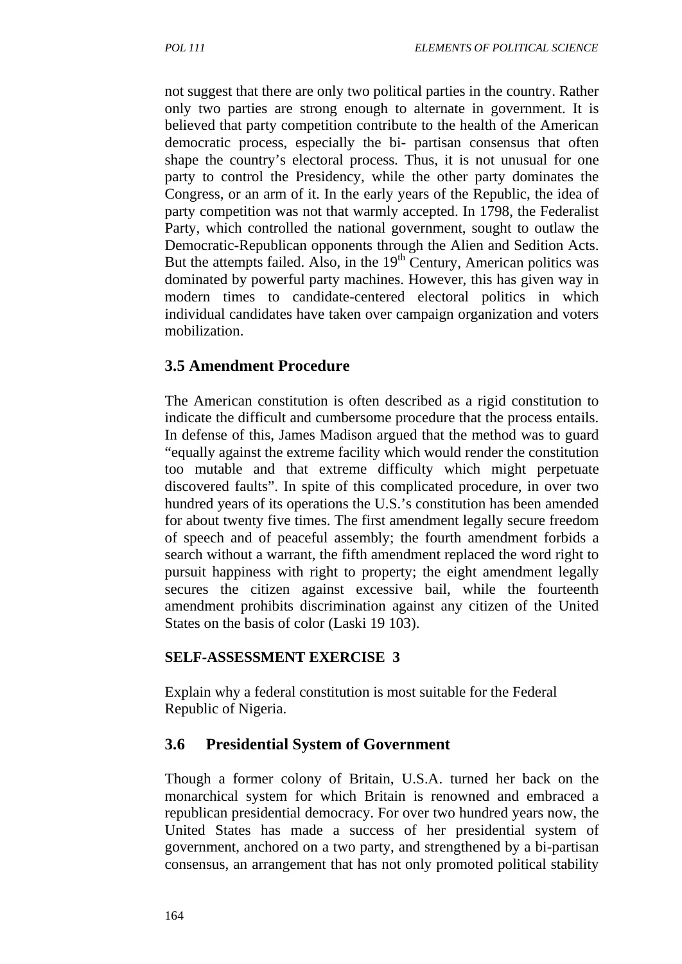not suggest that there are only two political parties in the country. Rather only two parties are strong enough to alternate in government. It is believed that party competition contribute to the health of the American democratic process, especially the bi- partisan consensus that often shape the country's electoral process. Thus, it is not unusual for one party to control the Presidency, while the other party dominates the Congress, or an arm of it. In the early years of the Republic, the idea of party competition was not that warmly accepted. In 1798, the Federalist Party, which controlled the national government, sought to outlaw the Democratic-Republican opponents through the Alien and Sedition Acts. But the attempts failed. Also, in the  $19<sup>th</sup>$  Century, American politics was dominated by powerful party machines. However, this has given way in modern times to candidate-centered electoral politics in which individual candidates have taken over campaign organization and voters mobilization.

### **3.5 Amendment Procedure**

The American constitution is often described as a rigid constitution to indicate the difficult and cumbersome procedure that the process entails. In defense of this, James Madison argued that the method was to guard "equally against the extreme facility which would render the constitution too mutable and that extreme difficulty which might perpetuate discovered faults". In spite of this complicated procedure, in over two hundred years of its operations the U.S.'s constitution has been amended for about twenty five times. The first amendment legally secure freedom of speech and of peaceful assembly; the fourth amendment forbids a search without a warrant, the fifth amendment replaced the word right to pursuit happiness with right to property; the eight amendment legally secures the citizen against excessive bail, while the fourteenth amendment prohibits discrimination against any citizen of the United States on the basis of color (Laski 19 103).

#### **SELF-ASSESSMENT EXERCISE 3**

Explain why a federal constitution is most suitable for the Federal Republic of Nigeria.

### **3.6 Presidential System of Government**

Though a former colony of Britain, U.S.A. turned her back on the monarchical system for which Britain is renowned and embraced a republican presidential democracy. For over two hundred years now, the United States has made a success of her presidential system of government, anchored on a two party, and strengthened by a bi-partisan consensus, an arrangement that has not only promoted political stability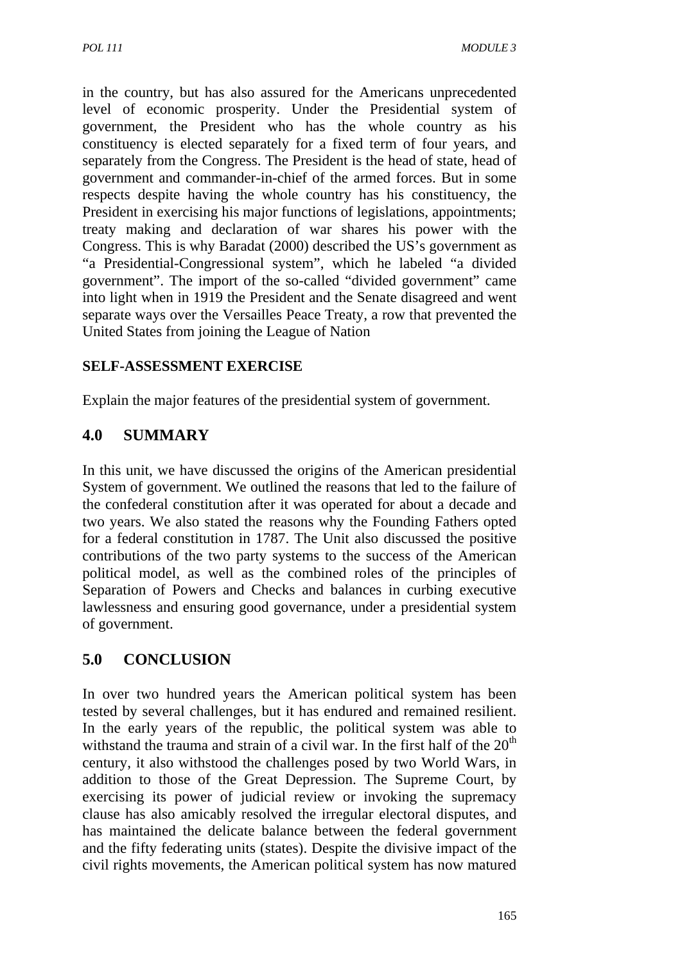in the country, but has also assured for the Americans unprecedented level of economic prosperity. Under the Presidential system of government, the President who has the whole country as his constituency is elected separately for a fixed term of four years, and separately from the Congress. The President is the head of state, head of government and commander-in-chief of the armed forces. But in some respects despite having the whole country has his constituency, the President in exercising his major functions of legislations, appointments; treaty making and declaration of war shares his power with the Congress. This is why Baradat (2000) described the US's government as "a Presidential-Congressional system", which he labeled "a divided government". The import of the so-called "divided government" came into light when in 1919 the President and the Senate disagreed and went separate ways over the Versailles Peace Treaty, a row that prevented the United States from joining the League of Nation

### **SELF-ASSESSMENT EXERCISE**

Explain the major features of the presidential system of government.

# **4.0 SUMMARY**

In this unit, we have discussed the origins of the American presidential System of government. We outlined the reasons that led to the failure of the confederal constitution after it was operated for about a decade and two years. We also stated the reasons why the Founding Fathers opted for a federal constitution in 1787. The Unit also discussed the positive contributions of the two party systems to the success of the American political model, as well as the combined roles of the principles of Separation of Powers and Checks and balances in curbing executive lawlessness and ensuring good governance, under a presidential system of government.

# **5.0 CONCLUSION**

In over two hundred years the American political system has been tested by several challenges, but it has endured and remained resilient. In the early years of the republic, the political system was able to withstand the trauma and strain of a civil war. In the first half of the  $20<sup>th</sup>$ century, it also withstood the challenges posed by two World Wars, in addition to those of the Great Depression. The Supreme Court, by exercising its power of judicial review or invoking the supremacy clause has also amicably resolved the irregular electoral disputes, and has maintained the delicate balance between the federal government and the fifty federating units (states). Despite the divisive impact of the civil rights movements, the American political system has now matured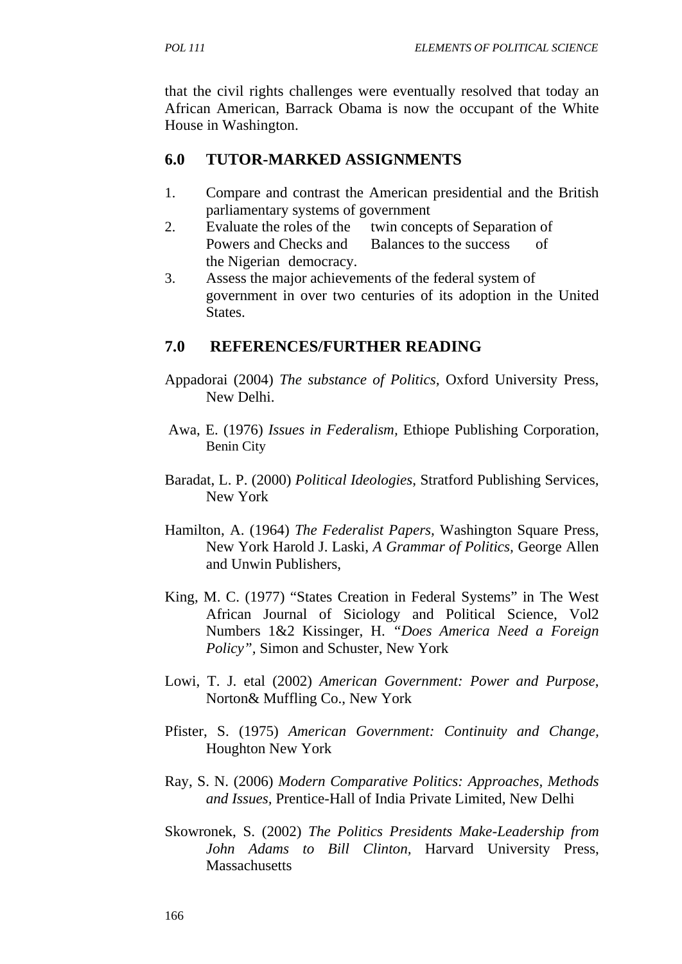that the civil rights challenges were eventually resolved that today an African American, Barrack Obama is now the occupant of the White House in Washington.

### **6.0 TUTOR-MARKED ASSIGNMENTS**

- 1. Compare and contrast the American presidential and the British parliamentary systems of government
- 2. Evaluate the roles of the twin concepts of Separation of Powers and Checks and Balances to the success of the Nigerian democracy.
- 3. Assess the major achievements of the federal system of government in over two centuries of its adoption in the United States.

### **7.0 REFERENCES/FURTHER READING**

- Appadorai (2004) *The substance of Politics,* Oxford University Press, New Delhi.
- Awa, E. (1976) *Issues in Federalism,* Ethiope Publishing Corporation, Benin City
- Baradat, L. P. (2000) *Political Ideologies*, Stratford Publishing Services, New York
- Hamilton, A. (1964) *The Federalist Papers,* Washington Square Press, New York Harold J. Laski, *A Grammar of Politics,* George Allen and Unwin Publishers,
- King, M. C. (1977) "States Creation in Federal Systems" in The West African Journal of Siciology and Political Science, Vol2 Numbers 1&2 Kissinger, H. *"Does America Need a Foreign Policy",* Simon and Schuster, New York
- Lowi, T. J. etal (2002) *American Government: Power and Purpose*, Norton& Muffling Co., New York
- Pfister, S. (1975) *American Government: Continuity and Change,*  Houghton New York
- Ray, S. N. (2006) *Modern Comparative Politics: Approaches, Methods and Issues,* Prentice-Hall of India Private Limited, New Delhi
- Skowronek, S. (2002) *The Politics Presidents Make-Leadership from John Adams to Bill Clinton,* Harvard University Press, **Massachusetts**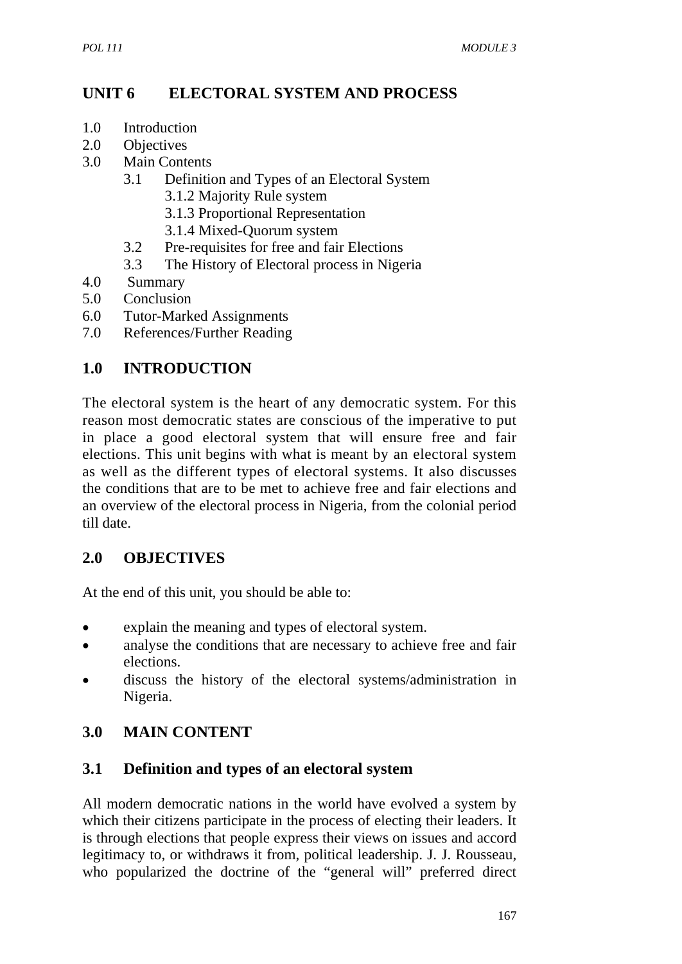# **UNIT 6 ELECTORAL SYSTEM AND PROCESS**

- 1.0 Introduction
- 2.0 Objectives
- 3.0 Main Contents
	- 3.1 Definition and Types of an Electoral System
		- 3.1.2 Majority Rule system
		- 3.1.3 Proportional Representation
		- 3.1.4 Mixed-Quorum system
	- 3.2 Pre-requisites for free and fair Elections
	- 3.3 The History of Electoral process in Nigeria
- 4.0 Summary
- 5.0 Conclusion
- 6.0 Tutor-Marked Assignments
- 7.0 References/Further Reading

### **1.0 INTRODUCTION**

The electoral system is the heart of any democratic system. For this reason most democratic states are conscious of the imperative to put in place a good electoral system that will ensure free and fair elections. This unit begins with what is meant by an electoral system as well as the different types of electoral systems. It also discusses the conditions that are to be met to achieve free and fair elections and an overview of the electoral process in Nigeria, from the colonial period till date.

### **2.0 OBJECTIVES**

At the end of this unit, you should be able to:

- explain the meaning and types of electoral system.
- analyse the conditions that are necessary to achieve free and fair elections.
- discuss the history of the electoral systems/administration in Nigeria.

# **3.0 MAIN CONTENT**

### **3.1 Definition and types of an electoral system**

All modern democratic nations in the world have evolved a system by which their citizens participate in the process of electing their leaders. It is through elections that people express their views on issues and accord legitimacy to, or withdraws it from, political leadership. J. J. Rousseau, who popularized the doctrine of the "general will" preferred direct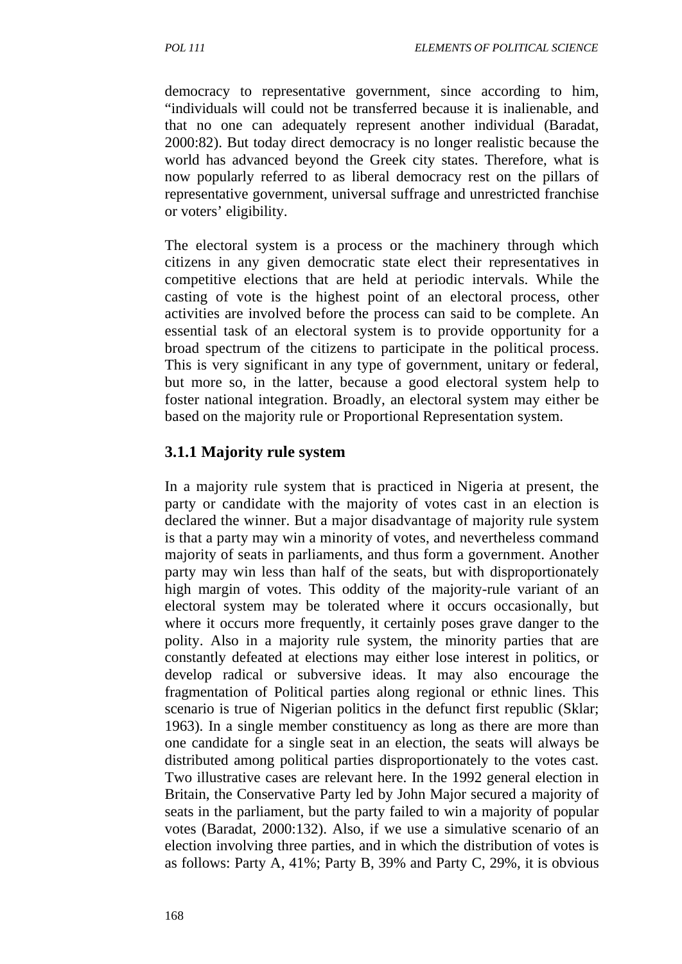democracy to representative government, since according to him, "individuals will could not be transferred because it is inalienable, and that no one can adequately represent another individual (Baradat, 2000:82). But today direct democracy is no longer realistic because the world has advanced beyond the Greek city states. Therefore, what is now popularly referred to as liberal democracy rest on the pillars of representative government, universal suffrage and unrestricted franchise or voters' eligibility.

The electoral system is a process or the machinery through which citizens in any given democratic state elect their representatives in competitive elections that are held at periodic intervals. While the casting of vote is the highest point of an electoral process, other activities are involved before the process can said to be complete. An essential task of an electoral system is to provide opportunity for a broad spectrum of the citizens to participate in the political process. This is very significant in any type of government, unitary or federal, but more so, in the latter, because a good electoral system help to foster national integration. Broadly, an electoral system may either be based on the majority rule or Proportional Representation system.

### **3.1.1 Majority rule system**

In a majority rule system that is practiced in Nigeria at present, the party or candidate with the majority of votes cast in an election is declared the winner. But a major disadvantage of majority rule system is that a party may win a minority of votes, and nevertheless command majority of seats in parliaments, and thus form a government. Another party may win less than half of the seats, but with disproportionately high margin of votes. This oddity of the majority-rule variant of an electoral system may be tolerated where it occurs occasionally, but where it occurs more frequently, it certainly poses grave danger to the polity. Also in a majority rule system, the minority parties that are constantly defeated at elections may either lose interest in politics, or develop radical or subversive ideas. It may also encourage the fragmentation of Political parties along regional or ethnic lines. This scenario is true of Nigerian politics in the defunct first republic (Sklar; 1963). In a single member constituency as long as there are more than one candidate for a single seat in an election, the seats will always be distributed among political parties disproportionately to the votes cast. Two illustrative cases are relevant here. In the 1992 general election in Britain, the Conservative Party led by John Major secured a majority of seats in the parliament, but the party failed to win a majority of popular votes (Baradat, 2000:132). Also, if we use a simulative scenario of an election involving three parties, and in which the distribution of votes is as follows: Party A, 41%; Party B, 39% and Party C, 29%, it is obvious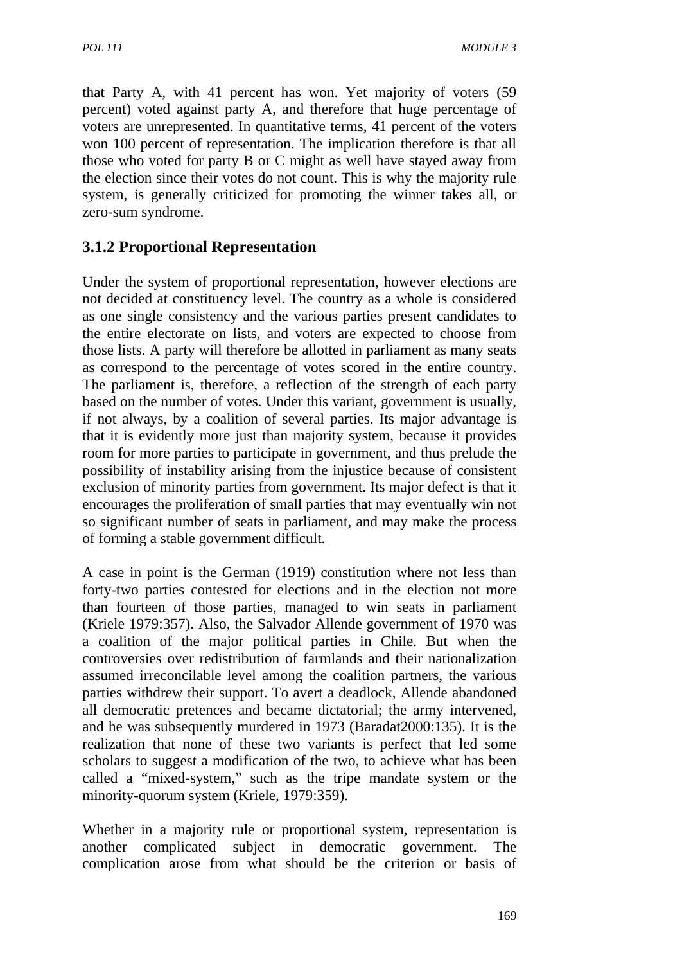that Party A, with 41 percent has won. Yet majority of voters (59 percent) voted against party A, and therefore that huge percentage of voters are unrepresented. In quantitative terms, 41 percent of the voters won 100 percent of representation. The implication therefore is that all those who voted for party B or C might as well have stayed away from the election since their votes do not count. This is why the majority rule system, is generally criticized for promoting the winner takes all, or zero-sum syndrome.

### **3.1.2 Proportional Representation**

Under the system of proportional representation, however elections are not decided at constituency level. The country as a whole is considered as one single consistency and the various parties present candidates to the entire electorate on lists, and voters are expected to choose from those lists. A party will therefore be allotted in parliament as many seats as correspond to the percentage of votes scored in the entire country. The parliament is, therefore, a reflection of the strength of each party based on the number of votes. Under this variant, government is usually, if not always, by a coalition of several parties. Its major advantage is that it is evidently more just than majority system, because it provides room for more parties to participate in government, and thus prelude the possibility of instability arising from the injustice because of consistent exclusion of minority parties from government. Its major defect is that it encourages the proliferation of small parties that may eventually win not so significant number of seats in parliament, and may make the process of forming a stable government difficult.

A case in point is the German (1919) constitution where not less than forty-two parties contested for elections and in the election not more than fourteen of those parties, managed to win seats in parliament (Kriele 1979:357). Also, the Salvador Allende government of 1970 was a coalition of the major political parties in Chile. But when the controversies over redistribution of farmlands and their nationalization assumed irreconcilable level among the coalition partners, the various parties withdrew their support. To avert a deadlock, Allende abandoned all democratic pretences and became dictatorial; the army intervened, and he was subsequently murdered in 1973 (Baradat2000:135). It is the realization that none of these two variants is perfect that led some scholars to suggest a modification of the two, to achieve what has been called a "mixed-system," such as the tripe mandate system or the minority-quorum system (Kriele, 1979:359).

Whether in a majority rule or proportional system, representation is another complicated subject in democratic government. The complication arose from what should be the criterion or basis of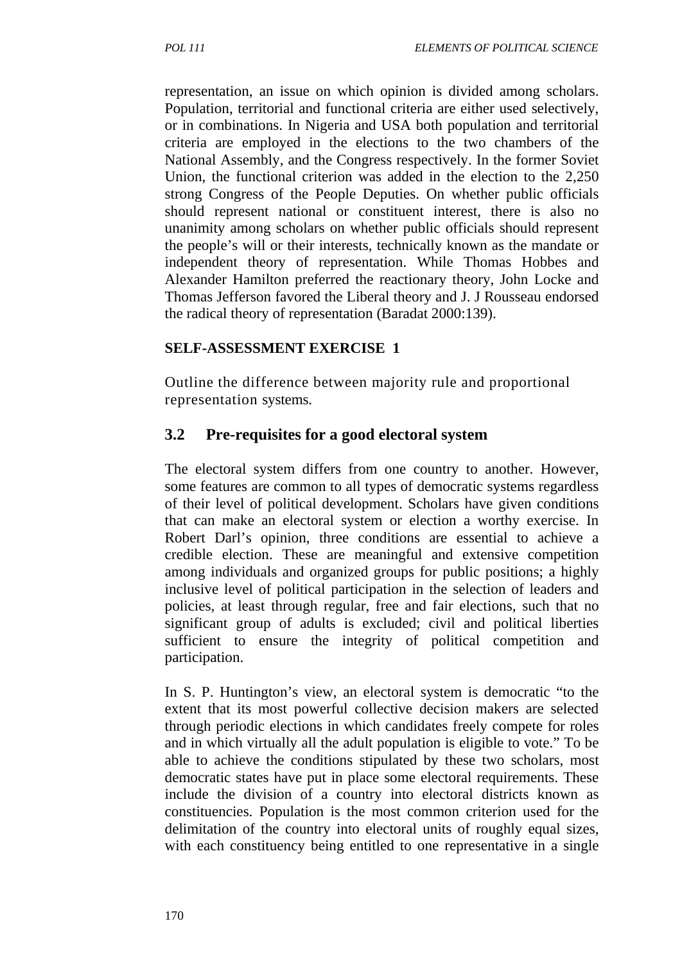representation, an issue on which opinion is divided among scholars. Population, territorial and functional criteria are either used selectively, or in combinations. In Nigeria and USA both population and territorial criteria are employed in the elections to the two chambers of the National Assembly, and the Congress respectively. In the former Soviet Union, the functional criterion was added in the election to the 2,250 strong Congress of the People Deputies. On whether public officials should represent national or constituent interest, there is also no unanimity among scholars on whether public officials should represent the people's will or their interests, technically known as the mandate or independent theory of representation. While Thomas Hobbes and Alexander Hamilton preferred the reactionary theory, John Locke and Thomas Jefferson favored the Liberal theory and J. J Rousseau endorsed the radical theory of representation (Baradat 2000:139).

#### **SELF-ASSESSMENT EXERCISE 1**

Outline the difference between majority rule and proportional representation systems.

#### **3.2 Pre-requisites for a good electoral system**

The electoral system differs from one country to another. However, some features are common to all types of democratic systems regardless of their level of political development. Scholars have given conditions that can make an electoral system or election a worthy exercise. In Robert Darl's opinion, three conditions are essential to achieve a credible election. These are meaningful and extensive competition among individuals and organized groups for public positions; a highly inclusive level of political participation in the selection of leaders and policies, at least through regular, free and fair elections, such that no significant group of adults is excluded; civil and political liberties sufficient to ensure the integrity of political competition and participation.

In S. P. Huntington's view, an electoral system is democratic "to the extent that its most powerful collective decision makers are selected through periodic elections in which candidates freely compete for roles and in which virtually all the adult population is eligible to vote." To be able to achieve the conditions stipulated by these two scholars, most democratic states have put in place some electoral requirements. These include the division of a country into electoral districts known as constituencies. Population is the most common criterion used for the delimitation of the country into electoral units of roughly equal sizes, with each constituency being entitled to one representative in a single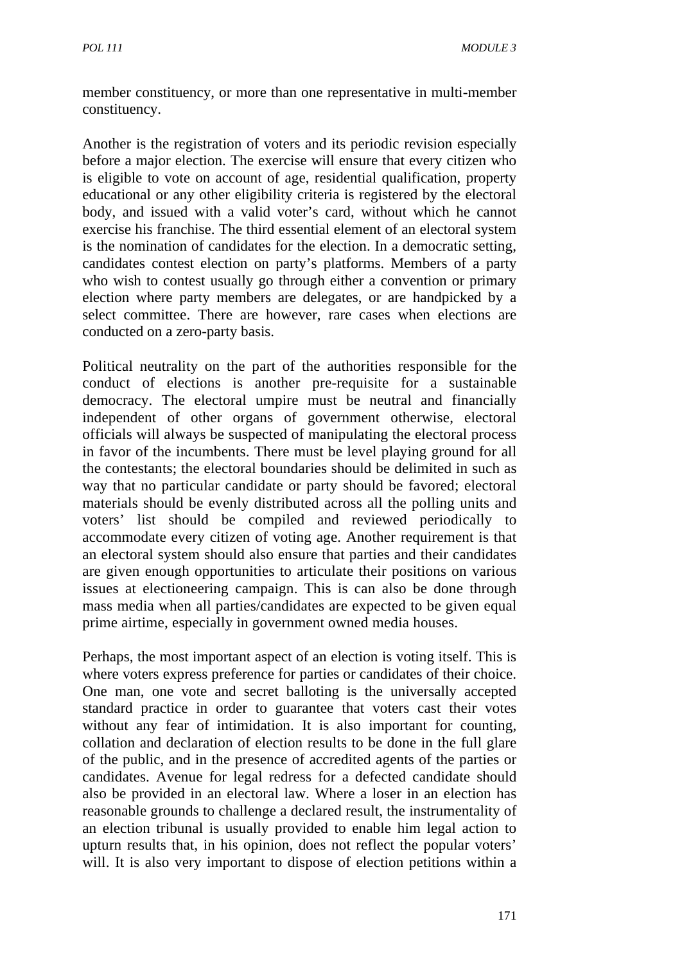member constituency, or more than one representative in multi-member constituency.

Another is the registration of voters and its periodic revision especially before a major election. The exercise will ensure that every citizen who is eligible to vote on account of age, residential qualification, property educational or any other eligibility criteria is registered by the electoral body, and issued with a valid voter's card, without which he cannot exercise his franchise. The third essential element of an electoral system is the nomination of candidates for the election. In a democratic setting, candidates contest election on party's platforms. Members of a party who wish to contest usually go through either a convention or primary election where party members are delegates, or are handpicked by a select committee. There are however, rare cases when elections are conducted on a zero-party basis.

Political neutrality on the part of the authorities responsible for the conduct of elections is another pre-requisite for a sustainable democracy. The electoral umpire must be neutral and financially independent of other organs of government otherwise, electoral officials will always be suspected of manipulating the electoral process in favor of the incumbents. There must be level playing ground for all the contestants; the electoral boundaries should be delimited in such as way that no particular candidate or party should be favored; electoral materials should be evenly distributed across all the polling units and voters' list should be compiled and reviewed periodically to accommodate every citizen of voting age. Another requirement is that an electoral system should also ensure that parties and their candidates are given enough opportunities to articulate their positions on various issues at electioneering campaign. This is can also be done through mass media when all parties/candidates are expected to be given equal prime airtime, especially in government owned media houses.

Perhaps, the most important aspect of an election is voting itself. This is where voters express preference for parties or candidates of their choice. One man, one vote and secret balloting is the universally accepted standard practice in order to guarantee that voters cast their votes without any fear of intimidation. It is also important for counting, collation and declaration of election results to be done in the full glare of the public, and in the presence of accredited agents of the parties or candidates. Avenue for legal redress for a defected candidate should also be provided in an electoral law. Where a loser in an election has reasonable grounds to challenge a declared result, the instrumentality of an election tribunal is usually provided to enable him legal action to upturn results that, in his opinion, does not reflect the popular voters' will. It is also very important to dispose of election petitions within a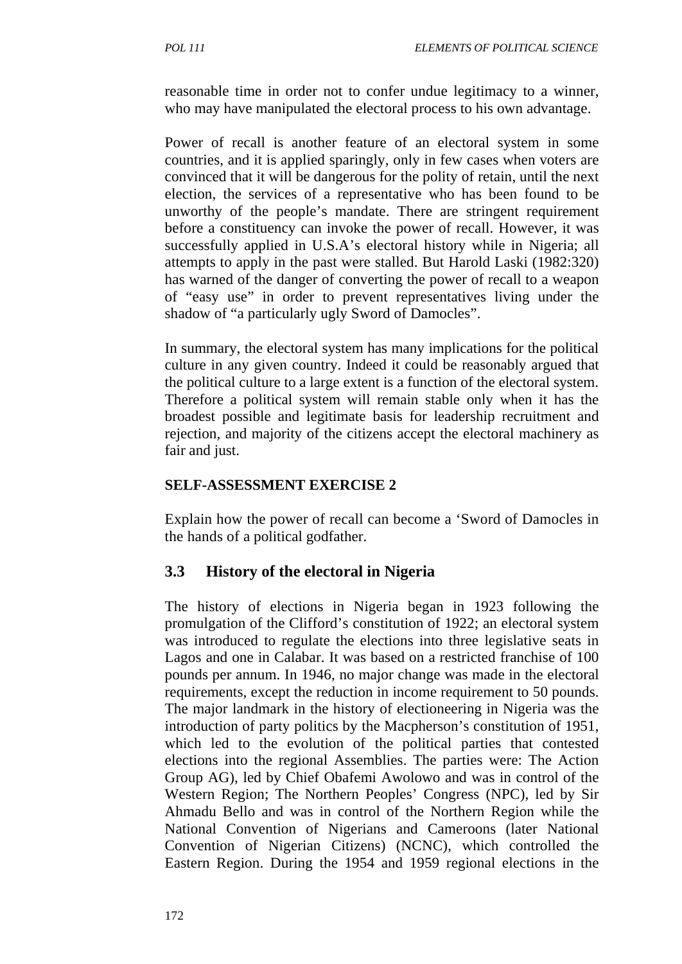reasonable time in order not to confer undue legitimacy to a winner, who may have manipulated the electoral process to his own advantage.

Power of recall is another feature of an electoral system in some countries, and it is applied sparingly, only in few cases when voters are convinced that it will be dangerous for the polity of retain, until the next election, the services of a representative who has been found to be unworthy of the people's mandate. There are stringent requirement before a constituency can invoke the power of recall. However, it was successfully applied in U.S.A's electoral history while in Nigeria; all attempts to apply in the past were stalled. But Harold Laski (1982:320) has warned of the danger of converting the power of recall to a weapon of "easy use" in order to prevent representatives living under the shadow of "a particularly ugly Sword of Damocles".

In summary, the electoral system has many implications for the political culture in any given country. Indeed it could be reasonably argued that the political culture to a large extent is a function of the electoral system. Therefore a political system will remain stable only when it has the broadest possible and legitimate basis for leadership recruitment and rejection, and majority of the citizens accept the electoral machinery as fair and just.

#### **SELF-ASSESSMENT EXERCISE 2**

Explain how the power of recall can become a 'Sword of Damocles in the hands of a political godfather.

### **3.3 History of the electoral in Nigeria**

The history of elections in Nigeria began in 1923 following the promulgation of the Clifford's constitution of 1922; an electoral system was introduced to regulate the elections into three legislative seats in Lagos and one in Calabar. It was based on a restricted franchise of 100 pounds per annum. In 1946, no major change was made in the electoral requirements, except the reduction in income requirement to 50 pounds. The major landmark in the history of electioneering in Nigeria was the introduction of party politics by the Macpherson's constitution of 1951, which led to the evolution of the political parties that contested elections into the regional Assemblies. The parties were: The Action Group AG), led by Chief Obafemi Awolowo and was in control of the Western Region; The Northern Peoples' Congress (NPC), led by Sir Ahmadu Bello and was in control of the Northern Region while the National Convention of Nigerians and Cameroons (later National Convention of Nigerian Citizens) (NCNC), which controlled the Eastern Region. During the 1954 and 1959 regional elections in the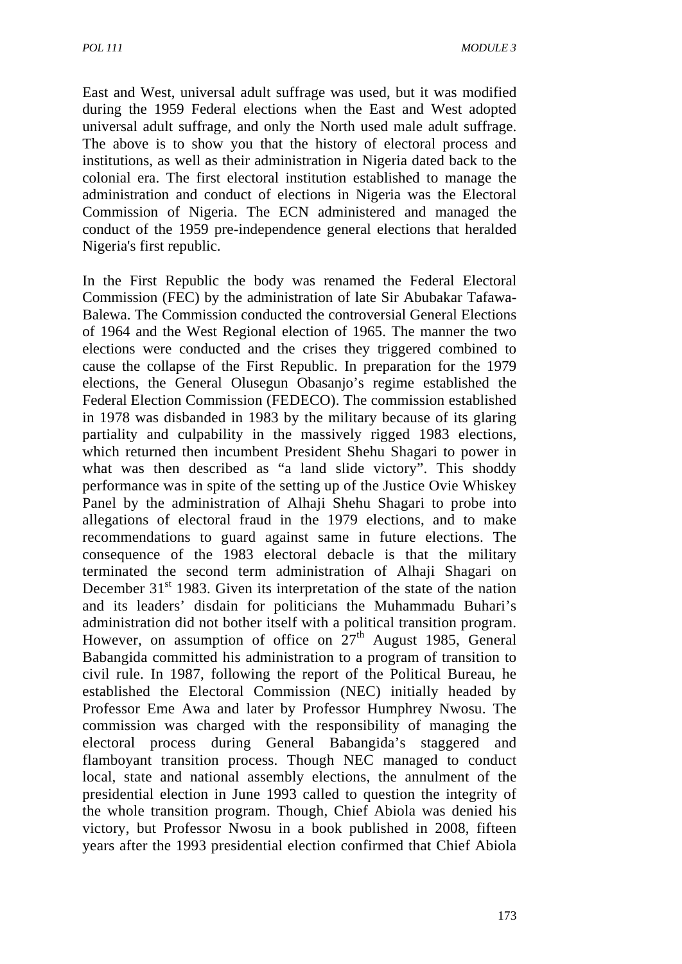East and West, universal adult suffrage was used, but it was modified during the 1959 Federal elections when the East and West adopted universal adult suffrage, and only the North used male adult suffrage. The above is to show you that the history of electoral process and institutions, as well as their administration in Nigeria dated back to the colonial era. The first electoral institution established to manage the administration and conduct of elections in Nigeria was the Electoral Commission of Nigeria. The ECN administered and managed the conduct of the 1959 pre-independence general elections that heralded Nigeria's first republic.

In the First Republic the body was renamed the Federal Electoral Commission (FEC) by the administration of late Sir Abubakar Tafawa-Balewa. The Commission conducted the controversial General Elections of 1964 and the West Regional election of 1965. The manner the two elections were conducted and the crises they triggered combined to cause the collapse of the First Republic. In preparation for the 1979 elections, the General Olusegun Obasanjo's regime established the Federal Election Commission (FEDECO). The commission established in 1978 was disbanded in 1983 by the military because of its glaring partiality and culpability in the massively rigged 1983 elections, which returned then incumbent President Shehu Shagari to power in what was then described as "a land slide victory". This shoddy performance was in spite of the setting up of the Justice Ovie Whiskey Panel by the administration of Alhaji Shehu Shagari to probe into allegations of electoral fraud in the 1979 elections, and to make recommendations to guard against same in future elections. The consequence of the 1983 electoral debacle is that the military terminated the second term administration of Alhaji Shagari on December  $31<sup>st</sup>$  1983. Given its interpretation of the state of the nation and its leaders' disdain for politicians the Muhammadu Buhari's administration did not bother itself with a political transition program. However, on assumption of office on  $27<sup>th</sup>$  August 1985, General Babangida committed his administration to a program of transition to civil rule. In 1987, following the report of the Political Bureau, he established the Electoral Commission (NEC) initially headed by Professor Eme Awa and later by Professor Humphrey Nwosu. The commission was charged with the responsibility of managing the electoral process during General Babangida's staggered and flamboyant transition process. Though NEC managed to conduct local, state and national assembly elections, the annulment of the presidential election in June 1993 called to question the integrity of the whole transition program. Though, Chief Abiola was denied his victory, but Professor Nwosu in a book published in 2008, fifteen years after the 1993 presidential election confirmed that Chief Abiola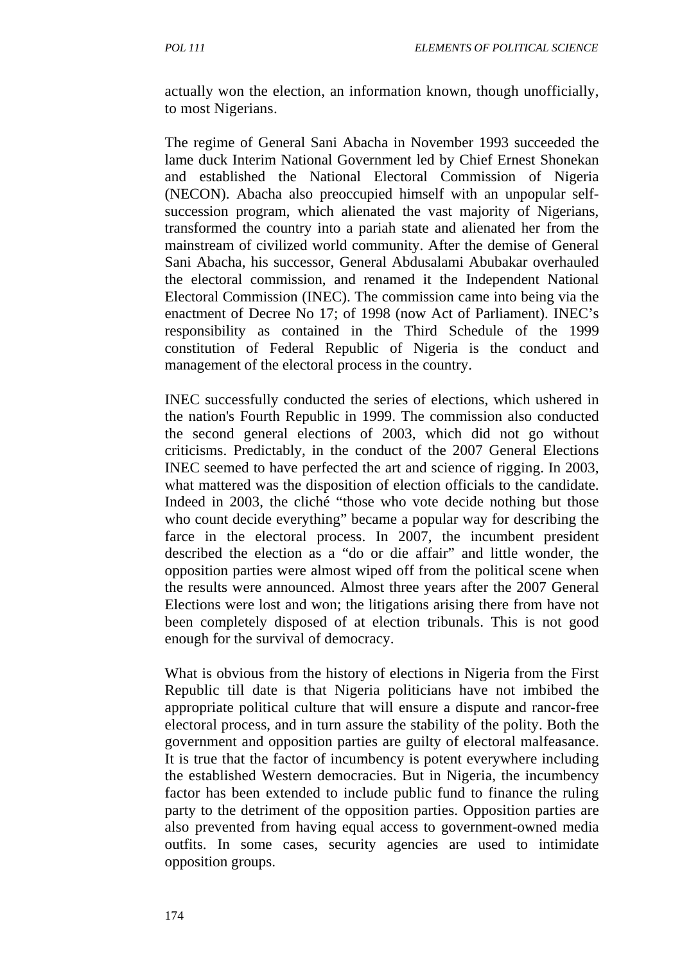actually won the election, an information known, though unofficially, to most Nigerians.

The regime of General Sani Abacha in November 1993 succeeded the lame duck Interim National Government led by Chief Ernest Shonekan and established the National Electoral Commission of Nigeria (NECON). Abacha also preoccupied himself with an unpopular selfsuccession program, which alienated the vast majority of Nigerians, transformed the country into a pariah state and alienated her from the mainstream of civilized world community. After the demise of General Sani Abacha, his successor, General Abdusalami Abubakar overhauled the electoral commission, and renamed it the Independent National Electoral Commission (INEC). The commission came into being via the enactment of Decree No 17; of 1998 (now Act of Parliament). INEC's responsibility as contained in the Third Schedule of the 1999 constitution of Federal Republic of Nigeria is the conduct and management of the electoral process in the country.

INEC successfully conducted the series of elections, which ushered in the nation's Fourth Republic in 1999. The commission also conducted the second general elections of 2003, which did not go without criticisms. Predictably, in the conduct of the 2007 General Elections INEC seemed to have perfected the art and science of rigging. In 2003, what mattered was the disposition of election officials to the candidate. Indeed in 2003, the cliché "those who vote decide nothing but those who count decide everything" became a popular way for describing the farce in the electoral process. In 2007, the incumbent president described the election as a "do or die affair" and little wonder, the opposition parties were almost wiped off from the political scene when the results were announced. Almost three years after the 2007 General Elections were lost and won; the litigations arising there from have not been completely disposed of at election tribunals. This is not good enough for the survival of democracy.

What is obvious from the history of elections in Nigeria from the First Republic till date is that Nigeria politicians have not imbibed the appropriate political culture that will ensure a dispute and rancor-free electoral process, and in turn assure the stability of the polity. Both the government and opposition parties are guilty of electoral malfeasance. It is true that the factor of incumbency is potent everywhere including the established Western democracies. But in Nigeria, the incumbency factor has been extended to include public fund to finance the ruling party to the detriment of the opposition parties. Opposition parties are also prevented from having equal access to government-owned media outfits. In some cases, security agencies are used to intimidate opposition groups.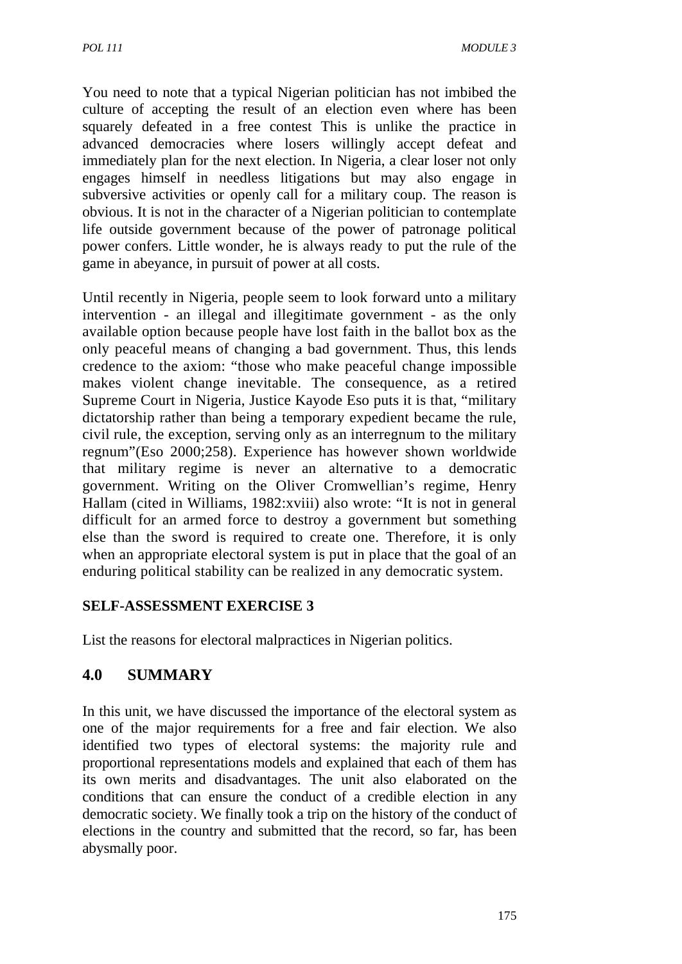You need to note that a typical Nigerian politician has not imbibed the culture of accepting the result of an election even where has been squarely defeated in a free contest This is unlike the practice in advanced democracies where losers willingly accept defeat and immediately plan for the next election. In Nigeria, a clear loser not only engages himself in needless litigations but may also engage in subversive activities or openly call for a military coup. The reason is obvious. It is not in the character of a Nigerian politician to contemplate life outside government because of the power of patronage political power confers. Little wonder, he is always ready to put the rule of the game in abeyance, in pursuit of power at all costs.

Until recently in Nigeria, people seem to look forward unto a military intervention - an illegal and illegitimate government - as the only available option because people have lost faith in the ballot box as the only peaceful means of changing a bad government. Thus, this lends credence to the axiom: "those who make peaceful change impossible makes violent change inevitable. The consequence, as a retired Supreme Court in Nigeria, Justice Kayode Eso puts it is that, "military dictatorship rather than being a temporary expedient became the rule, civil rule, the exception, serving only as an interregnum to the military regnum"(Eso 2000;258). Experience has however shown worldwide that military regime is never an alternative to a democratic government. Writing on the Oliver Cromwellian's regime, Henry Hallam (cited in Williams, 1982:xviii) also wrote: "It is not in general difficult for an armed force to destroy a government but something else than the sword is required to create one. Therefore, it is only when an appropriate electoral system is put in place that the goal of an enduring political stability can be realized in any democratic system.

#### **SELF-ASSESSMENT EXERCISE 3**

List the reasons for electoral malpractices in Nigerian politics.

# **4.0 SUMMARY**

In this unit, we have discussed the importance of the electoral system as one of the major requirements for a free and fair election. We also identified two types of electoral systems: the majority rule and proportional representations models and explained that each of them has its own merits and disadvantages. The unit also elaborated on the conditions that can ensure the conduct of a credible election in any democratic society. We finally took a trip on the history of the conduct of elections in the country and submitted that the record, so far, has been abysmally poor.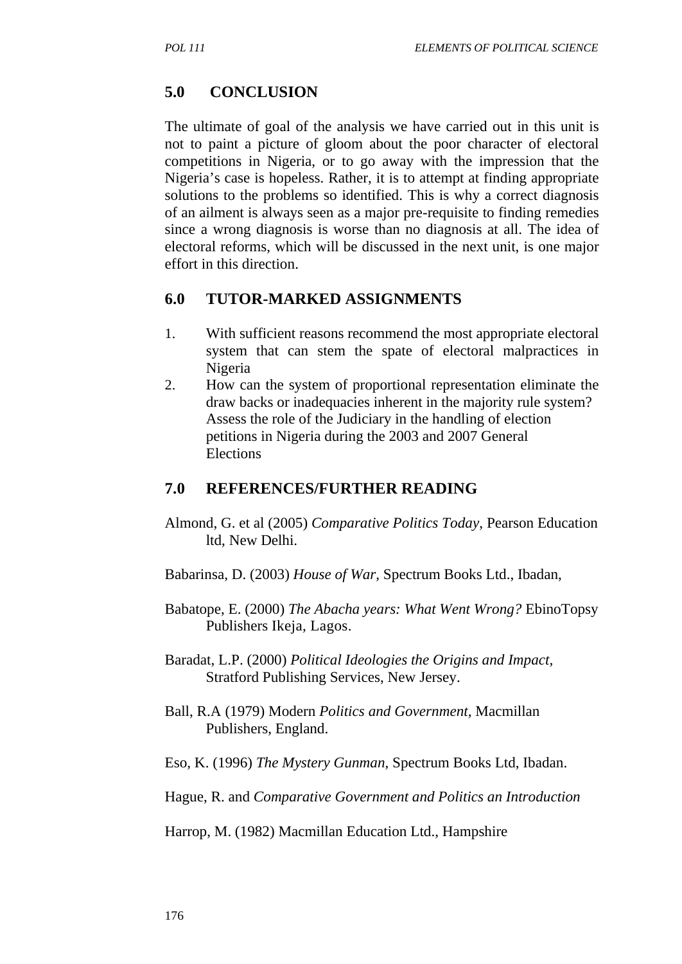## **5.0 CONCLUSION**

The ultimate of goal of the analysis we have carried out in this unit is not to paint a picture of gloom about the poor character of electoral competitions in Nigeria, or to go away with the impression that the Nigeria's case is hopeless. Rather, it is to attempt at finding appropriate solutions to the problems so identified. This is why a correct diagnosis of an ailment is always seen as a major pre-requisite to finding remedies since a wrong diagnosis is worse than no diagnosis at all. The idea of electoral reforms, which will be discussed in the next unit, is one major effort in this direction.

## **6.0 TUTOR-MARKED ASSIGNMENTS**

- 1. With sufficient reasons recommend the most appropriate electoral system that can stem the spate of electoral malpractices in Nigeria
- 2. How can the system of proportional representation eliminate the draw backs or inadequacies inherent in the majority rule system? Assess the role of the Judiciary in the handling of election petitions in Nigeria during the 2003 and 2007 General Elections

#### **7.0 REFERENCES/FURTHER READING**

- Almond, G. et al (2005) *Comparative Politics Today*, Pearson Education ltd, New Delhi.
- Babarinsa, D. (2003) *House of War,* Spectrum Books Ltd., Ibadan,
- Babatope, E. (2000) *The Abacha years: What Went Wrong?* EbinoTopsy Publishers Ikeja, Lagos.
- Baradat, L.P. (2000) *Political Ideologies the Origins and Impact,*  Stratford Publishing Services, New Jersey.
- Ball, R.A (1979) Modern *Politics and Government,* Macmillan Publishers, England.
- Eso, K. (1996) *The Mystery Gunman*, Spectrum Books Ltd, Ibadan.
- Hague, R. and *Comparative Government and Politics an Introduction*

Harrop, M. (1982) Macmillan Education Ltd., Hampshire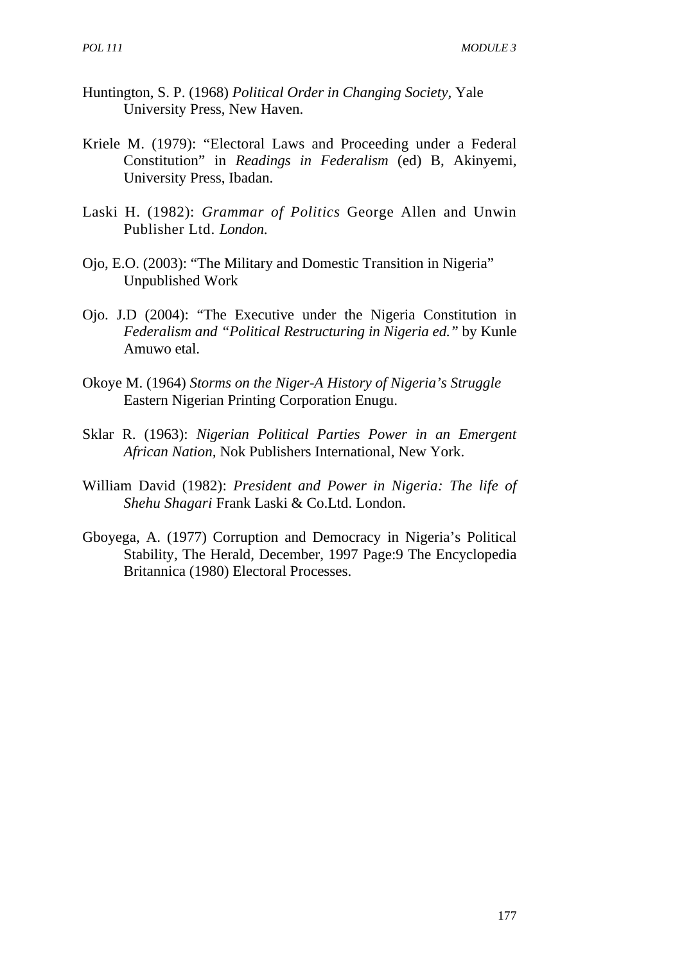- Huntington, S. P. (1968) *Political Order in Changing Society,* Yale University Press, New Haven.
- Kriele M. (1979): "Electoral Laws and Proceeding under a Federal Constitution" in *Readings in Federalism* (ed) B, Akinyemi, University Press, Ibadan.
- Laski H. (1982): *Grammar of Politics* George Allen and Unwin Publisher Ltd. *London*.
- Ojo, E.O. (2003): "The Military and Domestic Transition in Nigeria" Unpublished Work
- Ojo. J.D (2004): "The Executive under the Nigeria Constitution in *Federalism and "Political Restructuring in Nigeria ed."* by Kunle Amuwo etal.
- Okoye M. (1964) *Storms on the Niger-A History of Nigeria's Struggle* Eastern Nigerian Printing Corporation Enugu.
- Sklar R. (1963): *Nigerian Political Parties Power in an Emergent African Nation,* Nok Publishers International, New York.
- William David (1982): *President and Power in Nigeria: The life of Shehu Shagari* Frank Laski & Co.Ltd. London.
- Gboyega, A. (1977) Corruption and Democracy in Nigeria's Political Stability, The Herald, December, 1997 Page:9 The Encyclopedia Britannica (1980) Electoral Processes.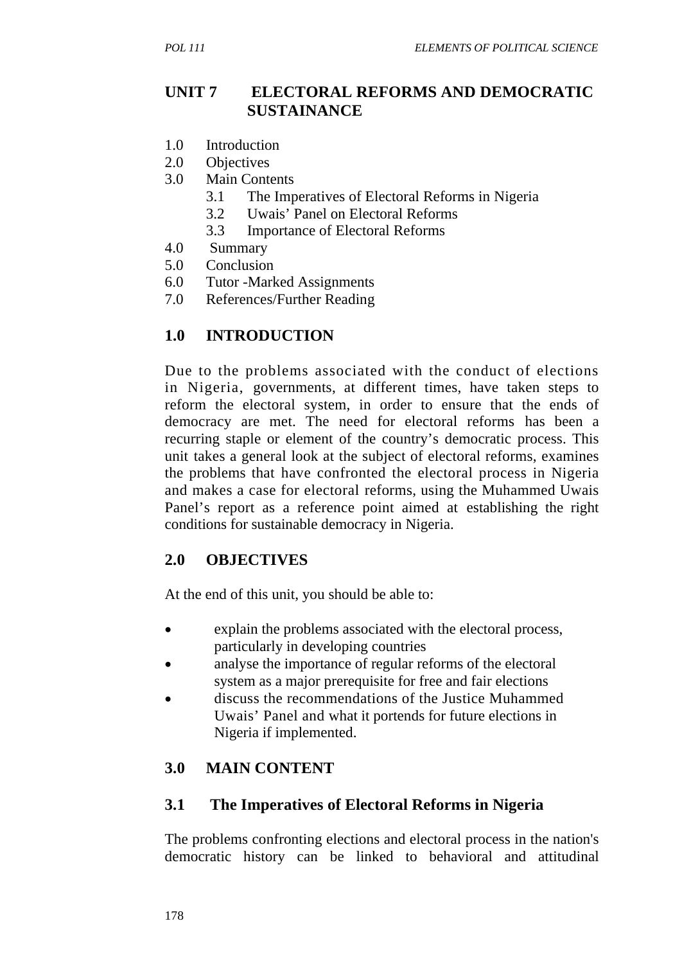#### **UNIT 7 ELECTORAL REFORMS AND DEMOCRATIC SUSTAINANCE**

- 1.0 Introduction
- 2.0 Objectives
- 3.0 Main Contents
	- 3.1 The Imperatives of Electoral Reforms in Nigeria
	- 3.2 Uwais' Panel on Electoral Reforms
	- 3.3 Importance of Electoral Reforms
- 4.0 Summary
- 5.0 Conclusion
- 6.0 Tutor -Marked Assignments
- 7.0 References/Further Reading

## **1.0 INTRODUCTION**

Due to the problems associated with the conduct of elections in Nigeria, governments, at different times, have taken steps to reform the electoral system, in order to ensure that the ends of democracy are met. The need for electoral reforms has been a recurring staple or element of the country's democratic process. This unit takes a general look at the subject of electoral reforms, examines the problems that have confronted the electoral process in Nigeria and makes a case for electoral reforms, using the Muhammed Uwais Panel's report as a reference point aimed at establishing the right conditions for sustainable democracy in Nigeria.

#### **2.0 OBJECTIVES**

At the end of this unit, you should be able to:

- explain the problems associated with the electoral process, particularly in developing countries
- analyse the importance of regular reforms of the electoral system as a major prerequisite for free and fair elections
- discuss the recommendations of the Justice Muhammed Uwais' Panel and what it portends for future elections in Nigeria if implemented.

## **3.0 MAIN CONTENT**

#### **3.1 The Imperatives of Electoral Reforms in Nigeria**

The problems confronting elections and electoral process in the nation's democratic history can be linked to behavioral and attitudinal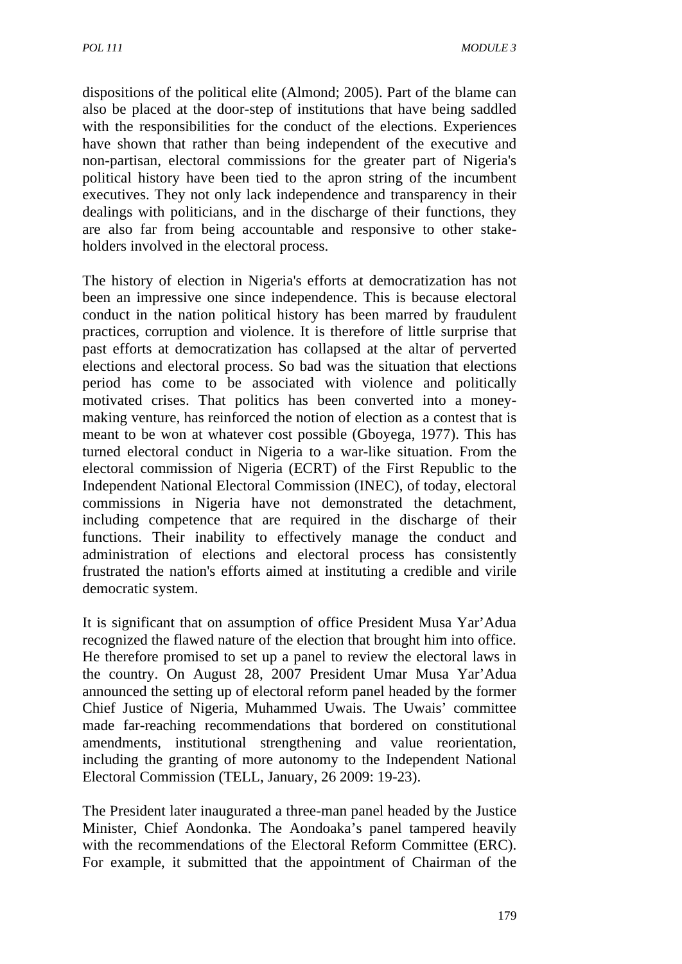dispositions of the political elite (Almond; 2005). Part of the blame can also be placed at the door-step of institutions that have being saddled with the responsibilities for the conduct of the elections. Experiences have shown that rather than being independent of the executive and non-partisan, electoral commissions for the greater part of Nigeria's political history have been tied to the apron string of the incumbent executives. They not only lack independence and transparency in their dealings with politicians, and in the discharge of their functions, they are also far from being accountable and responsive to other stakeholders involved in the electoral process.

The history of election in Nigeria's efforts at democratization has not been an impressive one since independence. This is because electoral conduct in the nation political history has been marred by fraudulent practices, corruption and violence. It is therefore of little surprise that past efforts at democratization has collapsed at the altar of perverted elections and electoral process. So bad was the situation that elections period has come to be associated with violence and politically motivated crises. That politics has been converted into a moneymaking venture, has reinforced the notion of election as a contest that is meant to be won at whatever cost possible (Gboyega, 1977). This has turned electoral conduct in Nigeria to a war-like situation. From the electoral commission of Nigeria (ECRT) of the First Republic to the Independent National Electoral Commission (INEC), of today, electoral commissions in Nigeria have not demonstrated the detachment, including competence that are required in the discharge of their functions. Their inability to effectively manage the conduct and administration of elections and electoral process has consistently frustrated the nation's efforts aimed at instituting a credible and virile democratic system.

It is significant that on assumption of office President Musa Yar'Adua recognized the flawed nature of the election that brought him into office. He therefore promised to set up a panel to review the electoral laws in the country. On August 28, 2007 President Umar Musa Yar'Adua announced the setting up of electoral reform panel headed by the former Chief Justice of Nigeria, Muhammed Uwais. The Uwais' committee made far-reaching recommendations that bordered on constitutional amendments, institutional strengthening and value reorientation, including the granting of more autonomy to the Independent National Electoral Commission (TELL, January, 26 2009: 19-23).

The President later inaugurated a three-man panel headed by the Justice Minister, Chief Aondonka. The Aondoaka's panel tampered heavily with the recommendations of the Electoral Reform Committee (ERC). For example, it submitted that the appointment of Chairman of the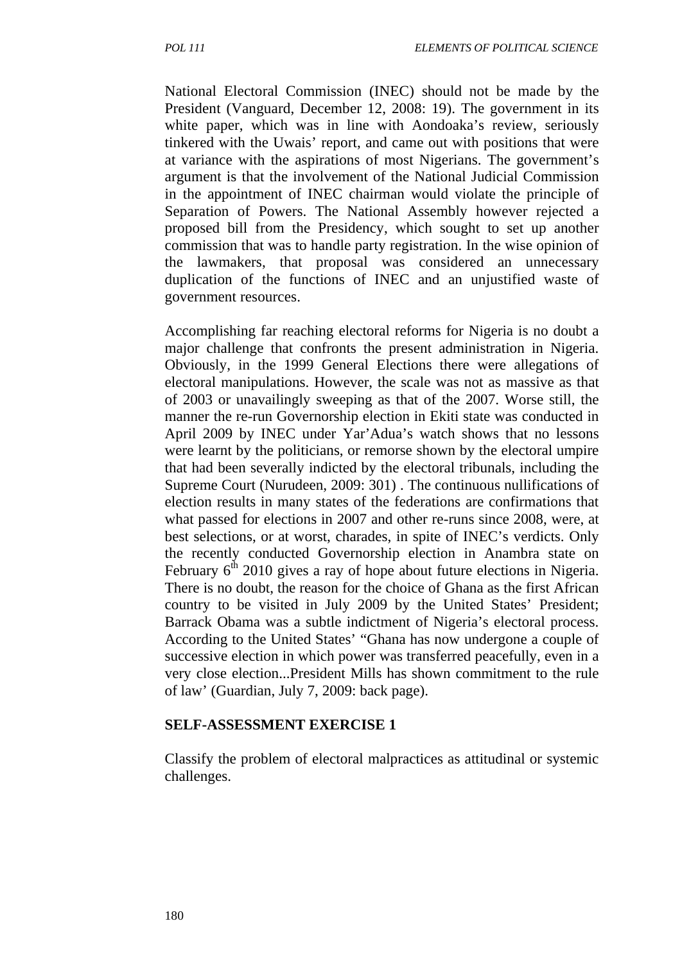National Electoral Commission (INEC) should not be made by the President (Vanguard, December 12, 2008: 19). The government in its white paper, which was in line with Aondoaka's review, seriously tinkered with the Uwais' report, and came out with positions that were at variance with the aspirations of most Nigerians. The government's argument is that the involvement of the National Judicial Commission in the appointment of INEC chairman would violate the principle of Separation of Powers. The National Assembly however rejected a proposed bill from the Presidency, which sought to set up another commission that was to handle party registration. In the wise opinion of the lawmakers, that proposal was considered an unnecessary duplication of the functions of INEC and an unjustified waste of government resources.

Accomplishing far reaching electoral reforms for Nigeria is no doubt a major challenge that confronts the present administration in Nigeria. Obviously, in the 1999 General Elections there were allegations of electoral manipulations. However, the scale was not as massive as that of 2003 or unavailingly sweeping as that of the 2007. Worse still, the manner the re-run Governorship election in Ekiti state was conducted in April 2009 by INEC under Yar'Adua's watch shows that no lessons were learnt by the politicians, or remorse shown by the electoral umpire that had been severally indicted by the electoral tribunals, including the Supreme Court (Nurudeen, 2009: 301) . The continuous nullifications of election results in many states of the federations are confirmations that what passed for elections in 2007 and other re-runs since 2008, were, at best selections, or at worst, charades, in spite of INEC's verdicts. Only the recently conducted Governorship election in Anambra state on February  $6<sup>th</sup>$  2010 gives a ray of hope about future elections in Nigeria. There is no doubt, the reason for the choice of Ghana as the first African country to be visited in July 2009 by the United States' President; Barrack Obama was a subtle indictment of Nigeria's electoral process. According to the United States' "Ghana has now undergone a couple of successive election in which power was transferred peacefully, even in a very close election...President Mills has shown commitment to the rule of law' (Guardian, July 7, 2009: back page).

#### **SELF-ASSESSMENT EXERCISE 1**

Classify the problem of electoral malpractices as attitudinal or systemic challenges.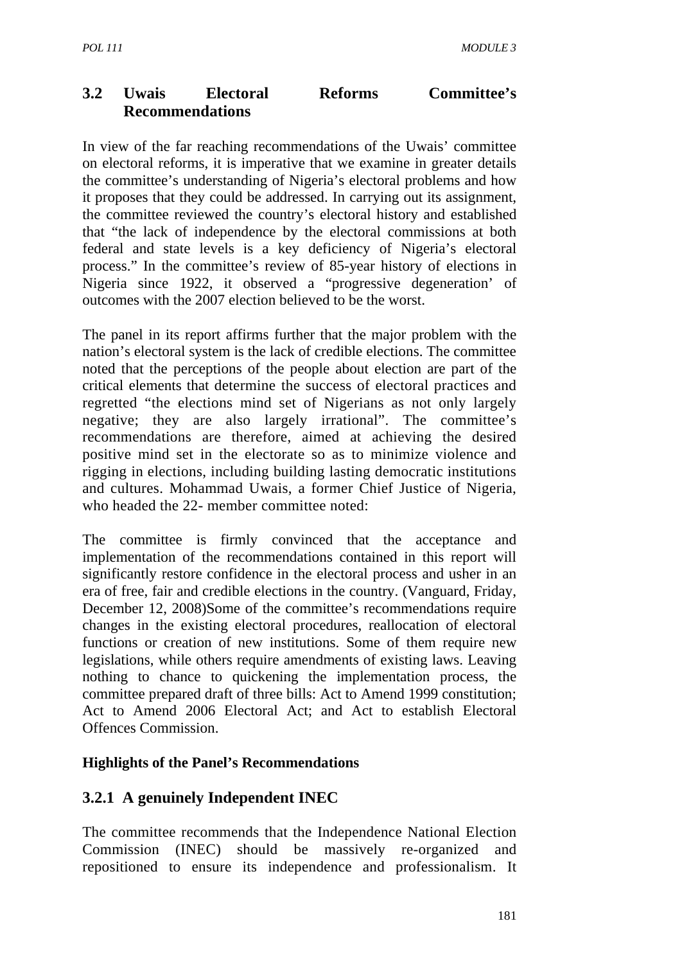## **3.2 Uwais Electoral Reforms Committee's Recommendations**

In view of the far reaching recommendations of the Uwais' committee on electoral reforms, it is imperative that we examine in greater details the committee's understanding of Nigeria's electoral problems and how it proposes that they could be addressed. In carrying out its assignment, the committee reviewed the country's electoral history and established that "the lack of independence by the electoral commissions at both federal and state levels is a key deficiency of Nigeria's electoral process." In the committee's review of 85-year history of elections in Nigeria since 1922, it observed a "progressive degeneration' of outcomes with the 2007 election believed to be the worst.

The panel in its report affirms further that the major problem with the nation's electoral system is the lack of credible elections. The committee noted that the perceptions of the people about election are part of the critical elements that determine the success of electoral practices and regretted "the elections mind set of Nigerians as not only largely negative; they are also largely irrational". The committee's recommendations are therefore, aimed at achieving the desired positive mind set in the electorate so as to minimize violence and rigging in elections, including building lasting democratic institutions and cultures. Mohammad Uwais, a former Chief Justice of Nigeria, who headed the 22- member committee noted:

The committee is firmly convinced that the acceptance and implementation of the recommendations contained in this report will significantly restore confidence in the electoral process and usher in an era of free, fair and credible elections in the country. (Vanguard, Friday, December 12, 2008)Some of the committee's recommendations require changes in the existing electoral procedures, reallocation of electoral functions or creation of new institutions. Some of them require new legislations, while others require amendments of existing laws. Leaving nothing to chance to quickening the implementation process, the committee prepared draft of three bills: Act to Amend 1999 constitution; Act to Amend 2006 Electoral Act; and Act to establish Electoral Offences Commission.

#### **Highlights of the Panel's Recommendations**

#### **3.2.1 A genuinely Independent INEC**

The committee recommends that the Independence National Election Commission (INEC) should be massively re-organized and repositioned to ensure its independence and professionalism. It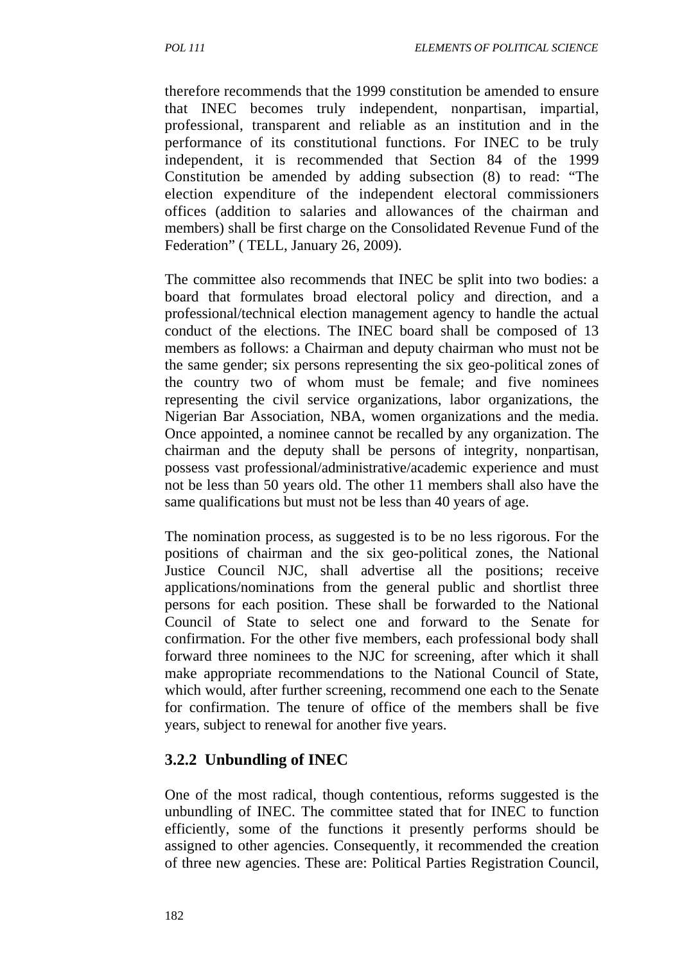therefore recommends that the 1999 constitution be amended to ensure that INEC becomes truly independent, nonpartisan, impartial, professional, transparent and reliable as an institution and in the performance of its constitutional functions. For INEC to be truly independent, it is recommended that Section 84 of the 1999 Constitution be amended by adding subsection (8) to read: "The election expenditure of the independent electoral commissioners offices (addition to salaries and allowances of the chairman and members) shall be first charge on the Consolidated Revenue Fund of the Federation" ( TELL, January 26, 2009).

The committee also recommends that INEC be split into two bodies: a board that formulates broad electoral policy and direction, and a professional/technical election management agency to handle the actual conduct of the elections. The INEC board shall be composed of 13 members as follows: a Chairman and deputy chairman who must not be the same gender; six persons representing the six geo-political zones of the country two of whom must be female; and five nominees representing the civil service organizations, labor organizations, the Nigerian Bar Association, NBA, women organizations and the media. Once appointed, a nominee cannot be recalled by any organization. The chairman and the deputy shall be persons of integrity, nonpartisan, possess vast professional/administrative/academic experience and must not be less than 50 years old. The other 11 members shall also have the same qualifications but must not be less than 40 years of age.

The nomination process, as suggested is to be no less rigorous. For the positions of chairman and the six geo-political zones, the National Justice Council NJC, shall advertise all the positions; receive applications/nominations from the general public and shortlist three persons for each position. These shall be forwarded to the National Council of State to select one and forward to the Senate for confirmation. For the other five members, each professional body shall forward three nominees to the NJC for screening, after which it shall make appropriate recommendations to the National Council of State, which would, after further screening, recommend one each to the Senate for confirmation. The tenure of office of the members shall be five years, subject to renewal for another five years.

#### **3.2.2 Unbundling of INEC**

One of the most radical, though contentious, reforms suggested is the unbundling of INEC. The committee stated that for INEC to function efficiently, some of the functions it presently performs should be assigned to other agencies. Consequently, it recommended the creation of three new agencies. These are: Political Parties Registration Council,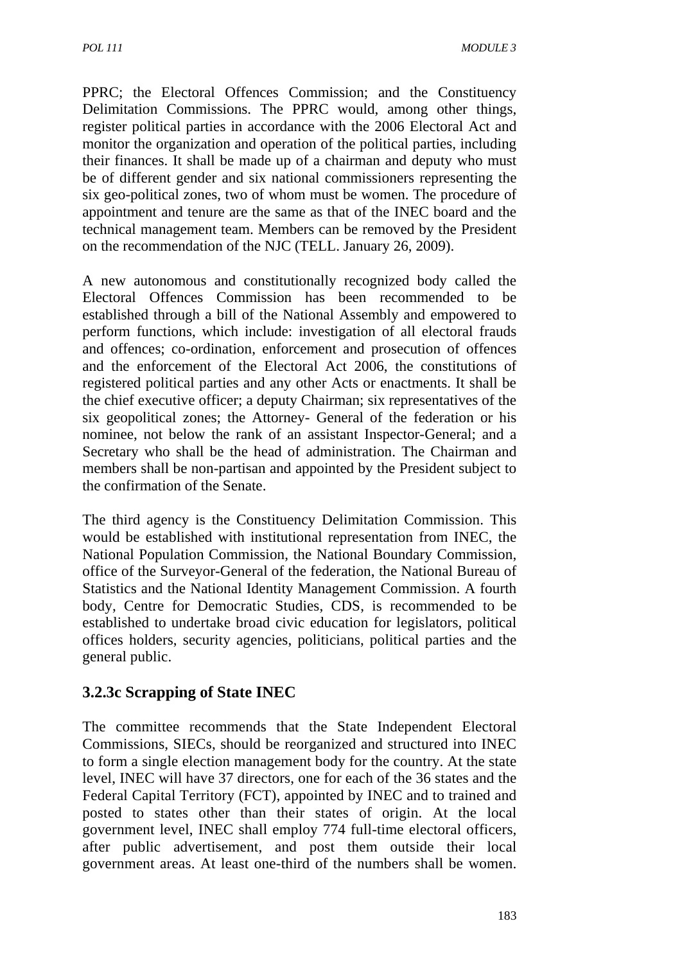PPRC; the Electoral Offences Commission; and the Constituency Delimitation Commissions. The PPRC would, among other things, register political parties in accordance with the 2006 Electoral Act and monitor the organization and operation of the political parties, including their finances. It shall be made up of a chairman and deputy who must be of different gender and six national commissioners representing the six geo-political zones, two of whom must be women. The procedure of appointment and tenure are the same as that of the INEC board and the technical management team. Members can be removed by the President on the recommendation of the NJC (TELL. January 26, 2009).

A new autonomous and constitutionally recognized body called the Electoral Offences Commission has been recommended to be established through a bill of the National Assembly and empowered to perform functions, which include: investigation of all electoral frauds and offences; co-ordination, enforcement and prosecution of offences and the enforcement of the Electoral Act 2006, the constitutions of registered political parties and any other Acts or enactments. It shall be the chief executive officer; a deputy Chairman; six representatives of the six geopolitical zones; the Attorney- General of the federation or his nominee, not below the rank of an assistant Inspector-General; and a Secretary who shall be the head of administration. The Chairman and members shall be non-partisan and appointed by the President subject to the confirmation of the Senate.

The third agency is the Constituency Delimitation Commission. This would be established with institutional representation from INEC, the National Population Commission, the National Boundary Commission, office of the Surveyor-General of the federation, the National Bureau of Statistics and the National Identity Management Commission. A fourth body, Centre for Democratic Studies, CDS, is recommended to be established to undertake broad civic education for legislators, political offices holders, security agencies, politicians, political parties and the general public.

## **3.2.3c Scrapping of State INEC**

The committee recommends that the State Independent Electoral Commissions, SIECs, should be reorganized and structured into INEC to form a single election management body for the country. At the state level, INEC will have 37 directors, one for each of the 36 states and the Federal Capital Territory (FCT), appointed by INEC and to trained and posted to states other than their states of origin. At the local government level, INEC shall employ 774 full-time electoral officers, after public advertisement, and post them outside their local government areas. At least one-third of the numbers shall be women.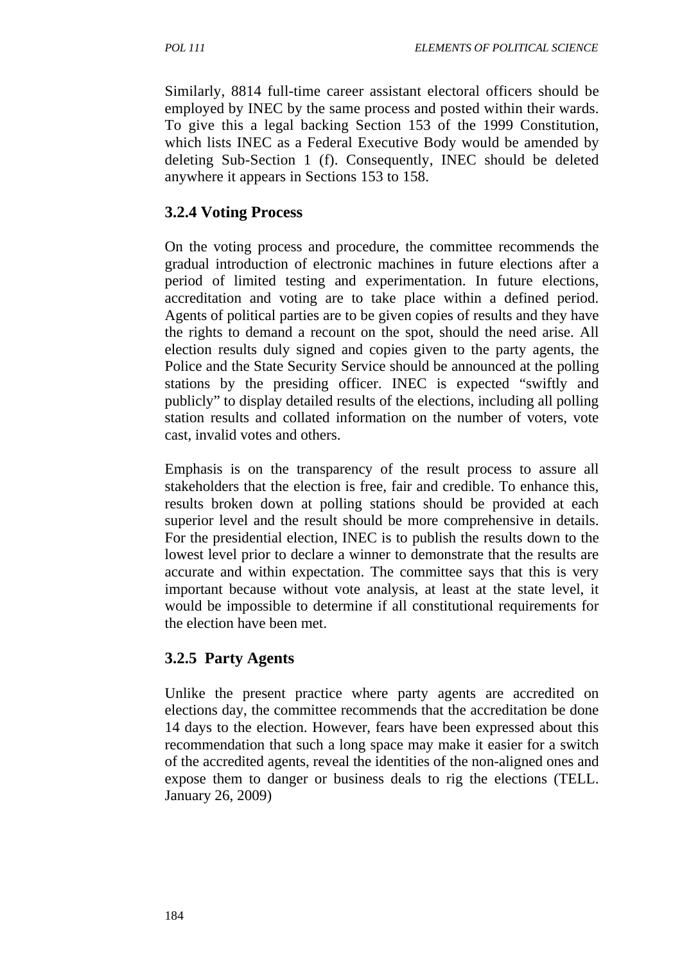Similarly, 8814 full-time career assistant electoral officers should be employed by INEC by the same process and posted within their wards. To give this a legal backing Section 153 of the 1999 Constitution, which lists INEC as a Federal Executive Body would be amended by deleting Sub-Section 1 (f). Consequently, INEC should be deleted anywhere it appears in Sections 153 to 158.

## **3.2.4 Voting Process**

On the voting process and procedure, the committee recommends the gradual introduction of electronic machines in future elections after a period of limited testing and experimentation. In future elections, accreditation and voting are to take place within a defined period. Agents of political parties are to be given copies of results and they have the rights to demand a recount on the spot, should the need arise. All election results duly signed and copies given to the party agents, the Police and the State Security Service should be announced at the polling stations by the presiding officer. INEC is expected "swiftly and publicly" to display detailed results of the elections, including all polling station results and collated information on the number of voters, vote cast, invalid votes and others.

Emphasis is on the transparency of the result process to assure all stakeholders that the election is free, fair and credible. To enhance this, results broken down at polling stations should be provided at each superior level and the result should be more comprehensive in details. For the presidential election, INEC is to publish the results down to the lowest level prior to declare a winner to demonstrate that the results are accurate and within expectation. The committee says that this is very important because without vote analysis, at least at the state level, it would be impossible to determine if all constitutional requirements for the election have been met.

#### **3.2.5 Party Agents**

Unlike the present practice where party agents are accredited on elections day, the committee recommends that the accreditation be done 14 days to the election. However, fears have been expressed about this recommendation that such a long space may make it easier for a switch of the accredited agents, reveal the identities of the non-aligned ones and expose them to danger or business deals to rig the elections (TELL. January 26, 2009)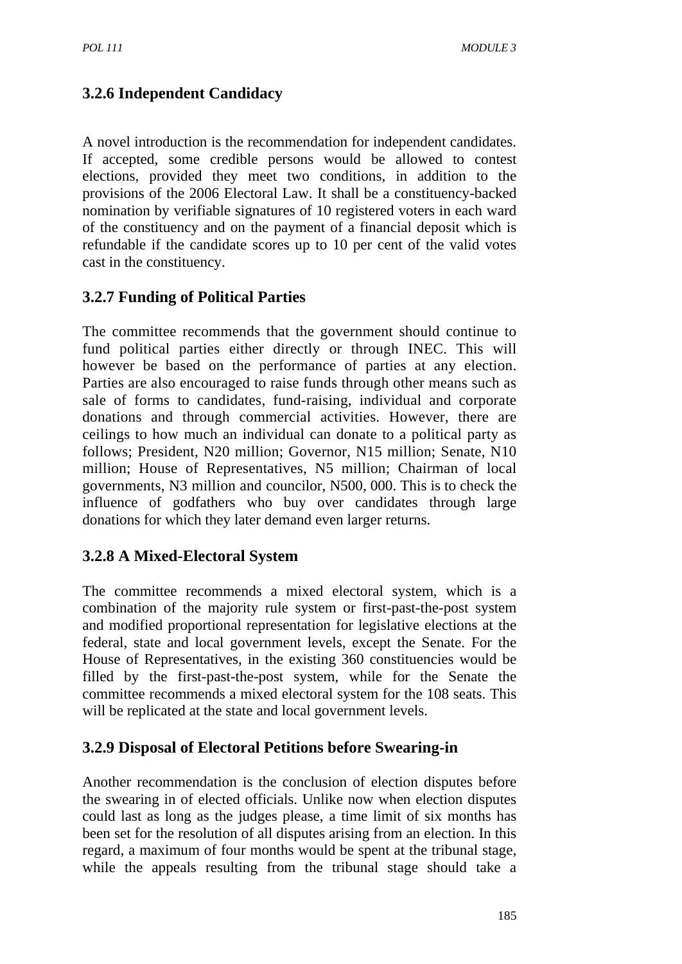## **3.2.6 Independent Candidacy**

A novel introduction is the recommendation for independent candidates. If accepted, some credible persons would be allowed to contest elections, provided they meet two conditions, in addition to the provisions of the 2006 Electoral Law. It shall be a constituency-backed nomination by verifiable signatures of 10 registered voters in each ward of the constituency and on the payment of a financial deposit which is refundable if the candidate scores up to 10 per cent of the valid votes cast in the constituency.

## **3.2.7 Funding of Political Parties**

The committee recommends that the government should continue to fund political parties either directly or through INEC. This will however be based on the performance of parties at any election. Parties are also encouraged to raise funds through other means such as sale of forms to candidates, fund-raising, individual and corporate donations and through commercial activities. However, there are ceilings to how much an individual can donate to a political party as follows; President, N20 million; Governor, N15 million; Senate, N10 million; House of Representatives, N5 million; Chairman of local governments, N3 million and councilor, N500, 000. This is to check the influence of godfathers who buy over candidates through large donations for which they later demand even larger returns.

## **3.2.8 A Mixed-Electoral System**

The committee recommends a mixed electoral system, which is a combination of the majority rule system or first-past-the-post system and modified proportional representation for legislative elections at the federal, state and local government levels, except the Senate. For the House of Representatives, in the existing 360 constituencies would be filled by the first-past-the-post system, while for the Senate the committee recommends a mixed electoral system for the 108 seats. This will be replicated at the state and local government levels.

## **3.2.9 Disposal of Electoral Petitions before Swearing-in**

Another recommendation is the conclusion of election disputes before the swearing in of elected officials. Unlike now when election disputes could last as long as the judges please, a time limit of six months has been set for the resolution of all disputes arising from an election. In this regard, a maximum of four months would be spent at the tribunal stage, while the appeals resulting from the tribunal stage should take a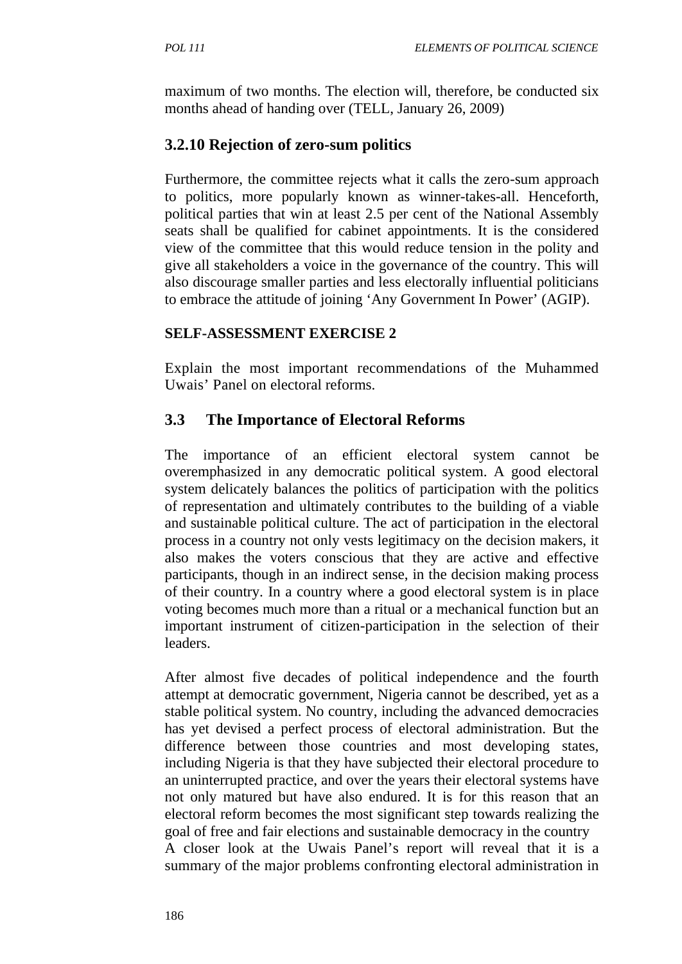maximum of two months. The election will, therefore, be conducted six months ahead of handing over (TELL, January 26, 2009)

#### **3.2.10 Rejection of zero-sum politics**

Furthermore, the committee rejects what it calls the zero-sum approach to politics, more popularly known as winner-takes-all. Henceforth, political parties that win at least 2.5 per cent of the National Assembly seats shall be qualified for cabinet appointments. It is the considered view of the committee that this would reduce tension in the polity and give all stakeholders a voice in the governance of the country. This will also discourage smaller parties and less electorally influential politicians to embrace the attitude of joining 'Any Government In Power' (AGIP).

#### **SELF-ASSESSMENT EXERCISE 2**

Explain the most important recommendations of the Muhammed Uwais' Panel on electoral reforms.

#### **3.3 The Importance of Electoral Reforms**

The importance of an efficient electoral system cannot be overemphasized in any democratic political system. A good electoral system delicately balances the politics of participation with the politics of representation and ultimately contributes to the building of a viable and sustainable political culture. The act of participation in the electoral process in a country not only vests legitimacy on the decision makers, it also makes the voters conscious that they are active and effective participants, though in an indirect sense, in the decision making process of their country. In a country where a good electoral system is in place voting becomes much more than a ritual or a mechanical function but an important instrument of citizen-participation in the selection of their leaders.

After almost five decades of political independence and the fourth attempt at democratic government, Nigeria cannot be described, yet as a stable political system. No country, including the advanced democracies has yet devised a perfect process of electoral administration. But the difference between those countries and most developing states, including Nigeria is that they have subjected their electoral procedure to an uninterrupted practice, and over the years their electoral systems have not only matured but have also endured. It is for this reason that an electoral reform becomes the most significant step towards realizing the goal of free and fair elections and sustainable democracy in the country A closer look at the Uwais Panel's report will reveal that it is a summary of the major problems confronting electoral administration in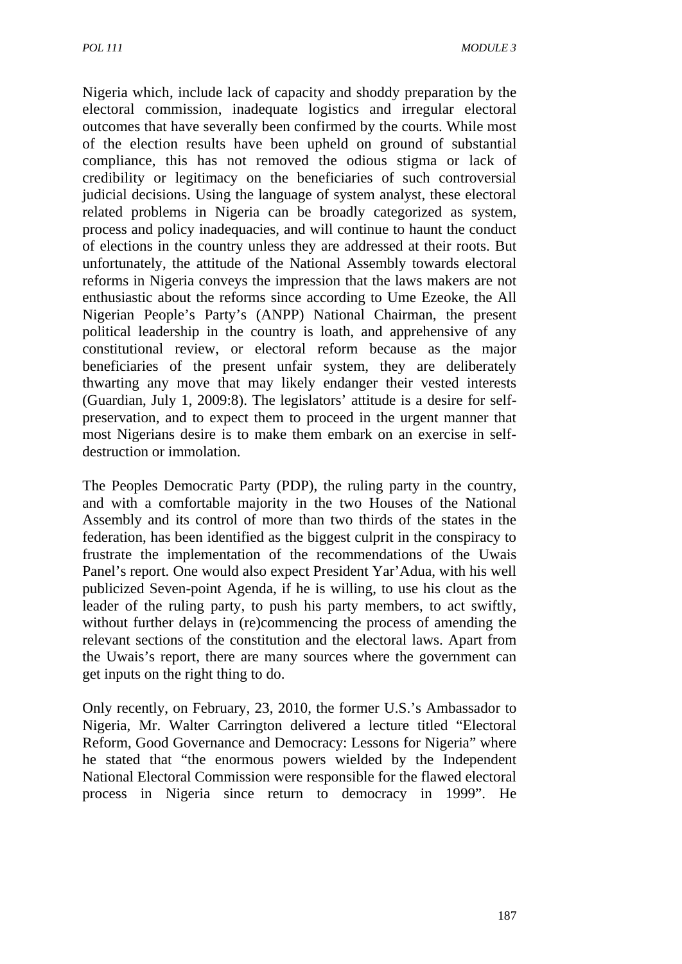Nigeria which, include lack of capacity and shoddy preparation by the electoral commission, inadequate logistics and irregular electoral outcomes that have severally been confirmed by the courts. While most of the election results have been upheld on ground of substantial compliance, this has not removed the odious stigma or lack of credibility or legitimacy on the beneficiaries of such controversial judicial decisions. Using the language of system analyst, these electoral related problems in Nigeria can be broadly categorized as system, process and policy inadequacies, and will continue to haunt the conduct of elections in the country unless they are addressed at their roots. But unfortunately, the attitude of the National Assembly towards electoral reforms in Nigeria conveys the impression that the laws makers are not enthusiastic about the reforms since according to Ume Ezeoke, the All Nigerian People's Party's (ANPP) National Chairman, the present political leadership in the country is loath, and apprehensive of any constitutional review, or electoral reform because as the major beneficiaries of the present unfair system, they are deliberately thwarting any move that may likely endanger their vested interests (Guardian, July 1, 2009:8). The legislators' attitude is a desire for selfpreservation, and to expect them to proceed in the urgent manner that most Nigerians desire is to make them embark on an exercise in selfdestruction or immolation.

The Peoples Democratic Party (PDP), the ruling party in the country, and with a comfortable majority in the two Houses of the National Assembly and its control of more than two thirds of the states in the federation, has been identified as the biggest culprit in the conspiracy to frustrate the implementation of the recommendations of the Uwais Panel's report. One would also expect President Yar'Adua, with his well publicized Seven-point Agenda, if he is willing, to use his clout as the leader of the ruling party, to push his party members, to act swiftly, without further delays in (re)commencing the process of amending the relevant sections of the constitution and the electoral laws. Apart from the Uwais's report, there are many sources where the government can get inputs on the right thing to do.

Only recently, on February, 23, 2010, the former U.S.'s Ambassador to Nigeria, Mr. Walter Carrington delivered a lecture titled "Electoral Reform, Good Governance and Democracy: Lessons for Nigeria" where he stated that "the enormous powers wielded by the Independent National Electoral Commission were responsible for the flawed electoral process in Nigeria since return to democracy in 1999". He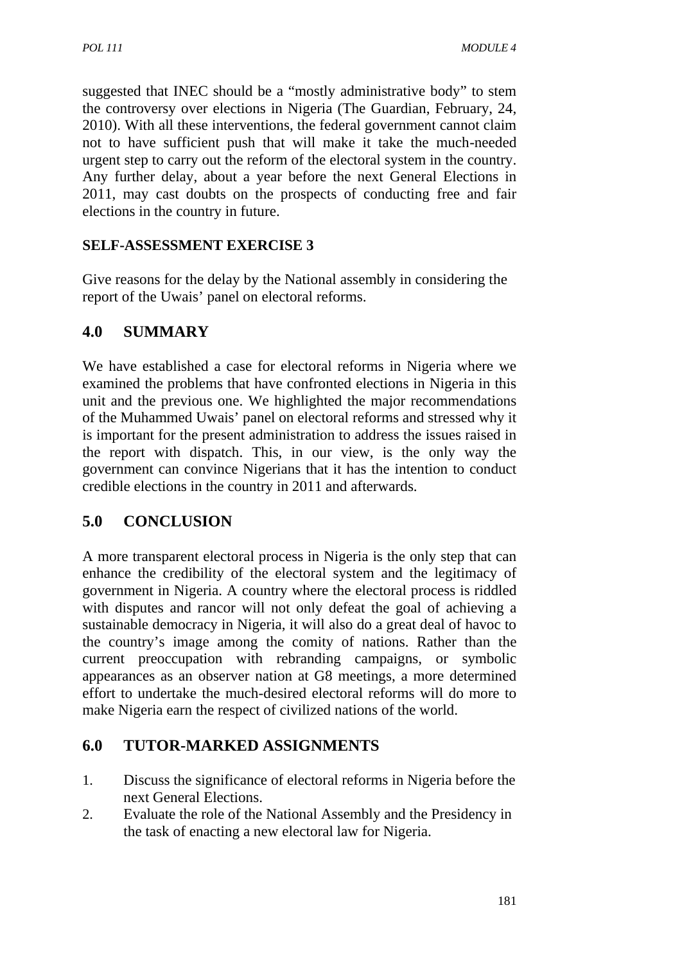suggested that INEC should be a "mostly administrative body" to stem the controversy over elections in Nigeria (The Guardian, February, 24, 2010). With all these interventions, the federal government cannot claim not to have sufficient push that will make it take the much-needed urgent step to carry out the reform of the electoral system in the country. Any further delay, about a year before the next General Elections in 2011, may cast doubts on the prospects of conducting free and fair elections in the country in future.

#### **SELF-ASSESSMENT EXERCISE 3**

Give reasons for the delay by the National assembly in considering the report of the Uwais' panel on electoral reforms.

## **4.0 SUMMARY**

We have established a case for electoral reforms in Nigeria where we examined the problems that have confronted elections in Nigeria in this unit and the previous one. We highlighted the major recommendations of the Muhammed Uwais' panel on electoral reforms and stressed why it is important for the present administration to address the issues raised in the report with dispatch. This, in our view, is the only way the government can convince Nigerians that it has the intention to conduct credible elections in the country in 2011 and afterwards.

## **5.0 CONCLUSION**

A more transparent electoral process in Nigeria is the only step that can enhance the credibility of the electoral system and the legitimacy of government in Nigeria. A country where the electoral process is riddled with disputes and rancor will not only defeat the goal of achieving a sustainable democracy in Nigeria, it will also do a great deal of havoc to the country's image among the comity of nations. Rather than the current preoccupation with rebranding campaigns, or symbolic appearances as an observer nation at G8 meetings, a more determined effort to undertake the much-desired electoral reforms will do more to make Nigeria earn the respect of civilized nations of the world.

#### **6.0 TUTOR-MARKED ASSIGNMENTS**

- 1. Discuss the significance of electoral reforms in Nigeria before the next General Elections.
- 2. Evaluate the role of the National Assembly and the Presidency in the task of enacting a new electoral law for Nigeria.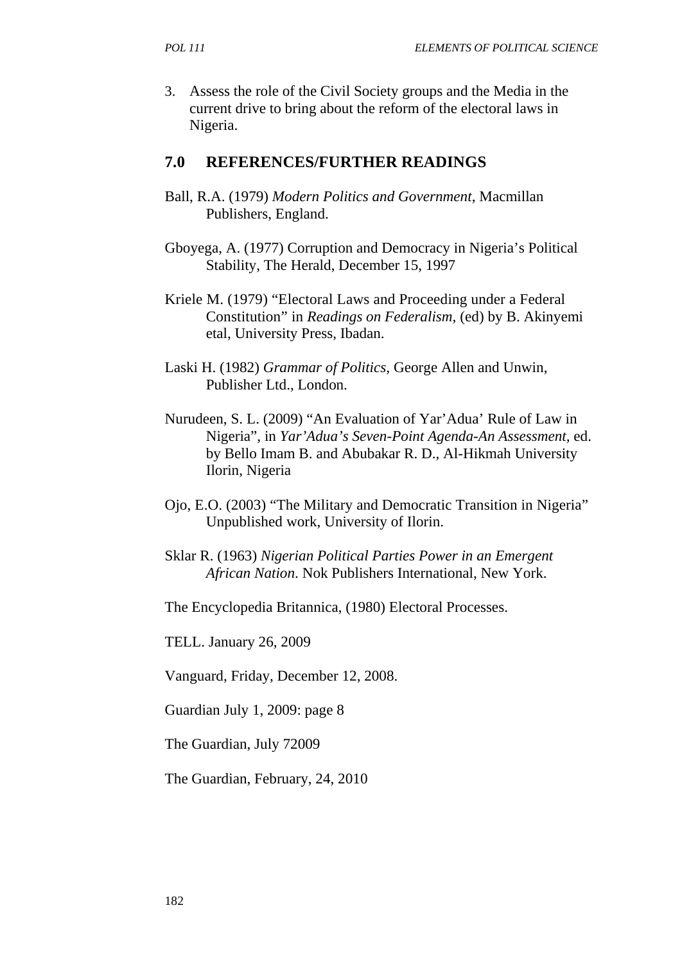3. Assess the role of the Civil Society groups and the Media in the current drive to bring about the reform of the electoral laws in Nigeria.

#### **7.0 REFERENCES/FURTHER READINGS**

- Ball, R.A. (1979) *Modern Politics and Government*, Macmillan Publishers, England.
- Gboyega, A. (1977) Corruption and Democracy in Nigeria's Political Stability, The Herald, December 15, 1997
- Kriele M. (1979) "Electoral Laws and Proceeding under a Federal Constitution" in *Readings on Federalism,* (ed) by B. Akinyemi etal, University Press, Ibadan.
- Laski H. (1982) *Grammar of Politics,* George Allen and Unwin, Publisher Ltd., London.
- Nurudeen, S. L. (2009) "An Evaluation of Yar'Adua' Rule of Law in Nigeria", in *Yar'Adua's Seven-Point Agenda-An Assessment,* ed. by Bello Imam B. and Abubakar R. D., Al-Hikmah University Ilorin, Nigeria
- Ojo, E.O. (2003) "The Military and Democratic Transition in Nigeria" Unpublished work, University of Ilorin.
- Sklar R. (1963) *Nigerian Political Parties Power in an Emergent African Nation*. Nok Publishers International, New York.
- The Encyclopedia Britannica, (1980) Electoral Processes.

TELL. January 26, 2009

Vanguard, Friday, December 12, 2008.

Guardian July 1, 2009: page 8

The Guardian, July 72009

The Guardian, February, 24, 2010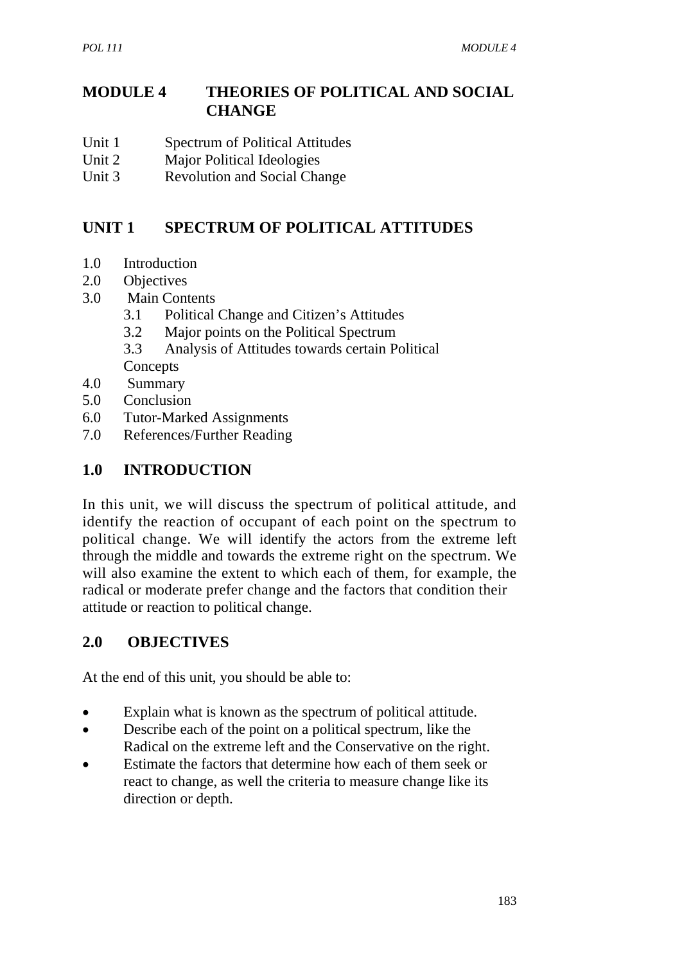## **MODULE 4 THEORIES OF POLITICAL AND SOCIAL CHANGE**

- Unit 1 Spectrum of Political Attitudes
- Unit 2 Major Political Ideologies
- Unit 3 Revolution and Social Change

# **UNIT 1 SPECTRUM OF POLITICAL ATTITUDES**

- 1.0 Introduction
- 2.0 Objectives
- 3.0 Main Contents
	- 3.1 Political Change and Citizen's Attitudes
	- 3.2 Major points on the Political Spectrum
	- 3.3 Analysis of Attitudes towards certain Political Concepts
- 4.0 Summary
- 5.0 Conclusion
- 6.0 Tutor-Marked Assignments
- 7.0 References/Further Reading

## **1.0 INTRODUCTION**

In this unit, we will discuss the spectrum of political attitude, and identify the reaction of occupant of each point on the spectrum to political change. We will identify the actors from the extreme left through the middle and towards the extreme right on the spectrum. We will also examine the extent to which each of them, for example, the radical or moderate prefer change and the factors that condition their attitude or reaction to political change.

## **2.0 OBJECTIVES**

At the end of this unit, you should be able to:

- Explain what is known as the spectrum of political attitude.
- Describe each of the point on a political spectrum, like the Radical on the extreme left and the Conservative on the right.
- Estimate the factors that determine how each of them seek or react to change, as well the criteria to measure change like its direction or depth.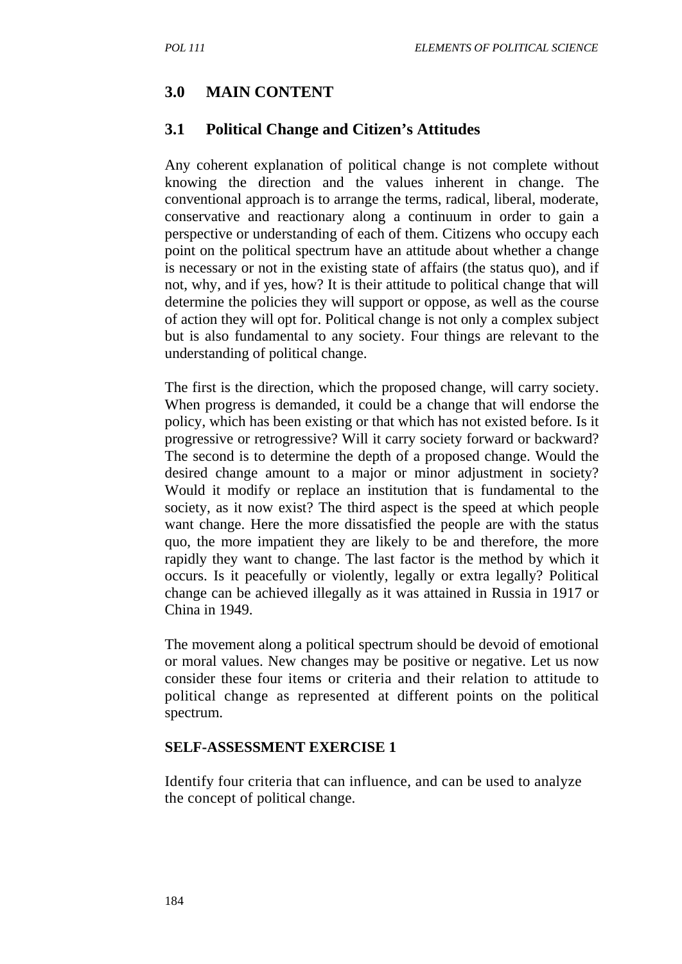#### **3.0 MAIN CONTENT**

#### **3.1 Political Change and Citizen's Attitudes**

Any coherent explanation of political change is not complete without knowing the direction and the values inherent in change. The conventional approach is to arrange the terms, radical, liberal, moderate, conservative and reactionary along a continuum in order to gain a perspective or understanding of each of them. Citizens who occupy each point on the political spectrum have an attitude about whether a change is necessary or not in the existing state of affairs (the status quo), and if not, why, and if yes, how? It is their attitude to political change that will determine the policies they will support or oppose, as well as the course of action they will opt for. Political change is not only a complex subject but is also fundamental to any society. Four things are relevant to the understanding of political change.

The first is the direction, which the proposed change, will carry society. When progress is demanded, it could be a change that will endorse the policy, which has been existing or that which has not existed before. Is it progressive or retrogressive? Will it carry society forward or backward? The second is to determine the depth of a proposed change. Would the desired change amount to a major or minor adjustment in society? Would it modify or replace an institution that is fundamental to the society, as it now exist? The third aspect is the speed at which people want change. Here the more dissatisfied the people are with the status quo, the more impatient they are likely to be and therefore, the more rapidly they want to change. The last factor is the method by which it occurs. Is it peacefully or violently, legally or extra legally? Political change can be achieved illegally as it was attained in Russia in 1917 or China in 1949.

The movement along a political spectrum should be devoid of emotional or moral values. New changes may be positive or negative. Let us now consider these four items or criteria and their relation to attitude to political change as represented at different points on the political spectrum.

#### **SELF-ASSESSMENT EXERCISE 1**

Identify four criteria that can influence, and can be used to analyze the concept of political change.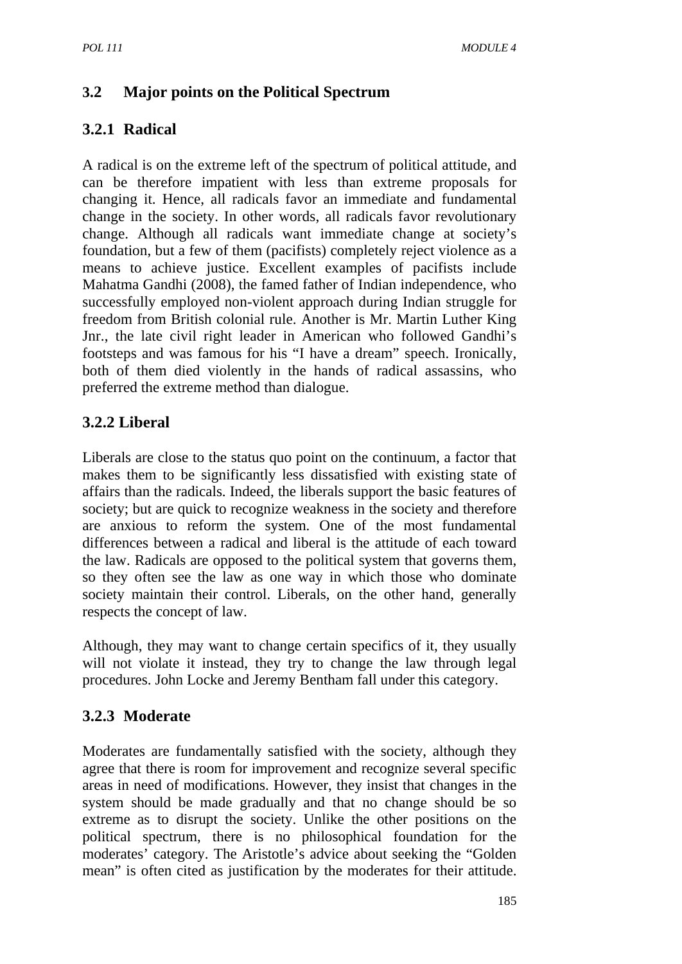# **3.2 Major points on the Political Spectrum**

# **3.2.1 Radical**

A radical is on the extreme left of the spectrum of political attitude, and can be therefore impatient with less than extreme proposals for changing it. Hence, all radicals favor an immediate and fundamental change in the society. In other words, all radicals favor revolutionary change. Although all radicals want immediate change at society's foundation, but a few of them (pacifists) completely reject violence as a means to achieve justice. Excellent examples of pacifists include Mahatma Gandhi (2008), the famed father of Indian independence, who successfully employed non-violent approach during Indian struggle for freedom from British colonial rule. Another is Mr. Martin Luther King Jnr., the late civil right leader in American who followed Gandhi's footsteps and was famous for his "I have a dream" speech. Ironically, both of them died violently in the hands of radical assassins, who preferred the extreme method than dialogue.

## **3.2.2 Liberal**

Liberals are close to the status quo point on the continuum, a factor that makes them to be significantly less dissatisfied with existing state of affairs than the radicals. Indeed, the liberals support the basic features of society; but are quick to recognize weakness in the society and therefore are anxious to reform the system. One of the most fundamental differences between a radical and liberal is the attitude of each toward the law. Radicals are opposed to the political system that governs them, so they often see the law as one way in which those who dominate society maintain their control. Liberals, on the other hand, generally respects the concept of law.

Although, they may want to change certain specifics of it, they usually will not violate it instead, they try to change the law through legal procedures. John Locke and Jeremy Bentham fall under this category.

## **3.2.3 Moderate**

Moderates are fundamentally satisfied with the society, although they agree that there is room for improvement and recognize several specific areas in need of modifications. However, they insist that changes in the system should be made gradually and that no change should be so extreme as to disrupt the society. Unlike the other positions on the political spectrum, there is no philosophical foundation for the moderates' category. The Aristotle's advice about seeking the "Golden mean" is often cited as justification by the moderates for their attitude.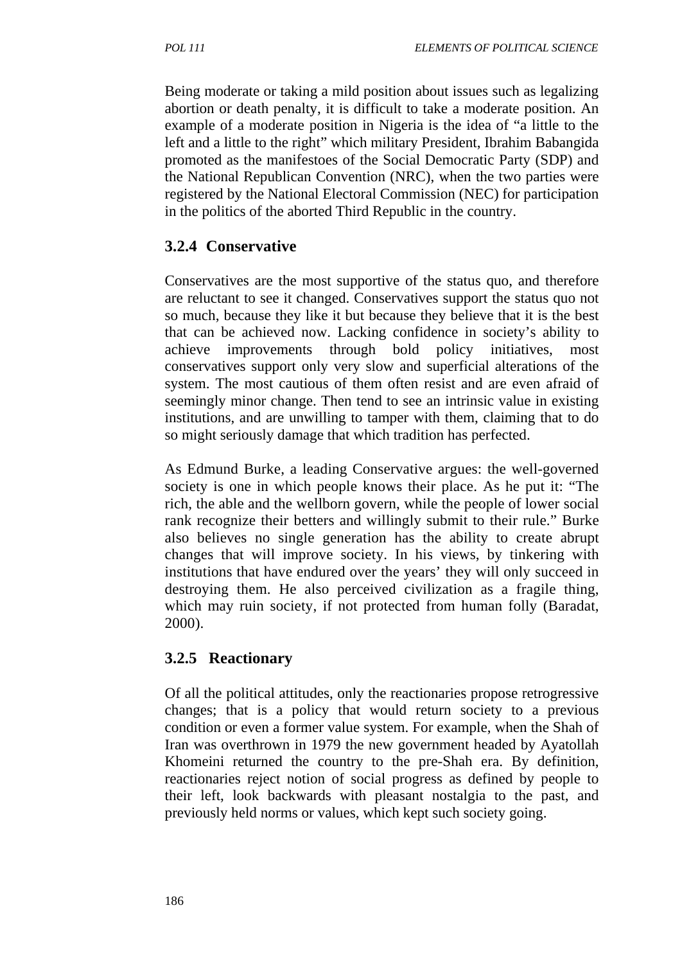Being moderate or taking a mild position about issues such as legalizing abortion or death penalty, it is difficult to take a moderate position. An example of a moderate position in Nigeria is the idea of "a little to the left and a little to the right" which military President, Ibrahim Babangida promoted as the manifestoes of the Social Democratic Party (SDP) and the National Republican Convention (NRC), when the two parties were registered by the National Electoral Commission (NEC) for participation in the politics of the aborted Third Republic in the country.

## **3.2.4 Conservative**

Conservatives are the most supportive of the status quo, and therefore are reluctant to see it changed. Conservatives support the status quo not so much, because they like it but because they believe that it is the best that can be achieved now. Lacking confidence in society's ability to achieve improvements through bold policy initiatives, most conservatives support only very slow and superficial alterations of the system. The most cautious of them often resist and are even afraid of seemingly minor change. Then tend to see an intrinsic value in existing institutions, and are unwilling to tamper with them, claiming that to do so might seriously damage that which tradition has perfected.

As Edmund Burke, a leading Conservative argues: the well-governed society is one in which people knows their place. As he put it: "The rich, the able and the wellborn govern, while the people of lower social rank recognize their betters and willingly submit to their rule." Burke also believes no single generation has the ability to create abrupt changes that will improve society. In his views, by tinkering with institutions that have endured over the years' they will only succeed in destroying them. He also perceived civilization as a fragile thing, which may ruin society, if not protected from human folly (Baradat, 2000).

## **3.2.5 Reactionary**

Of all the political attitudes, only the reactionaries propose retrogressive changes; that is a policy that would return society to a previous condition or even a former value system. For example, when the Shah of Iran was overthrown in 1979 the new government headed by Ayatollah Khomeini returned the country to the pre-Shah era. By definition, reactionaries reject notion of social progress as defined by people to their left, look backwards with pleasant nostalgia to the past, and previously held norms or values, which kept such society going.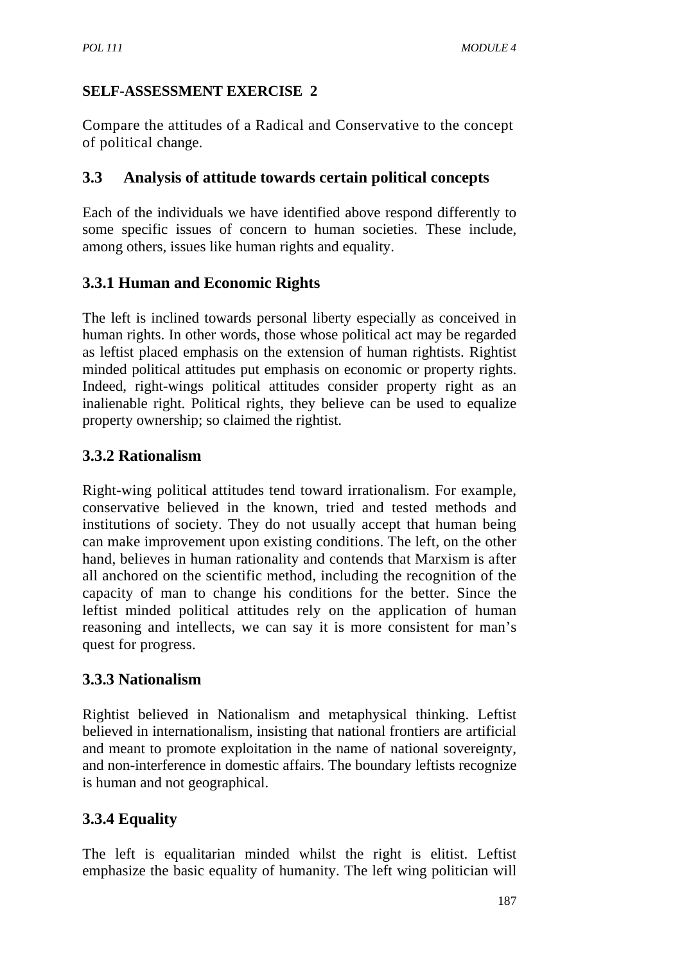#### **SELF-ASSESSMENT EXERCISE 2**

Compare the attitudes of a Radical and Conservative to the concept of political change.

## **3.3 Analysis of attitude towards certain political concepts**

Each of the individuals we have identified above respond differently to some specific issues of concern to human societies. These include, among others, issues like human rights and equality.

## **3.3.1 Human and Economic Rights**

The left is inclined towards personal liberty especially as conceived in human rights. In other words, those whose political act may be regarded as leftist placed emphasis on the extension of human rightists. Rightist minded political attitudes put emphasis on economic or property rights. Indeed, right-wings political attitudes consider property right as an inalienable right. Political rights, they believe can be used to equalize property ownership; so claimed the rightist.

## **3.3.2 Rationalism**

Right-wing political attitudes tend toward irrationalism. For example, conservative believed in the known, tried and tested methods and institutions of society. They do not usually accept that human being can make improvement upon existing conditions. The left, on the other hand, believes in human rationality and contends that Marxism is after all anchored on the scientific method, including the recognition of the capacity of man to change his conditions for the better. Since the leftist minded political attitudes rely on the application of human reasoning and intellects, we can say it is more consistent for man's quest for progress.

## **3.3.3 Nationalism**

Rightist believed in Nationalism and metaphysical thinking. Leftist believed in internationalism, insisting that national frontiers are artificial and meant to promote exploitation in the name of national sovereignty, and non-interference in domestic affairs. The boundary leftists recognize is human and not geographical.

# **3.3.4 Equality**

The left is equalitarian minded whilst the right is elitist. Leftist emphasize the basic equality of humanity. The left wing politician will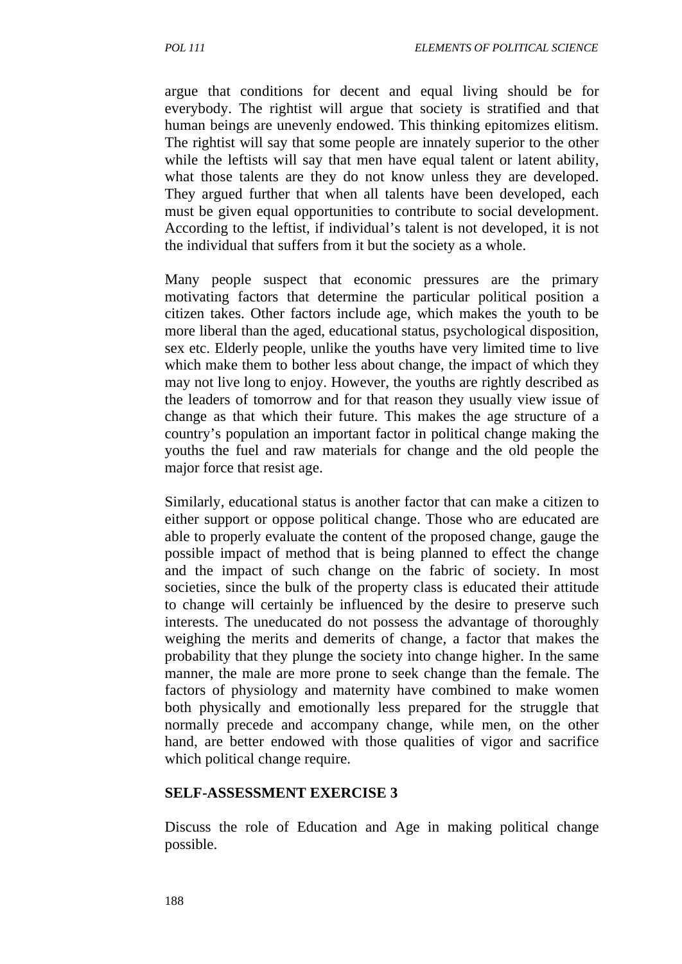argue that conditions for decent and equal living should be for everybody. The rightist will argue that society is stratified and that human beings are unevenly endowed. This thinking epitomizes elitism. The rightist will say that some people are innately superior to the other while the leftists will say that men have equal talent or latent ability, what those talents are they do not know unless they are developed. They argued further that when all talents have been developed, each must be given equal opportunities to contribute to social development. According to the leftist, if individual's talent is not developed, it is not the individual that suffers from it but the society as a whole.

Many people suspect that economic pressures are the primary motivating factors that determine the particular political position a citizen takes. Other factors include age, which makes the youth to be more liberal than the aged, educational status, psychological disposition, sex etc. Elderly people, unlike the youths have very limited time to live which make them to bother less about change, the impact of which they may not live long to enjoy. However, the youths are rightly described as the leaders of tomorrow and for that reason they usually view issue of change as that which their future. This makes the age structure of a country's population an important factor in political change making the youths the fuel and raw materials for change and the old people the major force that resist age.

Similarly, educational status is another factor that can make a citizen to either support or oppose political change. Those who are educated are able to properly evaluate the content of the proposed change, gauge the possible impact of method that is being planned to effect the change and the impact of such change on the fabric of society. In most societies, since the bulk of the property class is educated their attitude to change will certainly be influenced by the desire to preserve such interests. The uneducated do not possess the advantage of thoroughly weighing the merits and demerits of change, a factor that makes the probability that they plunge the society into change higher. In the same manner, the male are more prone to seek change than the female. The factors of physiology and maternity have combined to make women both physically and emotionally less prepared for the struggle that normally precede and accompany change, while men, on the other hand, are better endowed with those qualities of vigor and sacrifice which political change require.

#### **SELF-ASSESSMENT EXERCISE 3**

Discuss the role of Education and Age in making political change possible.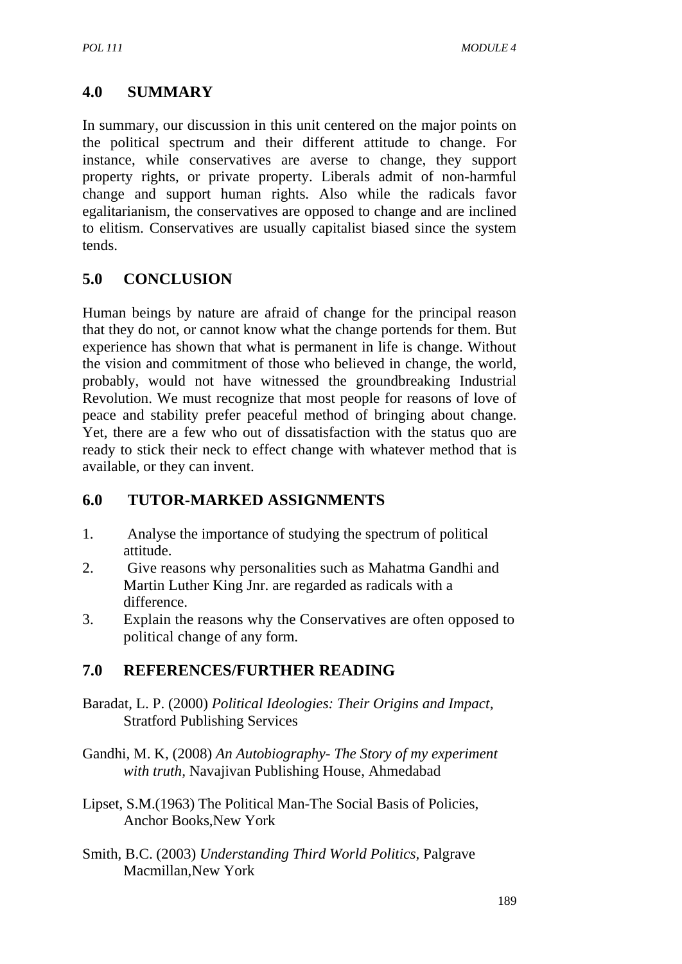## **4.0 SUMMARY**

In summary, our discussion in this unit centered on the major points on the political spectrum and their different attitude to change. For instance, while conservatives are averse to change, they support property rights, or private property. Liberals admit of non-harmful change and support human rights. Also while the radicals favor egalitarianism, the conservatives are opposed to change and are inclined to elitism. Conservatives are usually capitalist biased since the system tends.

## **5.0 CONCLUSION**

Human beings by nature are afraid of change for the principal reason that they do not, or cannot know what the change portends for them. But experience has shown that what is permanent in life is change. Without the vision and commitment of those who believed in change, the world, probably, would not have witnessed the groundbreaking Industrial Revolution. We must recognize that most people for reasons of love of peace and stability prefer peaceful method of bringing about change. Yet, there are a few who out of dissatisfaction with the status quo are ready to stick their neck to effect change with whatever method that is available, or they can invent.

## **6.0 TUTOR-MARKED ASSIGNMENTS**

- 1. Analyse the importance of studying the spectrum of political attitude.
- 2. Give reasons why personalities such as Mahatma Gandhi and Martin Luther King Jnr. are regarded as radicals with a difference.
- 3. Explain the reasons why the Conservatives are often opposed to political change of any form.

# **7.0 REFERENCES/FURTHER READING**

- Baradat, L. P. (2000) *Political Ideologies: Their Origins and Impact*, Stratford Publishing Services
- Gandhi, M. K, (2008) *An Autobiography- The Story of my experiment with truth,* Navajivan Publishing House, Ahmedabad
- Lipset, S.M.(1963) The Political Man-The Social Basis of Policies, Anchor Books,New York
- Smith, B.C. (2003) *Understanding Third World Politics,* Palgrave Macmillan,New York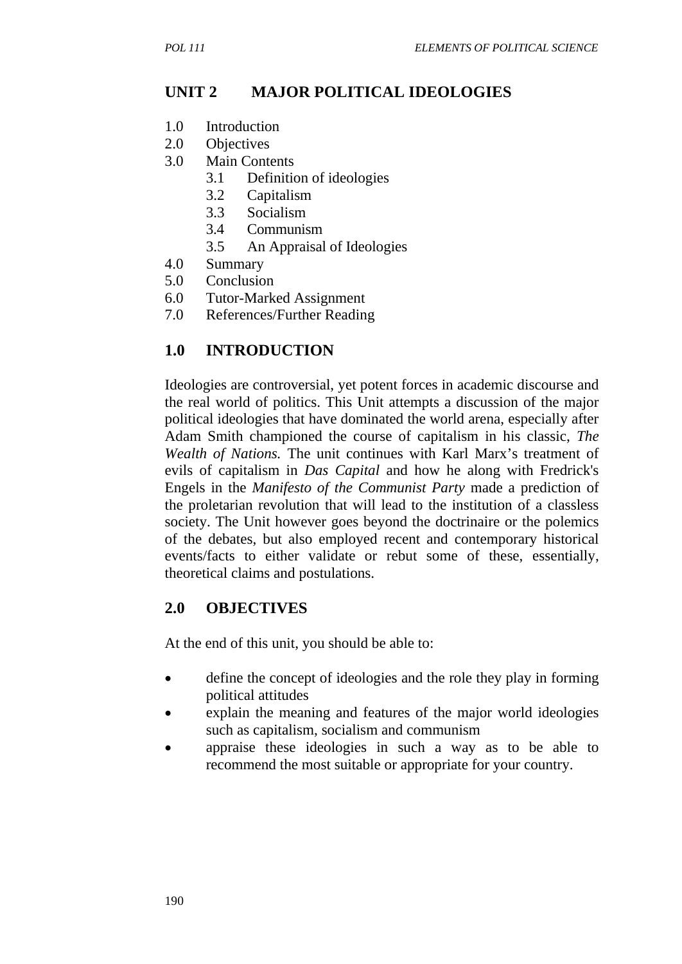## **UNIT 2 MAJOR POLITICAL IDEOLOGIES**

- 1.0 Introduction
- 2.0 Objectives
- 3.0 Main Contents
	- 3.1 Definition of ideologies
	- 3.2 Capitalism
	- 3.3 Socialism
	- 3.4 Communism
	- 3.5 An Appraisal of Ideologies
- 4.0 Summary
- 5.0 Conclusion
- 6.0 Tutor-Marked Assignment
- 7.0 References/Further Reading

#### **1.0 INTRODUCTION**

Ideologies are controversial, yet potent forces in academic discourse and the real world of politics. This Unit attempts a discussion of the major political ideologies that have dominated the world arena, especially after Adam Smith championed the course of capitalism in his classic, *The Wealth of Nations.* The unit continues with Karl Marx's treatment of evils of capitalism in *Das Capital* and how he along with Fredrick's Engels in the *Manifesto of the Communist Party* made a prediction of the proletarian revolution that will lead to the institution of a classless society. The Unit however goes beyond the doctrinaire or the polemics of the debates, but also employed recent and contemporary historical events/facts to either validate or rebut some of these, essentially, theoretical claims and postulations.

#### **2.0 OBJECTIVES**

At the end of this unit, you should be able to:

- define the concept of ideologies and the role they play in forming political attitudes
- explain the meaning and features of the major world ideologies such as capitalism, socialism and communism
- appraise these ideologies in such a way as to be able to recommend the most suitable or appropriate for your country.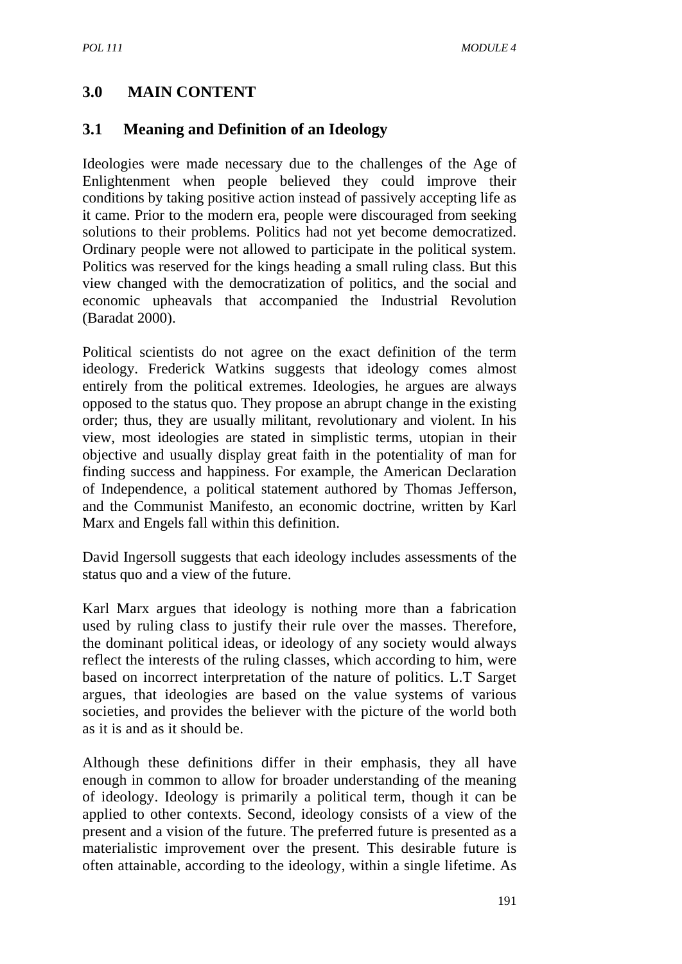## **3.0 MAIN CONTENT**

#### **3.1 Meaning and Definition of an Ideology**

Ideologies were made necessary due to the challenges of the Age of Enlightenment when people believed they could improve their conditions by taking positive action instead of passively accepting life as it came. Prior to the modern era, people were discouraged from seeking solutions to their problems. Politics had not yet become democratized. Ordinary people were not allowed to participate in the political system. Politics was reserved for the kings heading a small ruling class. But this view changed with the democratization of politics, and the social and economic upheavals that accompanied the Industrial Revolution (Baradat 2000).

Political scientists do not agree on the exact definition of the term ideology. Frederick Watkins suggests that ideology comes almost entirely from the political extremes. Ideologies, he argues are always opposed to the status quo. They propose an abrupt change in the existing order; thus, they are usually militant, revolutionary and violent. In his view, most ideologies are stated in simplistic terms, utopian in their objective and usually display great faith in the potentiality of man for finding success and happiness. For example, the American Declaration of Independence, a political statement authored by Thomas Jefferson, and the Communist Manifesto, an economic doctrine, written by Karl Marx and Engels fall within this definition.

David Ingersoll suggests that each ideology includes assessments of the status quo and a view of the future.

Karl Marx argues that ideology is nothing more than a fabrication used by ruling class to justify their rule over the masses. Therefore, the dominant political ideas, or ideology of any society would always reflect the interests of the ruling classes, which according to him, were based on incorrect interpretation of the nature of politics. L.T Sarget argues, that ideologies are based on the value systems of various societies, and provides the believer with the picture of the world both as it is and as it should be.

Although these definitions differ in their emphasis, they all have enough in common to allow for broader understanding of the meaning of ideology. Ideology is primarily a political term, though it can be applied to other contexts. Second, ideology consists of a view of the present and a vision of the future. The preferred future is presented as a materialistic improvement over the present. This desirable future is often attainable, according to the ideology, within a single lifetime. As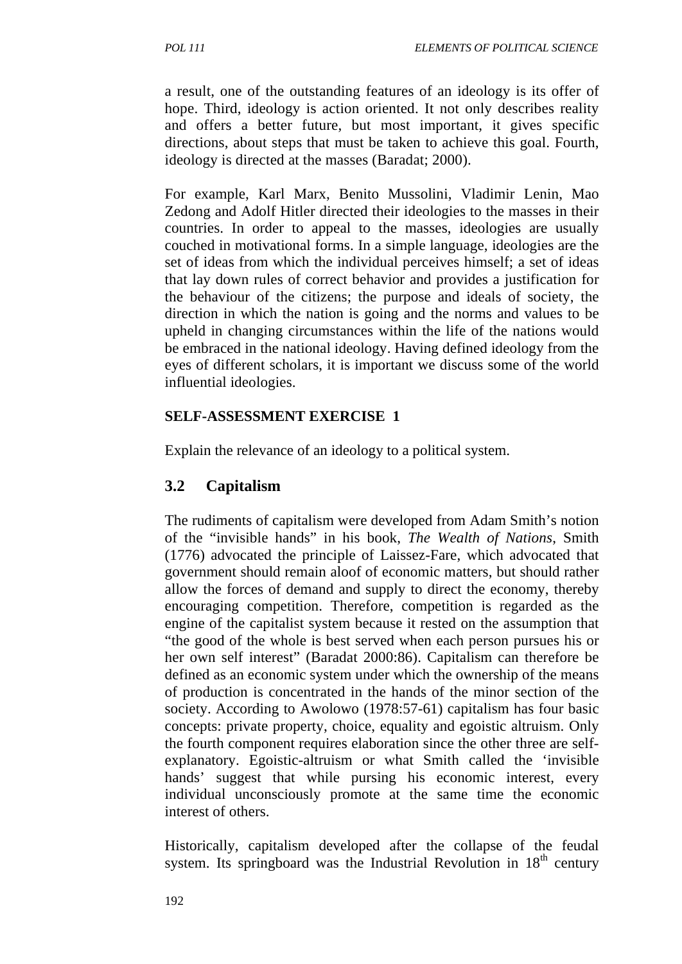a result, one of the outstanding features of an ideology is its offer of hope. Third, ideology is action oriented. It not only describes reality and offers a better future, but most important, it gives specific directions, about steps that must be taken to achieve this goal. Fourth, ideology is directed at the masses (Baradat; 2000).

For example, Karl Marx, Benito Mussolini, Vladimir Lenin, Mao Zedong and Adolf Hitler directed their ideologies to the masses in their countries. In order to appeal to the masses, ideologies are usually couched in motivational forms. In a simple language, ideologies are the set of ideas from which the individual perceives himself; a set of ideas that lay down rules of correct behavior and provides a justification for the behaviour of the citizens; the purpose and ideals of society, the direction in which the nation is going and the norms and values to be upheld in changing circumstances within the life of the nations would be embraced in the national ideology. Having defined ideology from the eyes of different scholars, it is important we discuss some of the world influential ideologies.

#### **SELF-ASSESSMENT EXERCISE 1**

Explain the relevance of an ideology to a political system.

## **3.2 Capitalism**

The rudiments of capitalism were developed from Adam Smith's notion of the "invisible hands" in his book, *The Wealth of Nations*, Smith (1776) advocated the principle of Laissez-Fare, which advocated that government should remain aloof of economic matters, but should rather allow the forces of demand and supply to direct the economy, thereby encouraging competition. Therefore, competition is regarded as the engine of the capitalist system because it rested on the assumption that "the good of the whole is best served when each person pursues his or her own self interest" (Baradat 2000:86). Capitalism can therefore be defined as an economic system under which the ownership of the means of production is concentrated in the hands of the minor section of the society. According to Awolowo (1978:57-61) capitalism has four basic concepts: private property, choice, equality and egoistic altruism. Only the fourth component requires elaboration since the other three are selfexplanatory. Egoistic-altruism or what Smith called the 'invisible hands' suggest that while pursing his economic interest, every individual unconsciously promote at the same time the economic interest of others.

Historically, capitalism developed after the collapse of the feudal system. Its springboard was the Industrial Revolution in  $18<sup>th</sup>$  century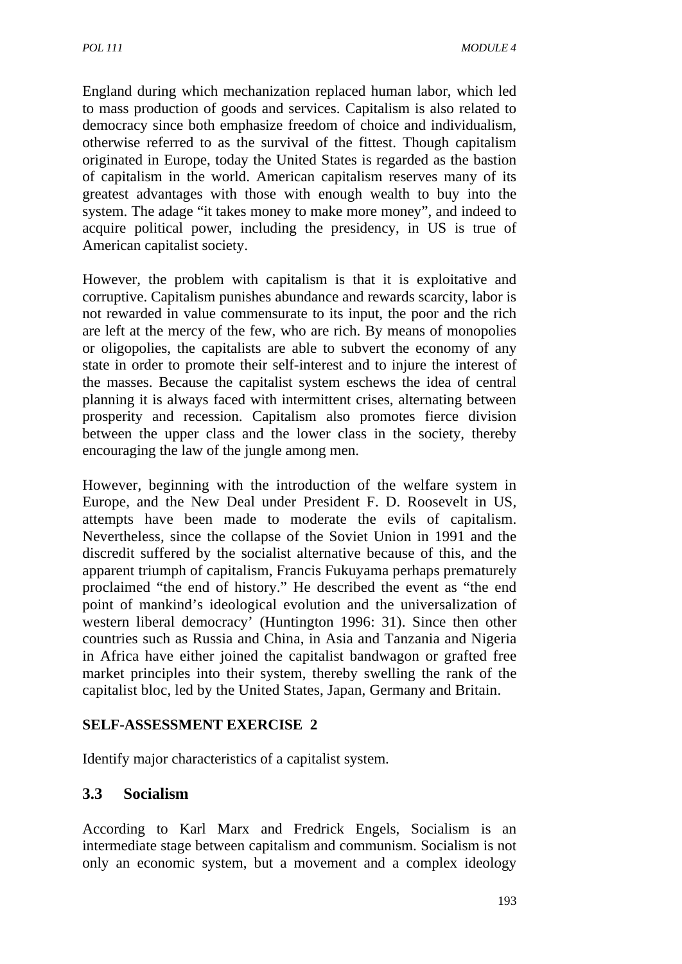England during which mechanization replaced human labor, which led to mass production of goods and services. Capitalism is also related to democracy since both emphasize freedom of choice and individualism, otherwise referred to as the survival of the fittest. Though capitalism originated in Europe, today the United States is regarded as the bastion of capitalism in the world. American capitalism reserves many of its greatest advantages with those with enough wealth to buy into the system. The adage "it takes money to make more money", and indeed to acquire political power, including the presidency, in US is true of American capitalist society.

However, the problem with capitalism is that it is exploitative and corruptive. Capitalism punishes abundance and rewards scarcity, labor is not rewarded in value commensurate to its input, the poor and the rich are left at the mercy of the few, who are rich. By means of monopolies or oligopolies, the capitalists are able to subvert the economy of any state in order to promote their self-interest and to injure the interest of the masses. Because the capitalist system eschews the idea of central planning it is always faced with intermittent crises, alternating between prosperity and recession. Capitalism also promotes fierce division between the upper class and the lower class in the society, thereby encouraging the law of the jungle among men.

However, beginning with the introduction of the welfare system in Europe, and the New Deal under President F. D. Roosevelt in US, attempts have been made to moderate the evils of capitalism. Nevertheless, since the collapse of the Soviet Union in 1991 and the discredit suffered by the socialist alternative because of this, and the apparent triumph of capitalism, Francis Fukuyama perhaps prematurely proclaimed "the end of history." He described the event as "the end point of mankind's ideological evolution and the universalization of western liberal democracy' (Huntington 1996: 31). Since then other countries such as Russia and China, in Asia and Tanzania and Nigeria in Africa have either joined the capitalist bandwagon or grafted free market principles into their system, thereby swelling the rank of the capitalist bloc, led by the United States, Japan, Germany and Britain.

#### **SELF-ASSESSMENT EXERCISE 2**

Identify major characteristics of a capitalist system.

#### **3.3 Socialism**

According to Karl Marx and Fredrick Engels, Socialism is an intermediate stage between capitalism and communism. Socialism is not only an economic system, but a movement and a complex ideology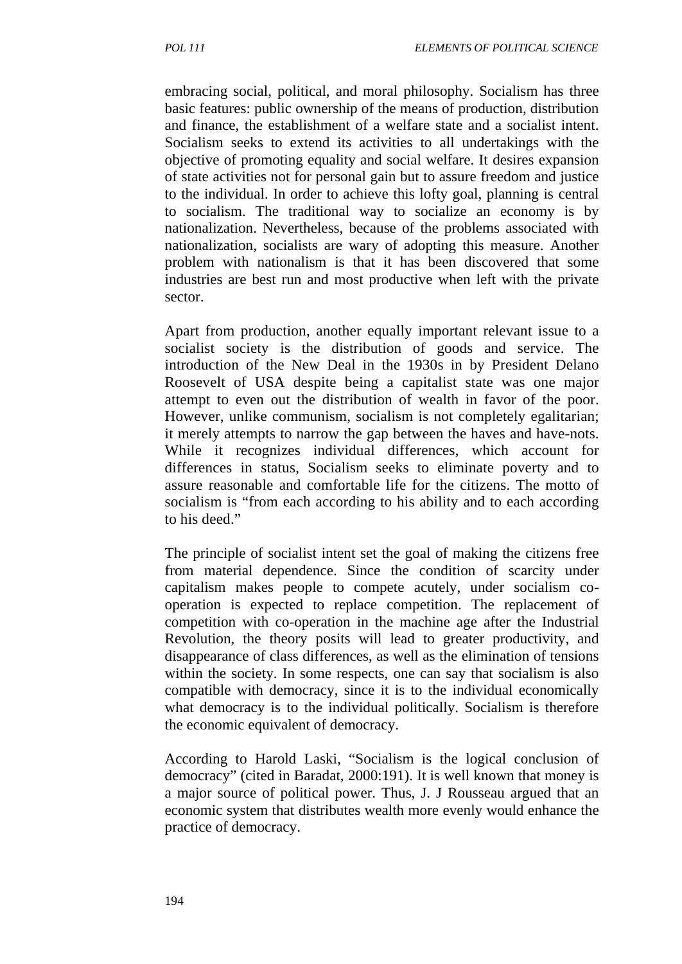embracing social, political, and moral philosophy. Socialism has three basic features: public ownership of the means of production, distribution and finance, the establishment of a welfare state and a socialist intent. Socialism seeks to extend its activities to all undertakings with the objective of promoting equality and social welfare. It desires expansion of state activities not for personal gain but to assure freedom and justice to the individual. In order to achieve this lofty goal, planning is central to socialism. The traditional way to socialize an economy is by nationalization. Nevertheless, because of the problems associated with nationalization, socialists are wary of adopting this measure. Another problem with nationalism is that it has been discovered that some industries are best run and most productive when left with the private sector.

Apart from production, another equally important relevant issue to a socialist society is the distribution of goods and service. The introduction of the New Deal in the 1930s in by President Delano Roosevelt of USA despite being a capitalist state was one major attempt to even out the distribution of wealth in favor of the poor. However, unlike communism, socialism is not completely egalitarian; it merely attempts to narrow the gap between the haves and have-nots. While it recognizes individual differences, which account for differences in status, Socialism seeks to eliminate poverty and to assure reasonable and comfortable life for the citizens. The motto of socialism is "from each according to his ability and to each according to his deed."

The principle of socialist intent set the goal of making the citizens free from material dependence. Since the condition of scarcity under capitalism makes people to compete acutely, under socialism cooperation is expected to replace competition. The replacement of competition with co-operation in the machine age after the Industrial Revolution, the theory posits will lead to greater productivity, and disappearance of class differences, as well as the elimination of tensions within the society. In some respects, one can say that socialism is also compatible with democracy, since it is to the individual economically what democracy is to the individual politically. Socialism is therefore the economic equivalent of democracy.

According to Harold Laski, "Socialism is the logical conclusion of democracy" (cited in Baradat, 2000:191). It is well known that money is a major source of political power. Thus, J. J Rousseau argued that an economic system that distributes wealth more evenly would enhance the practice of democracy.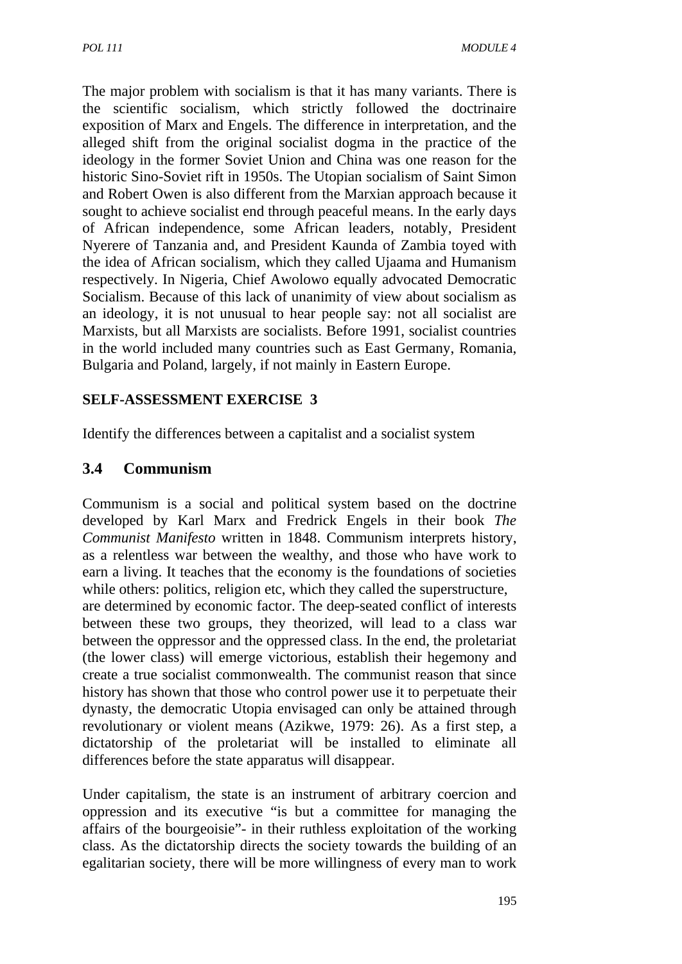The major problem with socialism is that it has many variants. There is the scientific socialism, which strictly followed the doctrinaire exposition of Marx and Engels. The difference in interpretation, and the alleged shift from the original socialist dogma in the practice of the ideology in the former Soviet Union and China was one reason for the historic Sino-Soviet rift in 1950s. The Utopian socialism of Saint Simon and Robert Owen is also different from the Marxian approach because it sought to achieve socialist end through peaceful means. In the early days of African independence, some African leaders, notably, President Nyerere of Tanzania and, and President Kaunda of Zambia toyed with the idea of African socialism, which they called Ujaama and Humanism respectively. In Nigeria, Chief Awolowo equally advocated Democratic Socialism. Because of this lack of unanimity of view about socialism as an ideology, it is not unusual to hear people say: not all socialist are Marxists, but all Marxists are socialists. Before 1991, socialist countries in the world included many countries such as East Germany, Romania, Bulgaria and Poland, largely, if not mainly in Eastern Europe.

#### **SELF-ASSESSMENT EXERCISE 3**

Identify the differences between a capitalist and a socialist system

## **3.4 Communism**

Communism is a social and political system based on the doctrine developed by Karl Marx and Fredrick Engels in their book *The Communist Manifesto* written in 1848. Communism interprets history, as a relentless war between the wealthy, and those who have work to earn a living. It teaches that the economy is the foundations of societies while others: politics, religion etc, which they called the superstructure, are determined by economic factor. The deep-seated conflict of interests between these two groups, they theorized, will lead to a class war between the oppressor and the oppressed class. In the end, the proletariat (the lower class) will emerge victorious, establish their hegemony and create a true socialist commonwealth. The communist reason that since history has shown that those who control power use it to perpetuate their dynasty, the democratic Utopia envisaged can only be attained through revolutionary or violent means (Azikwe, 1979: 26). As a first step, a dictatorship of the proletariat will be installed to eliminate all differences before the state apparatus will disappear.

Under capitalism, the state is an instrument of arbitrary coercion and oppression and its executive "is but a committee for managing the affairs of the bourgeoisie"- in their ruthless exploitation of the working class. As the dictatorship directs the society towards the building of an egalitarian society, there will be more willingness of every man to work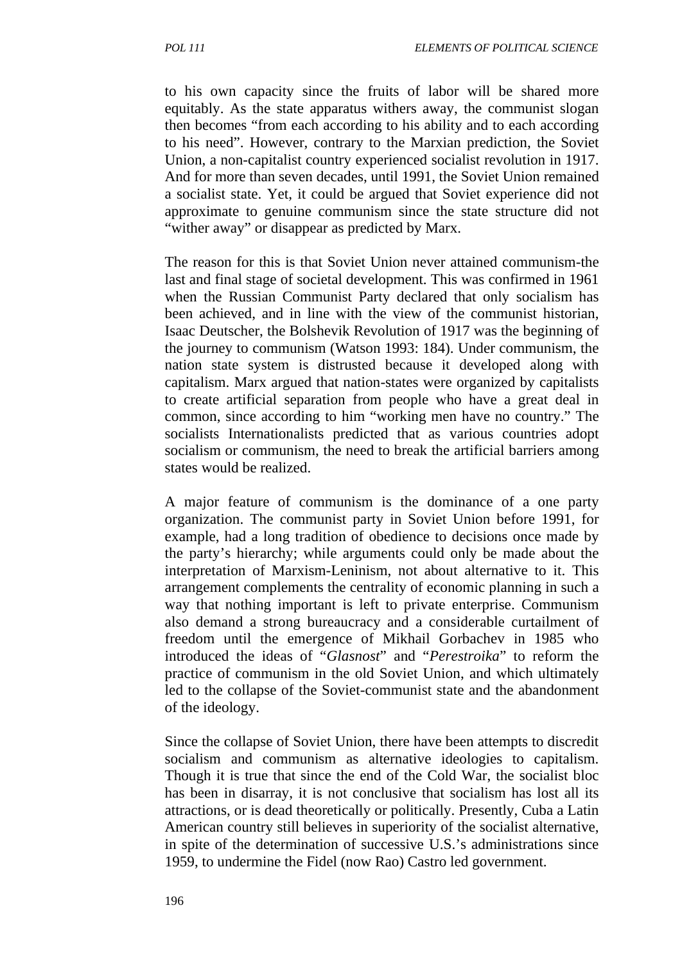to his own capacity since the fruits of labor will be shared more equitably. As the state apparatus withers away, the communist slogan then becomes "from each according to his ability and to each according to his need". However, contrary to the Marxian prediction, the Soviet Union, a non-capitalist country experienced socialist revolution in 1917. And for more than seven decades, until 1991, the Soviet Union remained a socialist state. Yet, it could be argued that Soviet experience did not approximate to genuine communism since the state structure did not "wither away" or disappear as predicted by Marx.

The reason for this is that Soviet Union never attained communism-the last and final stage of societal development. This was confirmed in 1961 when the Russian Communist Party declared that only socialism has been achieved, and in line with the view of the communist historian, Isaac Deutscher, the Bolshevik Revolution of 1917 was the beginning of the journey to communism (Watson 1993: 184). Under communism, the nation state system is distrusted because it developed along with capitalism. Marx argued that nation-states were organized by capitalists to create artificial separation from people who have a great deal in common, since according to him "working men have no country." The socialists Internationalists predicted that as various countries adopt socialism or communism, the need to break the artificial barriers among states would be realized.

A major feature of communism is the dominance of a one party organization. The communist party in Soviet Union before 1991, for example, had a long tradition of obedience to decisions once made by the party's hierarchy; while arguments could only be made about the interpretation of Marxism-Leninism, not about alternative to it. This arrangement complements the centrality of economic planning in such a way that nothing important is left to private enterprise. Communism also demand a strong bureaucracy and a considerable curtailment of freedom until the emergence of Mikhail Gorbachev in 1985 who introduced the ideas of "*Glasnost*" and "*Perestroika*" to reform the practice of communism in the old Soviet Union, and which ultimately led to the collapse of the Soviet-communist state and the abandonment of the ideology.

Since the collapse of Soviet Union, there have been attempts to discredit socialism and communism as alternative ideologies to capitalism. Though it is true that since the end of the Cold War, the socialist bloc has been in disarray, it is not conclusive that socialism has lost all its attractions, or is dead theoretically or politically. Presently, Cuba a Latin American country still believes in superiority of the socialist alternative, in spite of the determination of successive U.S.'s administrations since 1959, to undermine the Fidel (now Rao) Castro led government.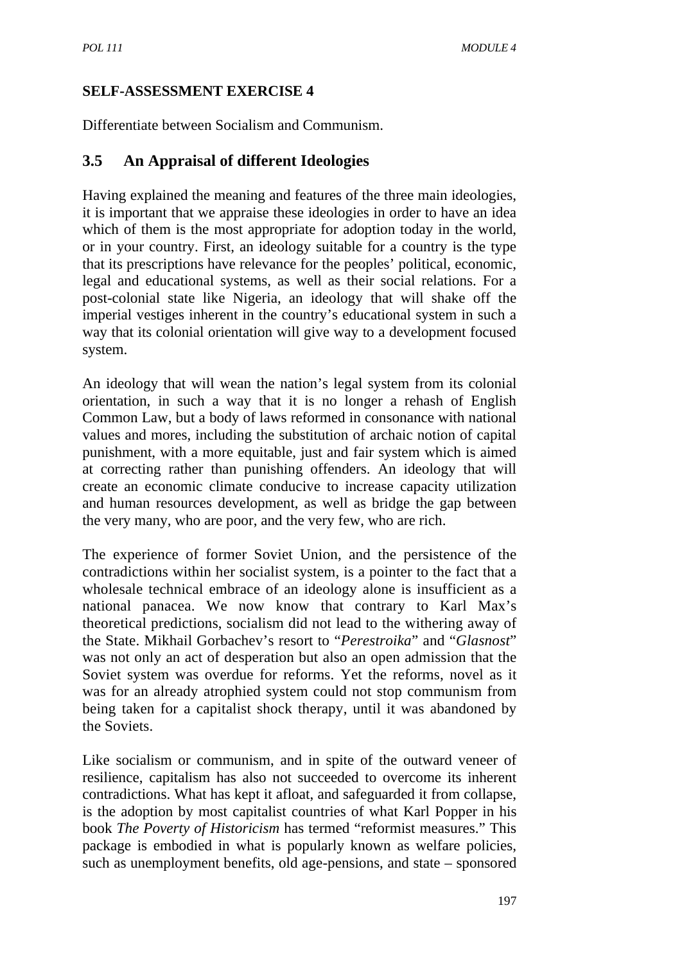#### **SELF-ASSESSMENT EXERCISE 4**

Differentiate between Socialism and Communism.

## **3.5 An Appraisal of different Ideologies**

Having explained the meaning and features of the three main ideologies, it is important that we appraise these ideologies in order to have an idea which of them is the most appropriate for adoption today in the world, or in your country. First, an ideology suitable for a country is the type that its prescriptions have relevance for the peoples' political, economic, legal and educational systems, as well as their social relations. For a post-colonial state like Nigeria, an ideology that will shake off the imperial vestiges inherent in the country's educational system in such a way that its colonial orientation will give way to a development focused system.

An ideology that will wean the nation's legal system from its colonial orientation, in such a way that it is no longer a rehash of English Common Law, but a body of laws reformed in consonance with national values and mores, including the substitution of archaic notion of capital punishment, with a more equitable, just and fair system which is aimed at correcting rather than punishing offenders. An ideology that will create an economic climate conducive to increase capacity utilization and human resources development, as well as bridge the gap between the very many, who are poor, and the very few, who are rich.

The experience of former Soviet Union, and the persistence of the contradictions within her socialist system, is a pointer to the fact that a wholesale technical embrace of an ideology alone is insufficient as a national panacea. We now know that contrary to Karl Max's theoretical predictions, socialism did not lead to the withering away of the State. Mikhail Gorbachev's resort to "*Perestroika*" and "*Glasnost*" was not only an act of desperation but also an open admission that the Soviet system was overdue for reforms. Yet the reforms, novel as it was for an already atrophied system could not stop communism from being taken for a capitalist shock therapy, until it was abandoned by the Soviets.

Like socialism or communism, and in spite of the outward veneer of resilience, capitalism has also not succeeded to overcome its inherent contradictions. What has kept it afloat, and safeguarded it from collapse, is the adoption by most capitalist countries of what Karl Popper in his book *The Poverty of Historicism* has termed "reformist measures." This package is embodied in what is popularly known as welfare policies, such as unemployment benefits, old age-pensions, and state – sponsored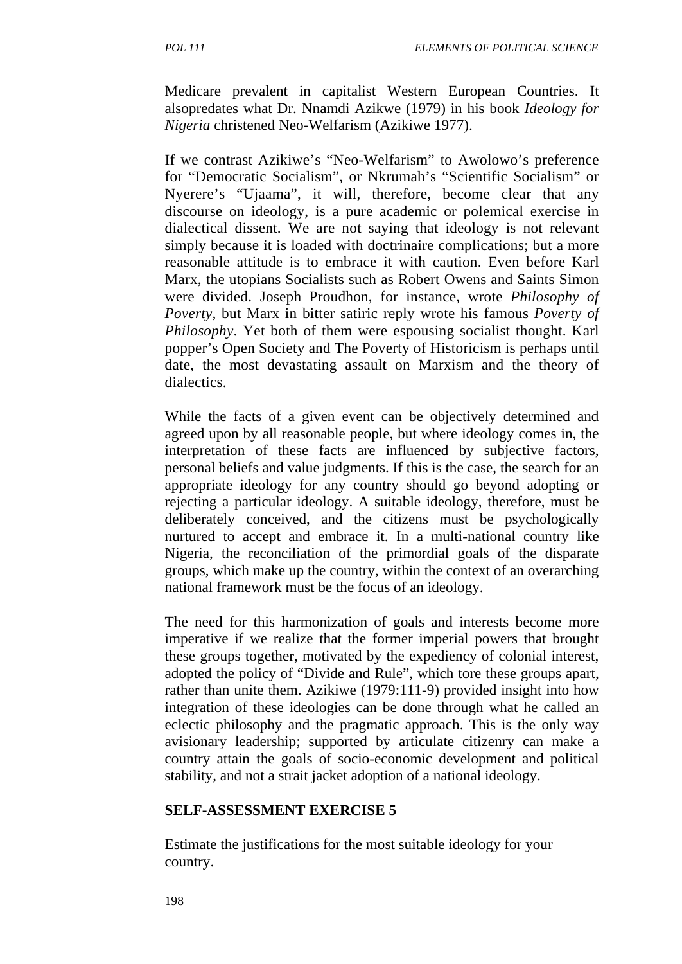Medicare prevalent in capitalist Western European Countries. It alsopredates what Dr. Nnamdi Azikwe (1979) in his book *Ideology for Nigeria* christened Neo-Welfarism (Azikiwe 1977).

If we contrast Azikiwe's "Neo-Welfarism" to Awolowo's preference for "Democratic Socialism", or Nkrumah's "Scientific Socialism" or Nyerere's "Ujaama", it will, therefore, become clear that any discourse on ideology, is a pure academic or polemical exercise in dialectical dissent. We are not saying that ideology is not relevant simply because it is loaded with doctrinaire complications; but a more reasonable attitude is to embrace it with caution. Even before Karl Marx, the utopians Socialists such as Robert Owens and Saints Simon were divided. Joseph Proudhon, for instance, wrote *Philosophy of Poverty,* but Marx in bitter satiric reply wrote his famous *Poverty of Philosophy*. Yet both of them were espousing socialist thought. Karl popper's Open Society and The Poverty of Historicism is perhaps until date, the most devastating assault on Marxism and the theory of dialectics.

While the facts of a given event can be objectively determined and agreed upon by all reasonable people, but where ideology comes in, the interpretation of these facts are influenced by subjective factors, personal beliefs and value judgments. If this is the case, the search for an appropriate ideology for any country should go beyond adopting or rejecting a particular ideology. A suitable ideology, therefore, must be deliberately conceived, and the citizens must be psychologically nurtured to accept and embrace it. In a multi-national country like Nigeria, the reconciliation of the primordial goals of the disparate groups, which make up the country, within the context of an overarching national framework must be the focus of an ideology.

The need for this harmonization of goals and interests become more imperative if we realize that the former imperial powers that brought these groups together, motivated by the expediency of colonial interest, adopted the policy of "Divide and Rule", which tore these groups apart, rather than unite them. Azikiwe (1979:111-9) provided insight into how integration of these ideologies can be done through what he called an eclectic philosophy and the pragmatic approach. This is the only way avisionary leadership; supported by articulate citizenry can make a country attain the goals of socio-economic development and political stability, and not a strait jacket adoption of a national ideology.

#### **SELF-ASSESSMENT EXERCISE 5**

Estimate the justifications for the most suitable ideology for your country.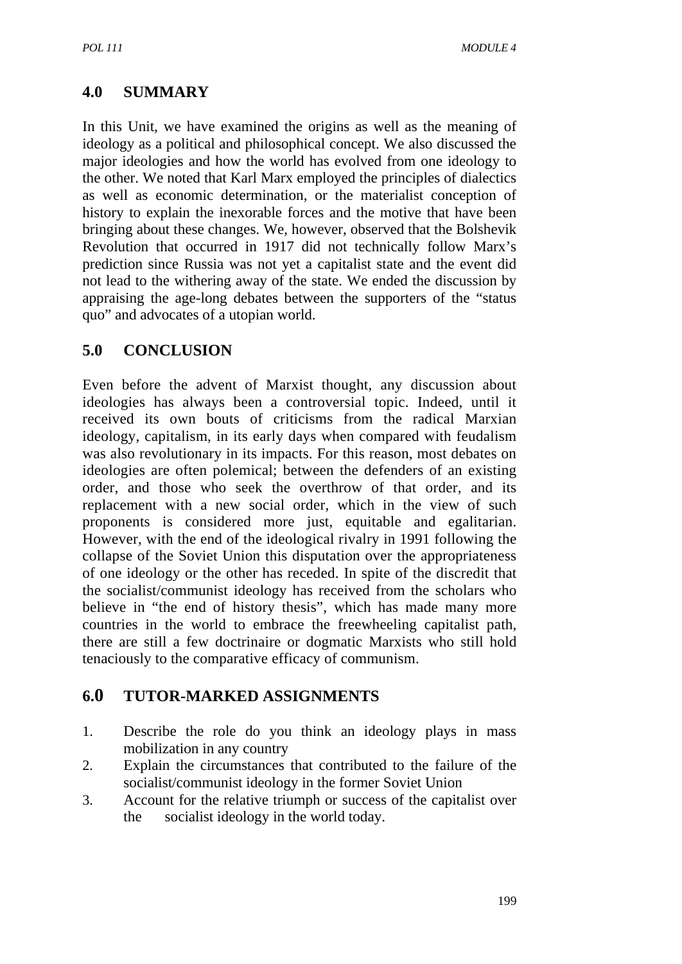## **4.0 SUMMARY**

In this Unit, we have examined the origins as well as the meaning of ideology as a political and philosophical concept. We also discussed the major ideologies and how the world has evolved from one ideology to the other. We noted that Karl Marx employed the principles of dialectics as well as economic determination, or the materialist conception of history to explain the inexorable forces and the motive that have been bringing about these changes. We, however, observed that the Bolshevik Revolution that occurred in 1917 did not technically follow Marx's prediction since Russia was not yet a capitalist state and the event did not lead to the withering away of the state. We ended the discussion by appraising the age-long debates between the supporters of the "status quo" and advocates of a utopian world.

## **5.0 CONCLUSION**

Even before the advent of Marxist thought, any discussion about ideologies has always been a controversial topic. Indeed, until it received its own bouts of criticisms from the radical Marxian ideology, capitalism, in its early days when compared with feudalism was also revolutionary in its impacts. For this reason, most debates on ideologies are often polemical; between the defenders of an existing order, and those who seek the overthrow of that order, and its replacement with a new social order, which in the view of such proponents is considered more just, equitable and egalitarian. However, with the end of the ideological rivalry in 1991 following the collapse of the Soviet Union this disputation over the appropriateness of one ideology or the other has receded. In spite of the discredit that the socialist/communist ideology has received from the scholars who believe in "the end of history thesis", which has made many more countries in the world to embrace the freewheeling capitalist path, there are still a few doctrinaire or dogmatic Marxists who still hold tenaciously to the comparative efficacy of communism.

#### **6.0 TUTOR-MARKED ASSIGNMENTS**

- 1. Describe the role do you think an ideology plays in mass mobilization in any country
- 2. Explain the circumstances that contributed to the failure of the socialist/communist ideology in the former Soviet Union
- 3. Account for the relative triumph or success of the capitalist over the socialist ideology in the world today.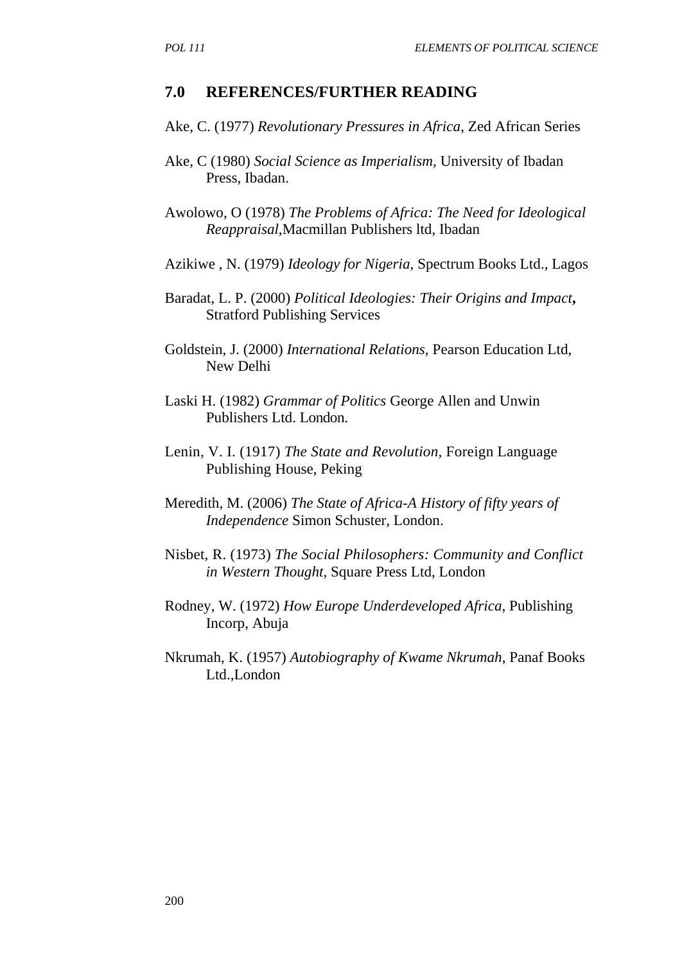#### **7.0 REFERENCES/FURTHER READING**

- Ake, C. (1977) *Revolutionary Pressures in Africa*, Zed African Series
- Ake, C (1980) *Social Science as Imperialism,* University of Ibadan Press, Ibadan.
- Awolowo, O (1978) *The Problems of Africa: The Need for Ideological Reappraisal,*Macmillan Publishers ltd, Ibadan
- Azikiwe , N. (1979) *Ideology for Nigeria,* Spectrum Books Ltd., Lagos
- Baradat, L. P. (2000) *Political Ideologies: Their Origins and Impact***,** Stratford Publishing Services
- Goldstein, J. (2000) *International Relations,* Pearson Education Ltd, New Delhi
- Laski H. (1982) *Grammar of Politics* George Allen and Unwin Publishers Ltd. London.
- Lenin, V. I. (1917) *The State and Revolution,* Foreign Language Publishing House, Peking
- Meredith, M. (2006) *The State of Africa-A History of fifty years of Independence* Simon Schuster, London.
- Nisbet, R. (1973) *The Social Philosophers: Community and Conflict in Western Thought,* Square Press Ltd, London
- Rodney, W. (1972) *How Europe Underdeveloped Africa,* Publishing Incorp, Abuja
- Nkrumah, K. (1957) *Autobiography of Kwame Nkrumah*, Panaf Books Ltd.,London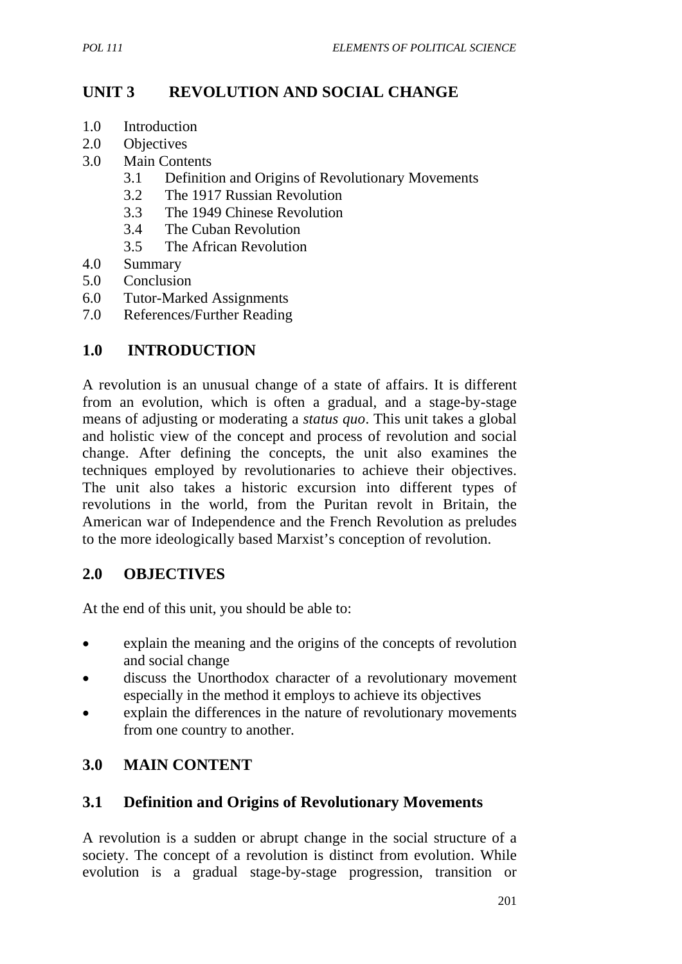## **UNIT 3 REVOLUTION AND SOCIAL CHANGE**

- 1.0 Introduction
- 2.0 Objectives
- 3.0 Main Contents
	- 3.1 Definition and Origins of Revolutionary Movements
	- 3.2 The 1917 Russian Revolution
	- 3.3 The 1949 Chinese Revolution
	- 3.4 The Cuban Revolution
	- 3.5 The African Revolution
- 4.0 Summary
- 5.0 Conclusion
- 6.0 Tutor-Marked Assignments
- 7.0 References/Further Reading

## **1.0 INTRODUCTION**

A revolution is an unusual change of a state of affairs. It is different from an evolution, which is often a gradual, and a stage-by-stage means of adjusting or moderating a *status quo*. This unit takes a global and holistic view of the concept and process of revolution and social change. After defining the concepts, the unit also examines the techniques employed by revolutionaries to achieve their objectives. The unit also takes a historic excursion into different types of revolutions in the world, from the Puritan revolt in Britain, the American war of Independence and the French Revolution as preludes to the more ideologically based Marxist's conception of revolution.

#### **2.0 OBJECTIVES**

At the end of this unit, you should be able to:

- explain the meaning and the origins of the concepts of revolution and social change
- discuss the Unorthodox character of a revolutionary movement especially in the method it employs to achieve its objectives
- explain the differences in the nature of revolutionary movements from one country to another.

#### **3.0 MAIN CONTENT**

#### **3.1 Definition and Origins of Revolutionary Movements**

A revolution is a sudden or abrupt change in the social structure of a society. The concept of a revolution is distinct from evolution. While evolution is a gradual stage-by-stage progression, transition or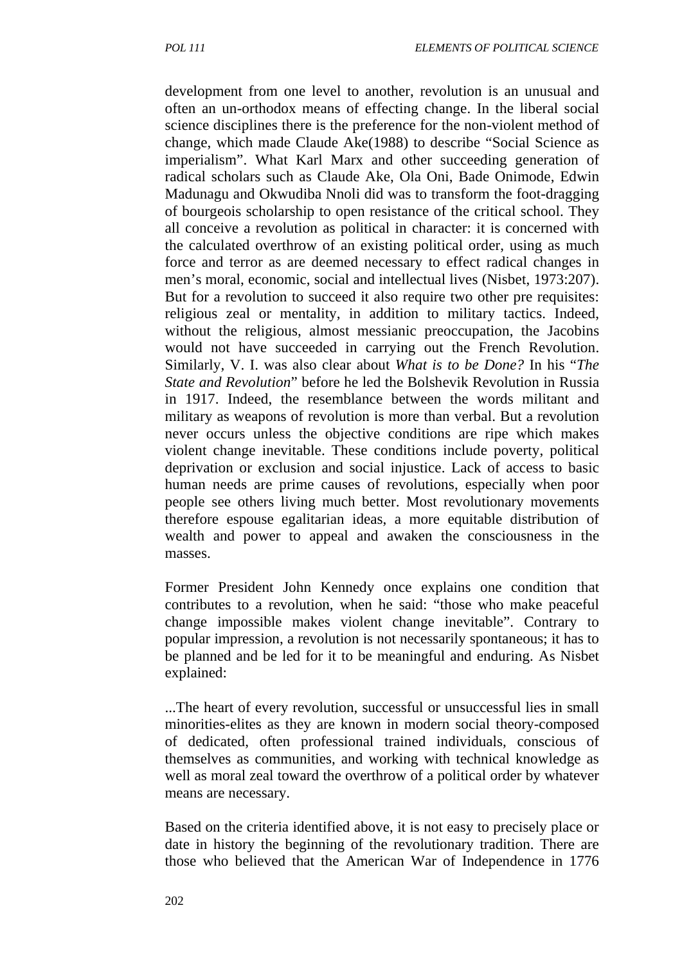development from one level to another, revolution is an unusual and often an un-orthodox means of effecting change. In the liberal social science disciplines there is the preference for the non-violent method of change, which made Claude Ake(1988) to describe "Social Science as imperialism". What Karl Marx and other succeeding generation of radical scholars such as Claude Ake, Ola Oni, Bade Onimode, Edwin Madunagu and Okwudiba Nnoli did was to transform the foot-dragging of bourgeois scholarship to open resistance of the critical school. They all conceive a revolution as political in character: it is concerned with the calculated overthrow of an existing political order, using as much force and terror as are deemed necessary to effect radical changes in men's moral, economic, social and intellectual lives (Nisbet, 1973:207). But for a revolution to succeed it also require two other pre requisites: religious zeal or mentality, in addition to military tactics. Indeed, without the religious, almost messianic preoccupation, the Jacobins would not have succeeded in carrying out the French Revolution. Similarly, V. I. was also clear about *What is to be Done?* In his "*The State and Revolution*" before he led the Bolshevik Revolution in Russia in 1917. Indeed, the resemblance between the words militant and military as weapons of revolution is more than verbal. But a revolution never occurs unless the objective conditions are ripe which makes violent change inevitable. These conditions include poverty, political deprivation or exclusion and social injustice. Lack of access to basic human needs are prime causes of revolutions, especially when poor people see others living much better. Most revolutionary movements therefore espouse egalitarian ideas, a more equitable distribution of wealth and power to appeal and awaken the consciousness in the masses.

Former President John Kennedy once explains one condition that contributes to a revolution, when he said: "those who make peaceful change impossible makes violent change inevitable". Contrary to popular impression, a revolution is not necessarily spontaneous; it has to be planned and be led for it to be meaningful and enduring. As Nisbet explained:

...The heart of every revolution, successful or unsuccessful lies in small minorities-elites as they are known in modern social theory-composed of dedicated, often professional trained individuals, conscious of themselves as communities, and working with technical knowledge as well as moral zeal toward the overthrow of a political order by whatever means are necessary.

Based on the criteria identified above, it is not easy to precisely place or date in history the beginning of the revolutionary tradition. There are those who believed that the American War of Independence in 1776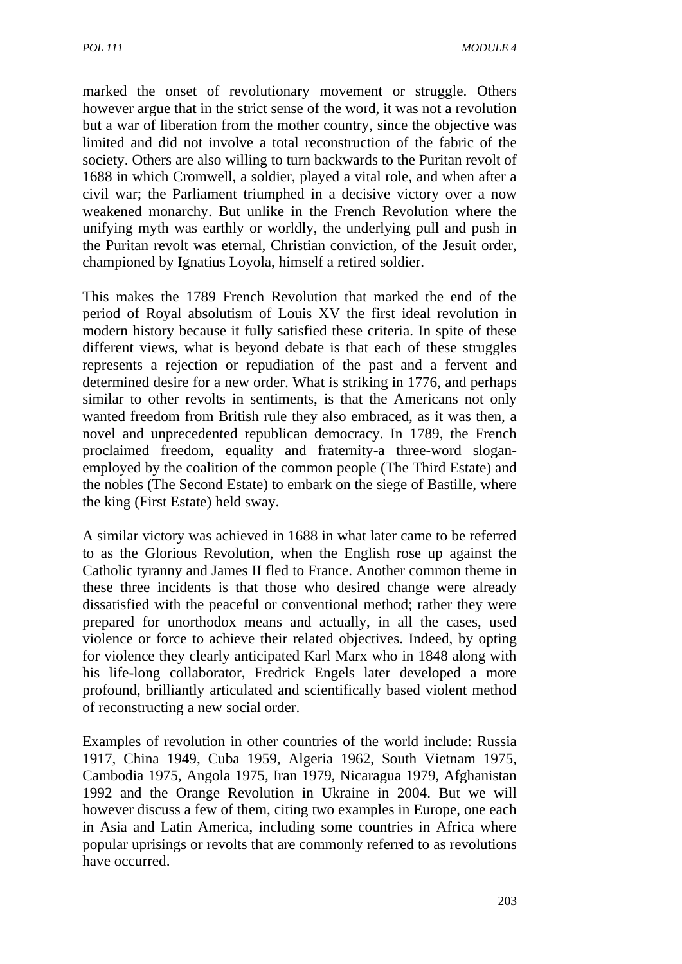marked the onset of revolutionary movement or struggle. Others however argue that in the strict sense of the word, it was not a revolution but a war of liberation from the mother country, since the objective was limited and did not involve a total reconstruction of the fabric of the society. Others are also willing to turn backwards to the Puritan revolt of 1688 in which Cromwell, a soldier, played a vital role, and when after a civil war; the Parliament triumphed in a decisive victory over a now weakened monarchy. But unlike in the French Revolution where the unifying myth was earthly or worldly, the underlying pull and push in the Puritan revolt was eternal, Christian conviction, of the Jesuit order, championed by Ignatius Loyola, himself a retired soldier.

This makes the 1789 French Revolution that marked the end of the period of Royal absolutism of Louis XV the first ideal revolution in modern history because it fully satisfied these criteria. In spite of these different views, what is beyond debate is that each of these struggles represents a rejection or repudiation of the past and a fervent and determined desire for a new order. What is striking in 1776, and perhaps similar to other revolts in sentiments, is that the Americans not only wanted freedom from British rule they also embraced, as it was then, a novel and unprecedented republican democracy. In 1789, the French proclaimed freedom, equality and fraternity-a three-word sloganemployed by the coalition of the common people (The Third Estate) and the nobles (The Second Estate) to embark on the siege of Bastille, where the king (First Estate) held sway.

A similar victory was achieved in 1688 in what later came to be referred to as the Glorious Revolution, when the English rose up against the Catholic tyranny and James II fled to France. Another common theme in these three incidents is that those who desired change were already dissatisfied with the peaceful or conventional method; rather they were prepared for unorthodox means and actually, in all the cases, used violence or force to achieve their related objectives. Indeed, by opting for violence they clearly anticipated Karl Marx who in 1848 along with his life-long collaborator, Fredrick Engels later developed a more profound, brilliantly articulated and scientifically based violent method of reconstructing a new social order.

Examples of revolution in other countries of the world include: Russia 1917, China 1949, Cuba 1959, Algeria 1962, South Vietnam 1975, Cambodia 1975, Angola 1975, Iran 1979, Nicaragua 1979, Afghanistan 1992 and the Orange Revolution in Ukraine in 2004. But we will however discuss a few of them, citing two examples in Europe, one each in Asia and Latin America, including some countries in Africa where popular uprisings or revolts that are commonly referred to as revolutions have occurred.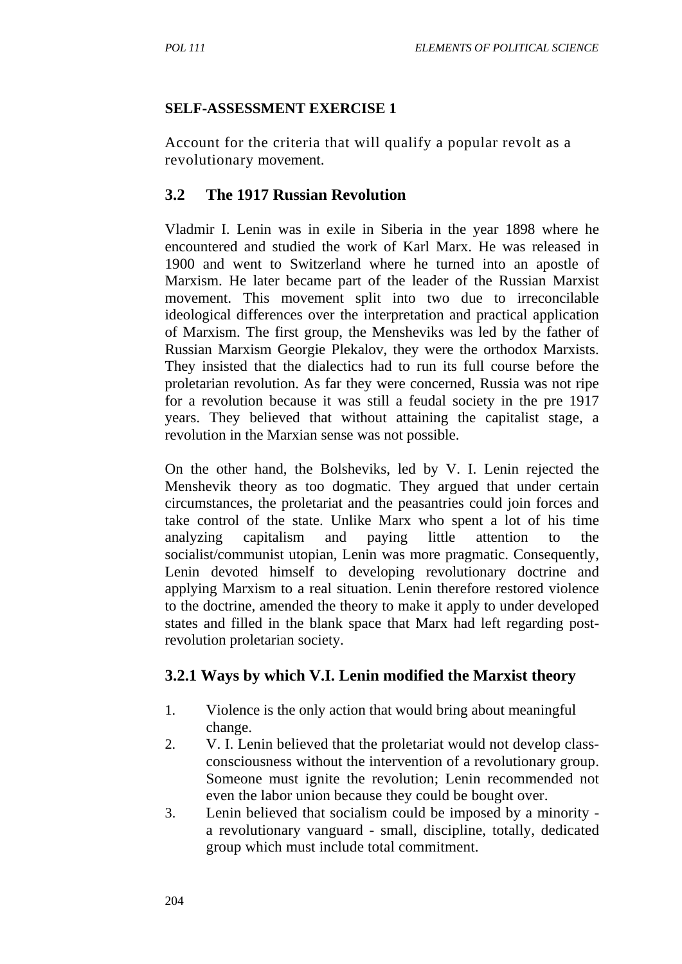#### **SELF-ASSESSMENT EXERCISE 1**

Account for the criteria that will qualify a popular revolt as a revolutionary movement.

### **3.2 The 1917 Russian Revolution**

Vladmir I. Lenin was in exile in Siberia in the year 1898 where he encountered and studied the work of Karl Marx. He was released in 1900 and went to Switzerland where he turned into an apostle of Marxism. He later became part of the leader of the Russian Marxist movement. This movement split into two due to irreconcilable ideological differences over the interpretation and practical application of Marxism. The first group, the Mensheviks was led by the father of Russian Marxism Georgie Plekalov, they were the orthodox Marxists. They insisted that the dialectics had to run its full course before the proletarian revolution. As far they were concerned, Russia was not ripe for a revolution because it was still a feudal society in the pre 1917 years. They believed that without attaining the capitalist stage, a revolution in the Marxian sense was not possible.

On the other hand, the Bolsheviks, led by V. I. Lenin rejected the Menshevik theory as too dogmatic. They argued that under certain circumstances, the proletariat and the peasantries could join forces and take control of the state. Unlike Marx who spent a lot of his time analyzing capitalism and paying little attention to the socialist/communist utopian, Lenin was more pragmatic. Consequently, Lenin devoted himself to developing revolutionary doctrine and applying Marxism to a real situation. Lenin therefore restored violence to the doctrine, amended the theory to make it apply to under developed states and filled in the blank space that Marx had left regarding postrevolution proletarian society.

### **3.2.1 Ways by which V.I. Lenin modified the Marxist theory**

- 1. Violence is the only action that would bring about meaningful change.
- 2. V. I. Lenin believed that the proletariat would not develop classconsciousness without the intervention of a revolutionary group. Someone must ignite the revolution; Lenin recommended not even the labor union because they could be bought over.
- 3. Lenin believed that socialism could be imposed by a minority a revolutionary vanguard - small, discipline, totally, dedicated group which must include total commitment.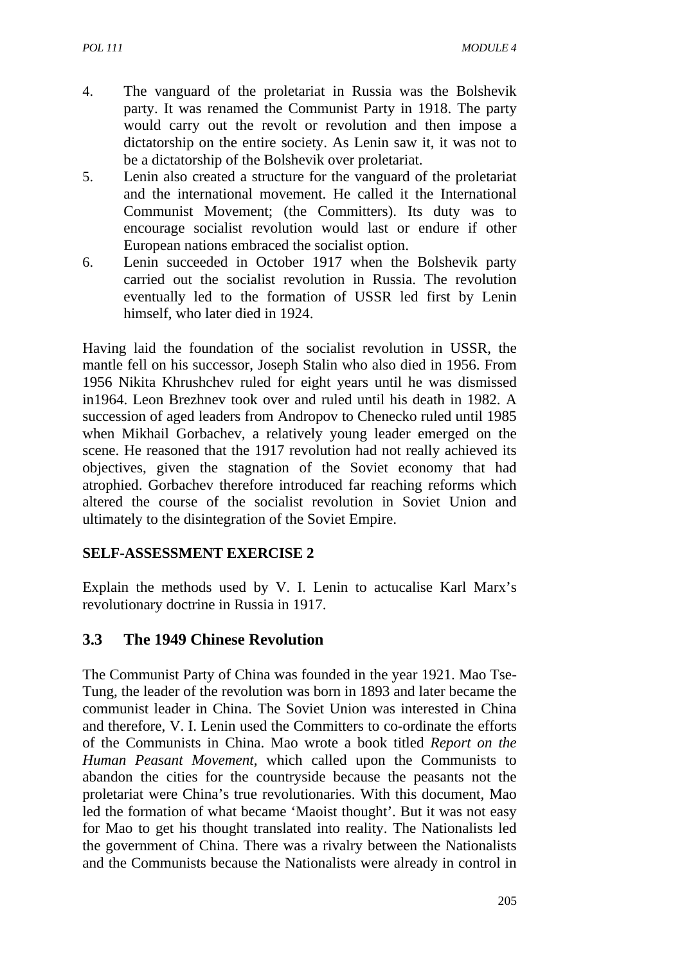- 4. The vanguard of the proletariat in Russia was the Bolshevik party. It was renamed the Communist Party in 1918. The party would carry out the revolt or revolution and then impose a dictatorship on the entire society. As Lenin saw it, it was not to be a dictatorship of the Bolshevik over proletariat.
- 5. Lenin also created a structure for the vanguard of the proletariat and the international movement. He called it the International Communist Movement; (the Committers). Its duty was to encourage socialist revolution would last or endure if other European nations embraced the socialist option.
- 6. Lenin succeeded in October 1917 when the Bolshevik party carried out the socialist revolution in Russia. The revolution eventually led to the formation of USSR led first by Lenin himself, who later died in 1924.

Having laid the foundation of the socialist revolution in USSR, the mantle fell on his successor, Joseph Stalin who also died in 1956. From 1956 Nikita Khrushchev ruled for eight years until he was dismissed in1964. Leon Brezhnev took over and ruled until his death in 1982. A succession of aged leaders from Andropov to Chenecko ruled until 1985 when Mikhail Gorbachev, a relatively young leader emerged on the scene. He reasoned that the 1917 revolution had not really achieved its objectives, given the stagnation of the Soviet economy that had atrophied. Gorbachev therefore introduced far reaching reforms which altered the course of the socialist revolution in Soviet Union and ultimately to the disintegration of the Soviet Empire.

### **SELF-ASSESSMENT EXERCISE 2**

Explain the methods used by V. I. Lenin to actucalise Karl Marx's revolutionary doctrine in Russia in 1917.

### **3.3 The 1949 Chinese Revolution**

The Communist Party of China was founded in the year 1921. Mao Tse-Tung, the leader of the revolution was born in 1893 and later became the communist leader in China. The Soviet Union was interested in China and therefore, V. I. Lenin used the Committers to co-ordinate the efforts of the Communists in China. Mao wrote a book titled *Report on the Human Peasant Movement,* which called upon the Communists to abandon the cities for the countryside because the peasants not the proletariat were China's true revolutionaries. With this document, Mao led the formation of what became 'Maoist thought'. But it was not easy for Mao to get his thought translated into reality. The Nationalists led the government of China. There was a rivalry between the Nationalists and the Communists because the Nationalists were already in control in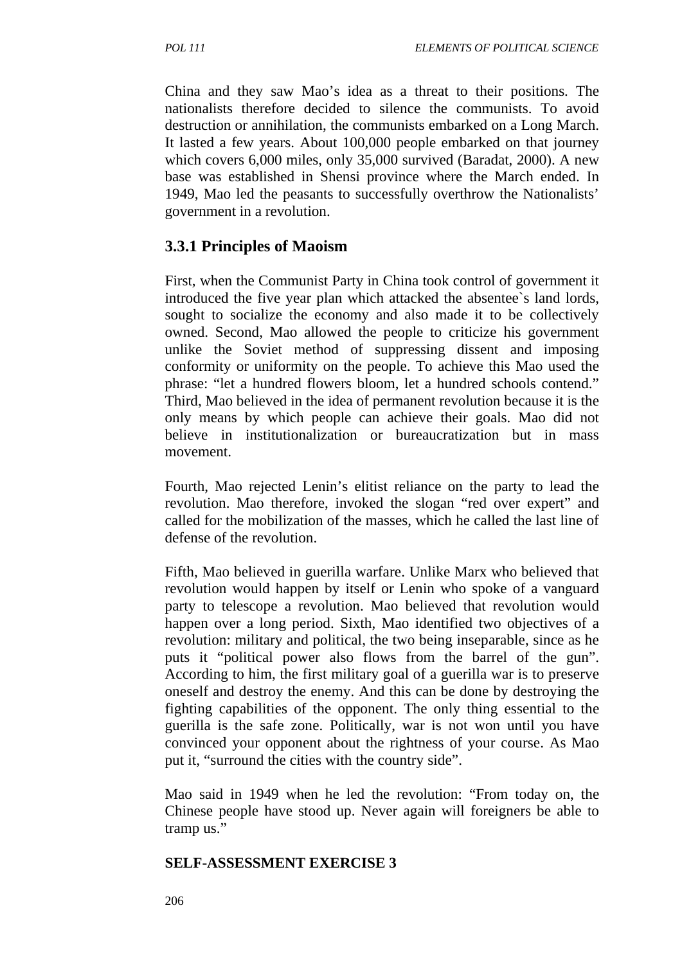China and they saw Mao's idea as a threat to their positions. The nationalists therefore decided to silence the communists. To avoid destruction or annihilation, the communists embarked on a Long March. It lasted a few years. About 100,000 people embarked on that journey which covers 6,000 miles, only 35,000 survived (Baradat, 2000). A new base was established in Shensi province where the March ended. In 1949, Mao led the peasants to successfully overthrow the Nationalists' government in a revolution.

# **3.3.1 Principles of Maoism**

First, when the Communist Party in China took control of government it introduced the five year plan which attacked the absentee`s land lords, sought to socialize the economy and also made it to be collectively owned. Second, Mao allowed the people to criticize his government unlike the Soviet method of suppressing dissent and imposing conformity or uniformity on the people. To achieve this Mao used the phrase: "let a hundred flowers bloom, let a hundred schools contend." Third, Mao believed in the idea of permanent revolution because it is the only means by which people can achieve their goals. Mao did not believe in institutionalization or bureaucratization but in mass movement.

Fourth, Mao rejected Lenin's elitist reliance on the party to lead the revolution. Mao therefore, invoked the slogan "red over expert" and called for the mobilization of the masses, which he called the last line of defense of the revolution.

Fifth, Mao believed in guerilla warfare. Unlike Marx who believed that revolution would happen by itself or Lenin who spoke of a vanguard party to telescope a revolution. Mao believed that revolution would happen over a long period. Sixth, Mao identified two objectives of a revolution: military and political, the two being inseparable, since as he puts it "political power also flows from the barrel of the gun". According to him, the first military goal of a guerilla war is to preserve oneself and destroy the enemy. And this can be done by destroying the fighting capabilities of the opponent. The only thing essential to the guerilla is the safe zone. Politically, war is not won until you have convinced your opponent about the rightness of your course. As Mao put it, "surround the cities with the country side".

Mao said in 1949 when he led the revolution: "From today on, the Chinese people have stood up. Never again will foreigners be able to tramp us."

#### **SELF-ASSESSMENT EXERCISE 3**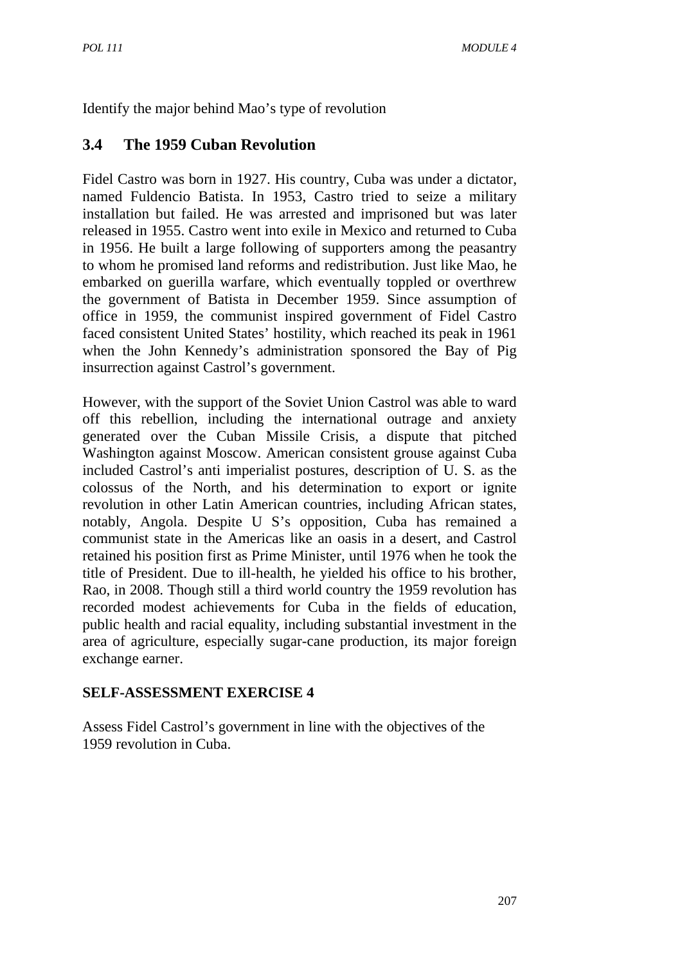Identify the major behind Mao's type of revolution

### **3.4 The 1959 Cuban Revolution**

Fidel Castro was born in 1927. His country, Cuba was under a dictator, named Fuldencio Batista. In 1953, Castro tried to seize a military installation but failed. He was arrested and imprisoned but was later released in 1955. Castro went into exile in Mexico and returned to Cuba in 1956. He built a large following of supporters among the peasantry to whom he promised land reforms and redistribution. Just like Mao, he embarked on guerilla warfare, which eventually toppled or overthrew the government of Batista in December 1959. Since assumption of office in 1959, the communist inspired government of Fidel Castro faced consistent United States' hostility, which reached its peak in 1961 when the John Kennedy's administration sponsored the Bay of Pig insurrection against Castrol's government.

However, with the support of the Soviet Union Castrol was able to ward off this rebellion, including the international outrage and anxiety generated over the Cuban Missile Crisis, a dispute that pitched Washington against Moscow. American consistent grouse against Cuba included Castrol's anti imperialist postures, description of U. S. as the colossus of the North, and his determination to export or ignite revolution in other Latin American countries, including African states, notably, Angola. Despite U S's opposition, Cuba has remained a communist state in the Americas like an oasis in a desert, and Castrol retained his position first as Prime Minister, until 1976 when he took the title of President. Due to ill-health, he yielded his office to his brother, Rao, in 2008. Though still a third world country the 1959 revolution has recorded modest achievements for Cuba in the fields of education, public health and racial equality, including substantial investment in the area of agriculture, especially sugar-cane production, its major foreign exchange earner.

#### **SELF-ASSESSMENT EXERCISE 4**

Assess Fidel Castrol's government in line with the objectives of the 1959 revolution in Cuba.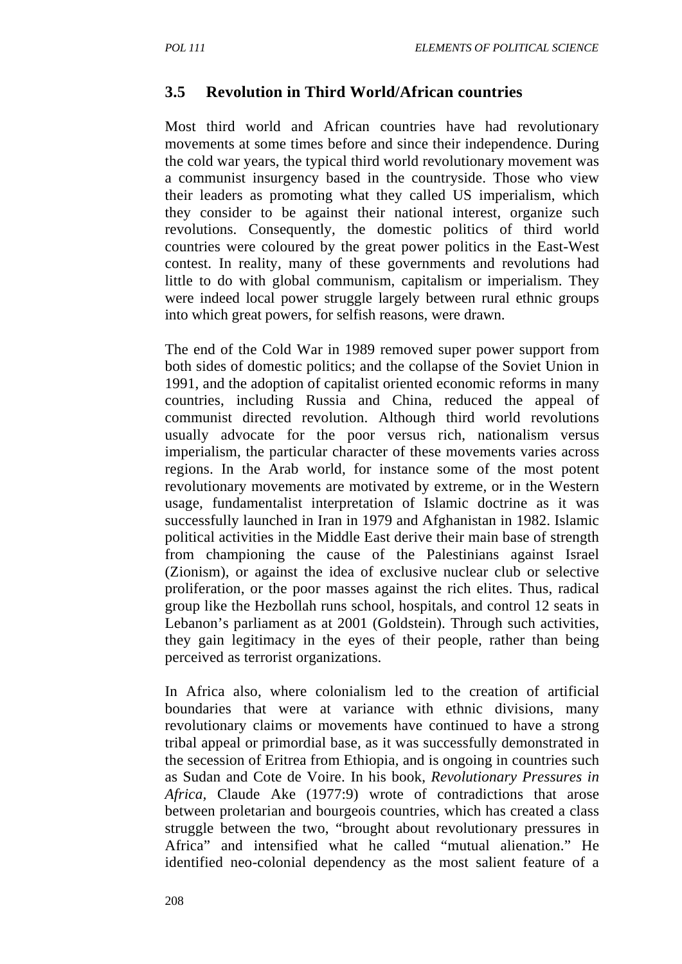### **3.5 Revolution in Third World/African countries**

Most third world and African countries have had revolutionary movements at some times before and since their independence. During the cold war years, the typical third world revolutionary movement was a communist insurgency based in the countryside. Those who view their leaders as promoting what they called US imperialism, which they consider to be against their national interest, organize such revolutions. Consequently, the domestic politics of third world countries were coloured by the great power politics in the East-West contest. In reality, many of these governments and revolutions had little to do with global communism, capitalism or imperialism. They were indeed local power struggle largely between rural ethnic groups into which great powers, for selfish reasons, were drawn.

The end of the Cold War in 1989 removed super power support from both sides of domestic politics; and the collapse of the Soviet Union in 1991, and the adoption of capitalist oriented economic reforms in many countries, including Russia and China, reduced the appeal of communist directed revolution. Although third world revolutions usually advocate for the poor versus rich, nationalism versus imperialism, the particular character of these movements varies across regions. In the Arab world, for instance some of the most potent revolutionary movements are motivated by extreme, or in the Western usage, fundamentalist interpretation of Islamic doctrine as it was successfully launched in Iran in 1979 and Afghanistan in 1982. Islamic political activities in the Middle East derive their main base of strength from championing the cause of the Palestinians against Israel (Zionism), or against the idea of exclusive nuclear club or selective proliferation, or the poor masses against the rich elites. Thus, radical group like the Hezbollah runs school, hospitals, and control 12 seats in Lebanon's parliament as at 2001 (Goldstein). Through such activities, they gain legitimacy in the eyes of their people, rather than being perceived as terrorist organizations.

In Africa also, where colonialism led to the creation of artificial boundaries that were at variance with ethnic divisions, many revolutionary claims or movements have continued to have a strong tribal appeal or primordial base, as it was successfully demonstrated in the secession of Eritrea from Ethiopia, and is ongoing in countries such as Sudan and Cote de Voire. In his book, *Revolutionary Pressures in Africa,* Claude Ake (1977:9) wrote of contradictions that arose between proletarian and bourgeois countries, which has created a class struggle between the two, "brought about revolutionary pressures in Africa" and intensified what he called "mutual alienation." He identified neo-colonial dependency as the most salient feature of a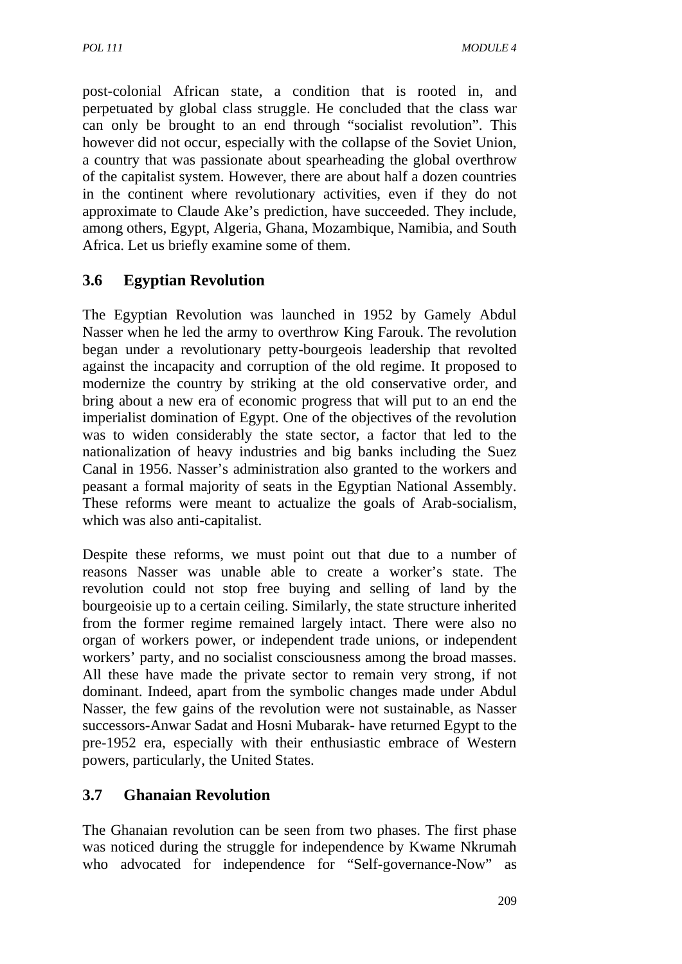post-colonial African state, a condition that is rooted in, and perpetuated by global class struggle. He concluded that the class war can only be brought to an end through "socialist revolution". This however did not occur, especially with the collapse of the Soviet Union, a country that was passionate about spearheading the global overthrow of the capitalist system. However, there are about half a dozen countries in the continent where revolutionary activities, even if they do not approximate to Claude Ake's prediction, have succeeded. They include, among others, Egypt, Algeria, Ghana, Mozambique, Namibia, and South Africa. Let us briefly examine some of them.

# **3.6 Egyptian Revolution**

The Egyptian Revolution was launched in 1952 by Gamely Abdul Nasser when he led the army to overthrow King Farouk. The revolution began under a revolutionary petty-bourgeois leadership that revolted against the incapacity and corruption of the old regime. It proposed to modernize the country by striking at the old conservative order, and bring about a new era of economic progress that will put to an end the imperialist domination of Egypt. One of the objectives of the revolution was to widen considerably the state sector, a factor that led to the nationalization of heavy industries and big banks including the Suez Canal in 1956. Nasser's administration also granted to the workers and peasant a formal majority of seats in the Egyptian National Assembly. These reforms were meant to actualize the goals of Arab-socialism, which was also anti-capitalist.

Despite these reforms, we must point out that due to a number of reasons Nasser was unable able to create a worker's state. The revolution could not stop free buying and selling of land by the bourgeoisie up to a certain ceiling. Similarly, the state structure inherited from the former regime remained largely intact. There were also no organ of workers power, or independent trade unions, or independent workers' party, and no socialist consciousness among the broad masses. All these have made the private sector to remain very strong, if not dominant. Indeed, apart from the symbolic changes made under Abdul Nasser, the few gains of the revolution were not sustainable, as Nasser successors-Anwar Sadat and Hosni Mubarak- have returned Egypt to the pre-1952 era, especially with their enthusiastic embrace of Western powers, particularly, the United States.

# **3.7 Ghanaian Revolution**

The Ghanaian revolution can be seen from two phases. The first phase was noticed during the struggle for independence by Kwame Nkrumah who advocated for independence for "Self-governance-Now" as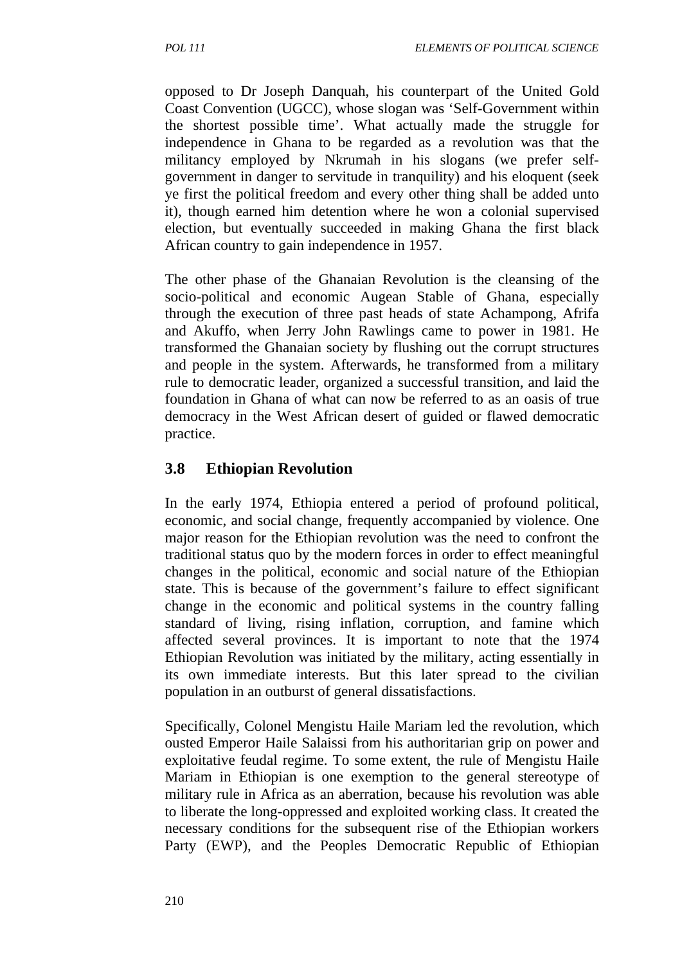opposed to Dr Joseph Danquah, his counterpart of the United Gold Coast Convention (UGCC), whose slogan was 'Self-Government within the shortest possible time'. What actually made the struggle for independence in Ghana to be regarded as a revolution was that the militancy employed by Nkrumah in his slogans (we prefer selfgovernment in danger to servitude in tranquility) and his eloquent (seek ye first the political freedom and every other thing shall be added unto it), though earned him detention where he won a colonial supervised election, but eventually succeeded in making Ghana the first black African country to gain independence in 1957.

The other phase of the Ghanaian Revolution is the cleansing of the socio-political and economic Augean Stable of Ghana, especially through the execution of three past heads of state Achampong, Afrifa and Akuffo, when Jerry John Rawlings came to power in 1981. He transformed the Ghanaian society by flushing out the corrupt structures and people in the system. Afterwards, he transformed from a military rule to democratic leader, organized a successful transition, and laid the foundation in Ghana of what can now be referred to as an oasis of true democracy in the West African desert of guided or flawed democratic practice.

# **3.8 Ethiopian Revolution**

In the early 1974, Ethiopia entered a period of profound political, economic, and social change, frequently accompanied by violence. One major reason for the Ethiopian revolution was the need to confront the traditional status quo by the modern forces in order to effect meaningful changes in the political, economic and social nature of the Ethiopian state. This is because of the government's failure to effect significant change in the economic and political systems in the country falling standard of living, rising inflation, corruption, and famine which affected several provinces. It is important to note that the 1974 Ethiopian Revolution was initiated by the military, acting essentially in its own immediate interests. But this later spread to the civilian population in an outburst of general dissatisfactions.

Specifically, Colonel Mengistu Haile Mariam led the revolution, which ousted Emperor Haile Salaissi from his authoritarian grip on power and exploitative feudal regime. To some extent, the rule of Mengistu Haile Mariam in Ethiopian is one exemption to the general stereotype of military rule in Africa as an aberration, because his revolution was able to liberate the long-oppressed and exploited working class. It created the necessary conditions for the subsequent rise of the Ethiopian workers Party (EWP), and the Peoples Democratic Republic of Ethiopian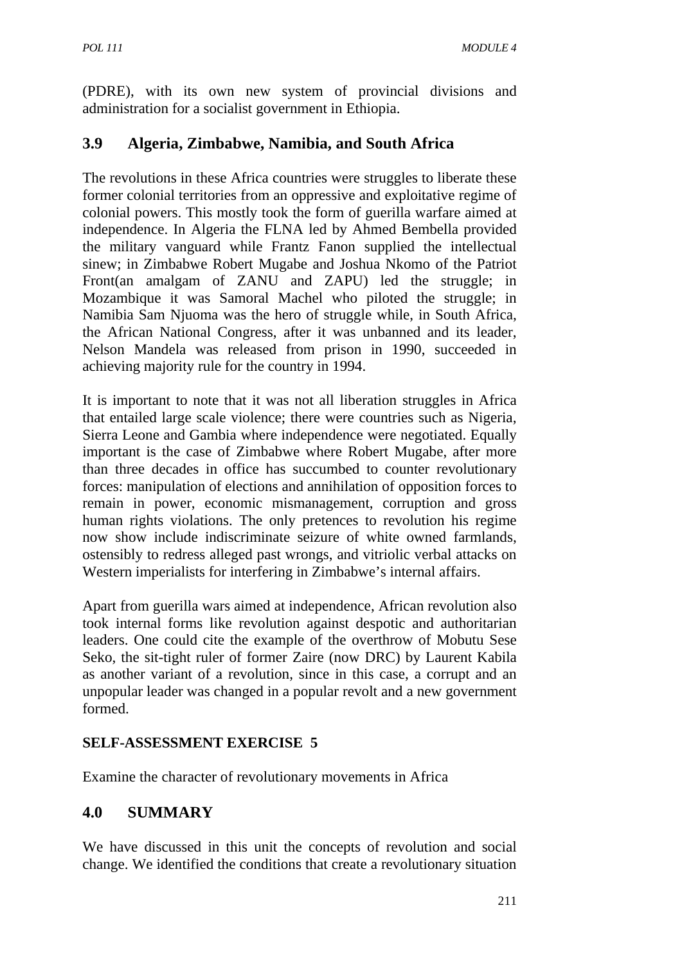(PDRE), with its own new system of provincial divisions and administration for a socialist government in Ethiopia.

# **3.9 Algeria, Zimbabwe, Namibia, and South Africa**

The revolutions in these Africa countries were struggles to liberate these former colonial territories from an oppressive and exploitative regime of colonial powers. This mostly took the form of guerilla warfare aimed at independence. In Algeria the FLNA led by Ahmed Bembella provided the military vanguard while Frantz Fanon supplied the intellectual sinew; in Zimbabwe Robert Mugabe and Joshua Nkomo of the Patriot Front(an amalgam of ZANU and ZAPU) led the struggle; in Mozambique it was Samoral Machel who piloted the struggle; in Namibia Sam Njuoma was the hero of struggle while, in South Africa, the African National Congress, after it was unbanned and its leader, Nelson Mandela was released from prison in 1990, succeeded in achieving majority rule for the country in 1994.

It is important to note that it was not all liberation struggles in Africa that entailed large scale violence; there were countries such as Nigeria, Sierra Leone and Gambia where independence were negotiated. Equally important is the case of Zimbabwe where Robert Mugabe, after more than three decades in office has succumbed to counter revolutionary forces: manipulation of elections and annihilation of opposition forces to remain in power, economic mismanagement, corruption and gross human rights violations. The only pretences to revolution his regime now show include indiscriminate seizure of white owned farmlands, ostensibly to redress alleged past wrongs, and vitriolic verbal attacks on Western imperialists for interfering in Zimbabwe's internal affairs.

Apart from guerilla wars aimed at independence, African revolution also took internal forms like revolution against despotic and authoritarian leaders. One could cite the example of the overthrow of Mobutu Sese Seko, the sit-tight ruler of former Zaire (now DRC) by Laurent Kabila as another variant of a revolution, since in this case, a corrupt and an unpopular leader was changed in a popular revolt and a new government formed.

### **SELF-ASSESSMENT EXERCISE 5**

Examine the character of revolutionary movements in Africa

# **4.0 SUMMARY**

We have discussed in this unit the concepts of revolution and social change. We identified the conditions that create a revolutionary situation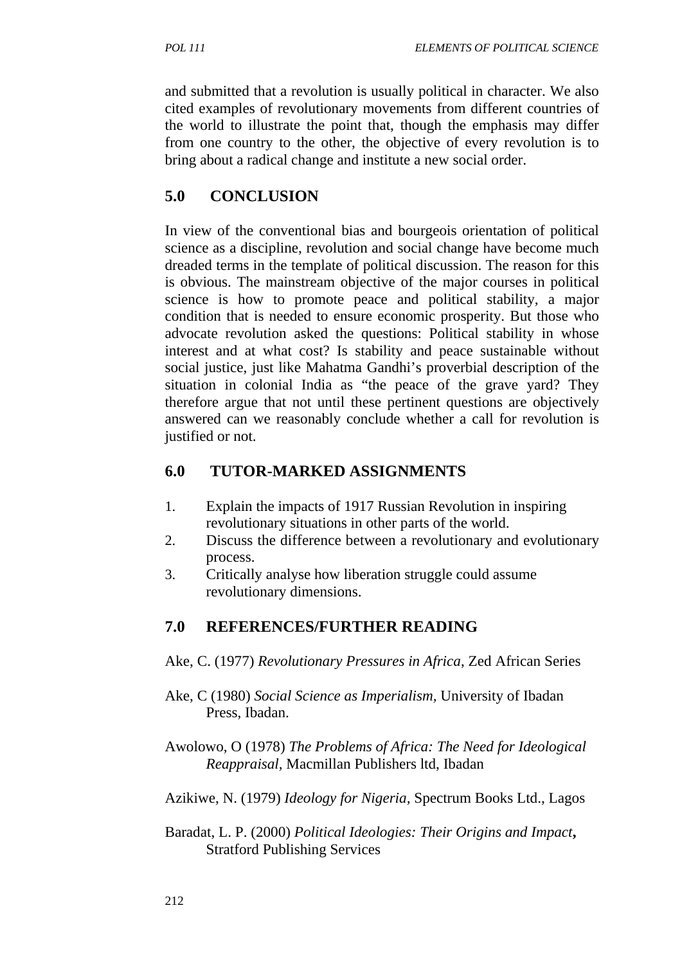and submitted that a revolution is usually political in character. We also cited examples of revolutionary movements from different countries of the world to illustrate the point that, though the emphasis may differ from one country to the other, the objective of every revolution is to bring about a radical change and institute a new social order.

# **5.0 CONCLUSION**

In view of the conventional bias and bourgeois orientation of political science as a discipline, revolution and social change have become much dreaded terms in the template of political discussion. The reason for this is obvious. The mainstream objective of the major courses in political science is how to promote peace and political stability, a major condition that is needed to ensure economic prosperity. But those who advocate revolution asked the questions: Political stability in whose interest and at what cost? Is stability and peace sustainable without social justice, just like Mahatma Gandhi's proverbial description of the situation in colonial India as "the peace of the grave yard? They therefore argue that not until these pertinent questions are objectively answered can we reasonably conclude whether a call for revolution is justified or not.

# **6.0 TUTOR-MARKED ASSIGNMENTS**

- 1. Explain the impacts of 1917 Russian Revolution in inspiring revolutionary situations in other parts of the world.
- 2. Discuss the difference between a revolutionary and evolutionary process.
- 3. Critically analyse how liberation struggle could assume revolutionary dimensions.

# **7.0 REFERENCES/FURTHER READING**

- Ake, C. (1977) *Revolutionary Pressures in Africa*, Zed African Series
- Ake, C (1980) *Social Science as Imperialism,* University of Ibadan Press, Ibadan.

Awolowo, O (1978) *The Problems of Africa: The Need for Ideological Reappraisal,* Macmillan Publishers ltd, Ibadan

- Azikiwe, N. (1979) *Ideology for Nigeria,* Spectrum Books Ltd., Lagos
- Baradat, L. P. (2000) *Political Ideologies: Their Origins and Impact***,** Stratford Publishing Services